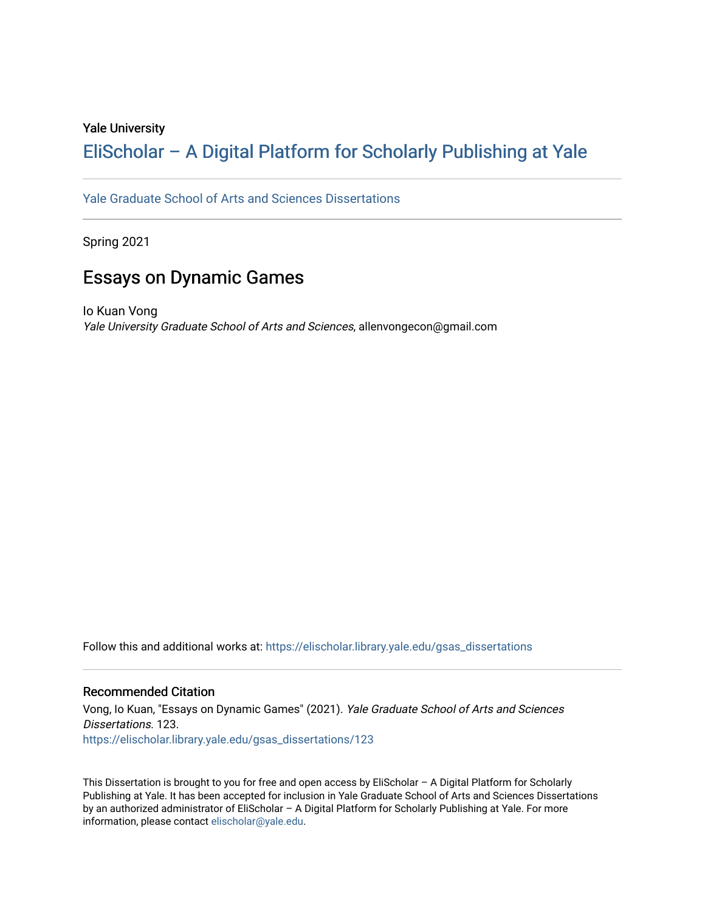### Yale University

## [EliScholar – A Digital Platform for Scholarly Publishing at Yale](https://elischolar.library.yale.edu/)

[Yale Graduate School of Arts and Sciences Dissertations](https://elischolar.library.yale.edu/gsas_dissertations) 

Spring 2021

## Essays on Dynamic Games

Io Kuan Vong Yale University Graduate School of Arts and Sciences, allenvongecon@gmail.com

Follow this and additional works at: [https://elischolar.library.yale.edu/gsas\\_dissertations](https://elischolar.library.yale.edu/gsas_dissertations?utm_source=elischolar.library.yale.edu%2Fgsas_dissertations%2F123&utm_medium=PDF&utm_campaign=PDFCoverPages) 

### Recommended Citation

Vong, Io Kuan, "Essays on Dynamic Games" (2021). Yale Graduate School of Arts and Sciences Dissertations. 123. [https://elischolar.library.yale.edu/gsas\\_dissertations/123](https://elischolar.library.yale.edu/gsas_dissertations/123?utm_source=elischolar.library.yale.edu%2Fgsas_dissertations%2F123&utm_medium=PDF&utm_campaign=PDFCoverPages) 

This Dissertation is brought to you for free and open access by EliScholar – A Digital Platform for Scholarly Publishing at Yale. It has been accepted for inclusion in Yale Graduate School of Arts and Sciences Dissertations by an authorized administrator of EliScholar – A Digital Platform for Scholarly Publishing at Yale. For more information, please contact [elischolar@yale.edu.](mailto:elischolar@yale.edu)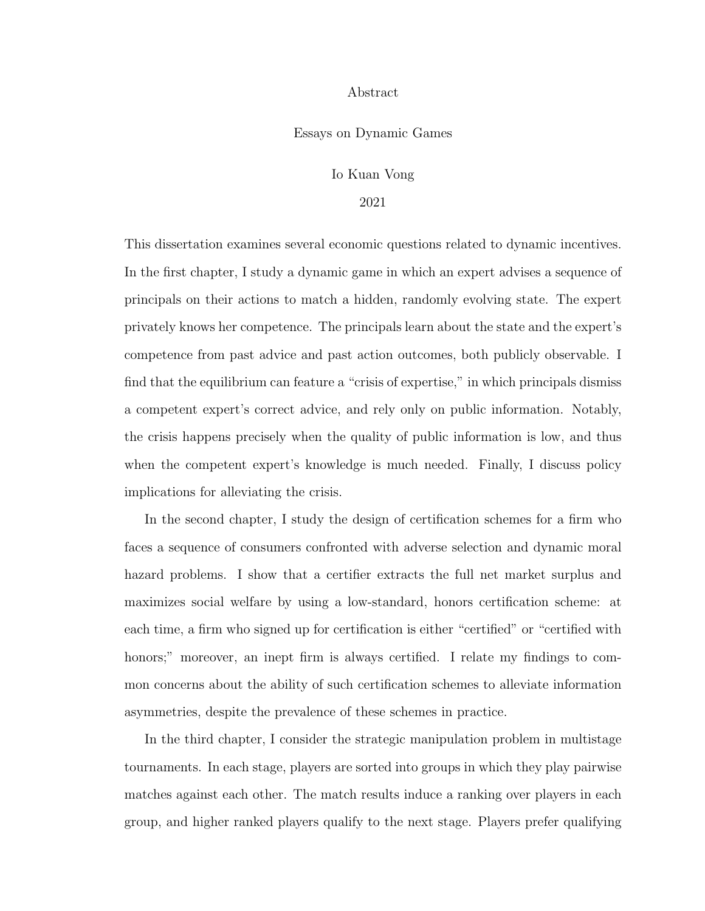### Abstract

#### Essays on Dynamic Games

### Io Kuan Vong

### 2021

This dissertation examines several economic questions related to dynamic incentives. In the first chapter, I study a dynamic game in which an expert advises a sequence of principals on their actions to match a hidden, randomly evolving state. The expert privately knows her competence. The principals learn about the state and the expert's competence from past advice and past action outcomes, both publicly observable. I find that the equilibrium can feature a "crisis of expertise," in which principals dismiss a competent expert's correct advice, and rely only on public information. Notably, the crisis happens precisely when the quality of public information is low, and thus when the competent expert's knowledge is much needed. Finally, I discuss policy implications for alleviating the crisis.

In the second chapter, I study the design of certification schemes for a firm who faces a sequence of consumers confronted with adverse selection and dynamic moral hazard problems. I show that a certifier extracts the full net market surplus and maximizes social welfare by using a low-standard, honors certification scheme: at each time, a firm who signed up for certification is either "certified" or "certified with honors;" moreover, an inept firm is always certified. I relate my findings to common concerns about the ability of such certification schemes to alleviate information asymmetries, despite the prevalence of these schemes in practice.

In the third chapter, I consider the strategic manipulation problem in multistage tournaments. In each stage, players are sorted into groups in which they play pairwise matches against each other. The match results induce a ranking over players in each group, and higher ranked players qualify to the next stage. Players prefer qualifying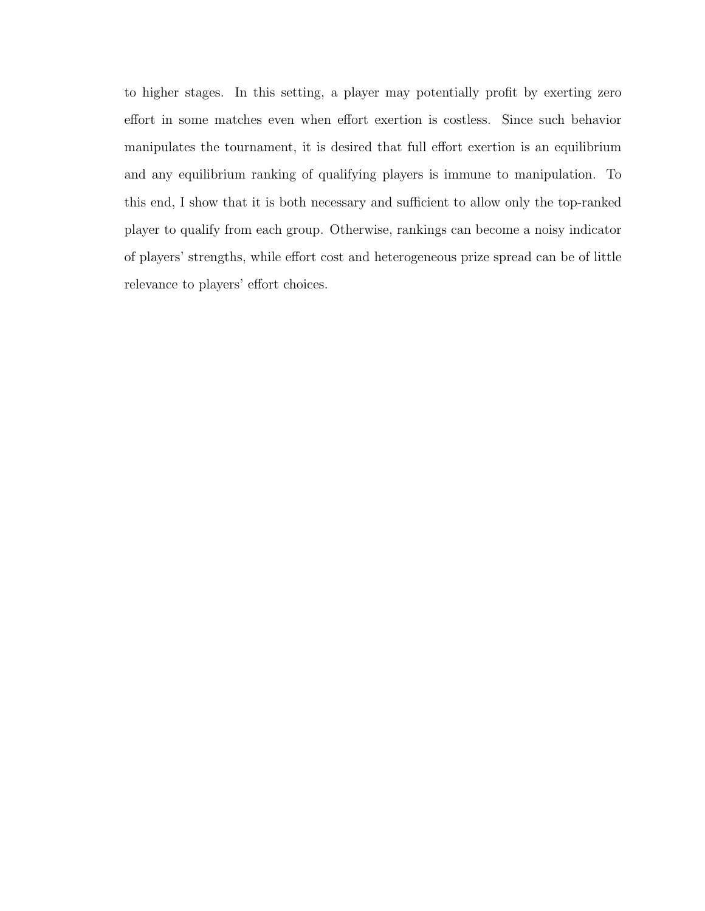to higher stages. In this setting, a player may potentially profit by exerting zero effort in some matches even when effort exertion is costless. Since such behavior manipulates the tournament, it is desired that full effort exertion is an equilibrium and any equilibrium ranking of qualifying players is immune to manipulation. To this end, I show that it is both necessary and sufficient to allow only the top-ranked player to qualify from each group. Otherwise, rankings can become a noisy indicator of players' strengths, while effort cost and heterogeneous prize spread can be of little relevance to players' effort choices.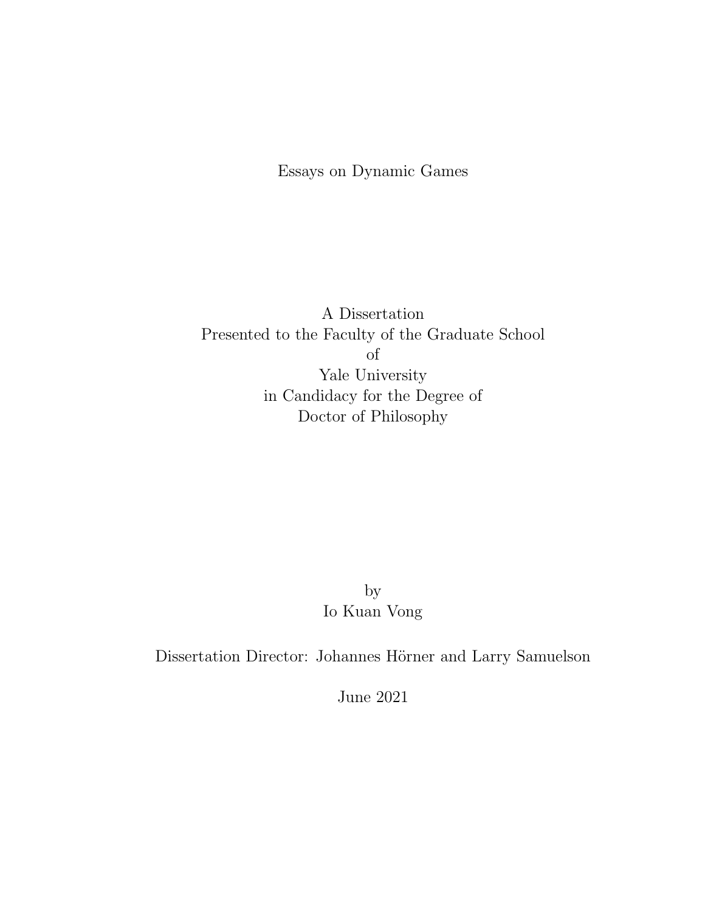Essays on Dynamic Games

A Dissertation Presented to the Faculty of the Graduate School of Yale University in Candidacy for the Degree of Doctor of Philosophy

> by Io Kuan Vong

Dissertation Director: Johannes Hörner and Larry Samuelson

June 2021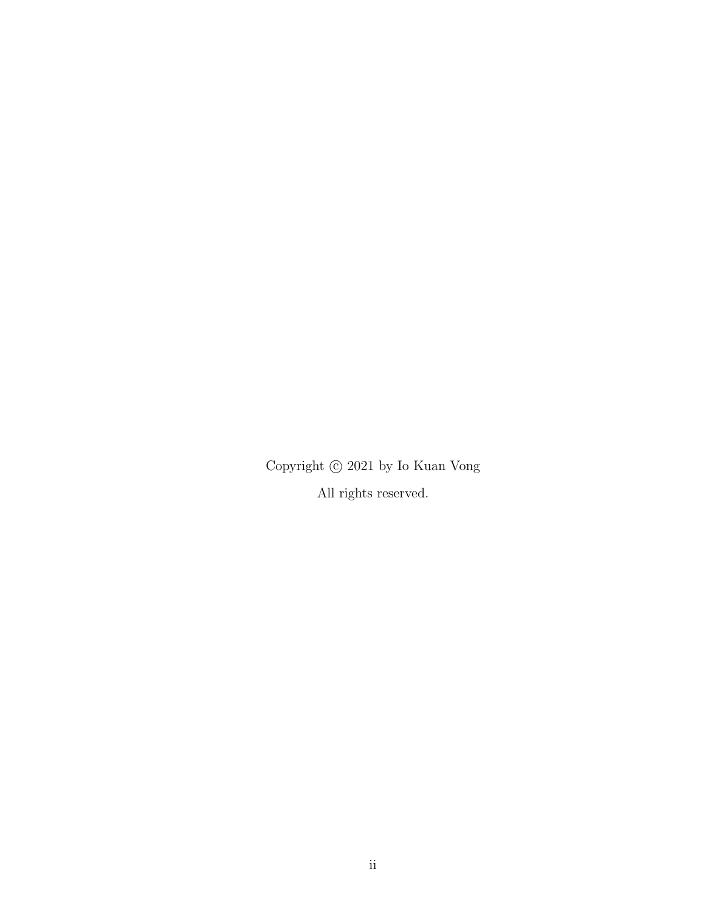Copyright  $\copyright$  2021 by Io Kuan Vong All rights reserved.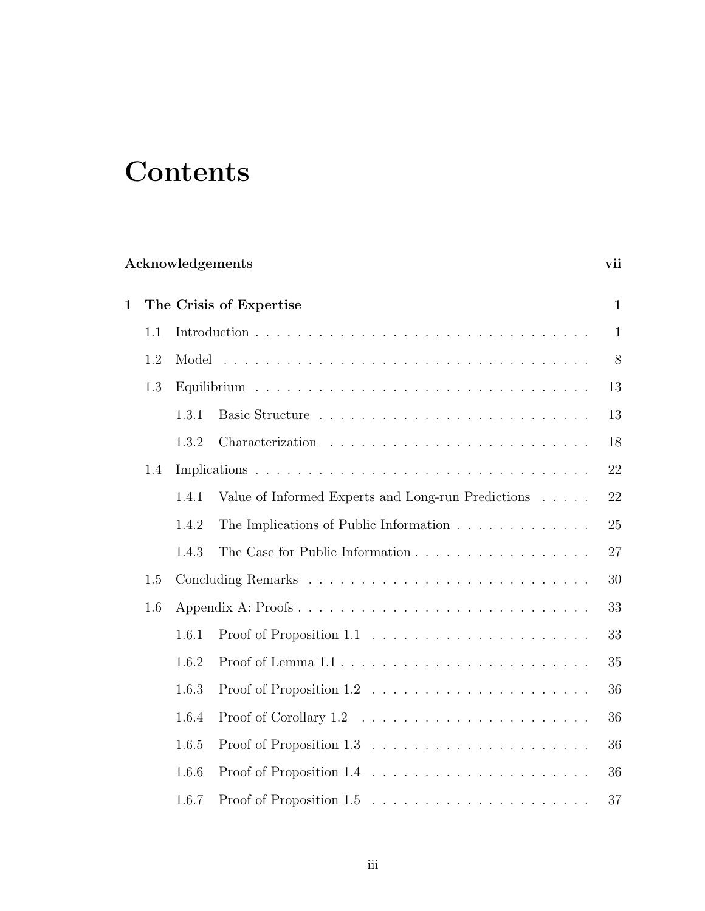# **Contents**

| Acknowledgements |                         |       |                                                                           |              |  |  |  |  |  |  |  |
|------------------|-------------------------|-------|---------------------------------------------------------------------------|--------------|--|--|--|--|--|--|--|
| $\mathbf 1$      | The Crisis of Expertise |       |                                                                           |              |  |  |  |  |  |  |  |
|                  | 1.1                     |       |                                                                           | $\mathbf{1}$ |  |  |  |  |  |  |  |
|                  | 1.2                     |       |                                                                           | 8            |  |  |  |  |  |  |  |
|                  | 1.3                     |       |                                                                           | 13           |  |  |  |  |  |  |  |
|                  |                         | 1.3.1 |                                                                           | 13           |  |  |  |  |  |  |  |
|                  |                         | 1.3.2 |                                                                           | 18           |  |  |  |  |  |  |  |
|                  | 1.4                     |       |                                                                           | 22           |  |  |  |  |  |  |  |
|                  |                         | 1.4.1 | Value of Informed Experts and Long-run Predictions                        | 22           |  |  |  |  |  |  |  |
|                  |                         | 1.4.2 | The Implications of Public Information $\ldots \ldots \ldots \ldots$      | 25           |  |  |  |  |  |  |  |
|                  |                         | 1.4.3 | The Case for Public Information                                           | 27           |  |  |  |  |  |  |  |
|                  | 1.5                     |       |                                                                           | 30           |  |  |  |  |  |  |  |
|                  | 1.6                     |       | Appendix A: Proofs                                                        | 33           |  |  |  |  |  |  |  |
|                  |                         | 1.6.1 |                                                                           | 33           |  |  |  |  |  |  |  |
|                  |                         | 1.6.2 |                                                                           | 35           |  |  |  |  |  |  |  |
|                  |                         | 1.6.3 |                                                                           | 36           |  |  |  |  |  |  |  |
|                  |                         | 1.6.4 | Proof of Corollary $1.2 \ldots \ldots \ldots \ldots \ldots \ldots \ldots$ | 36           |  |  |  |  |  |  |  |
|                  |                         | 1.6.5 |                                                                           | 36           |  |  |  |  |  |  |  |
|                  |                         | 1.6.6 |                                                                           | 36           |  |  |  |  |  |  |  |
|                  |                         | 1.6.7 |                                                                           | 37           |  |  |  |  |  |  |  |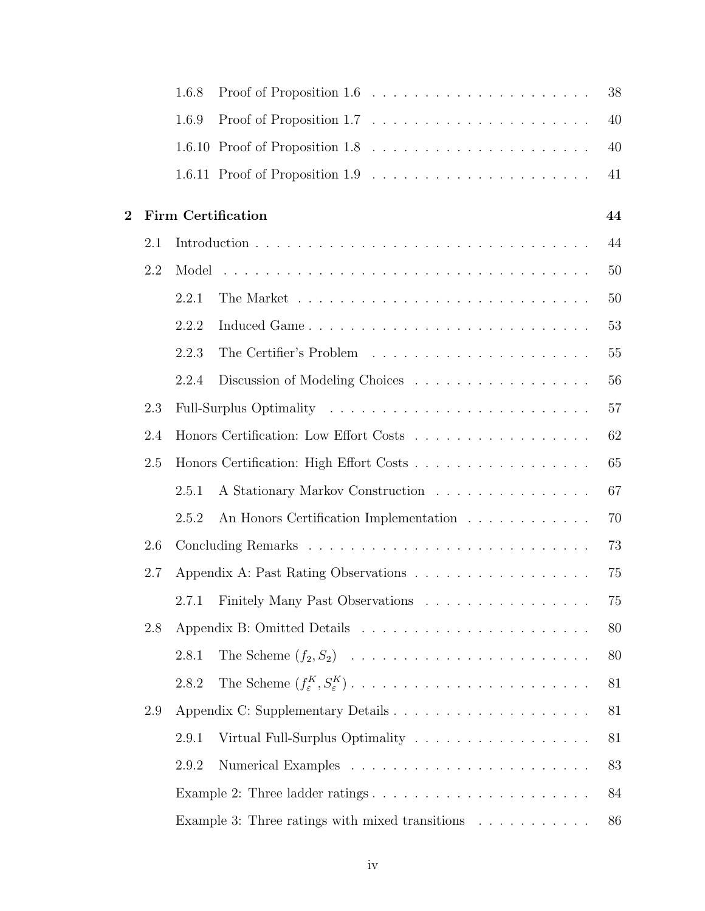|          |     | 1.6.8 |                                                                                   | 38     |
|----------|-----|-------|-----------------------------------------------------------------------------------|--------|
|          |     | 1.6.9 | Proof of Proposition 1.7 $\ldots \ldots \ldots \ldots \ldots \ldots \ldots$       | 40     |
|          |     |       |                                                                                   | 40     |
|          |     |       |                                                                                   | 41     |
| $\bf{2}$ |     |       | <b>Firm Certification</b>                                                         | 44     |
|          | 2.1 |       |                                                                                   | 44     |
|          | 2.2 | Model |                                                                                   | 50     |
|          |     | 2.2.1 |                                                                                   | 50     |
|          |     | 2.2.2 | Induced Game                                                                      | 53     |
|          |     | 2.2.3 |                                                                                   | $55\,$ |
|          |     | 2.2.4 | Discussion of Modeling Choices                                                    | 56     |
|          | 2.3 |       |                                                                                   | 57     |
|          | 2.4 |       | Honors Certification: Low Effort Costs                                            | 62     |
|          | 2.5 |       | Honors Certification: High Effort Costs                                           | 65     |
|          |     | 2.5.1 | A Stationary Markov Construction                                                  | 67     |
|          |     | 2.5.2 | An Honors Certification Implementation $\ldots \ldots \ldots \ldots$              | 70     |
|          | 2.6 |       |                                                                                   | 73     |
|          | 2.7 |       | Appendix A: Past Rating Observations                                              | 75     |
|          |     |       | 2.7.1 Finitely Many Past Observations                                             | $75\,$ |
|          | 2.8 |       |                                                                                   | 80     |
|          |     | 2.8.1 |                                                                                   | 80     |
|          |     | 2.8.2 |                                                                                   | 81     |
|          | 2.9 |       |                                                                                   | 81     |
|          |     | 2.9.1 | Virtual Full-Surplus Optimality                                                   | 81     |
|          |     | 2.9.2 |                                                                                   | 83     |
|          |     |       | Example 2: Three ladder ratings $\dots \dots \dots \dots \dots \dots \dots \dots$ | 84     |
|          |     |       | Example 3: Three ratings with mixed transitions $\ldots \ldots \ldots$            | 86     |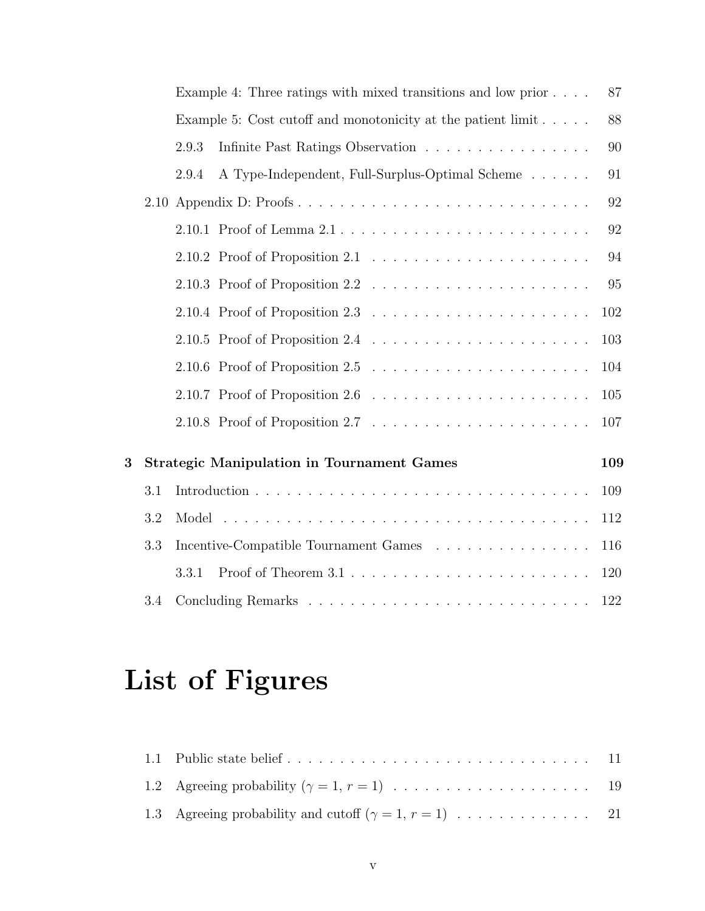|   |     |       | Example 4: Three ratings with mixed transitions and low prior $\ldots$ .           | 87  |
|---|-----|-------|------------------------------------------------------------------------------------|-----|
|   |     |       | Example 5: Cost cutoff and monotonicity at the patient $\lim_{x \to \infty}$       | 88  |
|   |     | 2.9.3 | Infinite Past Ratings Observation                                                  | 90  |
|   |     | 2.9.4 | A Type-Independent, Full-Surplus-Optimal Scheme                                    | 91  |
|   |     |       | 2.10 Appendix D: Proofs                                                            | 92  |
|   |     |       |                                                                                    | 92  |
|   |     |       | 2.10.2 Proof of Proposition 2.1 $\ldots \ldots \ldots \ldots \ldots \ldots \ldots$ | 94  |
|   |     |       |                                                                                    | 95  |
|   |     |       | 2.10.4 Proof of Proposition 2.3 $\ldots \ldots \ldots \ldots \ldots \ldots \ldots$ | 102 |
|   |     |       | 2.10.5 Proof of Proposition 2.4 $\ldots \ldots \ldots \ldots \ldots \ldots \ldots$ | 103 |
|   |     |       |                                                                                    | 104 |
|   |     |       | 2.10.7 Proof of Proposition 2.6 $\ldots \ldots \ldots \ldots \ldots \ldots \ldots$ | 105 |
|   |     |       |                                                                                    | 107 |
| 3 |     |       | <b>Strategic Manipulation in Tournament Games</b>                                  | 109 |
|   |     |       |                                                                                    |     |
|   | 3.1 |       |                                                                                    | 109 |
|   | 3.2 |       |                                                                                    | 112 |
|   | 3.3 |       | Incentive-Compatible Tournament Games                                              | 116 |
|   |     | 3.3.1 |                                                                                    | 120 |
|   | 3.4 |       |                                                                                    | 122 |

# List of Figures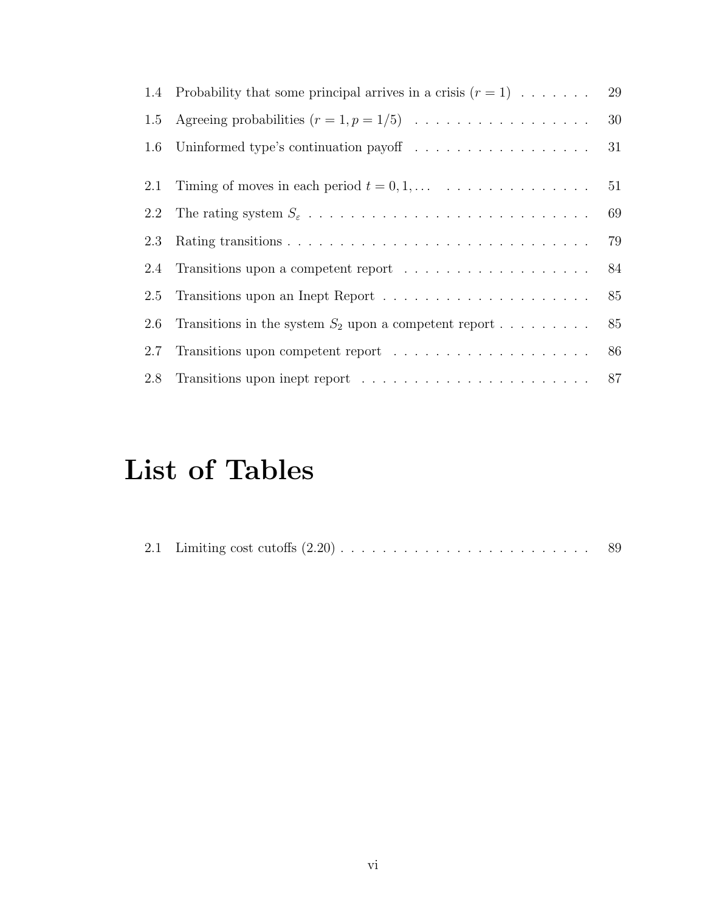|     | 1.4 Probability that some principal arrives in a crisis $(r = 1) \dots \dots$            | 29 |
|-----|------------------------------------------------------------------------------------------|----|
| 1.5 | Agreeing probabilities $(r = 1, p = 1/5) \dots \dots \dots \dots \dots \dots$            | 30 |
|     |                                                                                          | 31 |
|     |                                                                                          |    |
|     | 2.1 Timing of moves in each period $t = 0, 1, \ldots \ldots \ldots \ldots \ldots \ldots$ | 51 |
| 2.2 |                                                                                          | 69 |
| 2.3 |                                                                                          | 79 |
|     |                                                                                          | 84 |
| 2.5 |                                                                                          | 85 |
| 2.6 | Transitions in the system $S_2$ upon a competent report                                  | 85 |
| 2.7 |                                                                                          | 86 |
|     |                                                                                          |    |

# List of Tables

|  |  |  |  |  |  |  |  |  |  |  |  |  |  |  |  |  |  |  |  |  |  |  |  |  |  | 89 |  |
|--|--|--|--|--|--|--|--|--|--|--|--|--|--|--|--|--|--|--|--|--|--|--|--|--|--|----|--|
|--|--|--|--|--|--|--|--|--|--|--|--|--|--|--|--|--|--|--|--|--|--|--|--|--|--|----|--|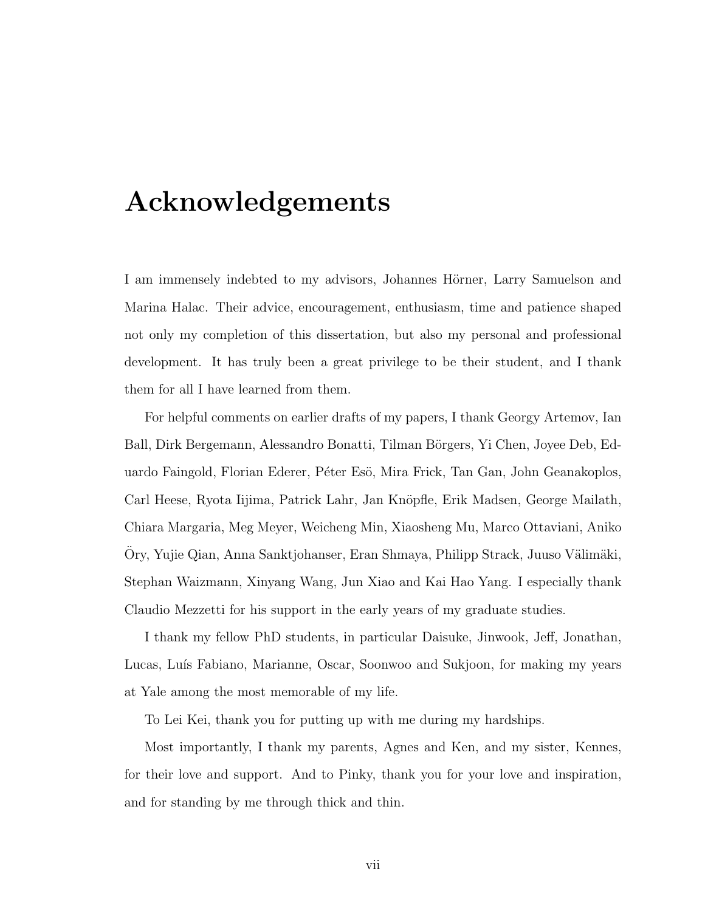# <span id="page-9-0"></span>Acknowledgements

I am immensely indebted to my advisors, Johannes Hörner, Larry Samuelson and Marina Halac. Their advice, encouragement, enthusiasm, time and patience shaped not only my completion of this dissertation, but also my personal and professional development. It has truly been a great privilege to be their student, and I thank them for all I have learned from them.

For helpful comments on earlier drafts of my papers, I thank Georgy Artemov, Ian Ball, Dirk Bergemann, Alessandro Bonatti, Tilman Börgers, Yi Chen, Joyee Deb, Eduardo Faingold, Florian Ederer, Péter Esö, Mira Frick, Tan Gan, John Geanakoplos, Carl Heese, Ryota Iijima, Patrick Lahr, Jan Knöpfle, Erik Madsen, George Mailath, Chiara Margaria, Meg Meyer, Weicheng Min, Xiaosheng Mu, Marco Ottaviani, Aniko Ory, Yujie Qian, Anna Sanktjohanser, Eran Shmaya, Philipp Strack, Juuso Välimäki, Stephan Waizmann, Xinyang Wang, Jun Xiao and Kai Hao Yang. I especially thank Claudio Mezzetti for his support in the early years of my graduate studies.

I thank my fellow PhD students, in particular Daisuke, Jinwook, Jeff, Jonathan, Lucas, Luís Fabiano, Marianne, Oscar, Soonwoo and Sukjoon, for making my years at Yale among the most memorable of my life.

To Lei Kei, thank you for putting up with me during my hardships.

Most importantly, I thank my parents, Agnes and Ken, and my sister, Kennes, for their love and support. And to Pinky, thank you for your love and inspiration, and for standing by me through thick and thin.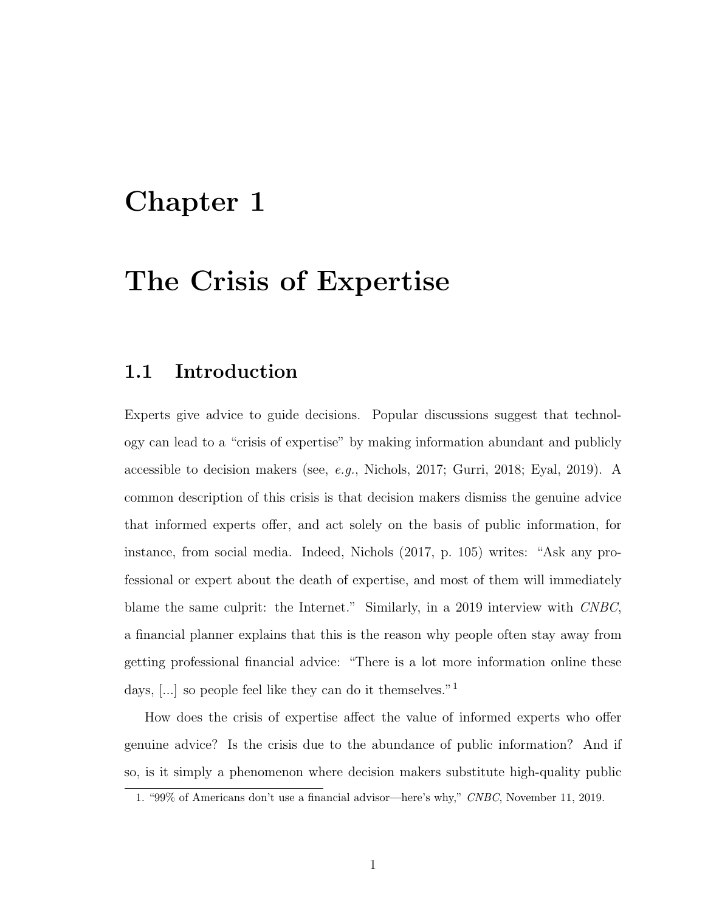# <span id="page-10-0"></span>Chapter 1

# The Crisis of Expertise

## <span id="page-10-1"></span>1.1 Introduction

Experts give advice to guide decisions. Popular discussions suggest that technology can lead to a "crisis of expertise" by making information abundant and publicly accessible to decision makers (see, e.g., [Nichols,](#page-138-0) [2017;](#page-138-0) [Gurri,](#page-135-0) [2018;](#page-135-0) [Eyal,](#page-134-0) [2019\)](#page-134-0). A common description of this crisis is that decision makers dismiss the genuine advice that informed experts offer, and act solely on the basis of public information, for instance, from social media. Indeed, [Nichols](#page-138-0) [\(2017,](#page-138-0) p. 105) writes: "Ask any professional or expert about the death of expertise, and most of them will immediately blame the same culprit: the Internet." Similarly, in a 2019 interview with CNBC, a financial planner explains that this is the reason why people often stay away from getting professional financial advice: "There is a lot more information online these days, [...] so people feel like they can do it themselves."<sup>[1](#page-10-2)</sup>

How does the crisis of expertise affect the value of informed experts who offer genuine advice? Is the crisis due to the abundance of public information? And if so, is it simply a phenomenon where decision makers substitute high-quality public

<span id="page-10-2"></span><sup>1. &</sup>quot;99% of Americans don't use a financial advisor—here's why," CNBC, November 11, 2019.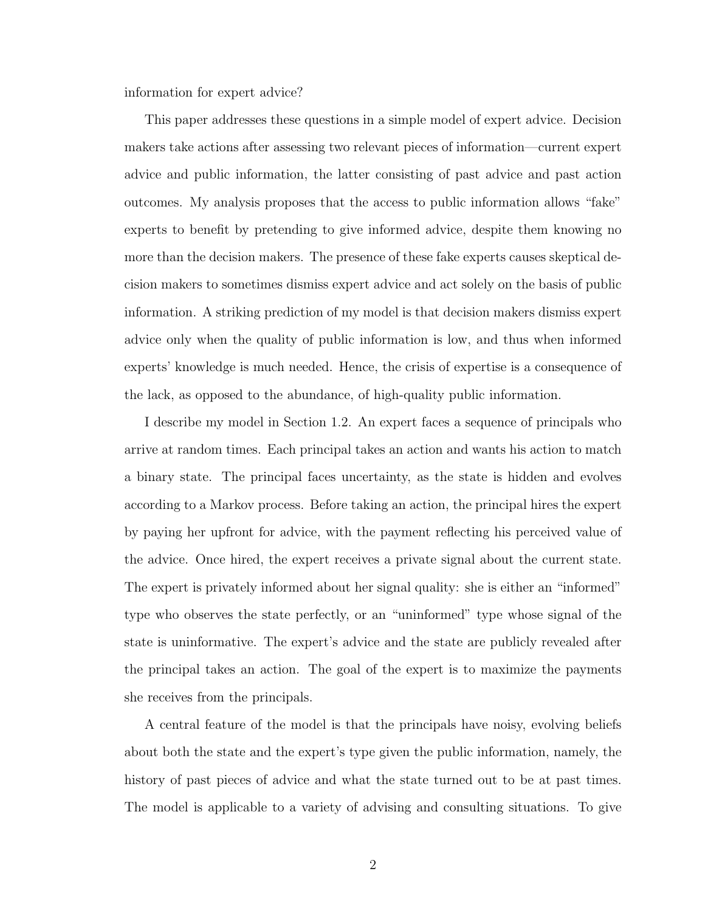information for expert advice?

This paper addresses these questions in a simple model of expert advice. Decision makers take actions after assessing two relevant pieces of information—current expert advice and public information, the latter consisting of past advice and past action outcomes. My analysis proposes that the access to public information allows "fake" experts to benefit by pretending to give informed advice, despite them knowing no more than the decision makers. The presence of these fake experts causes skeptical decision makers to sometimes dismiss expert advice and act solely on the basis of public information. A striking prediction of my model is that decision makers dismiss expert advice only when the quality of public information is low, and thus when informed experts' knowledge is much needed. Hence, the crisis of expertise is a consequence of the lack, as opposed to the abundance, of high-quality public information.

I describe my model in Section [1.2.](#page-17-0) An expert faces a sequence of principals who arrive at random times. Each principal takes an action and wants his action to match a binary state. The principal faces uncertainty, as the state is hidden and evolves according to a Markov process. Before taking an action, the principal hires the expert by paying her upfront for advice, with the payment reflecting his perceived value of the advice. Once hired, the expert receives a private signal about the current state. The expert is privately informed about her signal quality: she is either an "informed" type who observes the state perfectly, or an "uninformed" type whose signal of the state is uninformative. The expert's advice and the state are publicly revealed after the principal takes an action. The goal of the expert is to maximize the payments she receives from the principals.

A central feature of the model is that the principals have noisy, evolving beliefs about both the state and the expert's type given the public information, namely, the history of past pieces of advice and what the state turned out to be at past times. The model is applicable to a variety of advising and consulting situations. To give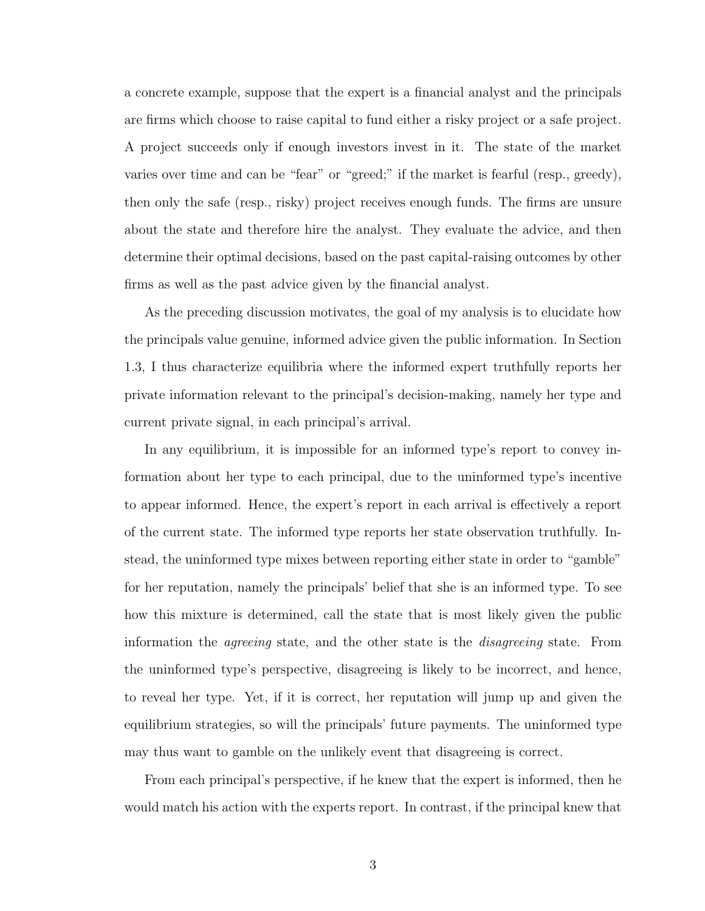a concrete example, suppose that the expert is a financial analyst and the principals are firms which choose to raise capital to fund either a risky project or a safe project. A project succeeds only if enough investors invest in it. The state of the market varies over time and can be "fear" or "greed;" if the market is fearful (resp., greedy), then only the safe (resp., risky) project receives enough funds. The firms are unsure about the state and therefore hire the analyst. They evaluate the advice, and then determine their optimal decisions, based on the past capital-raising outcomes by other firms as well as the past advice given by the financial analyst.

As the preceding discussion motivates, the goal of my analysis is to elucidate how the principals value genuine, informed advice given the public information. In Section [1.3,](#page-22-0) I thus characterize equilibria where the informed expert truthfully reports her private information relevant to the principal's decision-making, namely her type and current private signal, in each principal's arrival.

In any equilibrium, it is impossible for an informed type's report to convey information about her type to each principal, due to the uninformed type's incentive to appear informed. Hence, the expert's report in each arrival is effectively a report of the current state. The informed type reports her state observation truthfully. Instead, the uninformed type mixes between reporting either state in order to "gamble" for her reputation, namely the principals' belief that she is an informed type. To see how this mixture is determined, call the state that is most likely given the public information the agreeing state, and the other state is the disagreeing state. From the uninformed type's perspective, disagreeing is likely to be incorrect, and hence, to reveal her type. Yet, if it is correct, her reputation will jump up and given the equilibrium strategies, so will the principals' future payments. The uninformed type may thus want to gamble on the unlikely event that disagreeing is correct.

From each principal's perspective, if he knew that the expert is informed, then he would match his action with the experts report. In contrast, if the principal knew that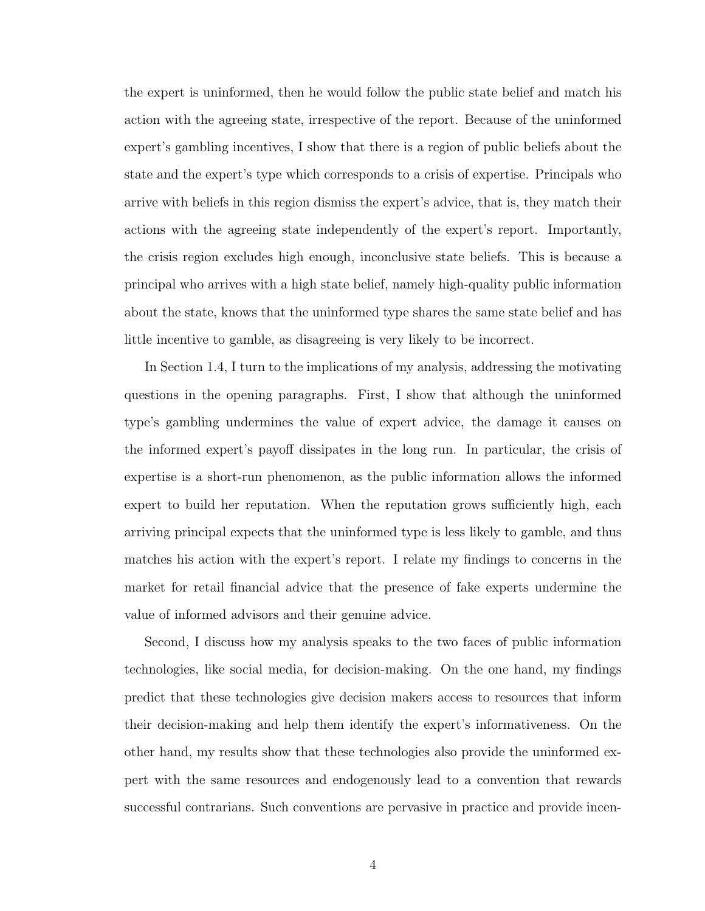the expert is uninformed, then he would follow the public state belief and match his action with the agreeing state, irrespective of the report. Because of the uninformed expert's gambling incentives, I show that there is a region of public beliefs about the state and the expert's type which corresponds to a crisis of expertise. Principals who arrive with beliefs in this region dismiss the expert's advice, that is, they match their actions with the agreeing state independently of the expert's report. Importantly, the crisis region excludes high enough, inconclusive state beliefs. This is because a principal who arrives with a high state belief, namely high-quality public information about the state, knows that the uninformed type shares the same state belief and has little incentive to gamble, as disagreeing is very likely to be incorrect.

In Section [1.4,](#page-31-0) I turn to the implications of my analysis, addressing the motivating questions in the opening paragraphs. First, I show that although the uninformed type's gambling undermines the value of expert advice, the damage it causes on the informed expert's payoff dissipates in the long run. In particular, the crisis of expertise is a short-run phenomenon, as the public information allows the informed expert to build her reputation. When the reputation grows sufficiently high, each arriving principal expects that the uninformed type is less likely to gamble, and thus matches his action with the expert's report. I relate my findings to concerns in the market for retail financial advice that the presence of fake experts undermine the value of informed advisors and their genuine advice.

Second, I discuss how my analysis speaks to the two faces of public information technologies, like social media, for decision-making. On the one hand, my findings predict that these technologies give decision makers access to resources that inform their decision-making and help them identify the expert's informativeness. On the other hand, my results show that these technologies also provide the uninformed expert with the same resources and endogenously lead to a convention that rewards successful contrarians. Such conventions are pervasive in practice and provide incen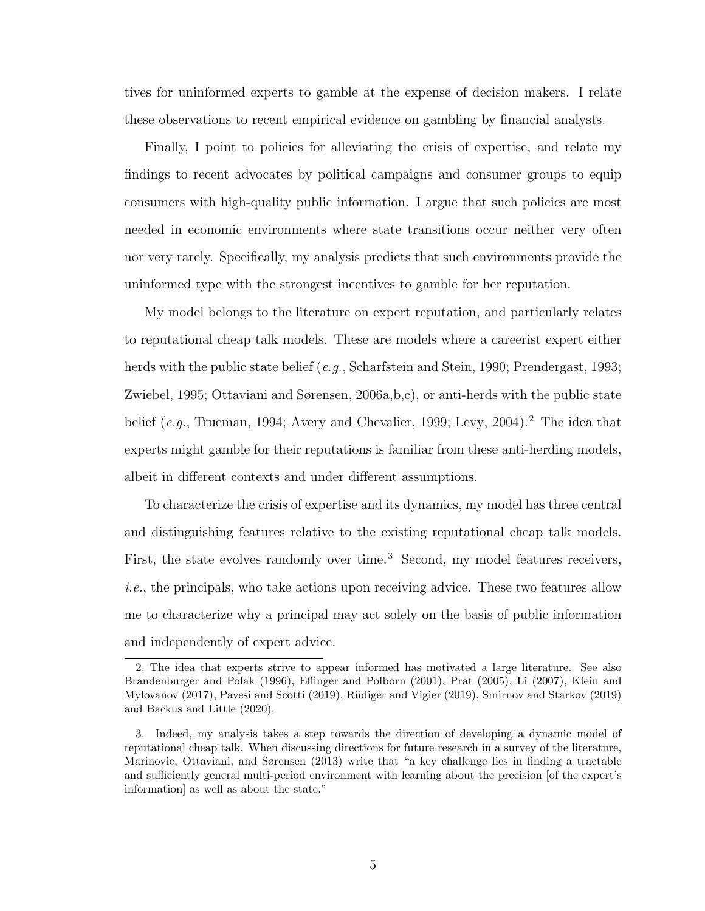tives for uninformed experts to gamble at the expense of decision makers. I relate these observations to recent empirical evidence on gambling by financial analysts.

Finally, I point to policies for alleviating the crisis of expertise, and relate my findings to recent advocates by political campaigns and consumer groups to equip consumers with high-quality public information. I argue that such policies are most needed in economic environments where state transitions occur neither very often nor very rarely. Specifically, my analysis predicts that such environments provide the uninformed type with the strongest incentives to gamble for her reputation.

My model belongs to the literature on expert reputation, and particularly relates to reputational cheap talk models. These are models where a careerist expert either herds with the public state belief (e.g., [Scharfstein and Stein,](#page-139-0) [1990;](#page-139-0) [Prendergast,](#page-139-1) [1993;](#page-139-1) [Zwiebel,](#page-140-0) [1995;](#page-140-0) [Ottaviani and Sørensen,](#page-138-1) [2006a,](#page-138-1)[b](#page-138-2)[,c\)](#page-138-3), or anti-herds with the public state belief (e.g., [Trueman,](#page-140-1) [1994;](#page-140-1) [Avery and Chevalier,](#page-132-0) [1999;](#page-132-0) [Levy,](#page-136-0) [2004\)](#page-136-0).<sup>[2](#page-14-0)</sup> The idea that experts might gamble for their reputations is familiar from these anti-herding models, albeit in different contexts and under different assumptions.

To characterize the crisis of expertise and its dynamics, my model has three central and distinguishing features relative to the existing reputational cheap talk models. First, the state evolves randomly over time.<sup>[3](#page-14-1)</sup> Second, my model features receivers, i.e., the principals, who take actions upon receiving advice. These two features allow me to characterize why a principal may act solely on the basis of public information and independently of expert advice.

<span id="page-14-0"></span><sup>2.</sup> The idea that experts strive to appear informed has motivated a large literature. See also [Brandenburger and Polak](#page-133-0) [\(1996\)](#page-133-0), [Effinger and Polborn](#page-134-1) [\(2001\)](#page-134-1), [Prat](#page-139-2) [\(2005\)](#page-139-2), [Li](#page-137-0) [\(2007\)](#page-137-0), [Klein and](#page-136-1) [Mylovanov](#page-136-1) [\(2017\)](#page-136-1), [Pavesi and Scotti](#page-139-3) [\(2019\)](#page-140-2), Rüdiger and Vigier (2019), [Smirnov and Starkov](#page-140-2) (2019) and [Backus and Little](#page-132-1) [\(2020\)](#page-132-1).

<span id="page-14-1"></span><sup>3.</sup> Indeed, my analysis takes a step towards the direction of developing a dynamic model of reputational cheap talk. When discussing directions for future research in a survey of the literature, [Marinovic, Ottaviani, and Sørensen](#page-137-1) [\(2013\)](#page-137-1) write that "a key challenge lies in finding a tractable and sufficiently general multi-period environment with learning about the precision [of the expert's information] as well as about the state."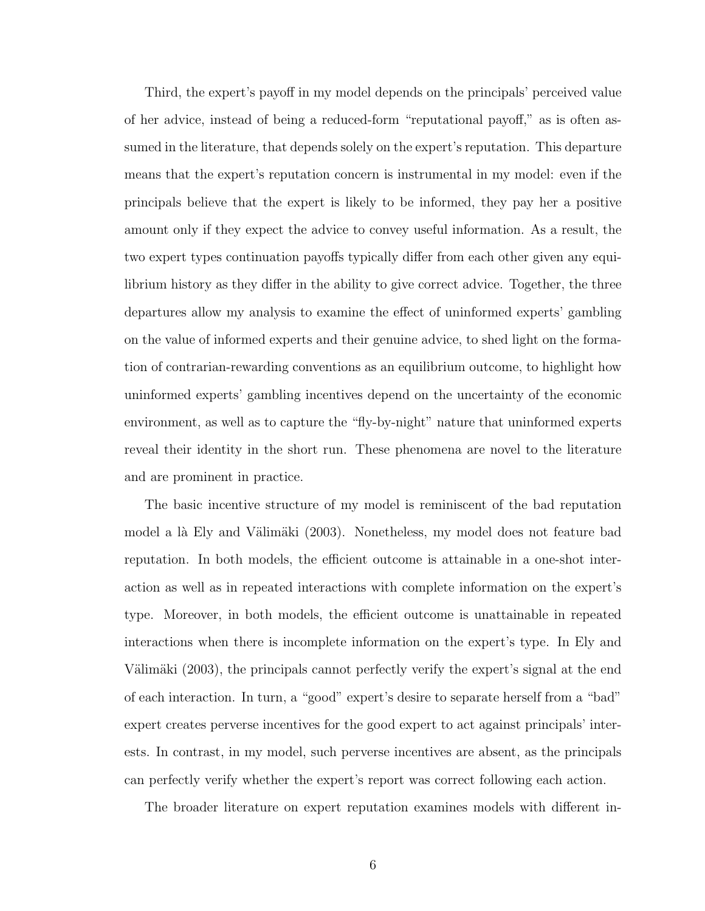Third, the expert's payoff in my model depends on the principals' perceived value of her advice, instead of being a reduced-form "reputational payoff," as is often assumed in the literature, that depends solely on the expert's reputation. This departure means that the expert's reputation concern is instrumental in my model: even if the principals believe that the expert is likely to be informed, they pay her a positive amount only if they expect the advice to convey useful information. As a result, the two expert types continuation payoffs typically differ from each other given any equilibrium history as they differ in the ability to give correct advice. Together, the three departures allow my analysis to examine the effect of uninformed experts' gambling on the value of informed experts and their genuine advice, to shed light on the formation of contrarian-rewarding conventions as an equilibrium outcome, to highlight how uninformed experts' gambling incentives depend on the uncertainty of the economic environment, as well as to capture the "fly-by-night" nature that uninformed experts reveal their identity in the short run. These phenomena are novel to the literature and are prominent in practice.

The basic incentive structure of my model is reminiscent of the bad reputation model a là Ely and Välimäki [\(2003\)](#page-134-2). Nonetheless, my model does not feature bad reputation. In both models, the efficient outcome is attainable in a one-shot interaction as well as in repeated interactions with complete information on the expert's type. Moreover, in both models, the efficient outcome is unattainable in repeated interactions when there is incomplete information on the expert's type. In [Ely and](#page-134-2) Välimäki [\(2003\)](#page-134-2), the principals cannot perfectly verify the expert's signal at the end of each interaction. In turn, a "good" expert's desire to separate herself from a "bad" expert creates perverse incentives for the good expert to act against principals' interests. In contrast, in my model, such perverse incentives are absent, as the principals can perfectly verify whether the expert's report was correct following each action.

The broader literature on expert reputation examines models with different in-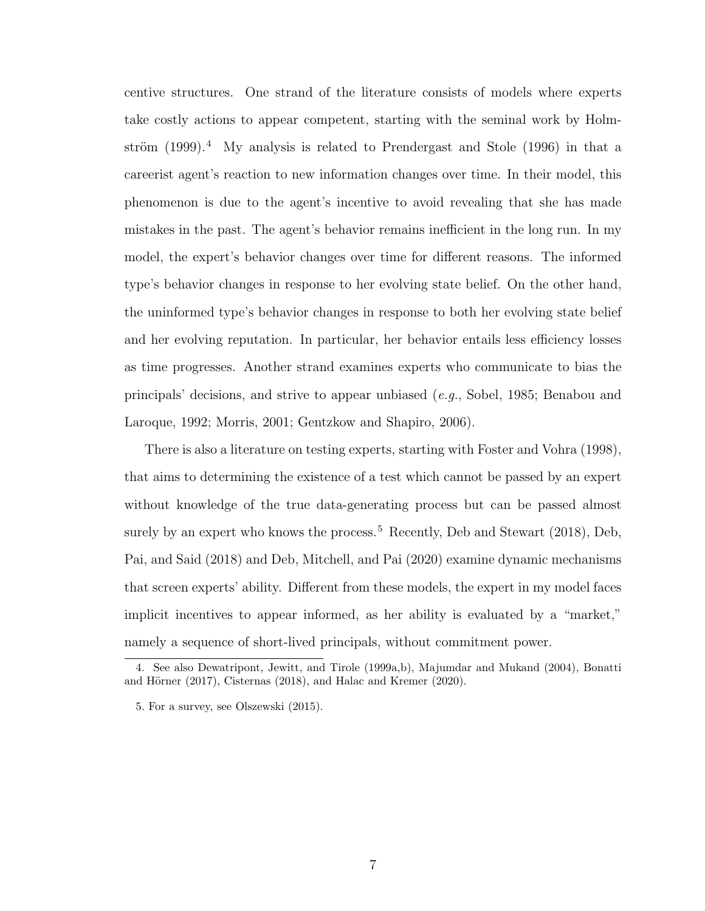centive structures. One strand of the literature consists of models where experts take costly actions to appear competent, starting with the seminal work by [Holm](#page-135-1)ström  $(1999).4$  $(1999).4$  $(1999).4$  My analysis is related to [Prendergast and Stole](#page-139-5)  $(1996)$  in that a careerist agent's reaction to new information changes over time. In their model, this phenomenon is due to the agent's incentive to avoid revealing that she has made mistakes in the past. The agent's behavior remains inefficient in the long run. In my model, the expert's behavior changes over time for different reasons. The informed type's behavior changes in response to her evolving state belief. On the other hand, the uninformed type's behavior changes in response to both her evolving state belief and her evolving reputation. In particular, her behavior entails less efficiency losses as time progresses. Another strand examines experts who communicate to bias the principals' decisions, and strive to appear unbiased (e.g., [Sobel,](#page-140-3) [1985;](#page-140-3) [Benabou and](#page-132-2) [Laroque,](#page-132-2) [1992;](#page-132-2) [Morris,](#page-138-4) [2001;](#page-138-4) [Gentzkow and Shapiro,](#page-135-2) [2006\)](#page-135-2).

There is also a literature on testing experts, starting with [Foster and Vohra](#page-134-3) [\(1998\)](#page-134-3), that aims to determining the existence of a test which cannot be passed by an expert without knowledge of the true data-generating process but can be passed almost surely by an expert who knows the process.<sup>[5](#page-16-1)</sup> Recently, [Deb and Stewart](#page-134-4)  $(2018)$ , [Deb,](#page-134-5) [Pai, and Said](#page-134-5) [\(2018\)](#page-134-5) and [Deb, Mitchell, and Pai](#page-134-6) [\(2020\)](#page-134-6) examine dynamic mechanisms that screen experts' ability. Different from these models, the expert in my model faces implicit incentives to appear informed, as her ability is evaluated by a "market," namely a sequence of short-lived principals, without commitment power.

<span id="page-16-0"></span><sup>4.</sup> See also [Dewatripont, Jewitt, and Tirole](#page-134-7) [\(1999a,](#page-134-7)[b\)](#page-134-8), [Majumdar and Mukand](#page-137-2) [\(2004\)](#page-137-2), [Bonatti](#page-133-1) and Hörner  $(2017)$ , [Cisternas](#page-133-2)  $(2018)$ , and [Halac and Kremer](#page-135-3)  $(2020)$ .

<span id="page-16-1"></span><sup>5.</sup> For a survey, see [Olszewski](#page-138-5) [\(2015\)](#page-138-5).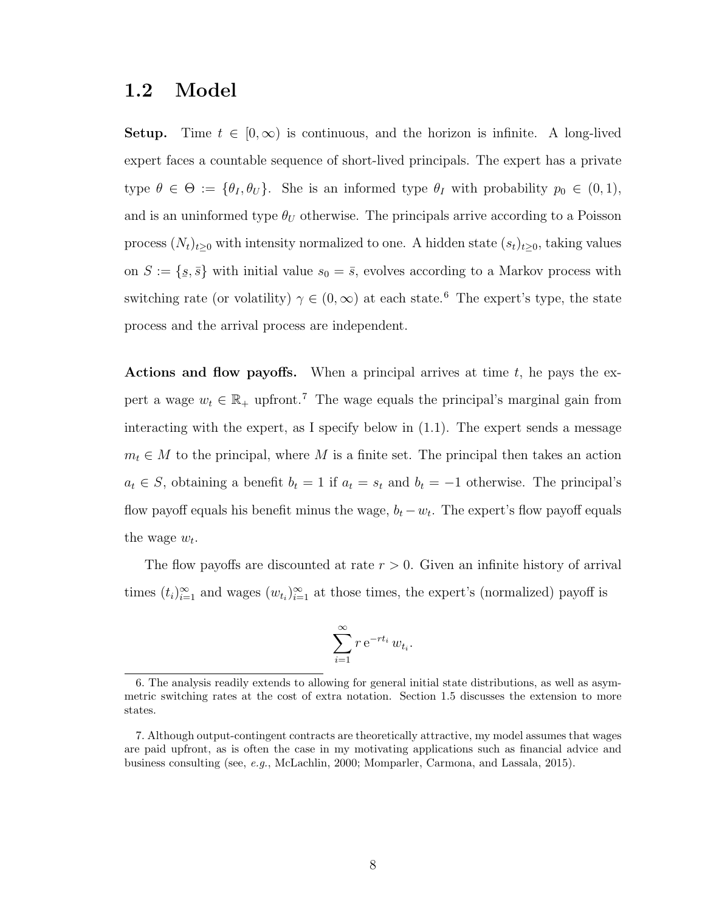### <span id="page-17-0"></span>1.2 Model

**Setup.** Time  $t \in [0, \infty)$  is continuous, and the horizon is infinite. A long-lived expert faces a countable sequence of short-lived principals. The expert has a private type  $\theta \in \Theta := {\theta_I, \theta_U}$ . She is an informed type  $\theta_I$  with probability  $p_0 \in (0, 1)$ , and is an uninformed type  $\theta_U$  otherwise. The principals arrive according to a Poisson process  $(N_t)_{t\geq0}$  with intensity normalized to one. A hidden state  $(s_t)_{t\geq0}$ , taking values on  $S := \{$  $\{s, \bar{s}\}\$  with initial value  $s_0 = \bar{s}$ , evolves according to a Markov process with switching rate (or volatility)  $\gamma \in (0, \infty)$  at each state.<sup>[6](#page-17-1)</sup> The expert's type, the state process and the arrival process are independent.

Actions and flow payoffs. When a principal arrives at time  $t$ , he pays the expert a wage  $w_t \in \mathbb{R}_+$  upfront.<sup>[7](#page-17-2)</sup> The wage equals the principal's marginal gain from interacting with the expert, as I specify below in [\(1.1\)](#page-20-1). The expert sends a message  $m_t \in M$  to the principal, where M is a finite set. The principal then takes an action  $a_t \in S$ , obtaining a benefit  $b_t = 1$  if  $a_t = s_t$  and  $b_t = -1$  otherwise. The principal's flow payoff equals his benefit minus the wage,  $b_t - w_t$ . The expert's flow payoff equals the wage  $w_t$ .

The flow payoffs are discounted at rate  $r > 0$ . Given an infinite history of arrival times  $(t_i)_{i=1}^{\infty}$  and wages  $(w_{t_i})_{i=1}^{\infty}$  at those times, the expert's (normalized) payoff is

$$
\sum_{i=1}^{\infty} r e^{-rt_i} w_{t_i}.
$$

<span id="page-17-1"></span><sup>6.</sup> The analysis readily extends to allowing for general initial state distributions, as well as asymmetric switching rates at the cost of extra notation. Section [1.5](#page-39-0) discusses the extension to more states.

<span id="page-17-2"></span><sup>7.</sup> Although output-contingent contracts are theoretically attractive, my model assumes that wages are paid upfront, as is often the case in my motivating applications such as financial advice and business consulting (see, e.g., [McLachlin,](#page-138-6) [2000;](#page-138-6) [Momparler, Carmona, and Lassala,](#page-138-7) [2015\)](#page-138-7).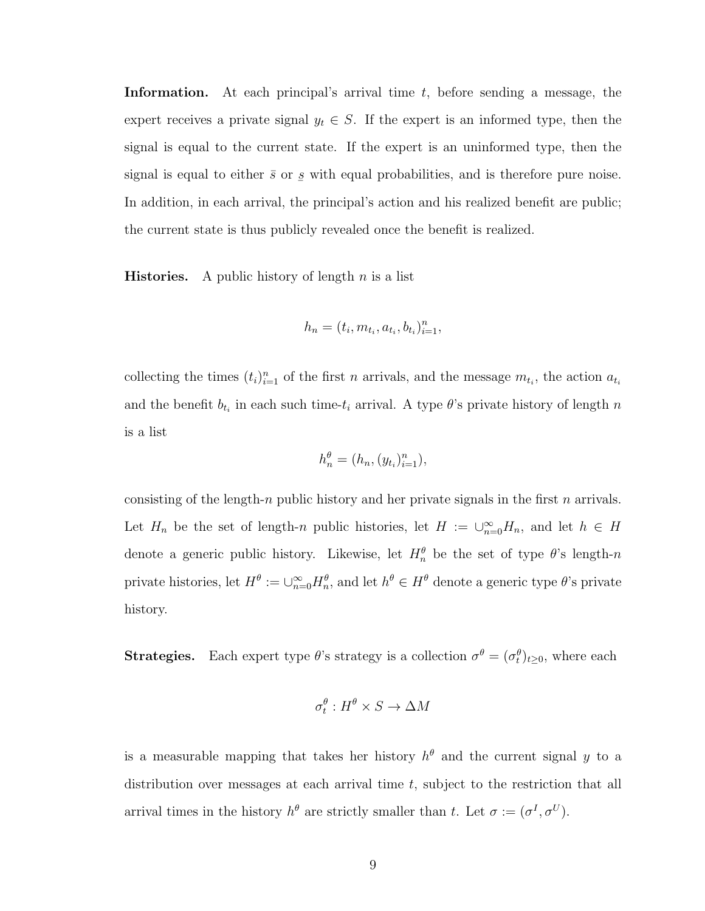**Information.** At each principal's arrival time  $t$ , before sending a message, the expert receives a private signal  $y_t \in S$ . If the expert is an informed type, then the signal is equal to the current state. If the expert is an uninformed type, then the signal is equal to either  $\bar{s}$  or  $\overline{a}$ s with equal probabilities, and is therefore pure noise. In addition, in each arrival, the principal's action and his realized benefit are public; the current state is thus publicly revealed once the benefit is realized.

**Histories.** A public history of length  $n$  is a list

$$
h_n = (t_i, m_{t_i}, a_{t_i}, b_{t_i})_{i=1}^n,
$$

collecting the times  $(t_i)_{i=1}^n$  of the first n arrivals, and the message  $m_{t_i}$ , the action  $a_{t_i}$ and the benefit  $b_{t_i}$  in each such time- $t_i$  arrival. A type  $\theta$ 's private history of length n is a list

$$
h_n^{\theta} = (h_n, (y_{t_i})_{i=1}^n),
$$

consisting of the length-n public history and her private signals in the first n arrivals. Let  $H_n$  be the set of length-n public histories, let  $H := \bigcup_{n=0}^{\infty} H_n$ , and let  $h \in H$ denote a generic public history. Likewise, let  $H_n^{\theta}$  be the set of type  $\theta$ 's length-n private histories, let  $H^{\theta} := \cup_{n=0}^{\infty} H_n^{\theta}$ , and let  $h^{\theta} \in H^{\theta}$  denote a generic type  $\theta$ 's private history.

**Strategies.** Each expert type  $\theta$ 's strategy is a collection  $\sigma^{\theta} = (\sigma_t^{\theta})_{t \geq 0}$ , where each

$$
\sigma_t^{\theta}: H^{\theta} \times S \to \Delta M
$$

is a measurable mapping that takes her history  $h^{\theta}$  and the current signal y to a distribution over messages at each arrival time t, subject to the restriction that all arrival times in the history  $h^{\theta}$  are strictly smaller than t. Let  $\sigma := (\sigma^I, \sigma^U)$ .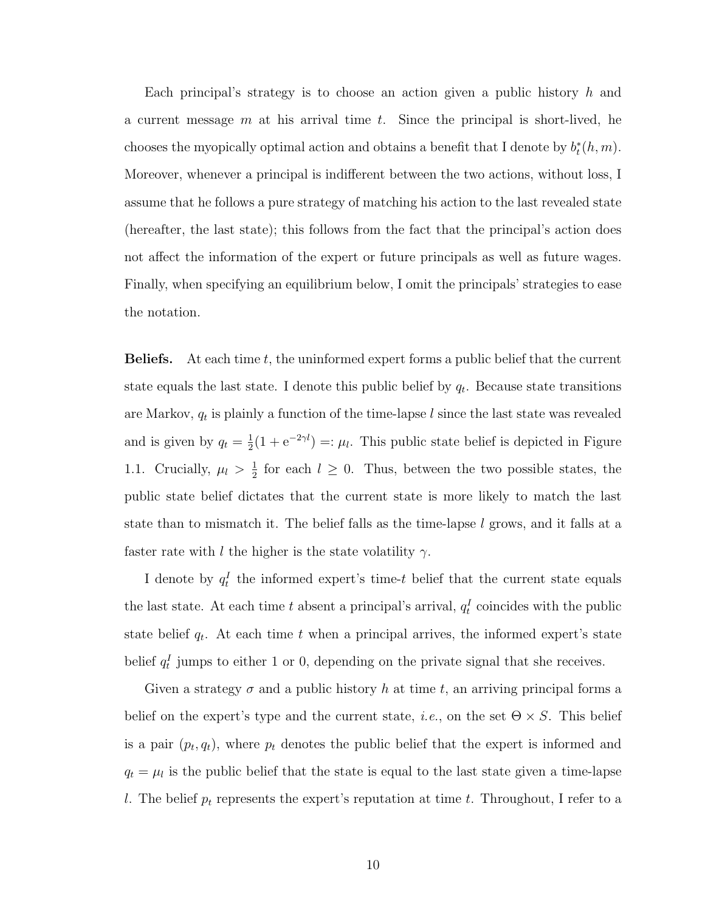Each principal's strategy is to choose an action given a public history  $h$  and a current message  $m$  at his arrival time  $t$ . Since the principal is short-lived, he chooses the myopically optimal action and obtains a benefit that I denote by  $b_t^*(h, m)$ . Moreover, whenever a principal is indifferent between the two actions, without loss, I assume that he follows a pure strategy of matching his action to the last revealed state (hereafter, the last state); this follows from the fact that the principal's action does not affect the information of the expert or future principals as well as future wages. Finally, when specifying an equilibrium below, I omit the principals' strategies to ease the notation.

**Beliefs.** At each time  $t$ , the uninformed expert forms a public belief that the current state equals the last state. I denote this public belief by  $q_t$ . Because state transitions are Markov,  $q_t$  is plainly a function of the time-lapse l since the last state was revealed and is given by  $q_t = \frac{1}{2}$  $\frac{1}{2}(1 + e^{-2\gamma l}) =: \mu_l$ . This public state belief is depicted in Figure [1.1.](#page-20-0) Crucially,  $\mu_l > \frac{1}{2}$  $\frac{1}{2}$  for each  $l \geq 0$ . Thus, between the two possible states, the public state belief dictates that the current state is more likely to match the last state than to mismatch it. The belief falls as the time-lapse  $l$  grows, and it falls at a faster rate with l the higher is the state volatility  $\gamma$ .

I denote by  $q_t^I$  the informed expert's time-t belief that the current state equals the last state. At each time t absent a principal's arrival,  $q_t^I$  coincides with the public state belief  $q_t$ . At each time t when a principal arrives, the informed expert's state belief  $q_t^I$  jumps to either 1 or 0, depending on the private signal that she receives.

Given a strategy  $\sigma$  and a public history h at time t, an arriving principal forms a belief on the expert's type and the current state, *i.e.*, on the set  $\Theta \times S$ . This belief is a pair  $(p_t, q_t)$ , where  $p_t$  denotes the public belief that the expert is informed and  $q_t = \mu_l$  is the public belief that the state is equal to the last state given a time-lapse l. The belief  $p_t$  represents the expert's reputation at time t. Throughout, I refer to a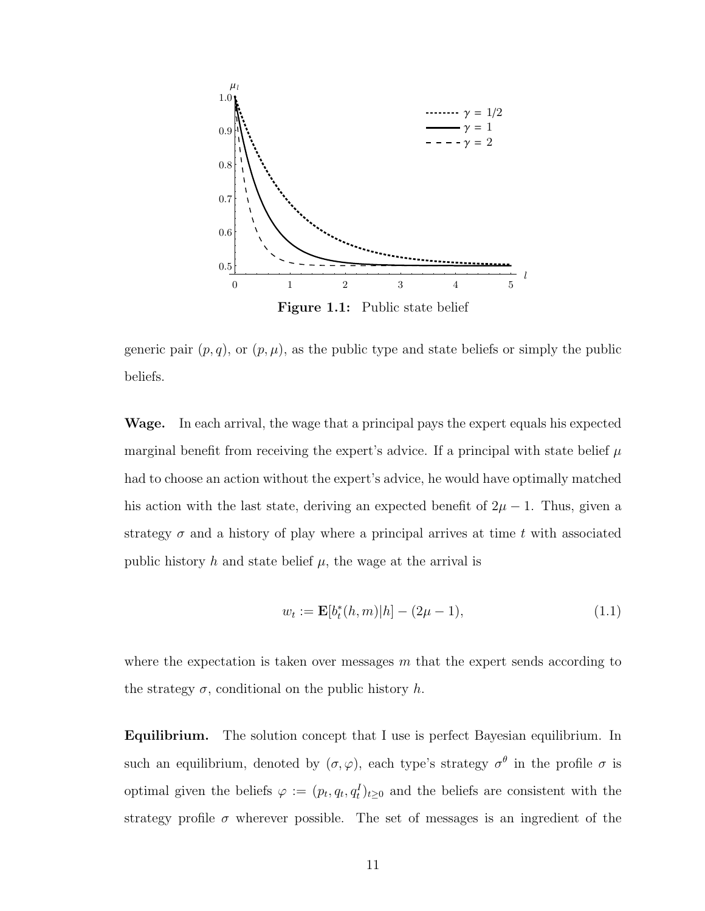<span id="page-20-0"></span>

generic pair  $(p, q)$ , or  $(p, \mu)$ , as the public type and state beliefs or simply the public beliefs.

Wage. In each arrival, the wage that a principal pays the expert equals his expected marginal benefit from receiving the expert's advice. If a principal with state belief  $\mu$ had to choose an action without the expert's advice, he would have optimally matched his action with the last state, deriving an expected benefit of  $2\mu - 1$ . Thus, given a strategy  $\sigma$  and a history of play where a principal arrives at time t with associated public history h and state belief  $\mu$ , the wage at the arrival is

<span id="page-20-1"></span>
$$
w_t := \mathbf{E}[b_t^*(h, m)|h] - (2\mu - 1),\tag{1.1}
$$

where the expectation is taken over messages  $m$  that the expert sends according to the strategy  $\sigma$ , conditional on the public history h.

Equilibrium. The solution concept that I use is perfect Bayesian equilibrium. In such an equilibrium, denoted by  $(\sigma, \varphi)$ , each type's strategy  $\sigma^{\theta}$  in the profile  $\sigma$  is optimal given the beliefs  $\varphi := (p_t, q_t, q_t^I)_{t \geq 0}$  and the beliefs are consistent with the strategy profile  $\sigma$  wherever possible. The set of messages is an ingredient of the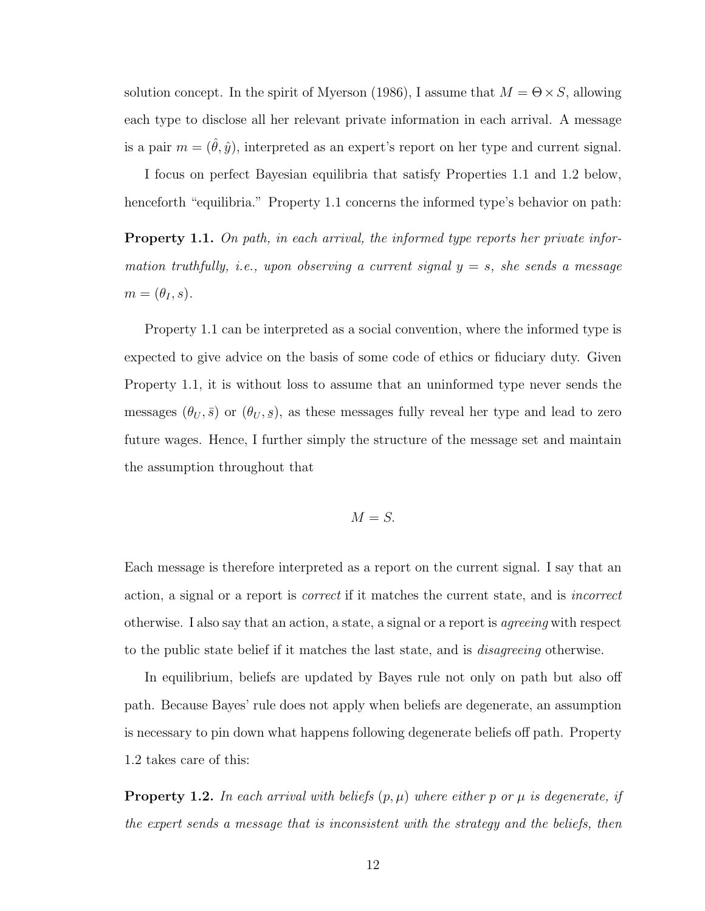solution concept. In the spirit of [Myerson](#page-138-8) [\(1986\)](#page-138-8), I assume that  $M = \Theta \times S$ , allowing each type to disclose all her relevant private information in each arrival. A message is a pair  $m = (\hat{\theta}, \hat{y})$ , interpreted as an expert's report on her type and current signal.

I focus on perfect Bayesian equilibria that satisfy Properties [1.1](#page-21-0) and [1.2](#page-21-1) below, henceforth "equilibria." Property [1.1](#page-21-0) concerns the informed type's behavior on path:

<span id="page-21-0"></span>**Property 1.1.** On path, in each arrival, the informed type reports her private information truthfully, i.e., upon observing a current signal  $y = s$ , she sends a message  $m = (\theta_I, s).$ 

Property [1.1](#page-21-0) can be interpreted as a social convention, where the informed type is expected to give advice on the basis of some code of ethics or fiduciary duty. Given Property [1.1,](#page-21-0) it is without loss to assume that an uninformed type never sends the messages  $(\theta_U, \bar{s})$  or  $(\theta_U, \bar{s})$  $s(s)$ , as these messages fully reveal her type and lead to zero future wages. Hence, I further simply the structure of the message set and maintain the assumption throughout that

$$
M=S.
$$

Each message is therefore interpreted as a report on the current signal. I say that an action, a signal or a report is correct if it matches the current state, and is incorrect otherwise. I also say that an action, a state, a signal or a report is agreeing with respect to the public state belief if it matches the last state, and is *disagreeing* otherwise.

In equilibrium, beliefs are updated by Bayes rule not only on path but also off path. Because Bayes' rule does not apply when beliefs are degenerate, an assumption is necessary to pin down what happens following degenerate beliefs off path. Property [1.2](#page-21-1) takes care of this:

<span id="page-21-1"></span>**Property 1.2.** In each arrival with beliefs  $(p, \mu)$  where either p or  $\mu$  is degenerate, if the expert sends a message that is inconsistent with the strategy and the beliefs, then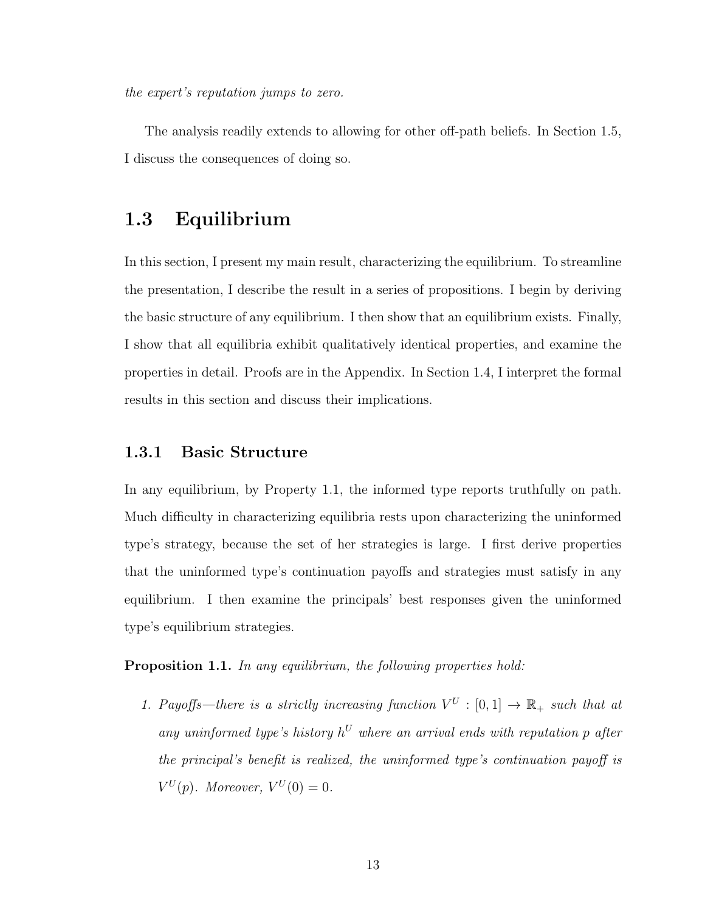the expert's reputation jumps to zero.

The analysis readily extends to allowing for other off-path beliefs. In Section [1.5,](#page-39-0) I discuss the consequences of doing so.

### <span id="page-22-0"></span>1.3 Equilibrium

In this section, I present my main result, characterizing the equilibrium. To streamline the presentation, I describe the result in a series of propositions. I begin by deriving the basic structure of any equilibrium. I then show that an equilibrium exists. Finally, I show that all equilibria exhibit qualitatively identical properties, and examine the properties in detail. Proofs are in the Appendix. In Section [1.4,](#page-31-0) I interpret the formal results in this section and discuss their implications.

### <span id="page-22-1"></span>1.3.1 Basic Structure

In any equilibrium, by Property [1.1,](#page-21-0) the informed type reports truthfully on path. Much difficulty in characterizing equilibria rests upon characterizing the uninformed type's strategy, because the set of her strategies is large. I first derive properties that the uninformed type's continuation payoffs and strategies must satisfy in any equilibrium. I then examine the principals' best responses given the uninformed type's equilibrium strategies.

<span id="page-22-2"></span>Proposition 1.1. In any equilibrium, the following properties hold:

1. Payoffs—there is a strictly increasing function  $V^U : [0,1] \to \mathbb{R}_+$  such that at any uninformed type's history  $h^U$  where an arrival ends with reputation p after the principal's benefit is realized, the uninformed type's continuation payoff is  $V^U(p)$ . Moreover,  $V^U(0) = 0$ .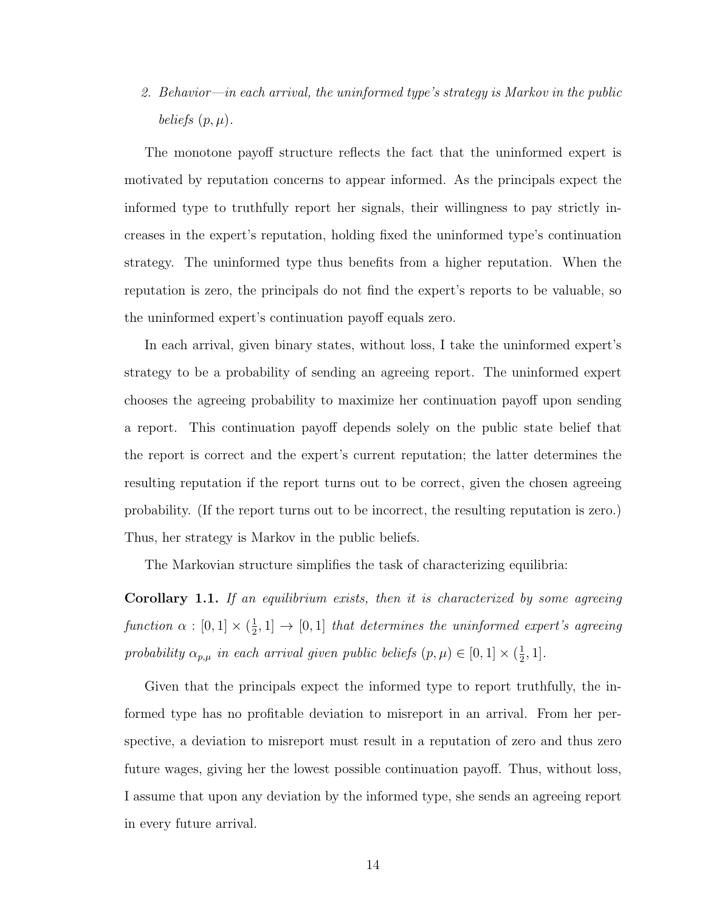2. Behavior—in each arrival, the uninformed type's strategy is Markov in the public beliefs  $(p, \mu)$ .

The monotone payoff structure reflects the fact that the uninformed expert is motivated by reputation concerns to appear informed. As the principals expect the informed type to truthfully report her signals, their willingness to pay strictly increases in the expert's reputation, holding fixed the uninformed type's continuation strategy. The uninformed type thus benefits from a higher reputation. When the reputation is zero, the principals do not find the expert's reports to be valuable, so the uninformed expert's continuation payoff equals zero.

In each arrival, given binary states, without loss, I take the uninformed expert's strategy to be a probability of sending an agreeing report. The uninformed expert chooses the agreeing probability to maximize her continuation payoff upon sending a report. This continuation payoff depends solely on the public state belief that the report is correct and the expert's current reputation; the latter determines the resulting reputation if the report turns out to be correct, given the chosen agreeing probability. (If the report turns out to be incorrect, the resulting reputation is zero.) Thus, her strategy is Markov in the public beliefs.

The Markovian structure simplifies the task of characterizing equilibria:

<span id="page-23-0"></span>**Corollary 1.1.** If an equilibrium exists, then it is characterized by some agreeing function  $\alpha : [0,1] \times (\frac{1}{2})$  $\frac{1}{2}$ , 1]  $\rightarrow$  [0, 1] that determines the uninformed expert's agreeing probability  $\alpha_{p,\mu}$  in each arrival given public beliefs  $(p,\mu) \in [0,1] \times (\frac{1}{2})$  $\frac{1}{2}, 1].$ 

Given that the principals expect the informed type to report truthfully, the informed type has no profitable deviation to misreport in an arrival. From her perspective, a deviation to misreport must result in a reputation of zero and thus zero future wages, giving her the lowest possible continuation payoff. Thus, without loss, I assume that upon any deviation by the informed type, she sends an agreeing report in every future arrival.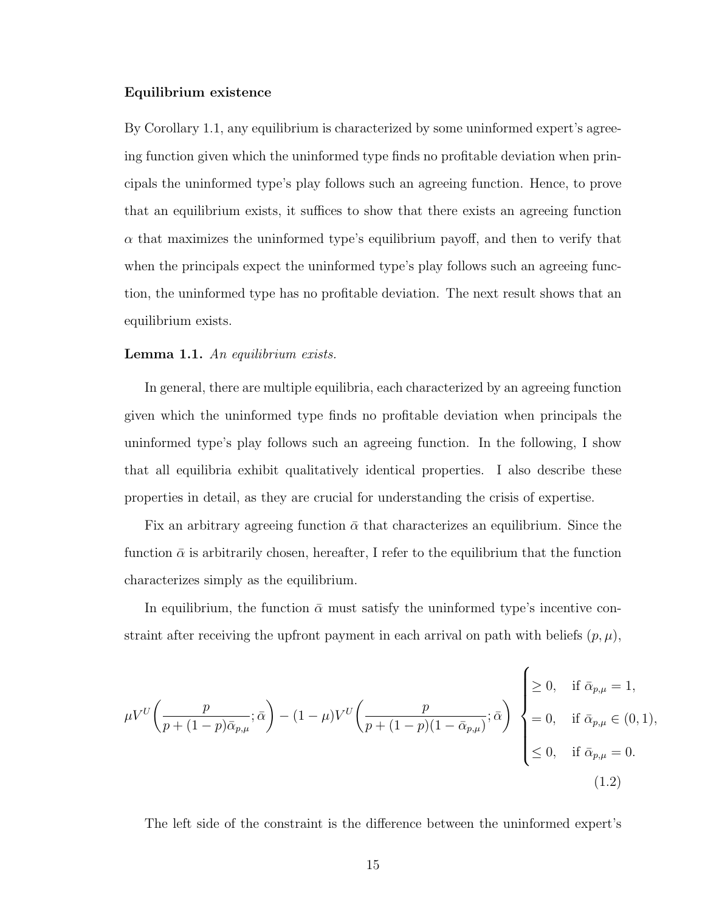### Equilibrium existence

By Corollary [1.1,](#page-23-0) any equilibrium is characterized by some uninformed expert's agreeing function given which the uninformed type finds no profitable deviation when principals the uninformed type's play follows such an agreeing function. Hence, to prove that an equilibrium exists, it suffices to show that there exists an agreeing function  $\alpha$  that maximizes the uninformed type's equilibrium payoff, and then to verify that when the principals expect the uninformed type's play follows such an agreeing function, the uninformed type has no profitable deviation. The next result shows that an equilibrium exists.

### <span id="page-24-0"></span>Lemma 1.1. An equilibrium exists.

In general, there are multiple equilibria, each characterized by an agreeing function given which the uninformed type finds no profitable deviation when principals the uninformed type's play follows such an agreeing function. In the following, I show that all equilibria exhibit qualitatively identical properties. I also describe these properties in detail, as they are crucial for understanding the crisis of expertise.

Fix an arbitrary agreeing function  $\bar{\alpha}$  that characterizes an equilibrium. Since the function  $\bar{\alpha}$  is arbitrarily chosen, hereafter, I refer to the equilibrium that the function characterizes simply as the equilibrium.

In equilibrium, the function  $\bar{\alpha}$  must satisfy the uninformed type's incentive constraint after receiving the upfront payment in each arrival on path with beliefs  $(p, \mu)$ ,

$$
\mu V^{U} \left( \frac{p}{p + (1 - p)\bar{\alpha}_{p,\mu}}; \bar{\alpha} \right) - (1 - \mu)V^{U} \left( \frac{p}{p + (1 - p)(1 - \bar{\alpha}_{p,\mu})}; \bar{\alpha} \right) \begin{cases} \geq 0, & \text{if } \bar{\alpha}_{p,\mu} = 1, \\ = 0, & \text{if } \bar{\alpha}_{p,\mu} \in (0, 1), \\ \leq 0, & \text{if } \bar{\alpha}_{p,\mu} = 0. \end{cases}
$$
(1.2)

The left side of the constraint is the difference between the uninformed expert's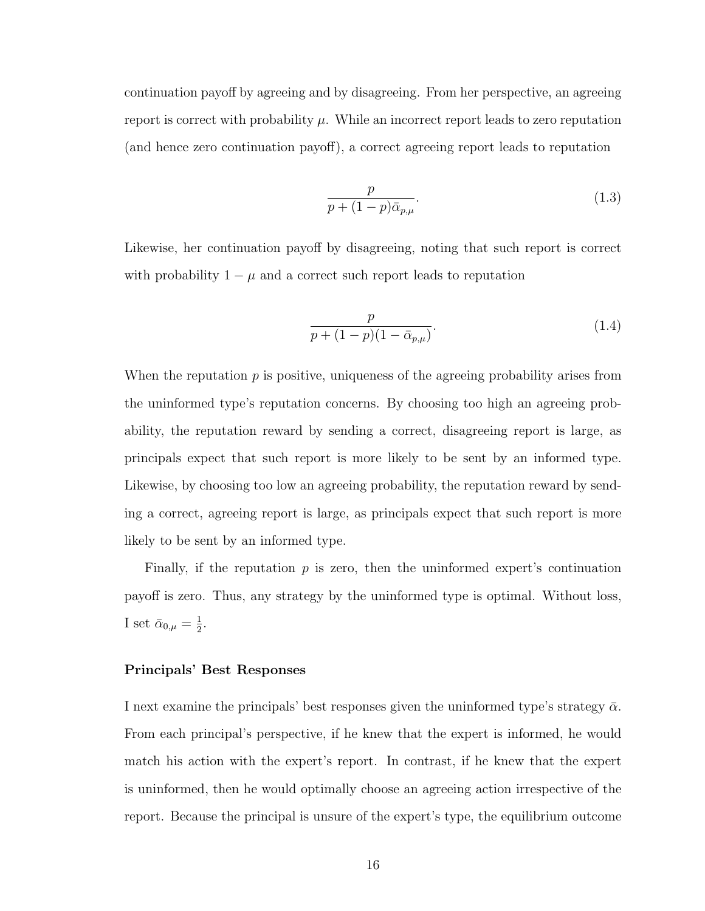continuation payoff by agreeing and by disagreeing. From her perspective, an agreeing report is correct with probability  $\mu$ . While an incorrect report leads to zero reputation (and hence zero continuation payoff), a correct agreeing report leads to reputation

<span id="page-25-1"></span>
$$
\frac{p}{p + (1 - p)\bar{\alpha}_{p,\mu}}.\tag{1.3}
$$

Likewise, her continuation payoff by disagreeing, noting that such report is correct with probability  $1 - \mu$  and a correct such report leads to reputation

<span id="page-25-0"></span>
$$
\frac{p}{p + (1 - p)(1 - \bar{\alpha}_{p,\mu})}.
$$
\n(1.4)

When the reputation  $p$  is positive, uniqueness of the agreeing probability arises from the uninformed type's reputation concerns. By choosing too high an agreeing probability, the reputation reward by sending a correct, disagreeing report is large, as principals expect that such report is more likely to be sent by an informed type. Likewise, by choosing too low an agreeing probability, the reputation reward by sending a correct, agreeing report is large, as principals expect that such report is more likely to be sent by an informed type.

Finally, if the reputation  $p$  is zero, then the uninformed expert's continuation payoff is zero. Thus, any strategy by the uninformed type is optimal. Without loss, I set  $\bar{\alpha}_{0,\mu} = \frac{1}{2}$  $\frac{1}{2}$ .

### Principals' Best Responses

I next examine the principals' best responses given the uninformed type's strategy  $\bar{\alpha}$ . From each principal's perspective, if he knew that the expert is informed, he would match his action with the expert's report. In contrast, if he knew that the expert is uninformed, then he would optimally choose an agreeing action irrespective of the report. Because the principal is unsure of the expert's type, the equilibrium outcome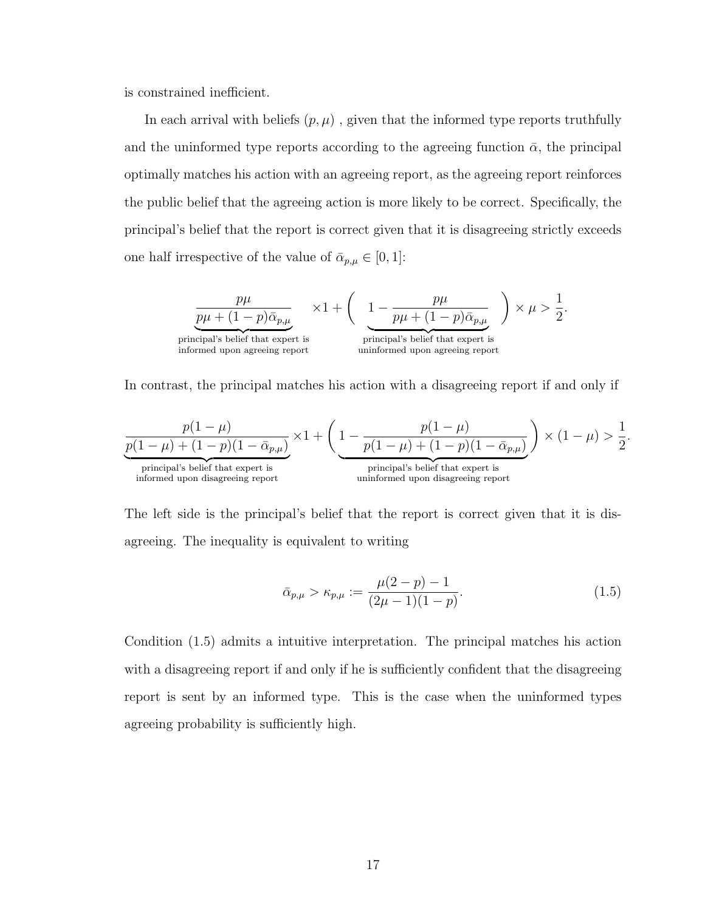is constrained inefficient.

In each arrival with beliefs  $(p, \mu)$ , given that the informed type reports truthfully and the uninformed type reports according to the agreeing function  $\bar{\alpha}$ , the principal optimally matches his action with an agreeing report, as the agreeing report reinforces the public belief that the agreeing action is more likely to be correct. Specifically, the principal's belief that the report is correct given that it is disagreeing strictly exceeds one half irrespective of the value of  $\bar{\alpha}_{p,\mu} \in [0,1]$ :

$$
\underbrace{\overbrace{p\mu+(1-p)\bar{\alpha}_{p,\mu}}_{\text{principal's belief that expert is}}\times 1 + \left(\underbrace{1-\frac{p\mu}{p\mu+(1-p)\bar{\alpha}_{p,\mu}}}_{\text{principal's belief that expert is}}\right)\times \mu>\frac{1}{2}.
$$

In contrast, the principal matches his action with a disagreeing report if and only if

$$
\underbrace{\frac{p(1-\mu)}{p(1-\mu)+(1-p)(1-\bar{\alpha}_{p,\mu})}}_{\text{principal's belief that expert is} }\times 1 + \left(\underbrace{1-\frac{p(1-\mu)}{p(1-\mu)+(1-p)(1-\bar{\alpha}_{p,\mu})}}_{\text{principal's belief that expert is} }\right)\times (1-\mu) > \frac{1}{2}
$$

The left side is the principal's belief that the report is correct given that it is disagreeing. The inequality is equivalent to writing

$$
\bar{\alpha}_{p,\mu} > \kappa_{p,\mu} := \frac{\mu(2-p) - 1}{(2\mu - 1)(1-p)}.
$$
\n(1.5)

<span id="page-26-0"></span>.

Condition [\(1.5\)](#page-26-0) admits a intuitive interpretation. The principal matches his action with a disagreeing report if and only if he is sufficiently confident that the disagreeing report is sent by an informed type. This is the case when the uninformed types agreeing probability is sufficiently high.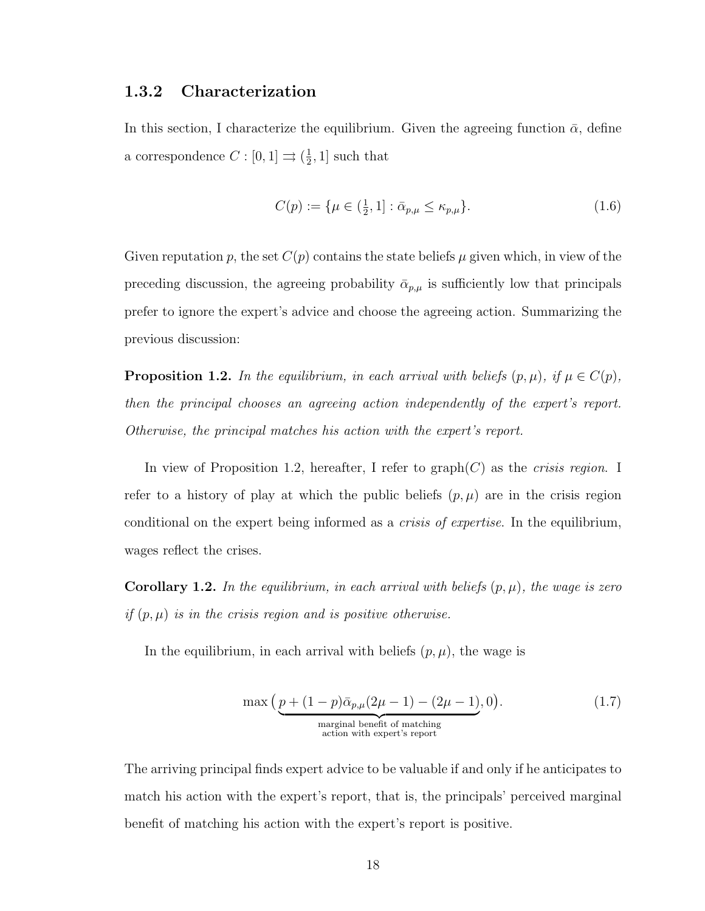### <span id="page-27-0"></span>1.3.2 Characterization

In this section, I characterize the equilibrium. Given the agreeing function  $\bar{\alpha}$ , define a correspondence  $C: [0,1] \rightrightarrows (\frac{1}{2})$  $\frac{1}{2}$ , 1 such that

$$
C(p) := \{ \mu \in (\frac{1}{2}, 1] : \bar{\alpha}_{p,\mu} \le \kappa_{p,\mu} \}. \tag{1.6}
$$

Given reputation p, the set  $C(p)$  contains the state beliefs  $\mu$  given which, in view of the preceding discussion, the agreeing probability  $\bar{\alpha}_{p,\mu}$  is sufficiently low that principals prefer to ignore the expert's advice and choose the agreeing action. Summarizing the previous discussion:

<span id="page-27-1"></span>**Proposition 1.2.** In the equilibrium, in each arrival with beliefs  $(p, \mu)$ , if  $\mu \in C(p)$ , then the principal chooses an agreeing action independently of the expert's report. Otherwise, the principal matches his action with the expert's report.

In view of Proposition [1.2,](#page-27-1) hereafter, I refer to  $graph(C)$  as the *crisis region*. I refer to a history of play at which the public beliefs  $(p, \mu)$  are in the crisis region conditional on the expert being informed as a *crisis of expertise*. In the equilibrium, wages reflect the crises.

<span id="page-27-2"></span>**Corollary 1.2.** In the equilibrium, in each arrival with beliefs  $(p, \mu)$ , the wage is zero if  $(p, \mu)$  is in the crisis region and is positive otherwise.

In the equilibrium, in each arrival with beliefs  $(p, \mu)$ , the wage is

<span id="page-27-3"></span>
$$
\max\left(\underbrace{p + (1 - p)\bar{\alpha}_{p,\mu}(2\mu - 1) - (2\mu - 1)}_{\substack{\text{marginal benefit of matching} \\ \text{action with expert's report}}} 0\right). \tag{1.7}
$$

The arriving principal finds expert advice to be valuable if and only if he anticipates to match his action with the expert's report, that is, the principals' perceived marginal benefit of matching his action with the expert's report is positive.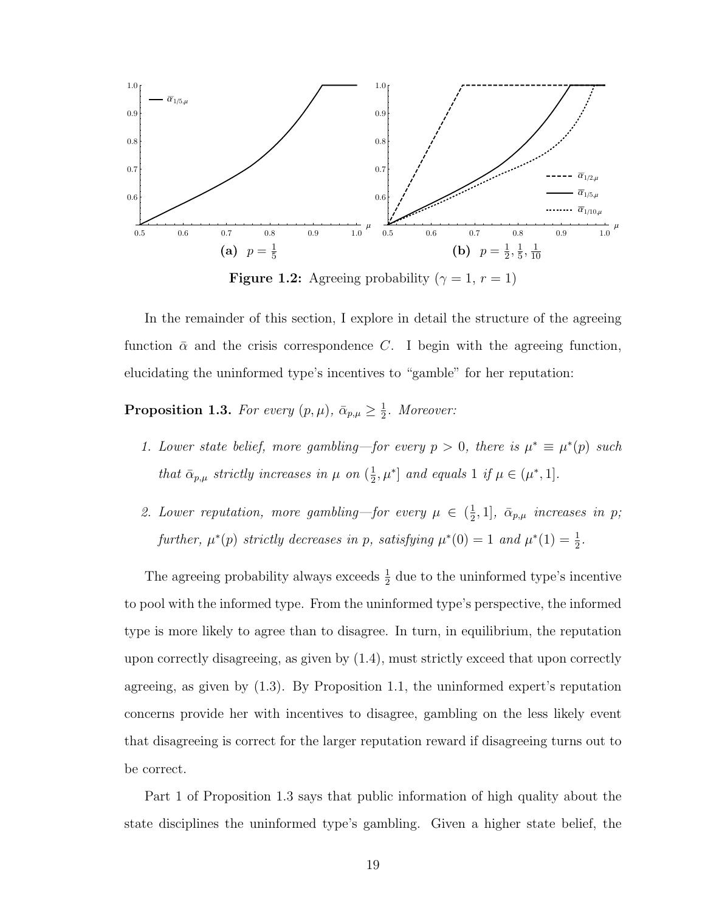<span id="page-28-1"></span>

**Figure 1.2:** Agreeing probability ( $\gamma = 1, r = 1$ )

In the remainder of this section, I explore in detail the structure of the agreeing function  $\bar{\alpha}$  and the crisis correspondence C. I begin with the agreeing function, elucidating the uninformed type's incentives to "gamble" for her reputation:

<span id="page-28-0"></span>**Proposition 1.3.** For every  $(p, \mu)$ ,  $\bar{\alpha}_{p,\mu} \geq \frac{1}{2}$  $\frac{1}{2}$ . Moreover:

- 1. Lower state belief, more gambling—for every  $p > 0$ , there is  $\mu^* \equiv \mu^*(p)$  such that  $\bar{\alpha}_{p,\mu}$  strictly increases in  $\mu$  on  $(\frac{1}{2})$  $\frac{1}{2}, \mu^*$  and equals 1 if  $\mu \in (\mu^*, 1]$ .
- 2. Lower reputation, more gambling—for every  $\mu \in (\frac{1}{2})$  $[\frac{1}{2}, 1]$ ,  $\bar{\alpha}_{p,\mu}$  increases in p; further,  $\mu^*(p)$  strictly decreases in p, satisfying  $\mu^*(0) = 1$  and  $\mu^*(1) = \frac{1}{2}$ .

The agreeing probability always exceeds  $\frac{1}{2}$  due to the uninformed type's incentive to pool with the informed type. From the uninformed type's perspective, the informed type is more likely to agree than to disagree. In turn, in equilibrium, the reputation upon correctly disagreeing, as given by [\(1.4\)](#page-25-0), must strictly exceed that upon correctly agreeing, as given by [\(1.3\)](#page-25-1). By Proposition [1.1,](#page-22-2) the uninformed expert's reputation concerns provide her with incentives to disagree, gambling on the less likely event that disagreeing is correct for the larger reputation reward if disagreeing turns out to be correct.

Part 1 of Proposition [1.3](#page-28-0) says that public information of high quality about the state disciplines the uninformed type's gambling. Given a higher state belief, the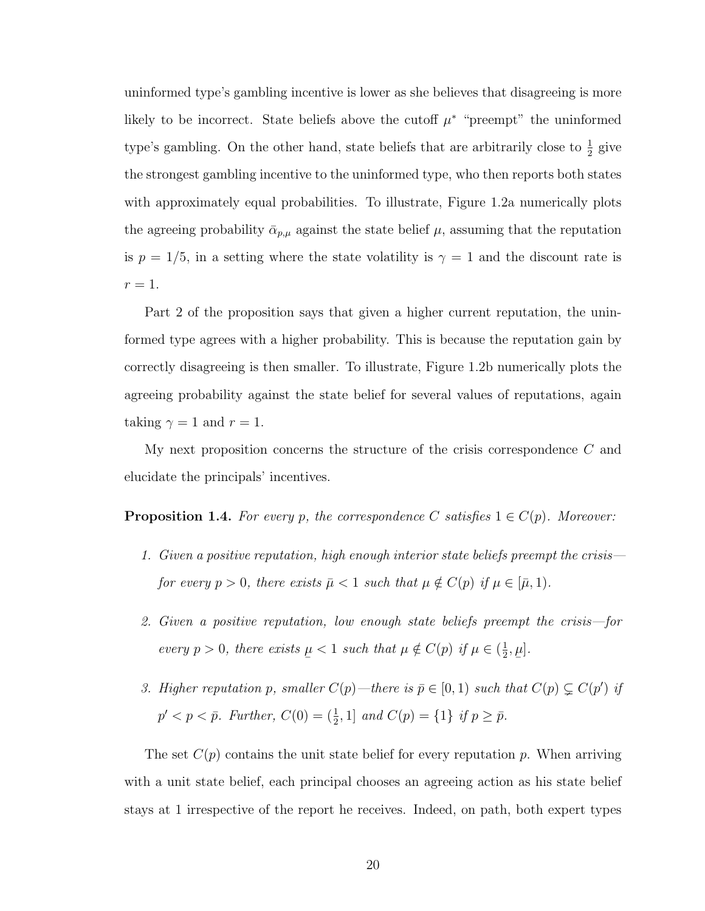uninformed type's gambling incentive is lower as she believes that disagreeing is more likely to be incorrect. State beliefs above the cutoff  $\mu^*$  "preempt" the uninformed type's gambling. On the other hand, state beliefs that are arbitrarily close to  $\frac{1}{2}$  give the strongest gambling incentive to the uninformed type, who then reports both states with approximately equal probabilities. To illustrate, Figure [1.2a](#page-28-1) numerically plots the agreeing probability  $\bar{\alpha}_{p,\mu}$  against the state belief  $\mu$ , assuming that the reputation is  $p = 1/5$ , in a setting where the state volatility is  $\gamma = 1$  and the discount rate is  $r=1$ .

Part 2 of the proposition says that given a higher current reputation, the uninformed type agrees with a higher probability. This is because the reputation gain by correctly disagreeing is then smaller. To illustrate, Figure [1.2b](#page-28-1) numerically plots the agreeing probability against the state belief for several values of reputations, again taking  $\gamma = 1$  and  $r = 1$ .

My next proposition concerns the structure of the crisis correspondence C and elucidate the principals' incentives.

<span id="page-29-0"></span>**Proposition 1.4.** For every p, the correspondence C satisfies  $1 \in C(p)$ . Moreover:

- 1. Given a positive reputation, high enough interior state beliefs preempt the crisis for every  $p > 0$ , there exists  $\bar{\mu} < 1$  such that  $\mu \notin C(p)$  if  $\mu \in [\bar{\mu}, 1)$ .
- 2. Given a positive reputation, low enough state beliefs preempt the crisis—for every  $p > 0$ , there exists  $\overline{a}$  $\mu < 1$  such that  $\mu \notin C(p)$  if  $\mu \in (\frac{1}{2})$  $\frac{1}{2}$ ,  $\overline{a}$  $\mu].$
- 3. Higher reputation p, smaller  $C(p)$ —there is  $\bar{p} \in [0, 1)$  such that  $C(p) \subsetneq C(p')$  if  $p' < p < \bar{p}$ . Further,  $C(0) = (\frac{1}{2}, 1]$  and  $C(p) = \{1\}$  if  $p \ge \bar{p}$ .

The set  $C(p)$  contains the unit state belief for every reputation p. When arriving with a unit state belief, each principal chooses an agreeing action as his state belief stays at 1 irrespective of the report he receives. Indeed, on path, both expert types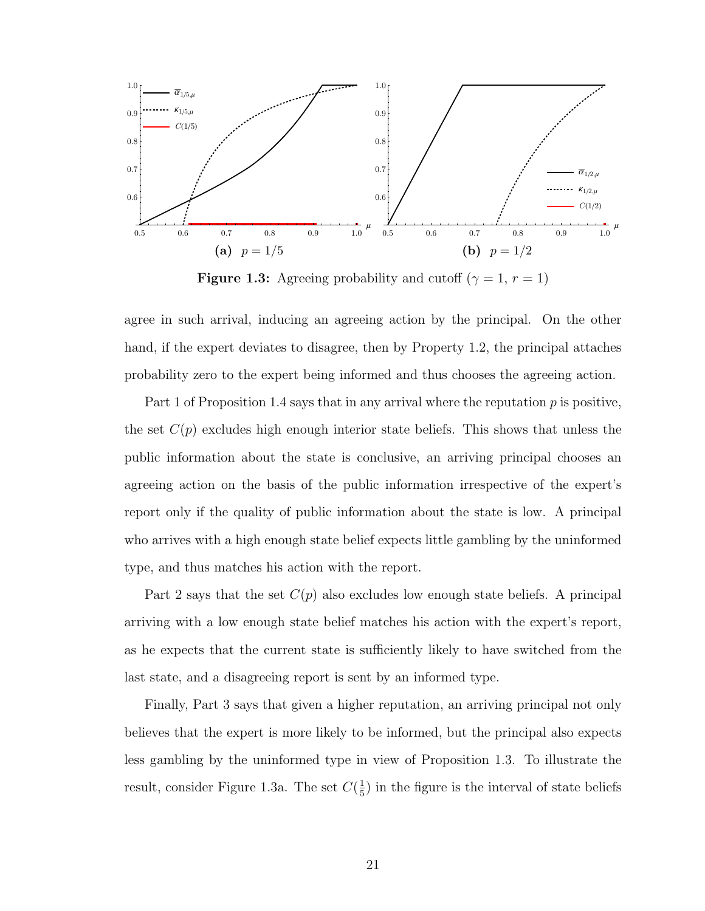<span id="page-30-0"></span>

**Figure 1.3:** Agreeing probability and cutoff  $(\gamma = 1, r = 1)$ 

agree in such arrival, inducing an agreeing action by the principal. On the other hand, if the expert deviates to disagree, then by Property [1.2,](#page-21-1) the principal attaches probability zero to the expert being informed and thus chooses the agreeing action.

Part 1 of Proposition [1.4](#page-29-0) says that in any arrival where the reputation  $p$  is positive, the set  $C(p)$  excludes high enough interior state beliefs. This shows that unless the public information about the state is conclusive, an arriving principal chooses an agreeing action on the basis of the public information irrespective of the expert's report only if the quality of public information about the state is low. A principal who arrives with a high enough state belief expects little gambling by the uninformed type, and thus matches his action with the report.

Part 2 says that the set  $C(p)$  also excludes low enough state beliefs. A principal arriving with a low enough state belief matches his action with the expert's report, as he expects that the current state is sufficiently likely to have switched from the last state, and a disagreeing report is sent by an informed type.

Finally, Part 3 says that given a higher reputation, an arriving principal not only believes that the expert is more likely to be informed, but the principal also expects less gambling by the uninformed type in view of Proposition [1.3.](#page-28-0) To illustrate the result, consider Figure [1.3a.](#page-30-0) The set  $C(\frac{1}{5})$  $\frac{1}{5}$ ) in the figure is the interval of state beliefs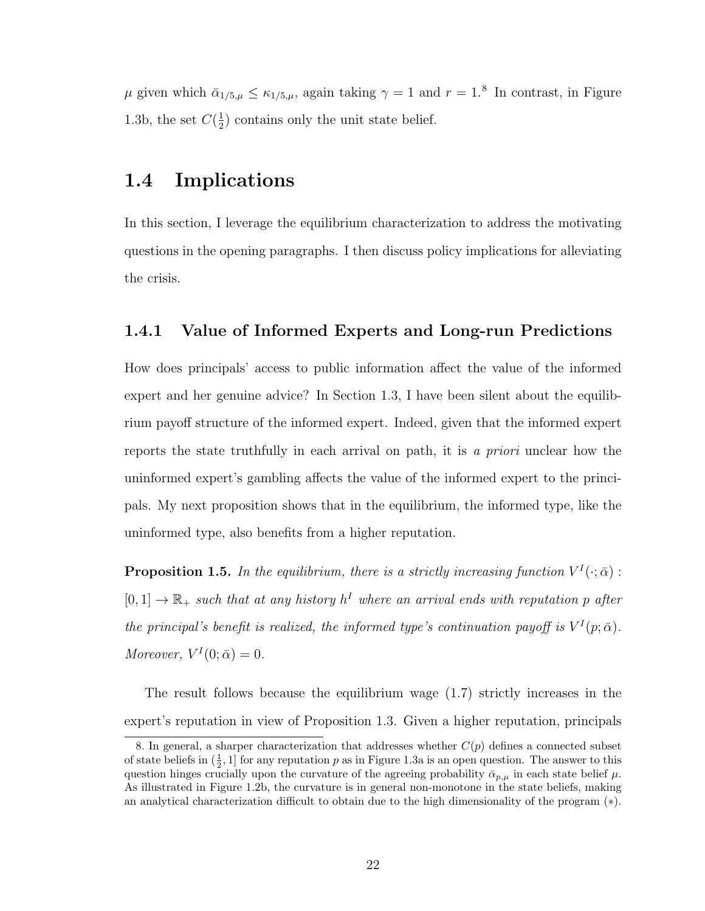$\mu$  given which  $\bar{\alpha}_{1/5,\mu} \leq \kappa_{1/5,\mu}$ , again taking  $\gamma = 1$  and  $r = 1$ .<sup>[8](#page-31-3)</sup> In contrast, in Figure [1.3b,](#page-30-0) the set  $C(\frac{1}{2})$  $\frac{1}{2}$ ) contains only the unit state belief.

### <span id="page-31-0"></span>1.4 Implications

In this section, I leverage the equilibrium characterization to address the motivating questions in the opening paragraphs. I then discuss policy implications for alleviating the crisis.

### <span id="page-31-1"></span>1.4.1 Value of Informed Experts and Long-run Predictions

How does principals' access to public information affect the value of the informed expert and her genuine advice? In Section [1.3,](#page-22-0) I have been silent about the equilibrium payoff structure of the informed expert. Indeed, given that the informed expert reports the state truthfully in each arrival on path, it is a priori unclear how the uninformed expert's gambling affects the value of the informed expert to the principals. My next proposition shows that in the equilibrium, the informed type, like the uninformed type, also benefits from a higher reputation.

<span id="page-31-2"></span>**Proposition 1.5.** In the equilibrium, there is a strictly increasing function  $V^I(\cdot; \bar{\alpha})$ :  $[0,1] \to \mathbb{R}_+$  such that at any history  $h^I$  where an arrival ends with reputation p after the principal's benefit is realized, the informed type's continuation payoff is  $V^I(p; \bar{\alpha})$ . Moreover,  $V^I(0; \bar{\alpha}) = 0$ .

The result follows because the equilibrium wage [\(1.7\)](#page-27-3) strictly increases in the expert's reputation in view of Proposition [1.3.](#page-28-0) Given a higher reputation, principals

<span id="page-31-3"></span><sup>8.</sup> In general, a sharper characterization that addresses whether  $C(p)$  defines a connected subset of state beliefs in  $(\frac{1}{2}, 1]$  for any reputation p as in Figure [1.3a](#page-30-0) is an open question. The answer to this question hinges crucially upon the curvature of the agreeing probability  $\bar{\alpha}_{p,\mu}$  in each state belief  $\mu$ . As illustrated in Figure [1.2b,](#page-28-1) the curvature is in general non-monotone in the state beliefs, making an analytical characterization difficult to obtain due to the high dimensionality of the program ([∗](#page-44-0)).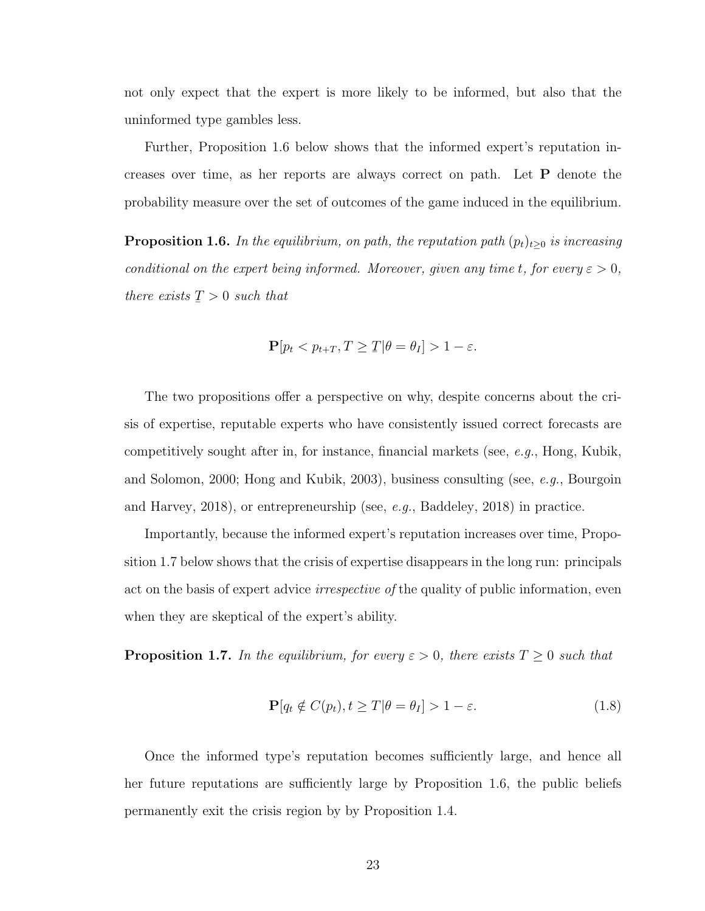not only expect that the expert is more likely to be informed, but also that the uninformed type gambles less.

Further, Proposition [1.6](#page-32-0) below shows that the informed expert's reputation increases over time, as her reports are always correct on path. Let P denote the probability measure over the set of outcomes of the game induced in the equilibrium.

<span id="page-32-0"></span>**Proposition 1.6.** In the equilibrium, on path, the reputation path  $(p_t)_{t\geq0}$  is increasing conditional on the expert being informed. Moreover, given any time t, for every  $\varepsilon > 0$ , there exists ¯  $T > 0$  such that

$$
\mathbf{P}[p_t < p_{t+T}, T \geq \mathcal{I} | \theta = \theta_I] > 1 - \varepsilon.
$$

The two propositions offer a perspective on why, despite concerns about the crisis of expertise, reputable experts who have consistently issued correct forecasts are competitively sought after in, for instance, financial markets (see,  $e.g.,$  [Hong, Kubik,](#page-136-2) [and Solomon,](#page-136-2) [2000;](#page-136-2) [Hong and Kubik,](#page-135-4) [2003\)](#page-135-4), business consulting (see, e.g., [Bourgoin](#page-133-3) [and Harvey,](#page-133-3) [2018\)](#page-132-3), or entrepreneurship (see,  $e, q, B$ addeley, 2018) in practice.

Importantly, because the informed expert's reputation increases over time, Proposition [1.7](#page-32-1) below shows that the crisis of expertise disappears in the long run: principals act on the basis of expert advice *irrespective of* the quality of public information, even when they are skeptical of the expert's ability.

<span id="page-32-1"></span>**Proposition 1.7.** In the equilibrium, for every  $\varepsilon > 0$ , there exists  $T \geq 0$  such that

$$
\mathbf{P}[q_t \notin C(p_t), t \ge T | \theta = \theta_I] > 1 - \varepsilon. \tag{1.8}
$$

Once the informed type's reputation becomes sufficiently large, and hence all her future reputations are sufficiently large by Proposition [1.6,](#page-32-0) the public beliefs permanently exit the crisis region by by Proposition [1.4.](#page-29-0)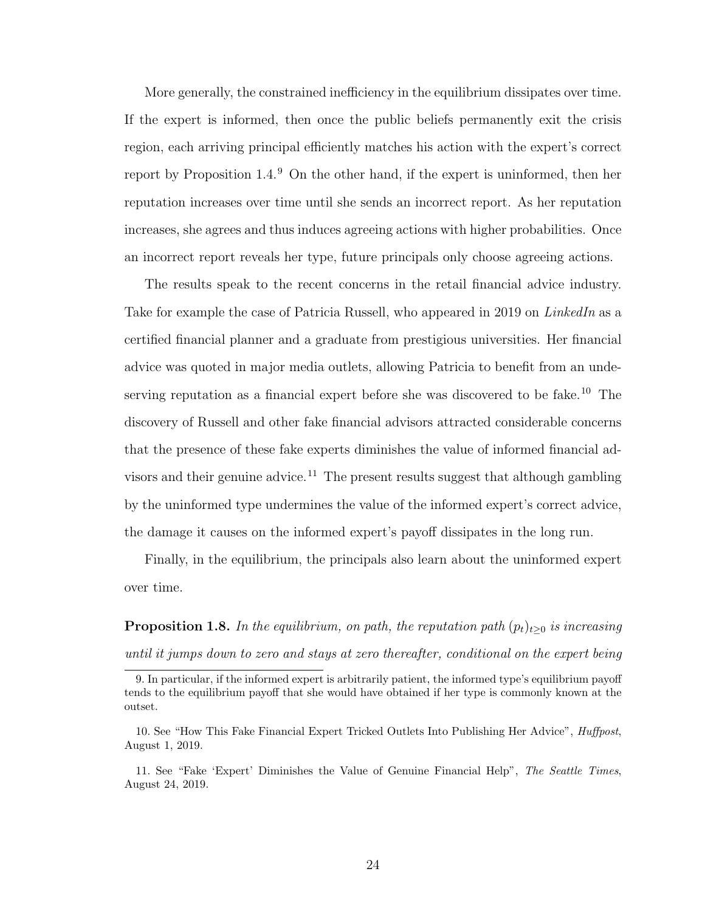More generally, the constrained inefficiency in the equilibrium dissipates over time. If the expert is informed, then once the public beliefs permanently exit the crisis region, each arriving principal efficiently matches his action with the expert's correct report by Proposition [1.4.](#page-29-0) [9](#page-33-1) On the other hand, if the expert is uninformed, then her reputation increases over time until she sends an incorrect report. As her reputation increases, she agrees and thus induces agreeing actions with higher probabilities. Once an incorrect report reveals her type, future principals only choose agreeing actions.

The results speak to the recent concerns in the retail financial advice industry. Take for example the case of Patricia Russell, who appeared in 2019 on *LinkedIn* as a certified financial planner and a graduate from prestigious universities. Her financial advice was quoted in major media outlets, allowing Patricia to benefit from an unde-serving reputation as a financial expert before she was discovered to be fake.<sup>[10](#page-33-2)</sup> The discovery of Russell and other fake financial advisors attracted considerable concerns that the presence of these fake experts diminishes the value of informed financial ad-visors and their genuine advice.<sup>[11](#page-33-3)</sup> The present results suggest that although gambling by the uninformed type undermines the value of the informed expert's correct advice, the damage it causes on the informed expert's payoff dissipates in the long run.

Finally, in the equilibrium, the principals also learn about the uninformed expert over time.

<span id="page-33-0"></span>**Proposition 1.8.** In the equilibrium, on path, the reputation path  $(p_t)_{t\geq0}$  is increasing until it jumps down to zero and stays at zero thereafter, conditional on the expert being

<span id="page-33-1"></span><sup>9.</sup> In particular, if the informed expert is arbitrarily patient, the informed type's equilibrium payoff tends to the equilibrium payoff that she would have obtained if her type is commonly known at the outset.

<span id="page-33-2"></span><sup>10.</sup> See "How This Fake Financial Expert Tricked Outlets Into Publishing Her Advice", *Huffpost*, August 1, 2019.

<span id="page-33-3"></span><sup>11.</sup> See "Fake 'Expert' Diminishes the Value of Genuine Financial Help", The Seattle Times, August 24, 2019.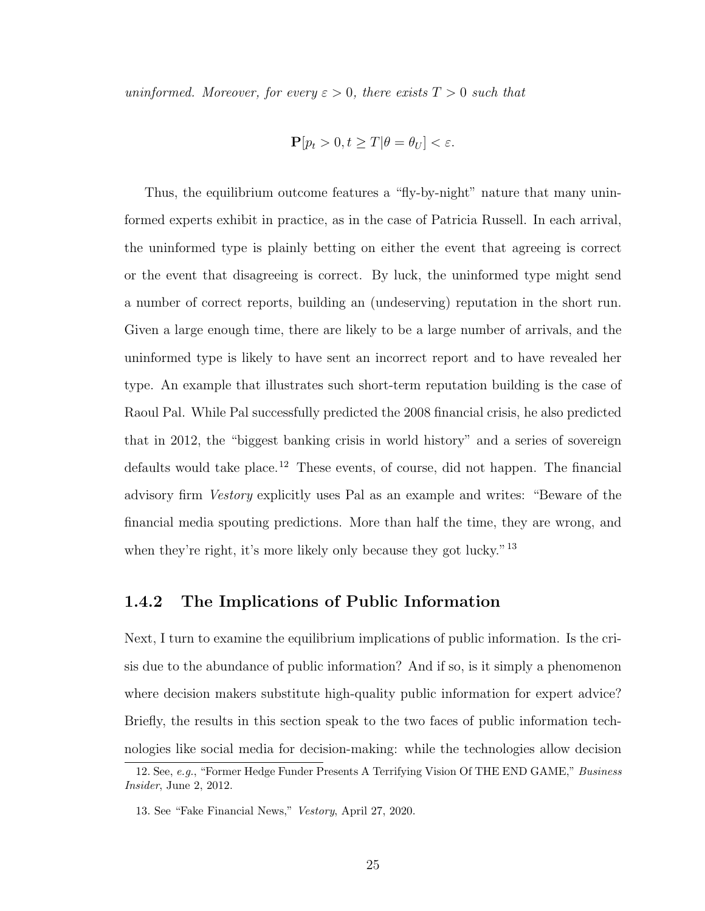uninformed. Moreover, for every  $\varepsilon > 0$ , there exists  $T > 0$  such that

$$
\mathbf{P}[p_t > 0, t \ge T | \theta = \theta_U] < \varepsilon.
$$

Thus, the equilibrium outcome features a "fly-by-night" nature that many uninformed experts exhibit in practice, as in the case of Patricia Russell. In each arrival, the uninformed type is plainly betting on either the event that agreeing is correct or the event that disagreeing is correct. By luck, the uninformed type might send a number of correct reports, building an (undeserving) reputation in the short run. Given a large enough time, there are likely to be a large number of arrivals, and the uninformed type is likely to have sent an incorrect report and to have revealed her type. An example that illustrates such short-term reputation building is the case of Raoul Pal. While Pal successfully predicted the 2008 financial crisis, he also predicted that in 2012, the "biggest banking crisis in world history" and a series of sovereign defaults would take place.<sup>[12](#page-34-1)</sup> These events, of course, did not happen. The financial advisory firm Vestory explicitly uses Pal as an example and writes: "Beware of the financial media spouting predictions. More than half the time, they are wrong, and when they're right, it's more likely only because they got lucky."<sup>[13](#page-34-2)</sup>

### <span id="page-34-0"></span>1.4.2 The Implications of Public Information

Next, I turn to examine the equilibrium implications of public information. Is the crisis due to the abundance of public information? And if so, is it simply a phenomenon where decision makers substitute high-quality public information for expert advice? Briefly, the results in this section speak to the two faces of public information technologies like social media for decision-making: while the technologies allow decision

<span id="page-34-1"></span><sup>12.</sup> See, e.g., "Former Hedge Funder Presents A Terrifying Vision Of THE END GAME," Business Insider, June 2, 2012.

<span id="page-34-2"></span><sup>13.</sup> See "Fake Financial News," Vestory, April 27, 2020.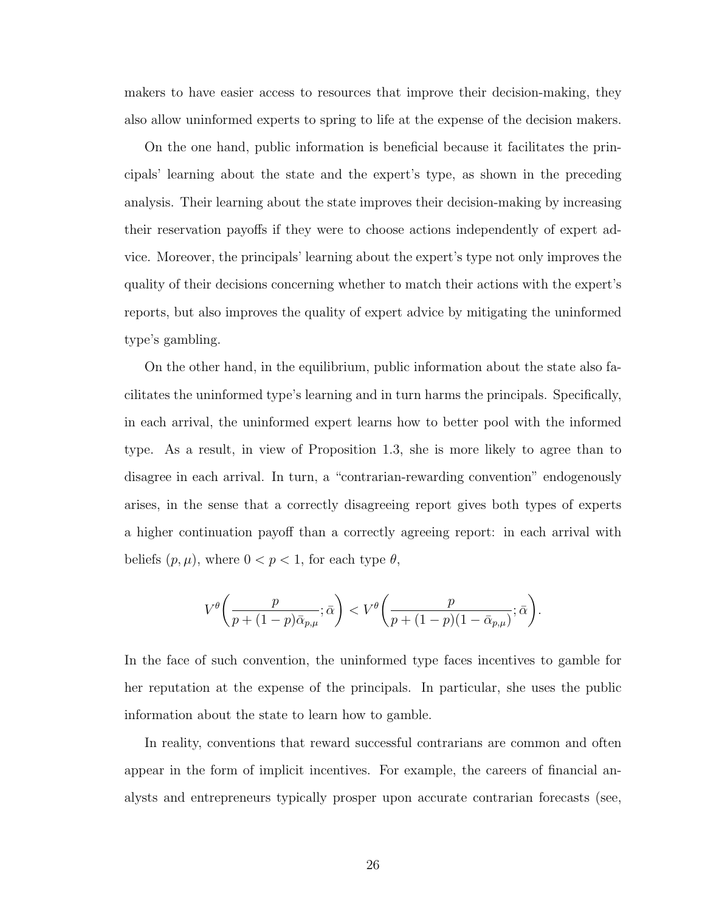makers to have easier access to resources that improve their decision-making, they also allow uninformed experts to spring to life at the expense of the decision makers.

On the one hand, public information is beneficial because it facilitates the principals' learning about the state and the expert's type, as shown in the preceding analysis. Their learning about the state improves their decision-making by increasing their reservation payoffs if they were to choose actions independently of expert advice. Moreover, the principals' learning about the expert's type not only improves the quality of their decisions concerning whether to match their actions with the expert's reports, but also improves the quality of expert advice by mitigating the uninformed type's gambling.

On the other hand, in the equilibrium, public information about the state also facilitates the uninformed type's learning and in turn harms the principals. Specifically, in each arrival, the uninformed expert learns how to better pool with the informed type. As a result, in view of Proposition [1.3,](#page-28-0) she is more likely to agree than to disagree in each arrival. In turn, a "contrarian-rewarding convention" endogenously arises, in the sense that a correctly disagreeing report gives both types of experts a higher continuation payoff than a correctly agreeing report: in each arrival with beliefs  $(p, \mu)$ , where  $0 < p < 1$ , for each type  $\theta$ ,

$$
V^{\theta}\left(\frac{p}{p+(1-p)\bar{\alpha}_{p,\mu}};\bar{\alpha}\right) < V^{\theta}\left(\frac{p}{p+(1-p)(1-\bar{\alpha}_{p,\mu})};\bar{\alpha}\right).
$$

In the face of such convention, the uninformed type faces incentives to gamble for her reputation at the expense of the principals. In particular, she uses the public information about the state to learn how to gamble.

In reality, conventions that reward successful contrarians are common and often appear in the form of implicit incentives. For example, the careers of financial analysts and entrepreneurs typically prosper upon accurate contrarian forecasts (see,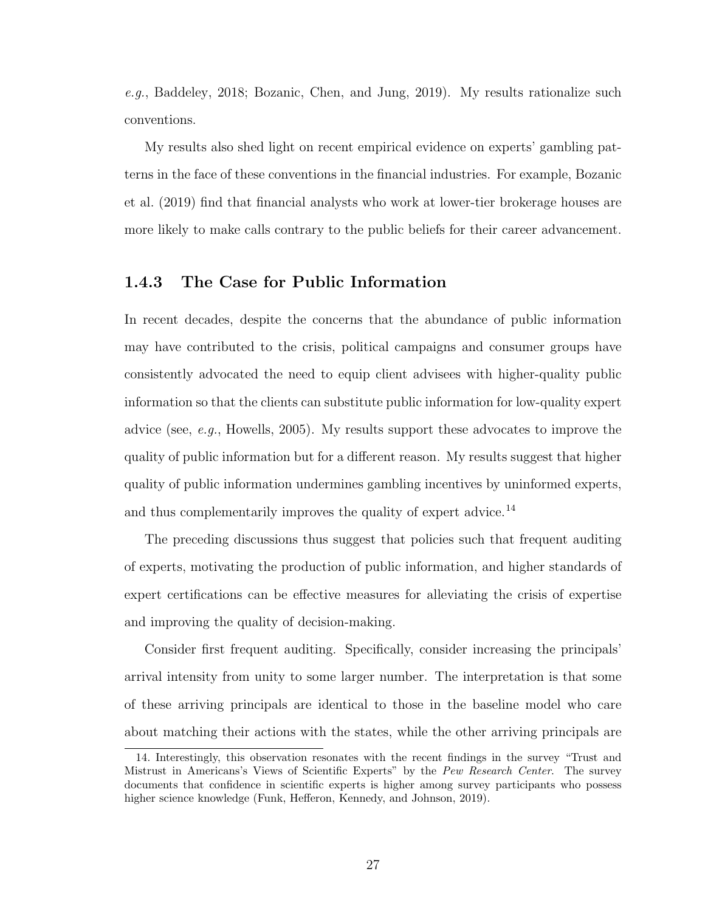e.g., [Baddeley,](#page-132-0) [2018;](#page-132-0) [Bozanic, Chen, and Jung,](#page-133-0) [2019\)](#page-133-0). My results rationalize such conventions.

My results also shed light on recent empirical evidence on experts' gambling patterns in the face of these conventions in the financial industries. For example, [Bozanic](#page-133-0) [et al.](#page-133-0) [\(2019\)](#page-133-0) find that financial analysts who work at lower-tier brokerage houses are more likely to make calls contrary to the public beliefs for their career advancement.

# <span id="page-36-1"></span>1.4.3 The Case for Public Information

In recent decades, despite the concerns that the abundance of public information may have contributed to the crisis, political campaigns and consumer groups have consistently advocated the need to equip client advisees with higher-quality public information so that the clients can substitute public information for low-quality expert advice (see, e.g., [Howells,](#page-136-0) [2005\)](#page-136-0). My results support these advocates to improve the quality of public information but for a different reason. My results suggest that higher quality of public information undermines gambling incentives by uninformed experts, and thus complementarily improves the quality of expert advice.<sup>[14](#page-36-0)</sup>

The preceding discussions thus suggest that policies such that frequent auditing of experts, motivating the production of public information, and higher standards of expert certifications can be effective measures for alleviating the crisis of expertise and improving the quality of decision-making.

Consider first frequent auditing. Specifically, consider increasing the principals' arrival intensity from unity to some larger number. The interpretation is that some of these arriving principals are identical to those in the baseline model who care about matching their actions with the states, while the other arriving principals are

<span id="page-36-0"></span><sup>14.</sup> Interestingly, this observation resonates with the recent findings in the survey "Trust and Mistrust in Americans's Views of Scientific Experts" by the Pew Research Center. The survey documents that confidence in scientific experts is higher among survey participants who possess higher science knowledge [\(Funk, Hefferon, Kennedy, and Johnson,](#page-135-0) [2019\)](#page-135-0).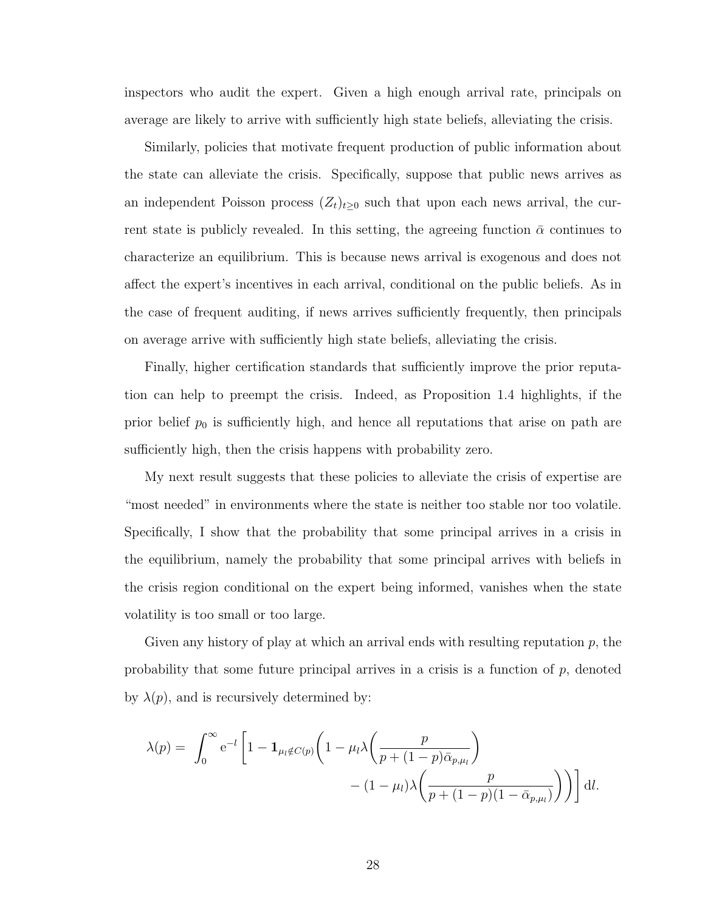inspectors who audit the expert. Given a high enough arrival rate, principals on average are likely to arrive with sufficiently high state beliefs, alleviating the crisis.

Similarly, policies that motivate frequent production of public information about the state can alleviate the crisis. Specifically, suppose that public news arrives as an independent Poisson process  $(Z_t)_{t\geq 0}$  such that upon each news arrival, the current state is publicly revealed. In this setting, the agreeing function  $\bar{\alpha}$  continues to characterize an equilibrium. This is because news arrival is exogenous and does not affect the expert's incentives in each arrival, conditional on the public beliefs. As in the case of frequent auditing, if news arrives sufficiently frequently, then principals on average arrive with sufficiently high state beliefs, alleviating the crisis.

Finally, higher certification standards that sufficiently improve the prior reputation can help to preempt the crisis. Indeed, as Proposition [1.4](#page-29-0) highlights, if the prior belief  $p_0$  is sufficiently high, and hence all reputations that arise on path are sufficiently high, then the crisis happens with probability zero.

My next result suggests that these policies to alleviate the crisis of expertise are "most needed" in environments where the state is neither too stable nor too volatile. Specifically, I show that the probability that some principal arrives in a crisis in the equilibrium, namely the probability that some principal arrives with beliefs in the crisis region conditional on the expert being informed, vanishes when the state volatility is too small or too large.

Given any history of play at which an arrival ends with resulting reputation  $p$ , the probability that some future principal arrives in a crisis is a function of  $p$ , denoted by  $\lambda(p)$ , and is recursively determined by:

$$
\lambda(p) = \int_0^\infty e^{-l} \left[ 1 - \mathbf{1}_{\mu_l \notin C(p)} \left( 1 - \mu_l \lambda \left( \frac{p}{p + (1 - p)\bar{\alpha}_{p,\mu_l}} \right) - (1 - \mu_l) \lambda \left( \frac{p}{p + (1 - p)(1 - \bar{\alpha}_{p,\mu_l})} \right) \right) \right] dl.
$$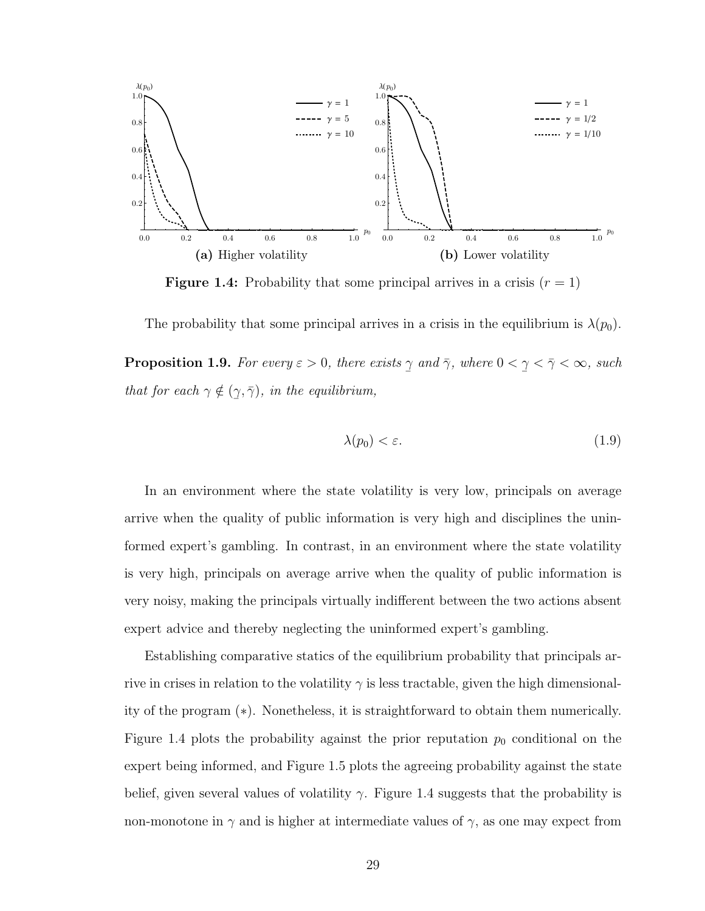<span id="page-38-0"></span>

**Figure 1.4:** Probability that some principal arrives in a crisis  $(r = 1)$ 

<span id="page-38-1"></span>The probability that some principal arrives in a crisis in the equilibrium is  $\lambda(p_0)$ . **Proposition 1.9.** For every  $\varepsilon > 0$ , there exists  $\overline{a}$  $\gamma$  and  $\bar{\gamma}$ , where 0 <  $\overline{a}$  $\gamma < \bar{\gamma} < \infty$ , such that for each  $\gamma \notin ($  $\overline{a}$  $(\gamma, \bar{\gamma})$ , in the equilibrium,

$$
\lambda(p_0) < \varepsilon. \tag{1.9}
$$

In an environment where the state volatility is very low, principals on average arrive when the quality of public information is very high and disciplines the uninformed expert's gambling. In contrast, in an environment where the state volatility is very high, principals on average arrive when the quality of public information is very noisy, making the principals virtually indifferent between the two actions absent expert advice and thereby neglecting the uninformed expert's gambling.

Establishing comparative statics of the equilibrium probability that principals arrive in crises in relation to the volatility  $\gamma$  is less tractable, given the high dimensionality of the program ([∗](#page-44-0)). Nonetheless, it is straightforward to obtain them numerically. Figure [1.4](#page-38-0) plots the probability against the prior reputation  $p_0$  conditional on the expert being informed, and Figure [1.5](#page-39-0) plots the agreeing probability against the state belief, given several values of volatility  $\gamma$ . Figure [1.4](#page-38-0) suggests that the probability is non-monotone in  $\gamma$  and is higher at intermediate values of  $\gamma$ , as one may expect from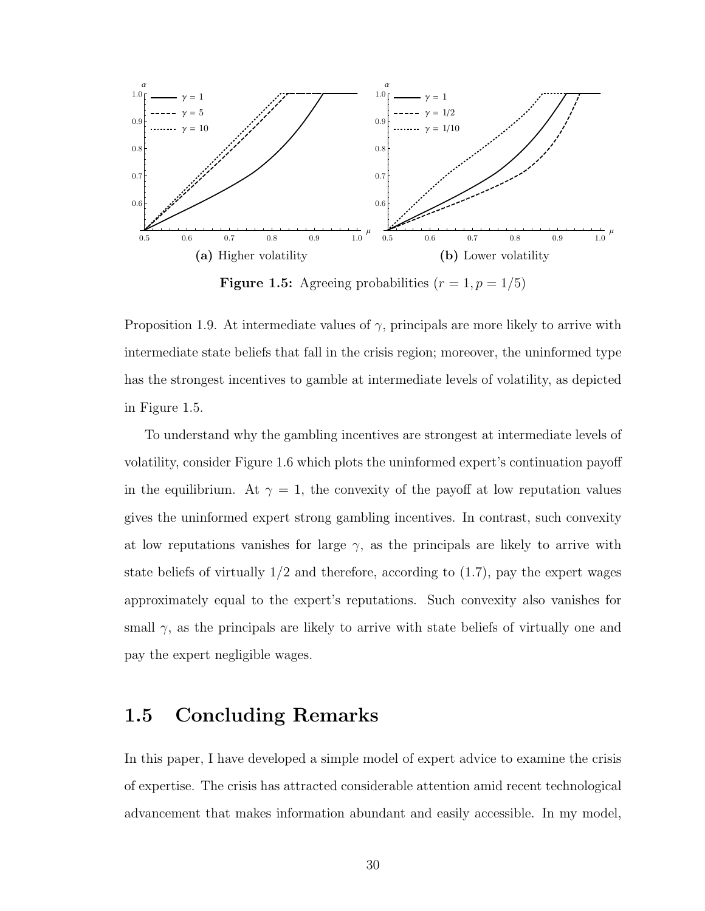<span id="page-39-0"></span>

**Figure 1.5:** Agreeing probabilities  $(r = 1, p = 1/5)$ 

Proposition [1.9.](#page-38-1) At intermediate values of  $\gamma$ , principals are more likely to arrive with intermediate state beliefs that fall in the crisis region; moreover, the uninformed type has the strongest incentives to gamble at intermediate levels of volatility, as depicted in Figure [1.5.](#page-39-0)

To understand why the gambling incentives are strongest at intermediate levels of volatility, consider Figure [1.6](#page-40-0) which plots the uninformed expert's continuation payoff in the equilibrium. At  $\gamma = 1$ , the convexity of the payoff at low reputation values gives the uninformed expert strong gambling incentives. In contrast, such convexity at low reputations vanishes for large  $\gamma$ , as the principals are likely to arrive with state beliefs of virtually  $1/2$  and therefore, according to  $(1.7)$ , pay the expert wages approximately equal to the expert's reputations. Such convexity also vanishes for small  $\gamma$ , as the principals are likely to arrive with state beliefs of virtually one and pay the expert negligible wages.

# 1.5 Concluding Remarks

In this paper, I have developed a simple model of expert advice to examine the crisis of expertise. The crisis has attracted considerable attention amid recent technological advancement that makes information abundant and easily accessible. In my model,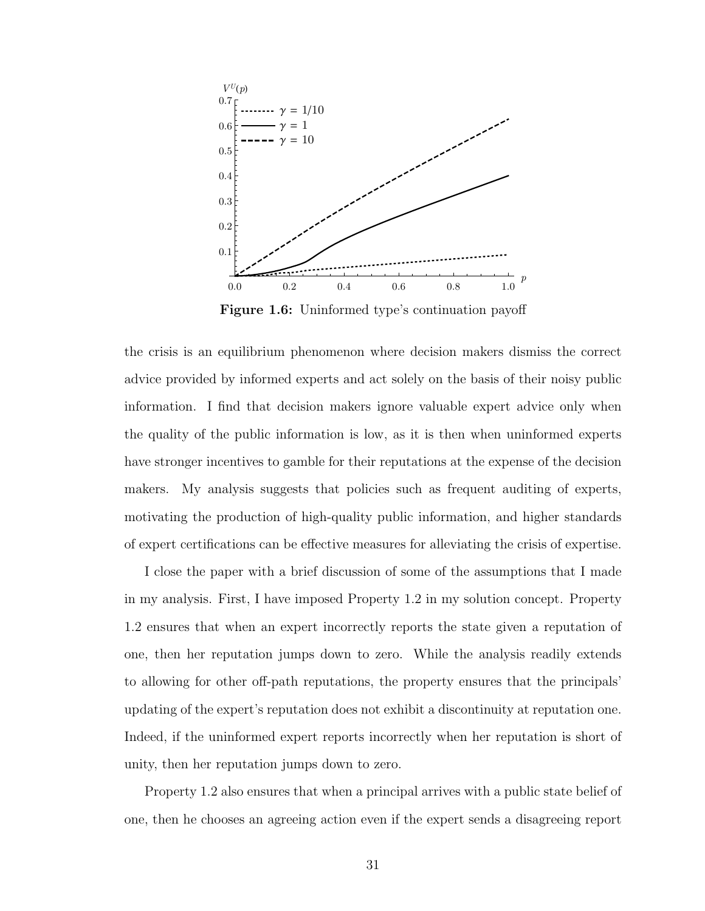<span id="page-40-0"></span>

Figure 1.6: Uninformed type's continuation payoff

the crisis is an equilibrium phenomenon where decision makers dismiss the correct advice provided by informed experts and act solely on the basis of their noisy public information. I find that decision makers ignore valuable expert advice only when the quality of the public information is low, as it is then when uninformed experts have stronger incentives to gamble for their reputations at the expense of the decision makers. My analysis suggests that policies such as frequent auditing of experts, motivating the production of high-quality public information, and higher standards of expert certifications can be effective measures for alleviating the crisis of expertise.

I close the paper with a brief discussion of some of the assumptions that I made in my analysis. First, I have imposed Property [1.2](#page-21-0) in my solution concept. Property [1.2](#page-21-0) ensures that when an expert incorrectly reports the state given a reputation of one, then her reputation jumps down to zero. While the analysis readily extends to allowing for other off-path reputations, the property ensures that the principals' updating of the expert's reputation does not exhibit a discontinuity at reputation one. Indeed, if the uninformed expert reports incorrectly when her reputation is short of unity, then her reputation jumps down to zero.

Property [1.2](#page-21-0) also ensures that when a principal arrives with a public state belief of one, then he chooses an agreeing action even if the expert sends a disagreeing report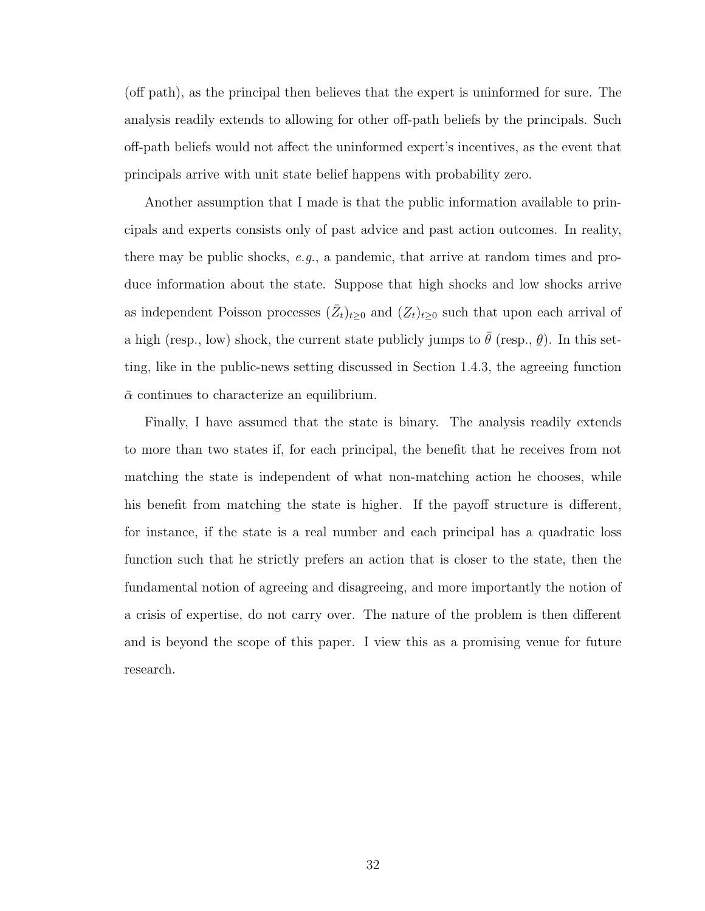(off path), as the principal then believes that the expert is uninformed for sure. The analysis readily extends to allowing for other off-path beliefs by the principals. Such off-path beliefs would not affect the uninformed expert's incentives, as the event that principals arrive with unit state belief happens with probability zero.

Another assumption that I made is that the public information available to principals and experts consists only of past advice and past action outcomes. In reality, there may be public shocks,  $e.g.,$  a pandemic, that arrive at random times and produce information about the state. Suppose that high shocks and low shocks arrive as independent Poisson processes  $(\bar{Z}_t)_{t\geq 0}$  and  $(Z_t)_{t\geq 0}$  such that upon each arrival of a high (resp., low) shock, the current state publicly jumps to  $\bar{\theta}$  (resp.,  $\frac{6}{10}$  $\theta$ ). In this setting, like in the public-news setting discussed in Section [1.4.3,](#page-36-1) the agreeing function  $\bar{\alpha}$  continues to characterize an equilibrium.

Finally, I have assumed that the state is binary. The analysis readily extends to more than two states if, for each principal, the benefit that he receives from not matching the state is independent of what non-matching action he chooses, while his benefit from matching the state is higher. If the payoff structure is different, for instance, if the state is a real number and each principal has a quadratic loss function such that he strictly prefers an action that is closer to the state, then the fundamental notion of agreeing and disagreeing, and more importantly the notion of a crisis of expertise, do not carry over. The nature of the problem is then different and is beyond the scope of this paper. I view this as a promising venue for future research.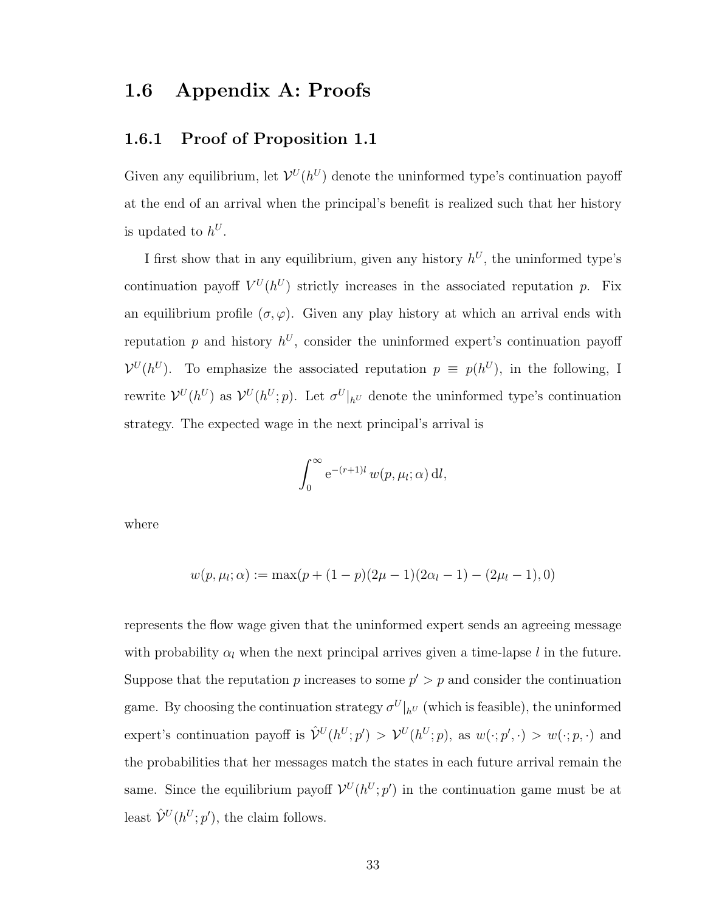# 1.6 Appendix A: Proofs

# 1.6.1 Proof of Proposition [1.1](#page-22-0)

Given any equilibrium, let  $\mathcal{V}^{U}(h^{U})$  denote the uninformed type's continuation payoff at the end of an arrival when the principal's benefit is realized such that her history is updated to  $h^U$ .

I first show that in any equilibrium, given any history  $h^U$ , the uninformed type's continuation payoff  $V^U(h^U)$  strictly increases in the associated reputation p. Fix an equilibrium profile  $(\sigma, \varphi)$ . Given any play history at which an arrival ends with reputation  $p$  and history  $h^U$ , consider the uninformed expert's continuation payoff  $\mathcal{V}^{U}(h^{U})$ . To emphasize the associated reputation  $p \equiv p(h^{U})$ , in the following, I rewrite  $\mathcal{V}^{U}(h^{U})$  as  $\mathcal{V}^{U}(h^{U};p)$ . Let  $\sigma^{U}|_{h^{U}}$  denote the uninformed type's continuation strategy. The expected wage in the next principal's arrival is

$$
\int_0^\infty e^{-(r+1)l} w(p,\mu_l;\alpha) \, \mathrm{d}l,
$$

where

$$
w(p, \mu_l; \alpha) := \max(p + (1 - p)(2\mu - 1)(2\alpha_l - 1) - (2\mu_l - 1), 0)
$$

represents the flow wage given that the uninformed expert sends an agreeing message with probability  $\alpha_l$  when the next principal arrives given a time-lapse l in the future. Suppose that the reputation p increases to some  $p' > p$  and consider the continuation game. By choosing the continuation strategy  $\sigma^{U}|_{h^{U}}$  (which is feasible), the uninformed expert's continuation payoff is  $\hat{\mathcal{V}}^{U}(h^U; p') > \mathcal{V}^{U}(h^U; p)$ , as  $w(\cdot; p', \cdot) > w(\cdot; p, \cdot)$  and the probabilities that her messages match the states in each future arrival remain the same. Since the equilibrium payoff  $\mathcal{V}^{U}(h^{U};p')$  in the continuation game must be at least  $\hat{\mathcal{V}}^{U}(h^{U};p'),$  the claim follows.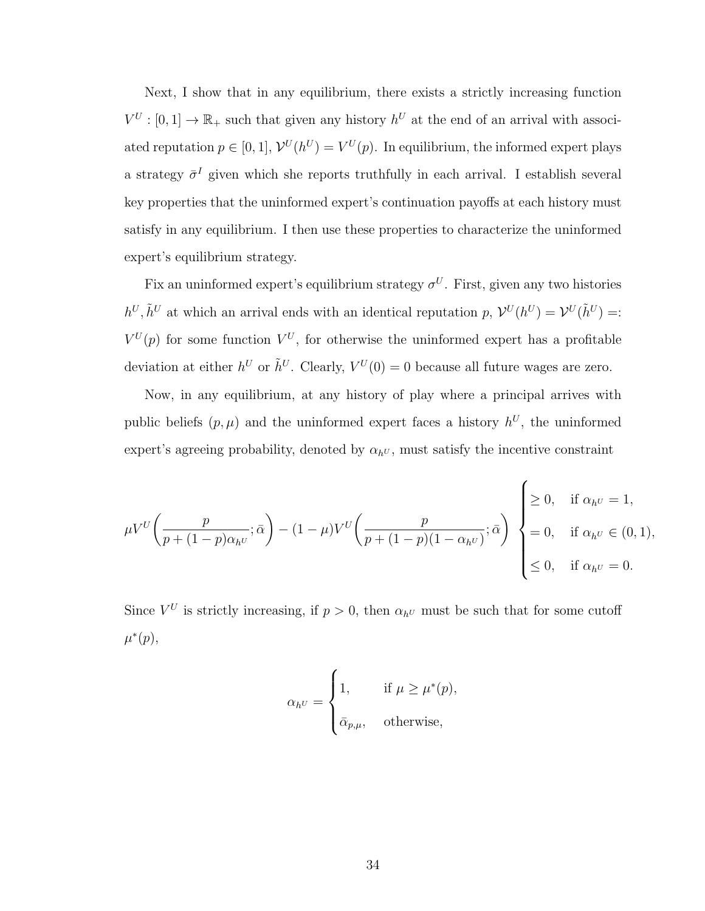Next, I show that in any equilibrium, there exists a strictly increasing function  $V^U: [0,1] \to \mathbb{R}_+$  such that given any history  $h^U$  at the end of an arrival with associated reputation  $p \in [0, 1]$ ,  $\mathcal{V}^{U}(h^{U}) = V^{U}(p)$ . In equilibrium, the informed expert plays a strategy  $\bar{\sigma}^I$  given which she reports truthfully in each arrival. I establish several key properties that the uninformed expert's continuation payoffs at each history must satisfy in any equilibrium. I then use these properties to characterize the uninformed expert's equilibrium strategy.

Fix an uninformed expert's equilibrium strategy  $\sigma^U$ . First, given any two histories  $h^U, \tilde{h}^U$  at which an arrival ends with an identical reputation p,  $\mathcal{V}^U(h^U) = \mathcal{V}^U(\tilde{h}^U) =$ :  $V^U(p)$  for some function  $V^U$ , for otherwise the uninformed expert has a profitable deviation at either  $h^U$  or  $\tilde{h}^U$ . Clearly,  $V^U(0) = 0$  because all future wages are zero.

Now, in any equilibrium, at any history of play where a principal arrives with public beliefs  $(p, \mu)$  and the uninformed expert faces a history  $h^U$ , the uninformed expert's agreeing probability, denoted by  $\alpha_{h}v$ , must satisfy the incentive constraint

$$
\mu V^U \bigg( \frac{p}{p + (1 - p)\alpha_{h^U}}; \bar{\alpha} \bigg) - (1 - \mu) V^U \bigg( \frac{p}{p + (1 - p)(1 - \alpha_{h^U})}; \bar{\alpha} \bigg) \begin{cases} \geq 0, & \text{if } \alpha_{h^U} = 1, \\ = 0, & \text{if } \alpha_{h^U} \in (0, 1), \\ \leq 0, & \text{if } \alpha_{h^U} = 0. \end{cases}
$$

Since  $V^U$  is strictly increasing, if  $p > 0$ , then  $\alpha_{h^U}$  must be such that for some cutoff  $\mu^*(p)$ ,

$$
\alpha_{h^U} = \begin{cases} 1, & \text{if } \mu \ge \mu^*(p), \\ \bar{\alpha}_{p,\mu}, & \text{otherwise,} \end{cases}
$$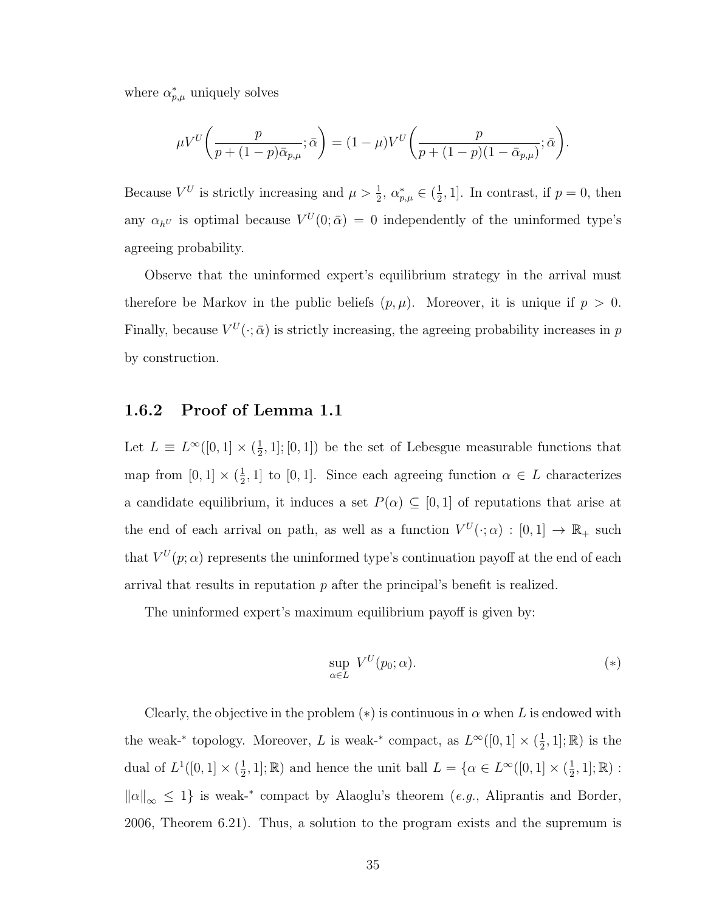where  $\alpha_{p,\mu}^*$  uniquely solves

$$
\mu V^U\bigg(\frac{p}{p+(1-p)\bar{\alpha}_{p,\mu}};\bar{\alpha}\bigg)=(1-\mu)V^U\bigg(\frac{p}{p+(1-p)(1-\bar{\alpha}_{p,\mu})};\bar{\alpha}\bigg).
$$

Because  $V^U$  is strictly increasing and  $\mu > \frac{1}{2}$ ,  $\alpha_{p,\mu}^* \in (\frac{1}{2})$  $\frac{1}{2}$ , 1]. In contrast, if  $p = 0$ , then any  $\alpha_{hU}$  is optimal because  $V^U(0;\bar{\alpha}) = 0$  independently of the uninformed type's agreeing probability.

Observe that the uninformed expert's equilibrium strategy in the arrival must therefore be Markov in the public beliefs  $(p, \mu)$ . Moreover, it is unique if  $p > 0$ . Finally, because  $V^U(\cdot; \bar{\alpha})$  is strictly increasing, the agreeing probability increases in p by construction.

# <span id="page-44-0"></span>1.6.2 Proof of Lemma [1.1](#page-24-0)

Let  $L \equiv L^{\infty}([0,1] \times (\frac{1}{2})$  $(\frac{1}{2}, 1]$ ; [0, 1]) be the set of Lebesgue measurable functions that map from  $[0,1] \times (\frac{1}{2})$  $(\frac{1}{2}, 1]$  to [0, 1]. Since each agreeing function  $\alpha \in L$  characterizes a candidate equilibrium, it induces a set  $P(\alpha) \subseteq [0,1]$  of reputations that arise at the end of each arrival on path, as well as a function  $V^U(\cdot; \alpha) : [0,1] \to \mathbb{R}_+$  such that  $V^{U}(p;\alpha)$  represents the uninformed type's continuation payoff at the end of each arrival that results in reputation  $p$  after the principal's benefit is realized.

The uninformed expert's maximum equilibrium payoff is given by:

$$
\sup_{\alpha \in L} V^U(p_0; \alpha). \tag{*}
$$

Clearly, the objective in the problem  $(*)$  is continuous in  $\alpha$  when L is endowed with the weak-<sup>\*</sup> topology. Moreover, L is weak-<sup>\*</sup> compact, as  $L^{\infty}([0,1] \times (\frac{1}{2})$  $(\frac{1}{2}, 1]$ ; R) is the dual of  $L^1([0,1] \times (\frac{1}{2})$  $(\frac{1}{2}, 1]; \mathbb{R})$  and hence the unit ball  $L = \{ \alpha \in L^{\infty}([0, 1] \times (\frac{1}{2})\}$  $\frac{1}{2}, 1]; \mathbb{R})$ :  $\|\alpha\|_{\infty} \leq 1$  is weak-\* compact by Alaoglu's theorem (e.g., [Aliprantis and Border,](#page-132-1) [2006,](#page-132-1) Theorem 6.21). Thus, a solution to the program exists and the supremum is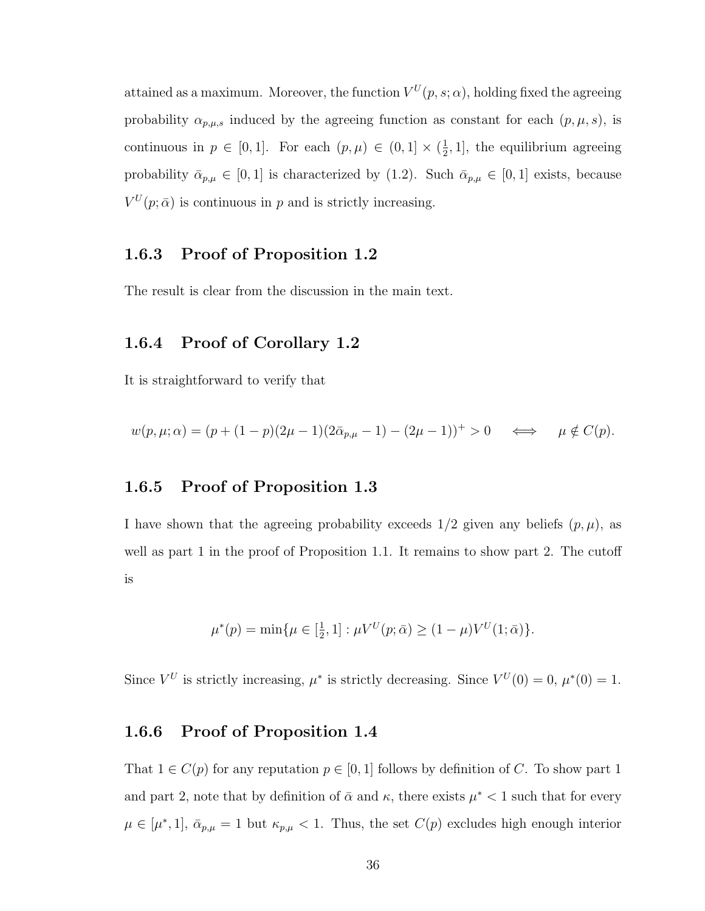attained as a maximum. Moreover, the function  $V^U(p,s;\alpha)$ , holding fixed the agreeing probability  $\alpha_{p,\mu,s}$  induced by the agreeing function as constant for each  $(p,\mu,s)$ , is continuous in  $p \in [0,1]$ . For each  $(p,\mu) \in (0,1] \times (\frac{1}{2})$  $\frac{1}{2}$ , 1], the equilibrium agreeing probability  $\bar{\alpha}_{p,\mu} \in [0,1]$  is characterized by [\(1.2\)](#page-24-1). Such  $\bar{\alpha}_{p,\mu} \in [0,1]$  exists, because  $V^U(p; \bar{\alpha})$  is continuous in p and is strictly increasing.

# 1.6.3 Proof of Proposition [1.2](#page-27-1)

The result is clear from the discussion in the main text.

### 1.6.4 Proof of Corollary [1.2](#page-27-2)

It is straightforward to verify that

$$
w(p, \mu; \alpha) = (p + (1 - p)(2\mu - 1)(2\bar{\alpha}_{p,\mu} - 1) - (2\mu - 1))^+ > 0 \iff \mu \notin C(p).
$$

### 1.6.5 Proof of Proposition [1.3](#page-28-0)

I have shown that the agreeing probability exceeds  $1/2$  given any beliefs  $(p, \mu)$ , as well as part 1 in the proof of Proposition [1.1.](#page-22-0) It remains to show part 2. The cutoff is

$$
\mu^*(p) = \min\{\mu \in [\frac{1}{2}, 1] : \mu V^U(p; \bar{\alpha}) \ge (1 - \mu)V^U(1; \bar{\alpha})\}.
$$

Since  $V^U$  is strictly increasing,  $\mu^*$  is strictly decreasing. Since  $V^U(0) = 0$ ,  $\mu^*(0) = 1$ .

# 1.6.6 Proof of Proposition [1.4](#page-29-0)

That  $1 \in C(p)$  for any reputation  $p \in [0,1]$  follows by definition of C. To show part 1 and part 2, note that by definition of  $\bar{\alpha}$  and  $\kappa$ , there exists  $\mu^* < 1$  such that for every  $\mu \in [\mu^*, 1], \bar{\alpha}_{p,\mu} = 1$  but  $\kappa_{p,\mu} < 1$ . Thus, the set  $C(p)$  excludes high enough interior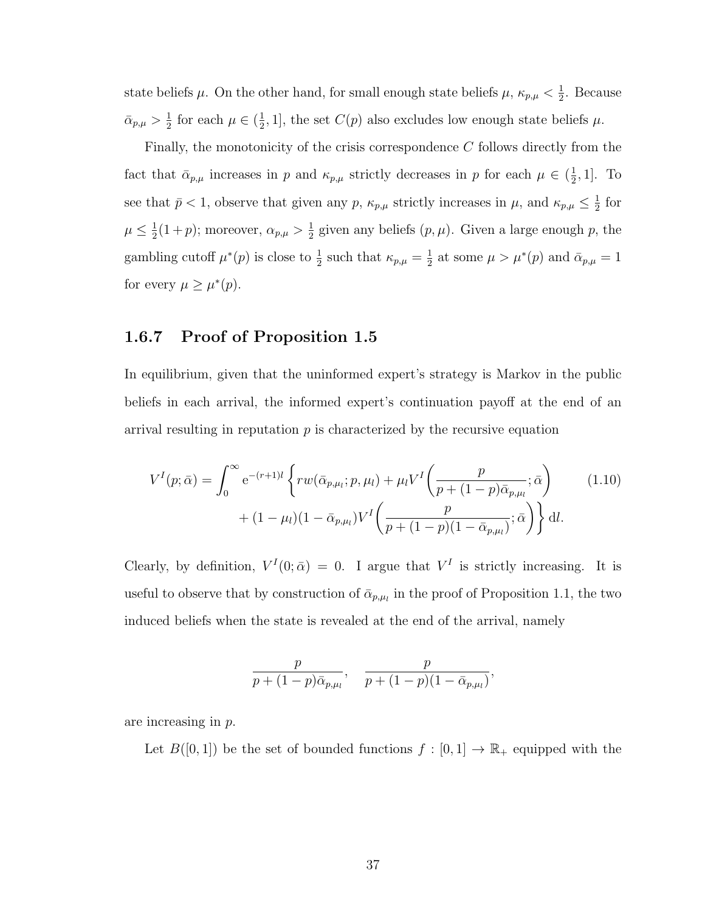state beliefs  $\mu$ . On the other hand, for small enough state beliefs  $\mu$ ,  $\kappa_{p,\mu} < \frac{1}{2}$  $\frac{1}{2}$ . Because  $\bar{\alpha}_{p,\mu} > \frac{1}{2}$  $\frac{1}{2}$  for each  $\mu \in (\frac{1}{2})$  $\frac{1}{2}$ , 1], the set  $C(p)$  also excludes low enough state beliefs  $\mu$ .

Finally, the monotonicity of the crisis correspondence C follows directly from the fact that  $\bar{\alpha}_{p,\mu}$  increases in p and  $\kappa_{p,\mu}$  strictly decreases in p for each  $\mu \in (\frac{1}{2})$  $\frac{1}{2}$ , 1]. To see that  $\bar{p} < 1$ , observe that given any p,  $\kappa_{p,\mu}$  strictly increases in  $\mu$ , and  $\kappa_{p,\mu} \leq \frac{1}{2}$  $rac{1}{2}$  for  $\mu \leq \frac{1}{2}$  $\frac{1}{2}(1+p)$ ; moreover,  $\alpha_{p,\mu} > \frac{1}{2}$  $\frac{1}{2}$  given any beliefs  $(p, \mu)$ . Given a large enough p, the gambling cutoff  $\mu^*(p)$  is close to  $\frac{1}{2}$  such that  $\kappa_{p,\mu} = \frac{1}{2}$  $\frac{1}{2}$  at some  $\mu > \mu^*(p)$  and  $\bar{\alpha}_{p,\mu} = 1$ for every  $\mu \geq \mu^*(p)$ .

# 1.6.7 Proof of Proposition [1.5](#page-31-0)

In equilibrium, given that the uninformed expert's strategy is Markov in the public beliefs in each arrival, the informed expert's continuation payoff at the end of an arrival resulting in reputation  $p$  is characterized by the recursive equation

$$
V^{I}(p; \bar{\alpha}) = \int_{0}^{\infty} e^{-(r+1)l} \left\{ rw(\bar{\alpha}_{p,\mu_{l}}; p, \mu_{l}) + \mu_{l} V^{I} \left(\frac{p}{p + (1-p)\bar{\alpha}_{p,\mu_{l}}}; \bar{\alpha}\right) + (1 - \mu_{l})(1 - \bar{\alpha}_{p,\mu_{l}}) V^{I} \left(\frac{p}{p + (1-p)(1 - \bar{\alpha}_{p,\mu_{l}})}; \bar{\alpha}\right)\right\} dl.
$$
\n(1.10)

Clearly, by definition,  $V^I(0; \bar{\alpha}) = 0$ . I argue that  $V^I$  is strictly increasing. It is useful to observe that by construction of  $\bar{\alpha}_{p,\mu_l}$  in the proof of Proposition [1.1,](#page-22-0) the two induced beliefs when the state is revealed at the end of the arrival, namely

$$
\frac{p}{p + (1-p)\bar{\alpha}_{p,\mu_l}}, \quad \frac{p}{p + (1-p)(1-\bar{\alpha}_{p,\mu_l})},
$$

are increasing in p.

Let  $B([0,1])$  be the set of bounded functions  $f : [0,1] \to \mathbb{R}_+$  equipped with the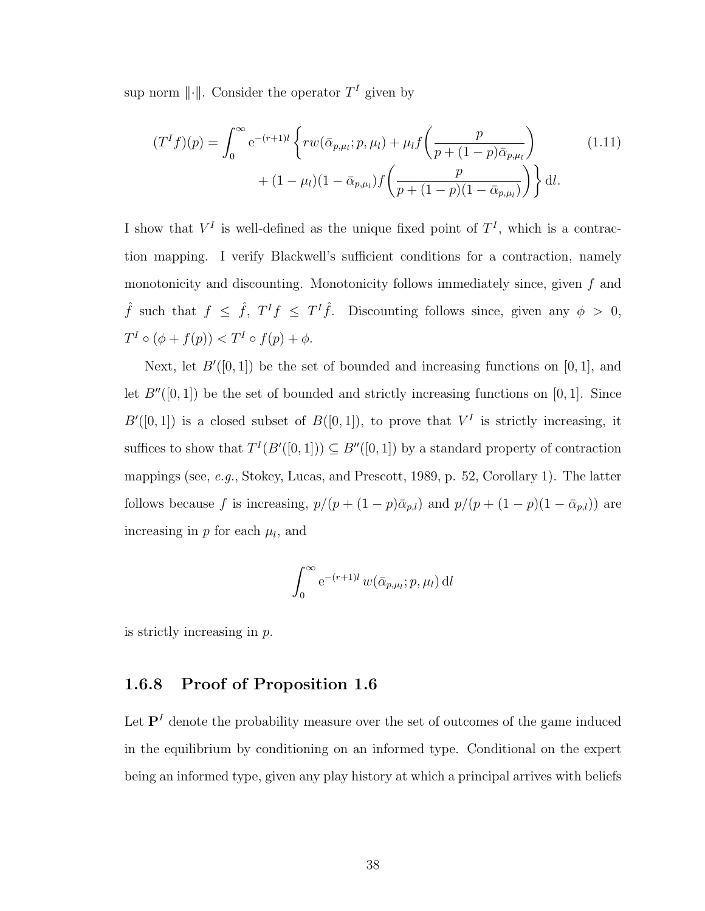sup norm  $\lVert \cdot \rVert$ . Consider the operator  $T<sup>I</sup>$  given by

$$
(TI f)(p) = \int_0^\infty e^{-(r+1)l} \left\{ rw(\bar{\alpha}_{p,\mu_l}; p, \mu_l) + \mu_l f\left(\frac{p}{p + (1-p)\bar{\alpha}_{p,\mu_l}}\right) + (1-\mu_l)(1-\bar{\alpha}_{p,\mu_l})f\left(\frac{p}{p + (1-p)(1-\bar{\alpha}_{p,\mu_l})}\right)\right\} dl.
$$
\n(1.11)

I show that  $V^I$  is well-defined as the unique fixed point of  $T^I$ , which is a contraction mapping. I verify Blackwell's sufficient conditions for a contraction, namely monotonicity and discounting. Monotonicity follows immediately since, given f and  $\hat{f}$  such that  $f \leq \hat{f}$ ,  $T^I f \leq T^I \hat{f}$ . Discounting follows since, given any  $\phi > 0$ ,  $T^I \circ (\phi + f(p)) < T^I \circ f(p) + \phi.$ 

Next, let  $B'([0, 1])$  be the set of bounded and increasing functions on [0, 1], and let  $B''([0, 1])$  be the set of bounded and strictly increasing functions on [0, 1]. Since  $B'([0,1])$  is a closed subset of  $B([0,1])$ , to prove that  $V^I$  is strictly increasing, it suffices to show that  $T^{I}(B'([0, 1])) \subseteq B''([0, 1])$  by a standard property of contraction mappings (see, e.g., [Stokey, Lucas, and Prescott,](#page-140-0) [1989,](#page-140-0) p. 52, Corollary 1). The latter follows because f is increasing,  $p/(p + (1-p)\bar{\alpha}_{p,l})$  and  $p/(p + (1-p)(1-\bar{\alpha}_{p,l}))$  are increasing in  $p$  for each  $\mu_l$ , and

$$
\int_0^\infty e^{-(r+1)l} w(\bar{\alpha}_{p,\mu_l}; p, \mu_l) \, \mathrm{d}l
$$

is strictly increasing in p.

### 1.6.8 Proof of Proposition [1.6](#page-32-0)

Let  $\mathbf{P}^{I}$  denote the probability measure over the set of outcomes of the game induced in the equilibrium by conditioning on an informed type. Conditional on the expert being an informed type, given any play history at which a principal arrives with beliefs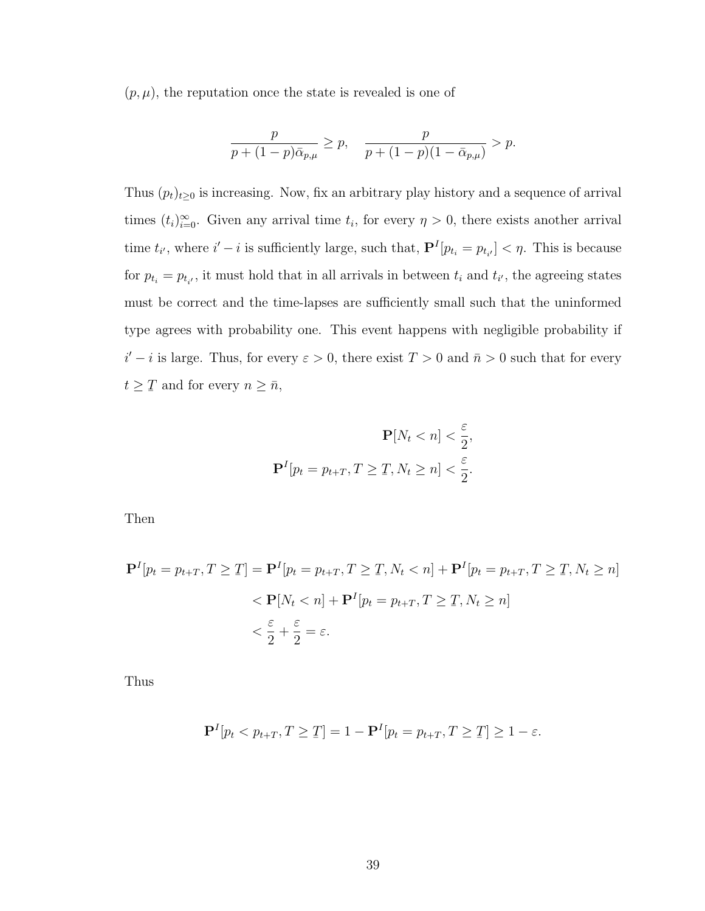$(p, \mu)$ , the reputation once the state is revealed is one of

$$
\frac{p}{p+(1-p)\bar{\alpha}_{p,\mu}}\geq p,\quad \frac{p}{p+(1-p)(1-\bar{\alpha}_{p,\mu})}>p.
$$

Thus  $(p_t)_{t\geq0}$  is increasing. Now, fix an arbitrary play history and a sequence of arrival times  $(t_i)_{i=0}^{\infty}$ . Given any arrival time  $t_i$ , for every  $\eta > 0$ , there exists another arrival time  $t_{i'}$ , where  $i'-i$  is sufficiently large, such that,  $\mathbf{P}^{I}[p_{t_i} = p_{t_{i'}}] < \eta$ . This is because for  $p_{t_i} = p_{t_{i'}}$ , it must hold that in all arrivals in between  $t_i$  and  $t_{i'}$ , the agreeing states must be correct and the time-lapses are sufficiently small such that the uninformed type agrees with probability one. This event happens with negligible probability if  $i'-i$  is large. Thus, for every  $\varepsilon > 0$ , there exist  $T > 0$  and  $\bar{n} > 0$  such that for every  $t \geq$ ¯ T and for every  $n \geq \bar{n}$ ,

$$
\mathbf{P}[N_t < n] < \frac{\varepsilon}{2},
$$
\n
$$
\mathbf{P}^I[p_t = p_{t+T}, T \ge T, N_t \ge n] < \frac{\varepsilon}{2}.
$$

Then

$$
\mathbf{P}^{I}[p_{t} = p_{t+T}, T \geq T] = \mathbf{P}^{I}[p_{t} = p_{t+T}, T \geq T, N_{t} < n] + \mathbf{P}^{I}[p_{t} = p_{t+T}, T \geq T, N_{t} \geq n]
$$
\n
$$
\langle \mathbf{P}[N_{t} < n] + \mathbf{P}^{I}[p_{t} = p_{t+T}, T \geq T, N_{t} \geq n]
$$
\n
$$
\langle \frac{\varepsilon}{2} + \frac{\varepsilon}{2} = \varepsilon.
$$

Thus

$$
\mathbf{P}^{I}[p_t < p_{t+T}, T \geq T] = 1 - \mathbf{P}^{I}[p_t = p_{t+T}, T \geq T] \geq 1 - \varepsilon.
$$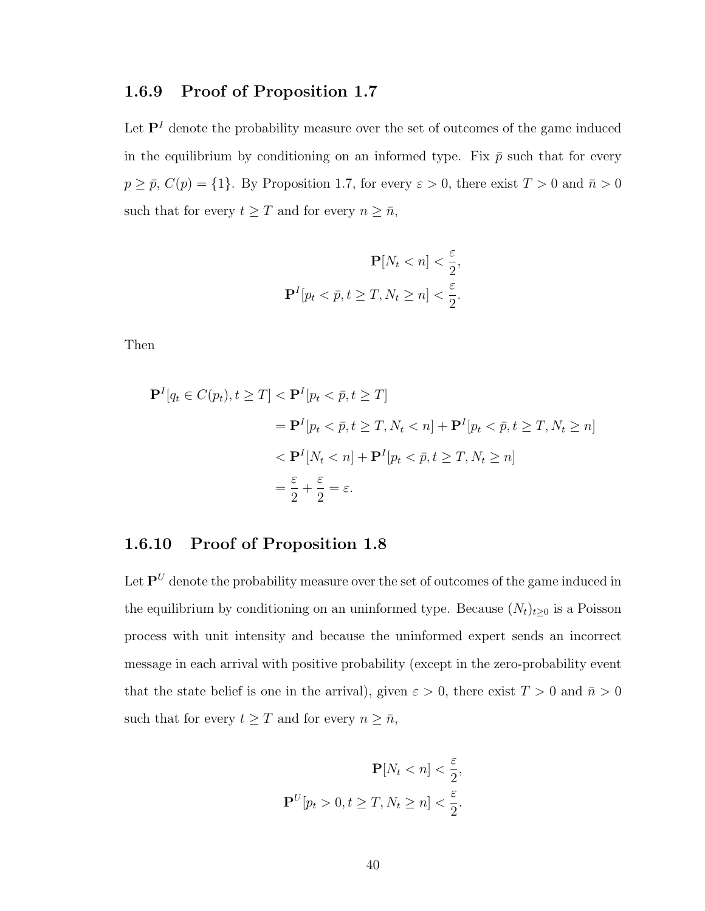# 1.6.9 Proof of Proposition [1.7](#page-32-1)

Let  $\mathbf{P}^I$  denote the probability measure over the set of outcomes of the game induced in the equilibrium by conditioning on an informed type. Fix  $\bar{p}$  such that for every  $p \geq \bar{p}$ ,  $C(p) = \{1\}$ . By Proposition [1.7,](#page-32-1) for every  $\varepsilon > 0$ , there exist  $T > 0$  and  $\bar{n} > 0$ such that for every  $t \geq T$  and for every  $n \geq \bar{n}$ ,

$$
\mathbf{P}[N_t < n] < \frac{\varepsilon}{2},
$$
\n
$$
\mathbf{P}^I[p_t < \bar{p}, t \ge T, N_t \ge n] < \frac{\varepsilon}{2}.
$$

Then

$$
\mathbf{P}^{I}[q_{t} \in C(p_{t}), t \geq T] < \mathbf{P}^{I}[p_{t} < \bar{p}, t \geq T] \\
= \mathbf{P}^{I}[p_{t} < \bar{p}, t \geq T, N_{t} < n] + \mathbf{P}^{I}[p_{t} < \bar{p}, t \geq T, N_{t} \geq n] \\
&< \mathbf{P}^{I}[N_{t} < n] + \mathbf{P}^{I}[p_{t} < \bar{p}, t \geq T, N_{t} \geq n] \\
= \frac{\varepsilon}{2} + \frac{\varepsilon}{2} = \varepsilon.
$$

# 1.6.10 Proof of Proposition [1.8](#page-33-0)

Let  $\mathbf{P}^U$  denote the probability measure over the set of outcomes of the game induced in the equilibrium by conditioning on an uninformed type. Because  $(N_t)_{t\geq 0}$  is a Poisson process with unit intensity and because the uninformed expert sends an incorrect message in each arrival with positive probability (except in the zero-probability event that the state belief is one in the arrival), given  $\varepsilon > 0$ , there exist  $T > 0$  and  $\bar{n} > 0$ such that for every  $t \geq T$  and for every  $n \geq \bar{n}$ ,

$$
\mathbf{P}[N_t < n] < \frac{\varepsilon}{2},
$$
\n
$$
\mathbf{P}^U[p_t > 0, t \ge T, N_t \ge n] < \frac{\varepsilon}{2}.
$$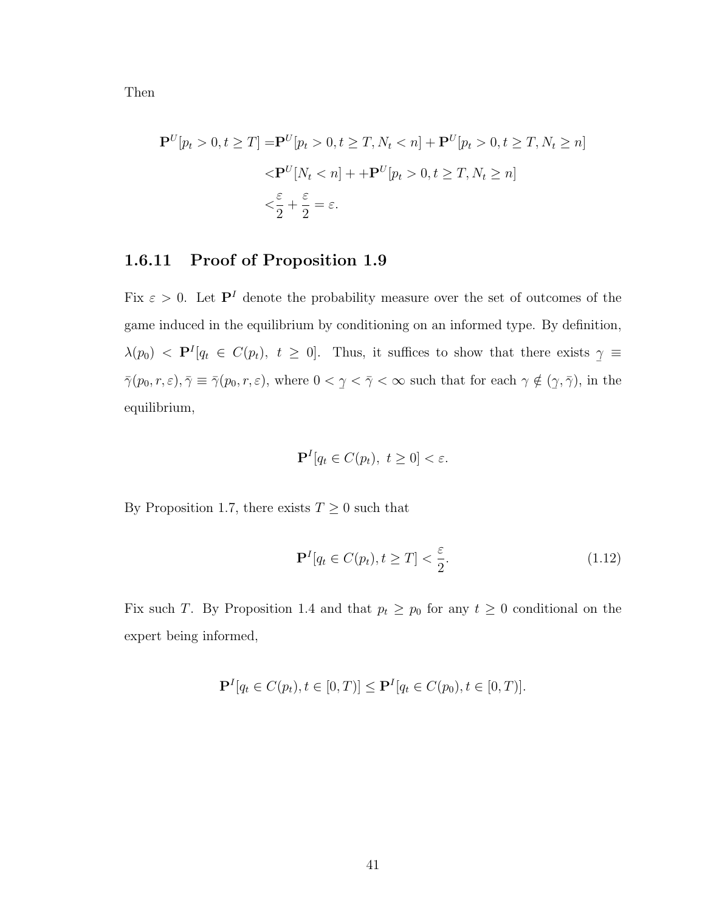Then

$$
\mathbf{P}^{U}[p_t > 0, t \ge T] = \mathbf{P}^{U}[p_t > 0, t \ge T, N_t < n] + \mathbf{P}^{U}[p_t > 0, t \ge T, N_t \ge n]
$$
  

$$
< \mathbf{P}^{U}[N_t < n] + + \mathbf{P}^{U}[p_t > 0, t \ge T, N_t \ge n]
$$
  

$$
< \frac{\varepsilon}{2} + \frac{\varepsilon}{2} = \varepsilon.
$$

# 1.6.11 Proof of Proposition [1.9](#page-38-1)

Fix  $\varepsilon > 0$ . Let  $\mathbf{P}^I$  denote the probability measure over the set of outcomes of the game induced in the equilibrium by conditioning on an informed type. By definition,  $\lambda(p_0)$  <  $\mathbf{P}^{I}[q_t \in C(p_t), t \geq 0].$  Thus, it suffices to show that there exists  $\overline{a}$  $\gamma \equiv$  $\bar{\gamma}(p_0, r, \varepsilon), \bar{\gamma} \equiv \bar{\gamma}(p_0, r, \varepsilon)$ , where  $0 <$  $\overline{a}$  $\gamma < \bar{\gamma} < \infty$  such that for each  $\gamma \notin ($  $\overline{a}$  $(\gamma, \bar{\gamma}),$  in the equilibrium,

$$
\mathbf{P}^{I}[q_t \in C(p_t), \ t \ge 0] < \varepsilon.
$$

By Proposition [1.7,](#page-32-1) there exists  $T\geq 0$  such that

<span id="page-50-0"></span>
$$
\mathbf{P}^{I}[q_t \in C(p_t), t \geq T] < \frac{\varepsilon}{2}.\tag{1.12}
$$

Fix such T. By Proposition [1.4](#page-29-0) and that  $p_t \geq p_0$  for any  $t \geq 0$  conditional on the expert being informed,

$$
\mathbf{P}^{I}[q_t \in C(p_t), t \in [0, T)] \leq \mathbf{P}^{I}[q_t \in C(p_0), t \in [0, T)].
$$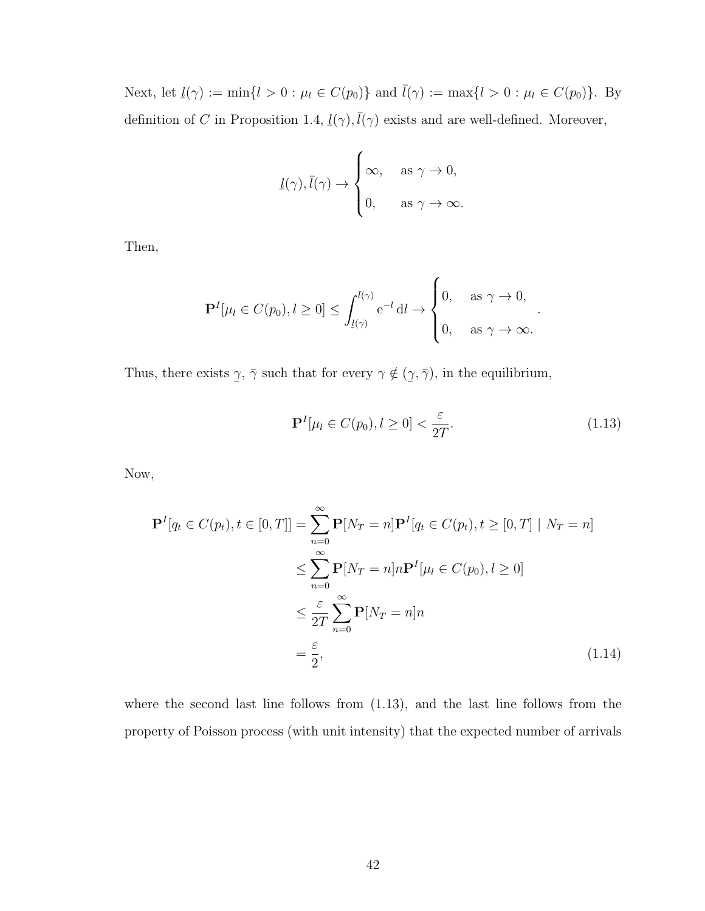Next, let  $\underline{l}(\gamma) := \min\{l > 0 : \mu_l \in C(p_0)\}\$  and  $\overline{l}(\gamma) := \max\{l > 0 : \mu_l \in C(p_0)\}\$ . By definition of  $C$  in Proposition [1.4,](#page-29-0)  $\frac{v}{\sqrt{2}}$  $\underline{l}(\gamma), \overline{l}(\gamma)$  exists and are well-defined. Moreover,

$$
\underline{l}(\gamma), \overline{l}(\gamma) \to \begin{cases} \infty, & \text{as } \gamma \to 0, \\ 0, & \text{as } \gamma \to \infty. \end{cases}
$$

Then,

$$
\mathbf{P}^{I}[\mu_l \in C(p_0), l \ge 0] \le \int_{\underline{l}(\gamma)}^{\overline{l}(\gamma)} e^{-l} \, \mathrm{d}l \to \begin{cases} 0, & \text{as } \gamma \to 0, \\ 0, & \text{as } \gamma \to \infty. \end{cases}
$$

Thus, there exists  $\overline{a}$  $\gamma$ ,  $\bar{\gamma}$  such that for every  $\gamma \notin ($  $\overline{a}$  $(\gamma, \bar{\gamma})$ , in the equilibrium,

$$
\mathbf{P}^{I}[\mu_l \in C(p_0), l \ge 0] < \frac{\varepsilon}{2T}.\tag{1.13}
$$

<span id="page-51-1"></span><span id="page-51-0"></span>.

Now,

$$
\mathbf{P}^{I}[q_{t} \in C(p_{t}), t \in [0, T]] = \sum_{n=0}^{\infty} \mathbf{P}[N_{T} = n] \mathbf{P}^{I}[q_{t} \in C(p_{t}), t \geq [0, T] | N_{T} = n]
$$
  

$$
\leq \sum_{n=0}^{\infty} \mathbf{P}[N_{T} = n] n \mathbf{P}^{I}[\mu_{l} \in C(p_{0}), l \geq 0]
$$
  

$$
\leq \frac{\varepsilon}{2T} \sum_{n=0}^{\infty} \mathbf{P}[N_{T} = n] n
$$
  

$$
= \frac{\varepsilon}{2}, \qquad (1.14)
$$

where the second last line follows from [\(1.13\)](#page-51-0), and the last line follows from the property of Poisson process (with unit intensity) that the expected number of arrivals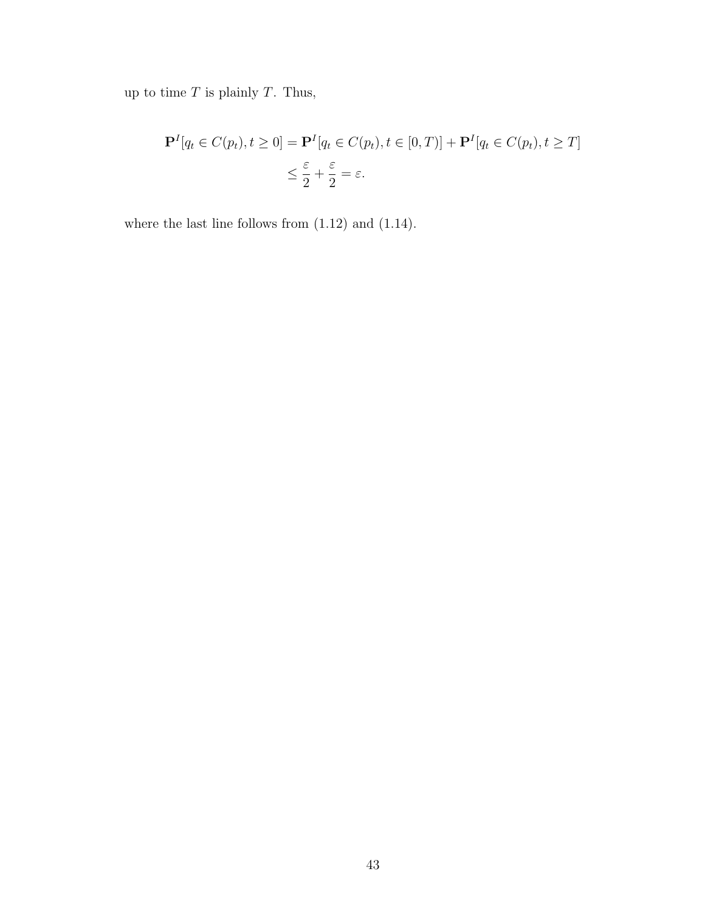up to time  $T$  is plainly  $T$ . Thus,

$$
\mathbf{P}^{I}[q_{t} \in C(p_{t}), t \ge 0] = \mathbf{P}^{I}[q_{t} \in C(p_{t}), t \in [0, T)] + \mathbf{P}^{I}[q_{t} \in C(p_{t}), t \ge T]
$$
  

$$
\le \frac{\varepsilon}{2} + \frac{\varepsilon}{2} = \varepsilon.
$$

where the last line follows from [\(1.12\)](#page-50-0) and [\(1.14\)](#page-51-1).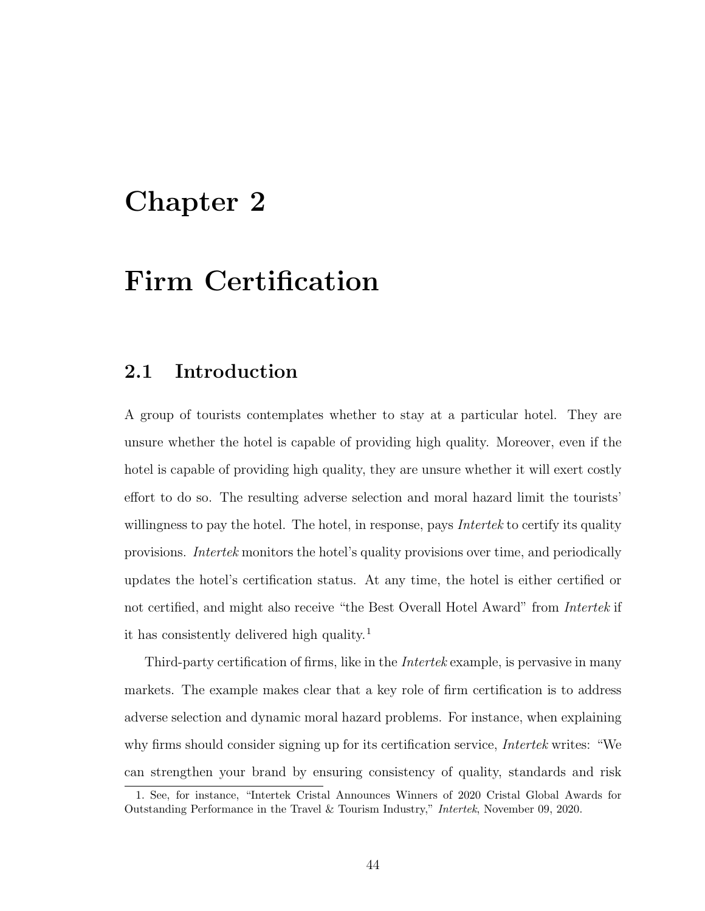# Chapter 2

# Firm Certification

# 2.1 Introduction

A group of tourists contemplates whether to stay at a particular hotel. They are unsure whether the hotel is capable of providing high quality. Moreover, even if the hotel is capable of providing high quality, they are unsure whether it will exert costly effort to do so. The resulting adverse selection and moral hazard limit the tourists' willingness to pay the hotel. The hotel, in response, pays *Intertek* to certify its quality provisions. Intertek monitors the hotel's quality provisions over time, and periodically updates the hotel's certification status. At any time, the hotel is either certified or not certified, and might also receive "the Best Overall Hotel Award" from Intertek if it has consistently delivered high quality.<sup>[1](#page-53-0)</sup>

Third-party certification of firms, like in the Intertek example, is pervasive in many markets. The example makes clear that a key role of firm certification is to address adverse selection and dynamic moral hazard problems. For instance, when explaining why firms should consider signing up for its certification service, *Intertek* writes: "We can strengthen your brand by ensuring consistency of quality, standards and risk

<span id="page-53-0"></span><sup>1.</sup> See, for instance, "Intertek Cristal Announces Winners of 2020 Cristal Global Awards for Outstanding Performance in the Travel & Tourism Industry," Intertek, November 09, 2020.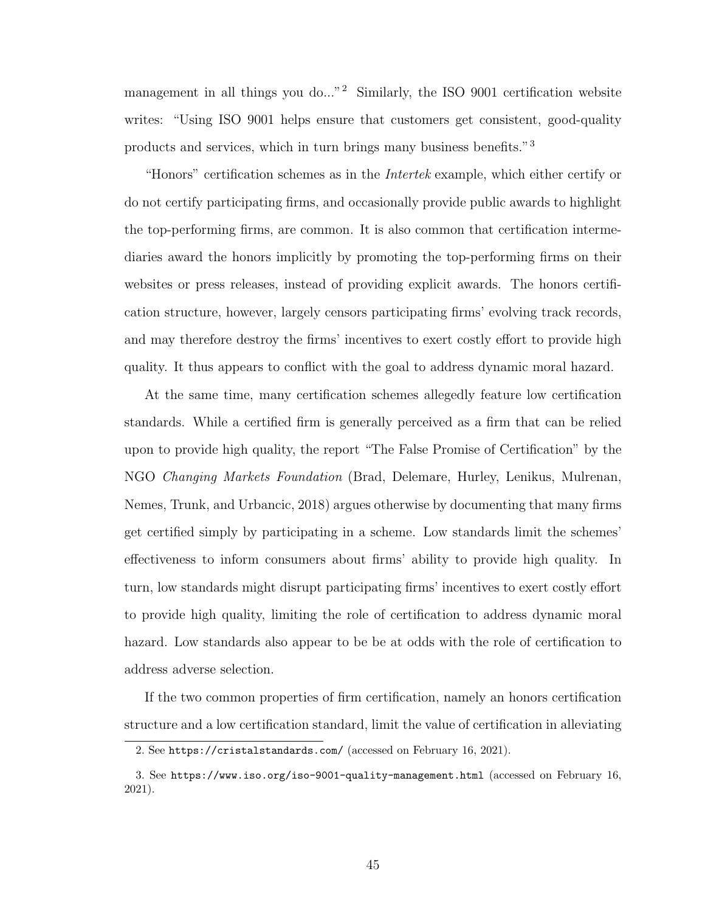management in all things you do..."<sup>[2](#page-54-0)</sup> Similarly, the ISO 9001 certification website writes: "Using ISO 9001 helps ensure that customers get consistent, good-quality products and services, which in turn brings many business benefits."[3](#page-54-1)

"Honors" certification schemes as in the Intertek example, which either certify or do not certify participating firms, and occasionally provide public awards to highlight the top-performing firms, are common. It is also common that certification intermediaries award the honors implicitly by promoting the top-performing firms on their websites or press releases, instead of providing explicit awards. The honors certification structure, however, largely censors participating firms' evolving track records, and may therefore destroy the firms' incentives to exert costly effort to provide high quality. It thus appears to conflict with the goal to address dynamic moral hazard.

At the same time, many certification schemes allegedly feature low certification standards. While a certified firm is generally perceived as a firm that can be relied upon to provide high quality, the report "The False Promise of Certification" by the NGO Changing Markets Foundation [\(Brad, Delemare, Hurley, Lenikus, Mulrenan,](#page-133-1) [Nemes, Trunk, and Urbancic,](#page-133-1) [2018\)](#page-133-1) argues otherwise by documenting that many firms get certified simply by participating in a scheme. Low standards limit the schemes' effectiveness to inform consumers about firms' ability to provide high quality. In turn, low standards might disrupt participating firms' incentives to exert costly effort to provide high quality, limiting the role of certification to address dynamic moral hazard. Low standards also appear to be be at odds with the role of certification to address adverse selection.

If the two common properties of firm certification, namely an honors certification structure and a low certification standard, limit the value of certification in alleviating

<span id="page-54-0"></span><sup>2.</sup> See <https://cristalstandards.com/> (accessed on February 16, 2021).

<span id="page-54-1"></span><sup>3.</sup> See <https://www.iso.org/iso-9001-quality-management.html> (accessed on February 16, 2021).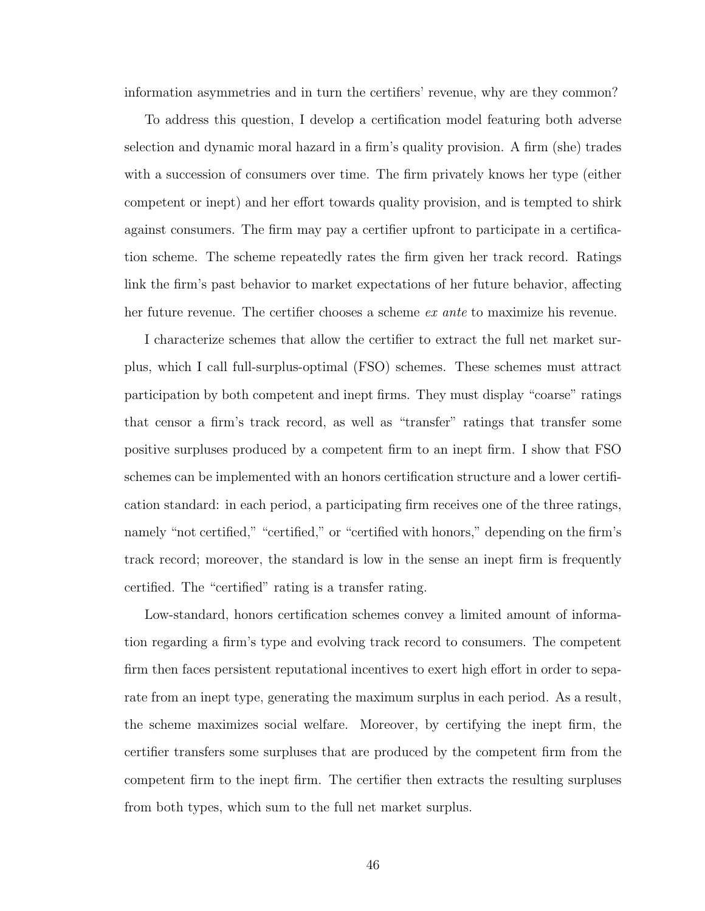information asymmetries and in turn the certifiers' revenue, why are they common?

To address this question, I develop a certification model featuring both adverse selection and dynamic moral hazard in a firm's quality provision. A firm (she) trades with a succession of consumers over time. The firm privately knows her type (either competent or inept) and her effort towards quality provision, and is tempted to shirk against consumers. The firm may pay a certifier upfront to participate in a certification scheme. The scheme repeatedly rates the firm given her track record. Ratings link the firm's past behavior to market expectations of her future behavior, affecting her future revenue. The certifier chooses a scheme *ex ante* to maximize his revenue.

I characterize schemes that allow the certifier to extract the full net market surplus, which I call full-surplus-optimal (FSO) schemes. These schemes must attract participation by both competent and inept firms. They must display "coarse" ratings that censor a firm's track record, as well as "transfer" ratings that transfer some positive surpluses produced by a competent firm to an inept firm. I show that FSO schemes can be implemented with an honors certification structure and a lower certification standard: in each period, a participating firm receives one of the three ratings, namely "not certified," "certified," or "certified with honors," depending on the firm's track record; moreover, the standard is low in the sense an inept firm is frequently certified. The "certified" rating is a transfer rating.

Low-standard, honors certification schemes convey a limited amount of information regarding a firm's type and evolving track record to consumers. The competent firm then faces persistent reputational incentives to exert high effort in order to separate from an inept type, generating the maximum surplus in each period. As a result, the scheme maximizes social welfare. Moreover, by certifying the inept firm, the certifier transfers some surpluses that are produced by the competent firm from the competent firm to the inept firm. The certifier then extracts the resulting surpluses from both types, which sum to the full net market surplus.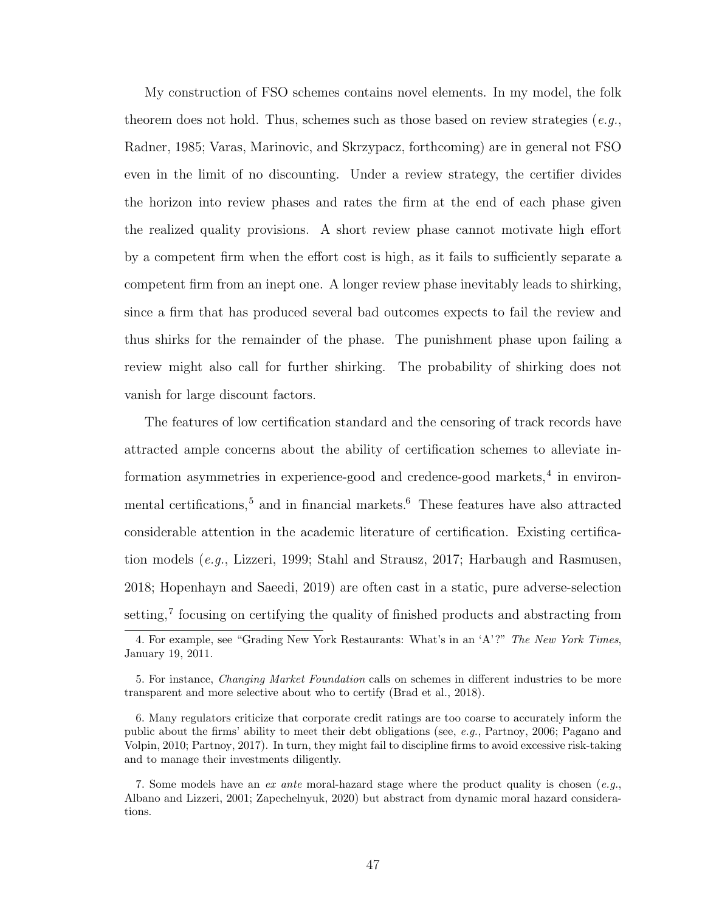My construction of FSO schemes contains novel elements. In my model, the folk theorem does not hold. Thus, schemes such as those based on review strategies  $(e.g.,)$ [Radner,](#page-139-0) [1985;](#page-139-0) [Varas, Marinovic, and Skrzypacz,](#page-140-1) forthcoming) are in general not FSO even in the limit of no discounting. Under a review strategy, the certifier divides the horizon into review phases and rates the firm at the end of each phase given the realized quality provisions. A short review phase cannot motivate high effort by a competent firm when the effort cost is high, as it fails to sufficiently separate a competent firm from an inept one. A longer review phase inevitably leads to shirking, since a firm that has produced several bad outcomes expects to fail the review and thus shirks for the remainder of the phase. The punishment phase upon failing a review might also call for further shirking. The probability of shirking does not vanish for large discount factors.

The features of low certification standard and the censoring of track records have attracted ample concerns about the ability of certification schemes to alleviate in-formation asymmetries in experience-good and credence-good markets,<sup>[4](#page-56-0)</sup> in environ-mental certifications,<sup>[5](#page-56-1)</sup> and in financial markets.<sup>[6](#page-56-2)</sup> These features have also attracted considerable attention in the academic literature of certification. Existing certification models (e.g., [Lizzeri,](#page-137-0) [1999;](#page-137-0) [Stahl and Strausz,](#page-140-2) [2017;](#page-140-2) [Harbaugh and Rasmusen,](#page-135-1) [2018;](#page-135-1) [Hopenhayn and Saeedi,](#page-136-1) [2019\)](#page-136-1) are often cast in a static, pure adverse-selection setting,<sup>[7](#page-56-3)</sup> focusing on certifying the quality of finished products and abstracting from

<span id="page-56-0"></span><sup>4.</sup> For example, see "Grading New York Restaurants: What's in an 'A'?" The New York Times, January 19, 2011.

<span id="page-56-1"></span><sup>5.</sup> For instance, Changing Market Foundation calls on schemes in different industries to be more transparent and more selective about who to certify [\(Brad et al.,](#page-133-1) [2018\)](#page-133-1).

<span id="page-56-2"></span><sup>6.</sup> Many regulators criticize that corporate credit ratings are too coarse to accurately inform the public about the firms' ability to meet their debt obligations (see, e.g., [Partnoy,](#page-139-1) [2006;](#page-139-1) [Pagano and](#page-138-0) [Volpin,](#page-138-0) [2010;](#page-138-0) [Partnoy,](#page-139-2) [2017\)](#page-139-2). In turn, they might fail to discipline firms to avoid excessive risk-taking and to manage their investments diligently.

<span id="page-56-3"></span><sup>7.</sup> Some models have an ex ante moral-hazard stage where the product quality is chosen (e.g., [Albano and Lizzeri,](#page-132-2) [2001;](#page-132-2) [Zapechelnyuk,](#page-140-3) [2020\)](#page-140-3) but abstract from dynamic moral hazard considerations.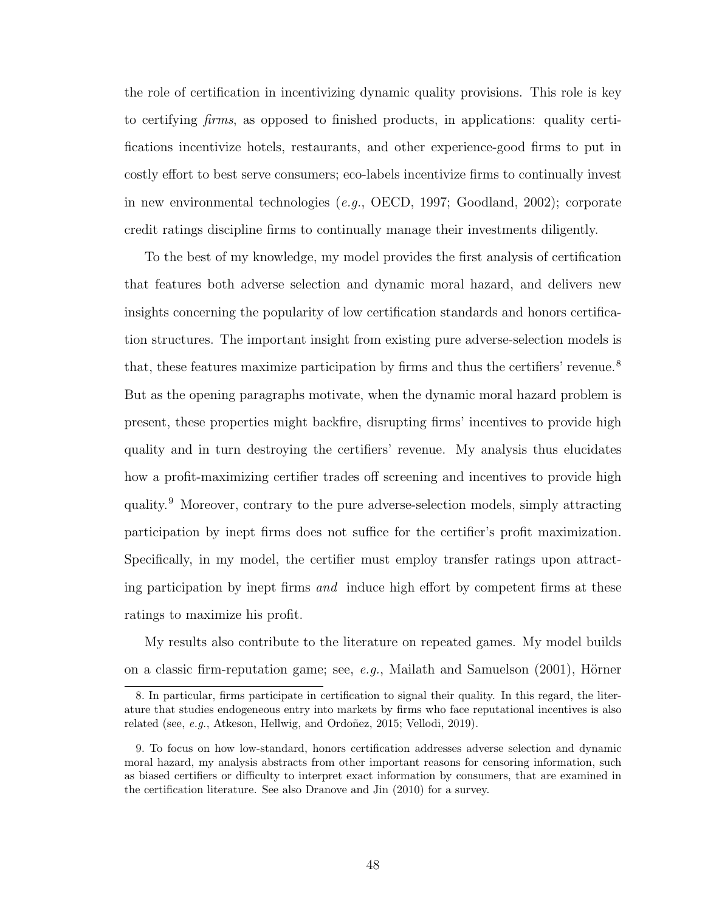the role of certification in incentivizing dynamic quality provisions. This role is key to certifying firms, as opposed to finished products, in applications: quality certifications incentivize hotels, restaurants, and other experience-good firms to put in costly effort to best serve consumers; eco-labels incentivize firms to continually invest in new environmental technologies (e.g., [OECD,](#page-138-1) [1997;](#page-138-1) [Goodland,](#page-135-2) [2002\)](#page-135-2); corporate credit ratings discipline firms to continually manage their investments diligently.

To the best of my knowledge, my model provides the first analysis of certification that features both adverse selection and dynamic moral hazard, and delivers new insights concerning the popularity of low certification standards and honors certification structures. The important insight from existing pure adverse-selection models is that, these features maximize participation by firms and thus the certifiers' revenue.<sup>[8](#page-57-0)</sup> But as the opening paragraphs motivate, when the dynamic moral hazard problem is present, these properties might backfire, disrupting firms' incentives to provide high quality and in turn destroying the certifiers' revenue. My analysis thus elucidates how a profit-maximizing certifier trades off screening and incentives to provide high quality.[9](#page-57-1) Moreover, contrary to the pure adverse-selection models, simply attracting participation by inept firms does not suffice for the certifier's profit maximization. Specifically, in my model, the certifier must employ transfer ratings upon attracting participation by inept firms and induce high effort by competent firms at these ratings to maximize his profit.

My results also contribute to the literature on repeated games. My model builds on a classic firm-reputation game; see,  $e,q$ ., [Mailath and Samuelson](#page-137-1) [\(2001\)](#page-137-1), Hörner

<span id="page-57-0"></span><sup>8.</sup> In particular, firms participate in certification to signal their quality. In this regard, the literature that studies endogeneous entry into markets by firms who face reputational incentives is also related (see, e.g., Atkeson, Hellwig, and Ordoñez, [2015;](#page-132-3) [Vellodi,](#page-140-4) [2019\)](#page-140-4).

<span id="page-57-1"></span><sup>9.</sup> To focus on how low-standard, honors certification addresses adverse selection and dynamic moral hazard, my analysis abstracts from other important reasons for censoring information, such as biased certifiers or difficulty to interpret exact information by consumers, that are examined in the certification literature. See also [Dranove and Jin](#page-134-0) [\(2010\)](#page-134-0) for a survey.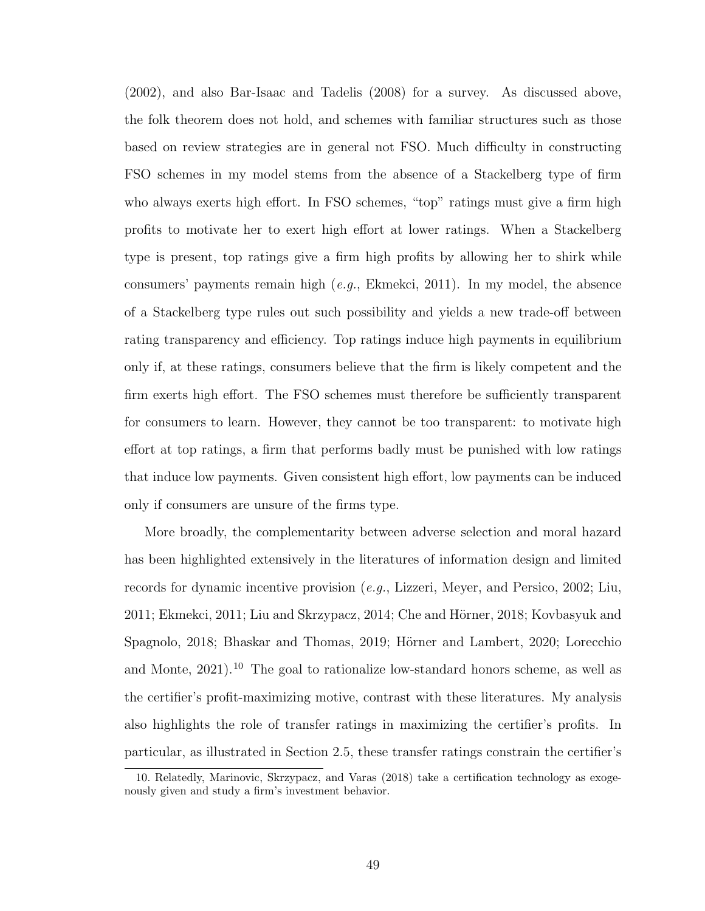[\(2002\)](#page-136-2), and also [Bar-Isaac and Tadelis](#page-132-4) [\(2008\)](#page-132-4) for a survey. As discussed above, the folk theorem does not hold, and schemes with familiar structures such as those based on review strategies are in general not FSO. Much difficulty in constructing FSO schemes in my model stems from the absence of a Stackelberg type of firm who always exerts high effort. In FSO schemes, "top" ratings must give a firm high profits to motivate her to exert high effort at lower ratings. When a Stackelberg type is present, top ratings give a firm high profits by allowing her to shirk while consumers' payments remain high  $(e.g., \text{Ekmekci}, 2011)$  $(e.g., \text{Ekmekci}, 2011)$ . In my model, the absence of a Stackelberg type rules out such possibility and yields a new trade-off between rating transparency and efficiency. Top ratings induce high payments in equilibrium only if, at these ratings, consumers believe that the firm is likely competent and the firm exerts high effort. The FSO schemes must therefore be sufficiently transparent for consumers to learn. However, they cannot be too transparent: to motivate high effort at top ratings, a firm that performs badly must be punished with low ratings that induce low payments. Given consistent high effort, low payments can be induced only if consumers are unsure of the firms type.

More broadly, the complementarity between adverse selection and moral hazard has been highlighted extensively in the literatures of information design and limited records for dynamic incentive provision (e.g., [Lizzeri, Meyer, and Persico,](#page-137-2) [2002;](#page-137-2) [Liu,](#page-137-3) [2011;](#page-134-1) [Ekmekci,](#page-134-1) 2011; [Liu and Skrzypacz,](#page-137-4) [2014;](#page-137-4) Che and Hörner, [2018;](#page-133-2) [Kovbasyuk and](#page-136-3) [Spagnolo,](#page-136-3) [2018;](#page-136-3) [Bhaskar and Thomas,](#page-133-3) [2019;](#page-133-3) Hörner and Lambert, [2020;](#page-136-4) [Lorecchio](#page-137-5) [and Monte,](#page-137-5)  $2021$ .<sup>[10](#page-58-0)</sup> The goal to rationalize low-standard honors scheme, as well as the certifier's profit-maximizing motive, contrast with these literatures. My analysis also highlights the role of transfer ratings in maximizing the certifier's profits. In particular, as illustrated in Section [2.5,](#page-74-0) these transfer ratings constrain the certifier's

<span id="page-58-0"></span><sup>10.</sup> Relatedly, [Marinovic, Skrzypacz, and Varas](#page-137-6) [\(2018\)](#page-137-6) take a certification technology as exogenously given and study a firm's investment behavior.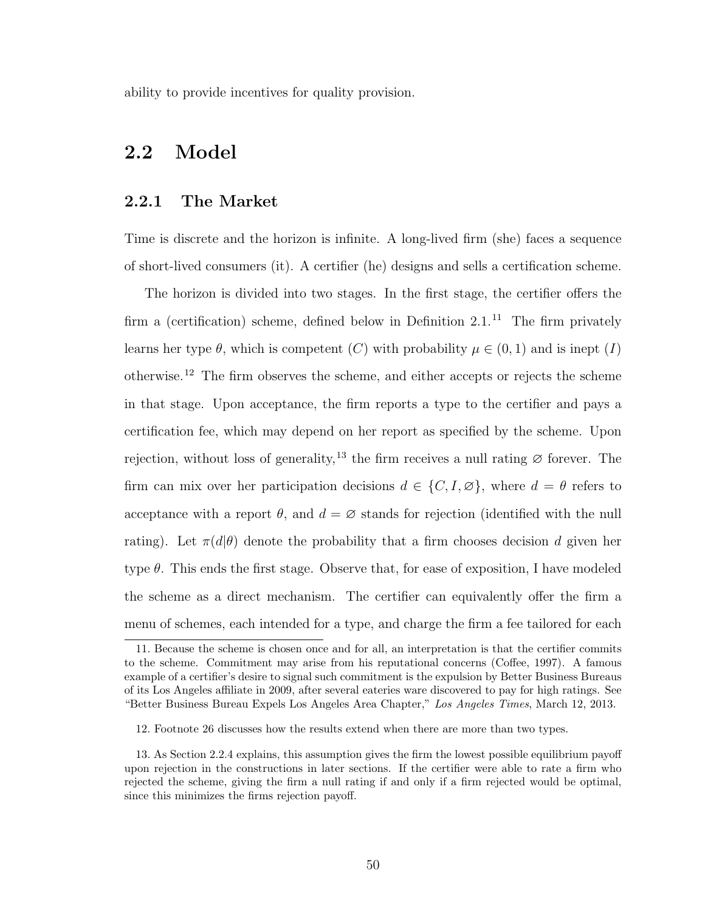ability to provide incentives for quality provision.

# 2.2 Model

#### <span id="page-59-3"></span>2.2.1 The Market

Time is discrete and the horizon is infinite. A long-lived firm (she) faces a sequence of short-lived consumers (it). A certifier (he) designs and sells a certification scheme.

The horizon is divided into two stages. In the first stage, the certifier offers the firm a (certification) scheme, defined below in Definition  $2.1$ .<sup>[11](#page-59-0)</sup> The firm privately learns her type  $\theta$ , which is competent  $(C)$  with probability  $\mu \in (0,1)$  and is inept  $(I)$ otherwise.[12](#page-59-1) The firm observes the scheme, and either accepts or rejects the scheme in that stage. Upon acceptance, the firm reports a type to the certifier and pays a certification fee, which may depend on her report as specified by the scheme. Upon rejection, without loss of generality,<sup>[13](#page-59-2)</sup> the firm receives a null rating  $\varnothing$  forever. The firm can mix over her participation decisions  $d \in \{C, I, \emptyset\}$ , where  $d = \theta$  refers to acceptance with a report  $\theta$ , and  $d = \emptyset$  stands for rejection (identified with the null rating). Let  $\pi(d|\theta)$  denote the probability that a firm chooses decision d given her type  $\theta$ . This ends the first stage. Observe that, for ease of exposition, I have modeled the scheme as a direct mechanism. The certifier can equivalently offer the firm a menu of schemes, each intended for a type, and charge the firm a fee tailored for each

<span id="page-59-0"></span><sup>11.</sup> Because the scheme is chosen once and for all, an interpretation is that the certifier commits to the scheme. Commitment may arise from his reputational concerns [\(Coffee,](#page-133-4) [1997\)](#page-133-4). A famous example of a certifier's desire to signal such commitment is the expulsion by Better Business Bureaus of its Los Angeles affiliate in 2009, after several eateries ware discovered to pay for high ratings. See "Better Business Bureau Expels Los Angeles Area Chapter," Los Angeles Times, March 12, 2013.

<span id="page-59-2"></span><span id="page-59-1"></span><sup>12.</sup> Footnote [26](#page-81-0) discusses how the results extend when there are more than two types.

<sup>13.</sup> As Section [2.2.4](#page-65-0) explains, this assumption gives the firm the lowest possible equilibrium payoff upon rejection in the constructions in later sections. If the certifier were able to rate a firm who rejected the scheme, giving the firm a null rating if and only if a firm rejected would be optimal, since this minimizes the firms rejection payoff.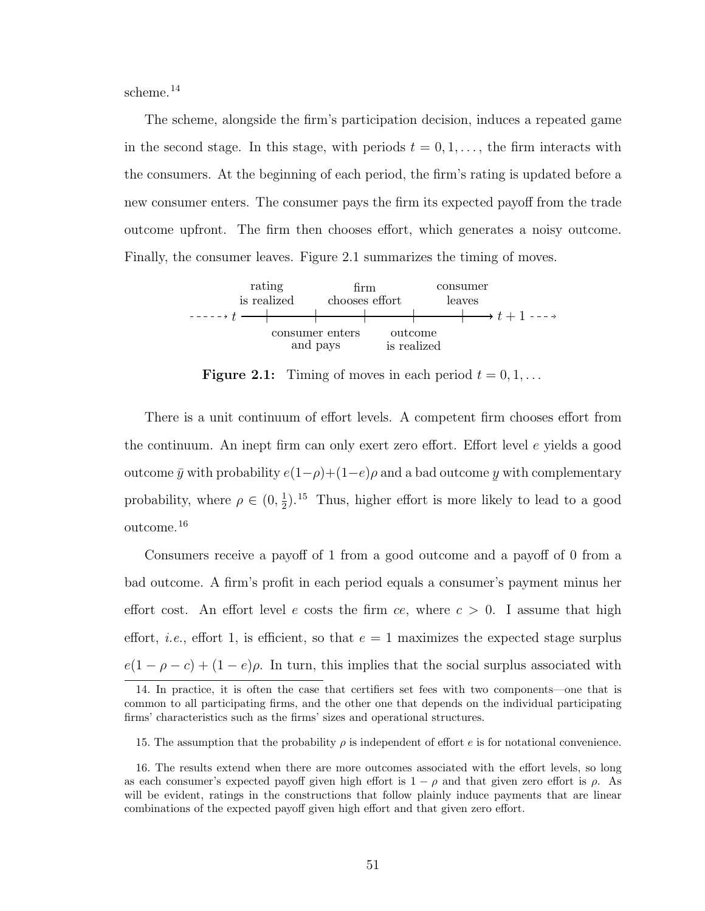scheme.[14](#page-60-0)

The scheme, alongside the firm's participation decision, induces a repeated game in the second stage. In this stage, with periods  $t = 0, 1, \ldots$ , the firm interacts with the consumers. At the beginning of each period, the firm's rating is updated before a new consumer enters. The consumer pays the firm its expected payoff from the trade outcome upfront. The firm then chooses effort, which generates a noisy outcome. Finally, the consumer leaves. Figure [2.1](#page-60-1) summarizes the timing of moves.

<span id="page-60-1"></span>

**Figure 2.1:** Timing of moves in each period  $t = 0, 1, \ldots$ 

There is a unit continuum of effort levels. A competent firm chooses effort from the continuum. An inept firm can only exert zero effort. Effort level e yields a good outcome  $\bar{y}$  with probability  $e(1-\rho)+(1-e)\rho$  and a bad outcome  $\frac{1}{2}$ y with complementary probability, where  $\rho \in (0, \frac{1}{2})$  $\frac{1}{2}$ ).<sup>[15](#page-60-2)</sup> Thus, higher effort is more likely to lead to a good outcome.[16](#page-60-3)

Consumers receive a payoff of 1 from a good outcome and a payoff of 0 from a bad outcome. A firm's profit in each period equals a consumer's payment minus her effort cost. An effort level e costs the firm ce, where  $c > 0$ . I assume that high effort, *i.e.*, effort 1, is efficient, so that  $e = 1$  maximizes the expected stage surplus  $e(1 - \rho - c) + (1 - e)\rho$ . In turn, this implies that the social surplus associated with

<span id="page-60-0"></span><sup>14.</sup> In practice, it is often the case that certifiers set fees with two components—one that is common to all participating firms, and the other one that depends on the individual participating firms' characteristics such as the firms' sizes and operational structures.

<span id="page-60-3"></span><span id="page-60-2"></span><sup>15.</sup> The assumption that the probability  $\rho$  is independent of effort e is for notational convenience.

<sup>16.</sup> The results extend when there are more outcomes associated with the effort levels, so long as each consumer's expected payoff given high effort is  $1 - \rho$  and that given zero effort is  $\rho$ . As will be evident, ratings in the constructions that follow plainly induce payments that are linear combinations of the expected payoff given high effort and that given zero effort.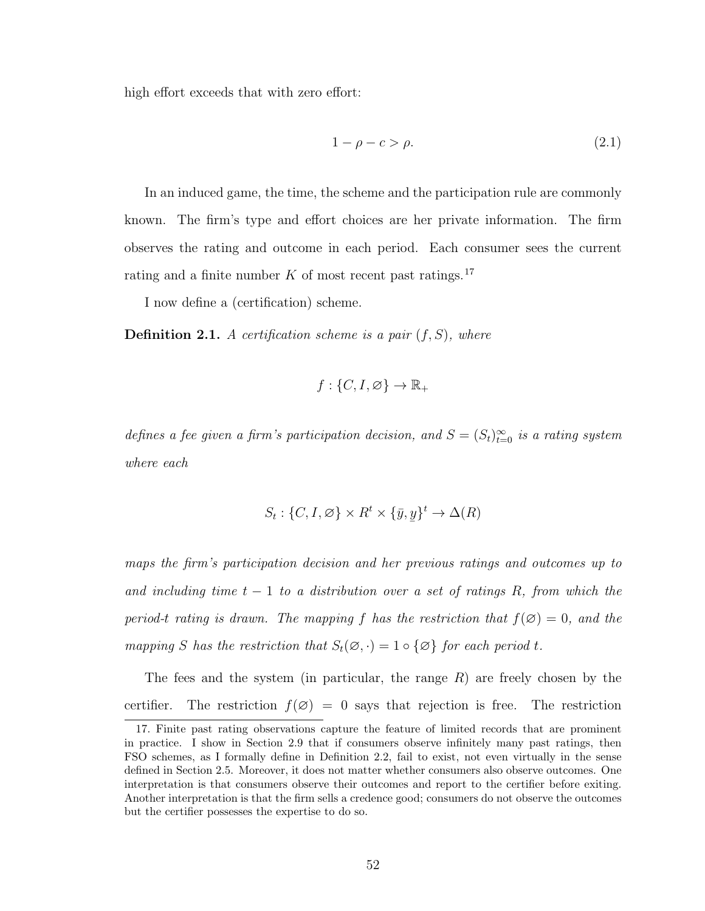high effort exceeds that with zero effort:

<span id="page-61-2"></span>
$$
1 - \rho - c > \rho. \tag{2.1}
$$

In an induced game, the time, the scheme and the participation rule are commonly known. The firm's type and effort choices are her private information. The firm observes the rating and outcome in each period. Each consumer sees the current rating and a finite number  $K$  of most recent past ratings.<sup>[17](#page-61-1)</sup>

I now define a (certification) scheme.

<span id="page-61-0"></span>**Definition 2.1.** A certification scheme is a pair  $(f, S)$ , where

$$
f: \{C, I, \varnothing\} \to \mathbb{R}_+
$$

defines a fee given a firm's participation decision, and  $S = (S_t)_{t=0}^{\infty}$  is a rating system where each

$$
S_t: \{C, I, \emptyset\} \times R^t \times \{\bar{y}, \underline{y}\}^t \to \Delta(R)
$$

maps the firm's participation decision and her previous ratings and outcomes up to and including time  $t - 1$  to a distribution over a set of ratings R, from which the period-t rating is drawn. The mapping f has the restriction that  $f(\emptyset) = 0$ , and the mapping S has the restriction that  $S_t(\emptyset, \cdot) = 1 \circ {\emptyset}$  for each period t.

The fees and the system (in particular, the range  $R$ ) are freely chosen by the certifier. The restriction  $f(\emptyset) = 0$  says that rejection is free. The restriction

<span id="page-61-1"></span><sup>17.</sup> Finite past rating observations capture the feature of limited records that are prominent in practice. I show in Section [2.9](#page-90-0) that if consumers observe infinitely many past ratings, then FSO schemes, as I formally define in Definition [2.2,](#page-67-0) fail to exist, not even virtually in the sense defined in Section [2.5.](#page-74-0) Moreover, it does not matter whether consumers also observe outcomes. One interpretation is that consumers observe their outcomes and report to the certifier before exiting. Another interpretation is that the firm sells a credence good; consumers do not observe the outcomes but the certifier possesses the expertise to do so.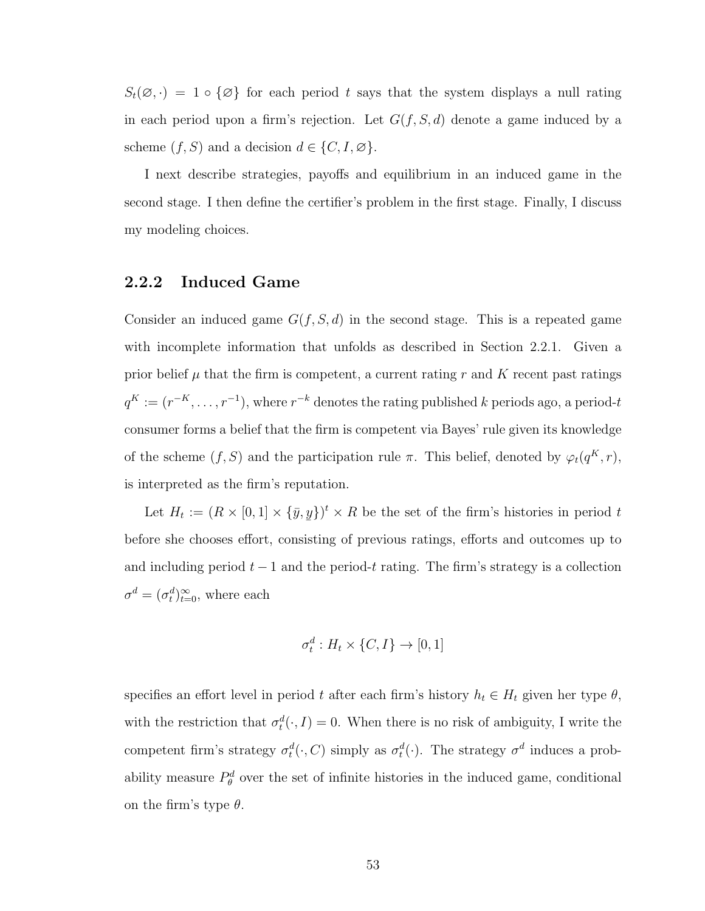$S_t(\emptyset, \cdot) = 1 \circ {\emptyset}$  for each period t says that the system displays a null rating in each period upon a firm's rejection. Let  $G(f, S, d)$  denote a game induced by a scheme  $(f, S)$  and a decision  $d \in \{C, I, \emptyset\}.$ 

I next describe strategies, payoffs and equilibrium in an induced game in the second stage. I then define the certifier's problem in the first stage. Finally, I discuss my modeling choices.

# <span id="page-62-0"></span>2.2.2 Induced Game

Consider an induced game  $G(f, S, d)$  in the second stage. This is a repeated game with incomplete information that unfolds as described in Section [2.2.1.](#page-59-3) Given a prior belief  $\mu$  that the firm is competent, a current rating r and K recent past ratings  $q^K := (r^{-K}, \ldots, r^{-1})$ , where  $r^{-k}$  denotes the rating published k periods ago, a period-t consumer forms a belief that the firm is competent via Bayes' rule given its knowledge of the scheme  $(f, S)$  and the participation rule  $\pi$ . This belief, denoted by  $\varphi_t(q^K, r)$ , is interpreted as the firm's reputation.

Let  $H_t := (R \times [0,1] \times {\overline{y}},$  $\frac{6}{1}$  $y\}$ <sup>t</sup> × R be the set of the firm's histories in period t before she chooses effort, consisting of previous ratings, efforts and outcomes up to and including period  $t - 1$  and the period-t rating. The firm's strategy is a collection  $\sigma^d = (\sigma^d_t)_{t=0}^{\infty}$ , where each

$$
\sigma_t^d: H_t \times \{C, I\} \to [0, 1]
$$

specifies an effort level in period t after each firm's history  $h_t \in H_t$  given her type  $\theta$ , with the restriction that  $\sigma_t^d(\cdot, I) = 0$ . When there is no risk of ambiguity, I write the competent firm's strategy  $\sigma_t^d(\cdot, C)$  simply as  $\sigma_t^d(\cdot)$ . The strategy  $\sigma^d$  induces a probability measure  $P_{\theta}^{d}$  over the set of infinite histories in the induced game, conditional on the firm's type  $\theta$ .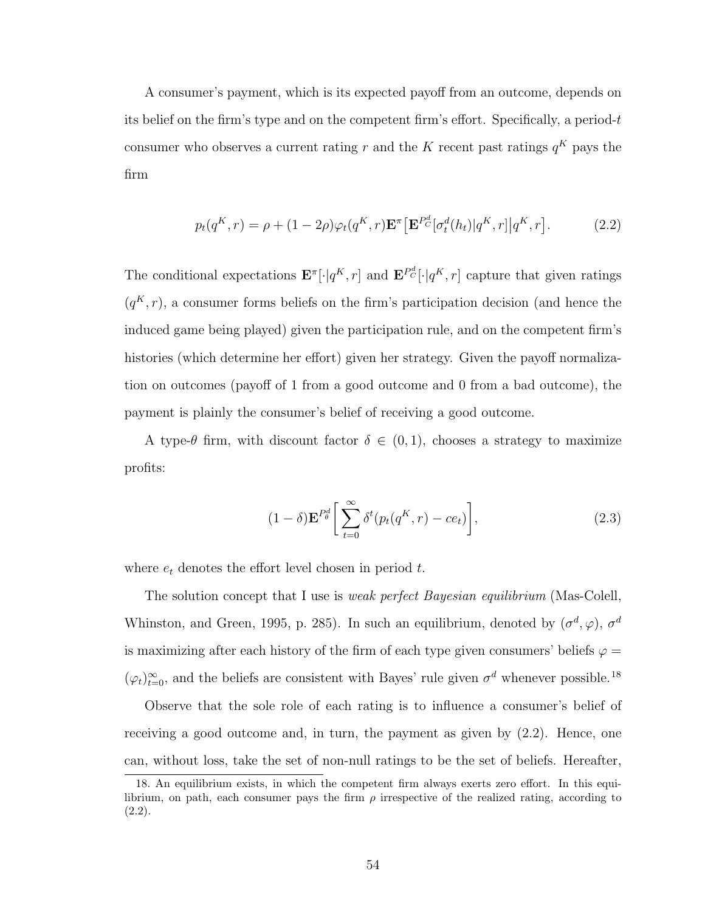A consumer's payment, which is its expected payoff from an outcome, depends on its belief on the firm's type and on the competent firm's effort. Specifically, a period- $t$ consumer who observes a current rating r and the K recent past ratings  $q<sup>K</sup>$  pays the firm

<span id="page-63-1"></span>
$$
p_t(q^K, r) = \rho + (1 - 2\rho)\varphi_t(q^K, r)\mathbf{E}^\pi \left[\mathbf{E}^{P^d_C}[\sigma^d_t(h_t)|q^K, r]\right|q^K, r].
$$
 (2.2)

The conditional expectations  $\mathbf{E}^{\pi}[\cdot|q^K, r]$  and  $\mathbf{E}^{P_C^d}[\cdot|q^K, r]$  capture that given ratings  $(q<sup>K</sup>, r)$ , a consumer forms beliefs on the firm's participation decision (and hence the induced game being played) given the participation rule, and on the competent firm's histories (which determine her effort) given her strategy. Given the payoff normalization on outcomes (payoff of 1 from a good outcome and 0 from a bad outcome), the payment is plainly the consumer's belief of receiving a good outcome.

A type- $\theta$  firm, with discount factor  $\delta \in (0,1)$ , chooses a strategy to maximize profits:

$$
(1 - \delta) \mathbf{E}^{P_{\theta}^{d}} \bigg[ \sum_{t=0}^{\infty} \delta^{t} (p_t(q^K, r) - ce_t) \bigg], \tag{2.3}
$$

where  $e_t$  denotes the effort level chosen in period  $t$ .

The solution concept that I use is *weak perfect Bayesian equilibrium* [\(Mas-Colell,](#page-137-7) [Whinston, and Green,](#page-137-7) [1995,](#page-137-7) p. 285). In such an equilibrium, denoted by  $(\sigma^d, \varphi)$ ,  $\sigma^d$ is maximizing after each history of the firm of each type given consumers' beliefs  $\varphi =$  $(\varphi_t)_{t=0}^{\infty}$ , and the beliefs are consistent with Bayes' rule given  $\sigma^d$  whenever possible.<sup>[18](#page-63-0)</sup>

Observe that the sole role of each rating is to influence a consumer's belief of receiving a good outcome and, in turn, the payment as given by [\(2.2\)](#page-63-1). Hence, one can, without loss, take the set of non-null ratings to be the set of beliefs. Hereafter,

<span id="page-63-0"></span><sup>18.</sup> An equilibrium exists, in which the competent firm always exerts zero effort. In this equilibrium, on path, each consumer pays the firm  $\rho$  irrespective of the realized rating, according to [\(2.2\)](#page-63-1).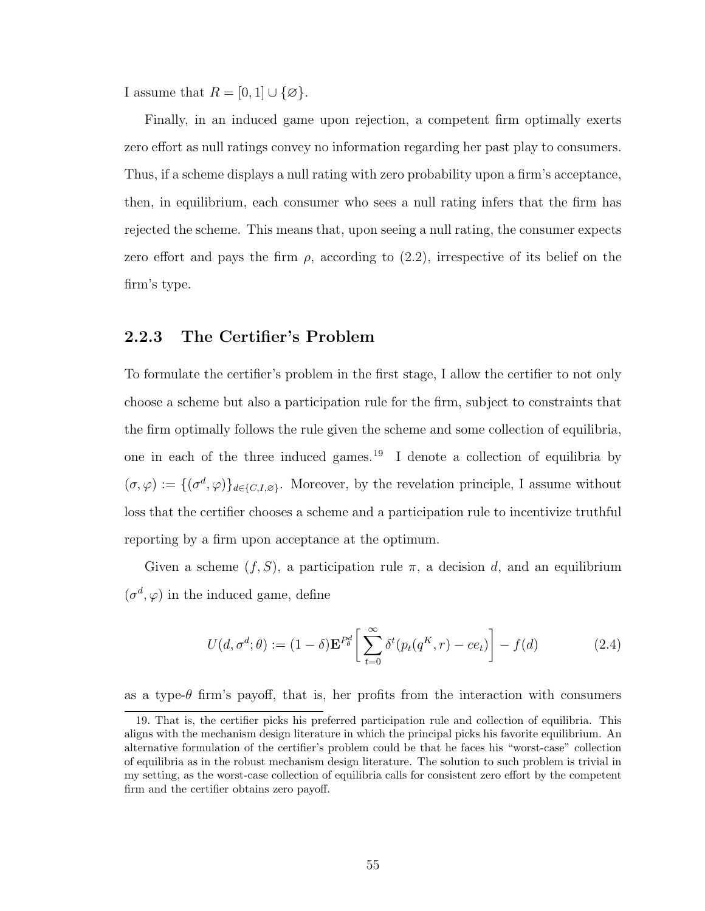I assume that  $R = [0, 1] \cup \{\emptyset\}.$ 

Finally, in an induced game upon rejection, a competent firm optimally exerts zero effort as null ratings convey no information regarding her past play to consumers. Thus, if a scheme displays a null rating with zero probability upon a firm's acceptance, then, in equilibrium, each consumer who sees a null rating infers that the firm has rejected the scheme. This means that, upon seeing a null rating, the consumer expects zero effort and pays the firm  $\rho$ , according to [\(2.2\)](#page-63-1), irrespective of its belief on the firm's type.

### 2.2.3 The Certifier's Problem

To formulate the certifier's problem in the first stage, I allow the certifier to not only choose a scheme but also a participation rule for the firm, subject to constraints that the firm optimally follows the rule given the scheme and some collection of equilibria, one in each of the three induced games.<sup>[19](#page-64-0)</sup> I denote a collection of equilibria by  $(\sigma, \varphi) := \{(\sigma^d, \varphi)\}_{d \in \{C, I, \varnothing\}}$ . Moreover, by the revelation principle, I assume without loss that the certifier chooses a scheme and a participation rule to incentivize truthful reporting by a firm upon acceptance at the optimum.

Given a scheme  $(f, S)$ , a participation rule  $\pi$ , a decision d, and an equilibrium  $(\sigma^d, \varphi)$  in the induced game, define

<span id="page-64-1"></span>
$$
U(d, \sigma^d; \theta) := (1 - \delta) \mathbf{E}^{P_{\theta}^d} \left[ \sum_{t=0}^{\infty} \delta^t(p_t(q^K, r) - ce_t) \right] - f(d)
$$
 (2.4)

as a type- $\theta$  firm's payoff, that is, her profits from the interaction with consumers

<span id="page-64-0"></span><sup>19.</sup> That is, the certifier picks his preferred participation rule and collection of equilibria. This aligns with the mechanism design literature in which the principal picks his favorite equilibrium. An alternative formulation of the certifier's problem could be that he faces his "worst-case" collection of equilibria as in the robust mechanism design literature. The solution to such problem is trivial in my setting, as the worst-case collection of equilibria calls for consistent zero effort by the competent firm and the certifier obtains zero payoff.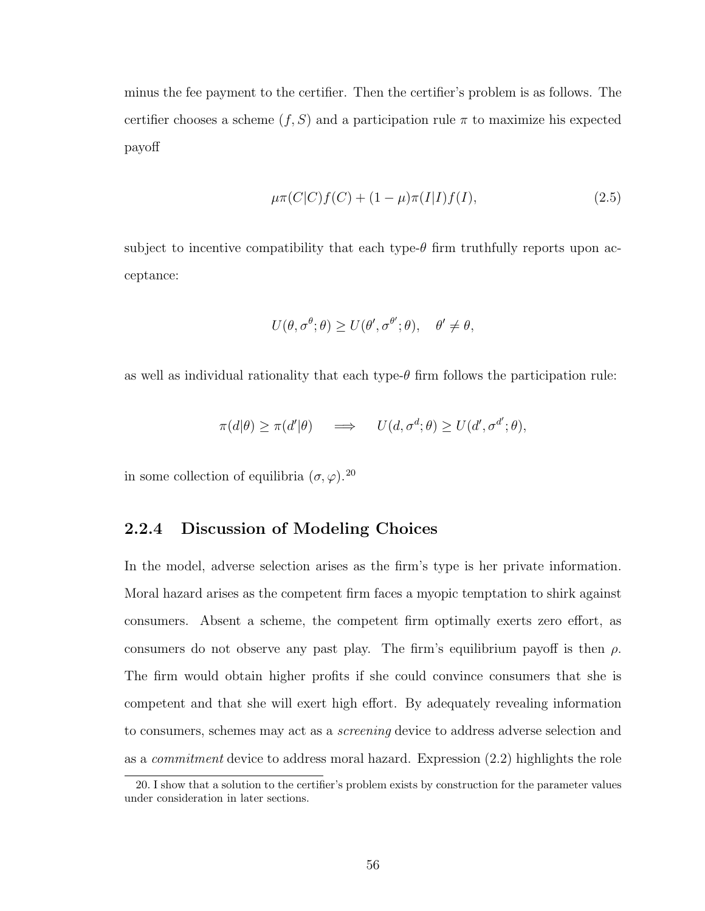minus the fee payment to the certifier. Then the certifier's problem is as follows. The certifier chooses a scheme  $(f, S)$  and a participation rule  $\pi$  to maximize his expected payoff

$$
\mu \pi(C|C)f(C) + (1 - \mu)\pi(I|I)f(I),\tag{2.5}
$$

subject to incentive compatibility that each type- $\theta$  firm truthfully reports upon acceptance:

$$
U(\theta, \sigma^{\theta}; \theta) \ge U(\theta', \sigma^{\theta'}; \theta), \quad \theta' \ne \theta,
$$

as well as individual rationality that each type- $\theta$  firm follows the participation rule:

$$
\pi(d|\theta) \ge \pi(d'|\theta) \quad \implies \quad U(d, \sigma^d; \theta) \ge U(d', \sigma^{d'}; \theta),
$$

in some collection of equilibria  $(\sigma, \varphi)$ .<sup>[20](#page-65-1)</sup>

# <span id="page-65-0"></span>2.2.4 Discussion of Modeling Choices

In the model, adverse selection arises as the firm's type is her private information. Moral hazard arises as the competent firm faces a myopic temptation to shirk against consumers. Absent a scheme, the competent firm optimally exerts zero effort, as consumers do not observe any past play. The firm's equilibrium payoff is then  $\rho$ . The firm would obtain higher profits if she could convince consumers that she is competent and that she will exert high effort. By adequately revealing information to consumers, schemes may act as a screening device to address adverse selection and as a commitment device to address moral hazard. Expression [\(2.2\)](#page-63-1) highlights the role

<span id="page-65-1"></span><sup>20.</sup> I show that a solution to the certifier's problem exists by construction for the parameter values under consideration in later sections.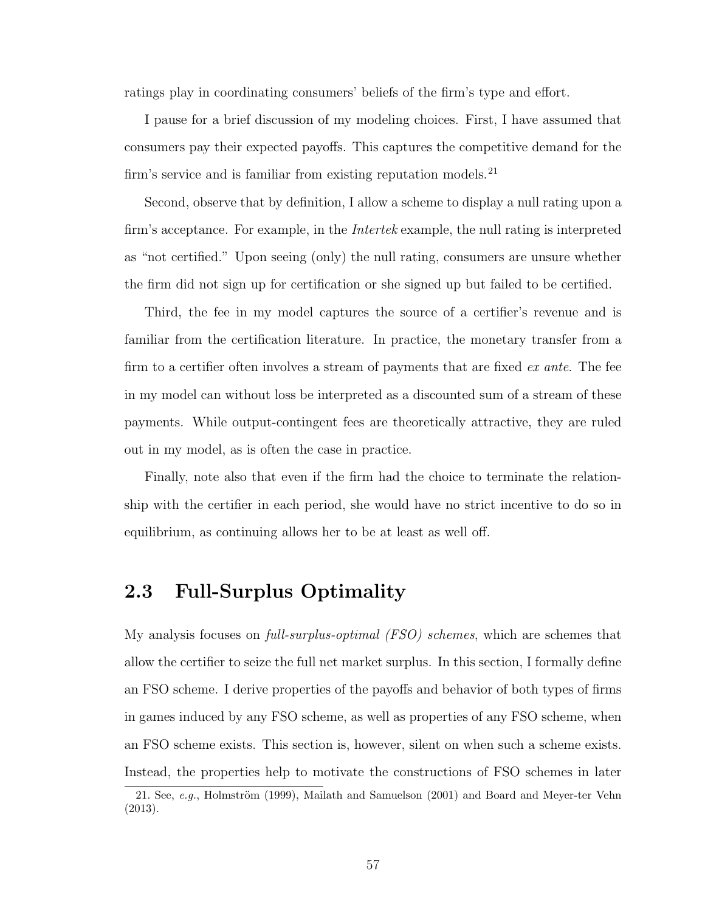ratings play in coordinating consumers' beliefs of the firm's type and effort.

I pause for a brief discussion of my modeling choices. First, I have assumed that consumers pay their expected payoffs. This captures the competitive demand for the firm's service and is familiar from existing reputation models.<sup>[21](#page-66-0)</sup>

Second, observe that by definition, I allow a scheme to display a null rating upon a firm's acceptance. For example, in the *Intertek* example, the null rating is interpreted as "not certified." Upon seeing (only) the null rating, consumers are unsure whether the firm did not sign up for certification or she signed up but failed to be certified.

Third, the fee in my model captures the source of a certifier's revenue and is familiar from the certification literature. In practice, the monetary transfer from a firm to a certifier often involves a stream of payments that are fixed  $ex$  ante. The fee in my model can without loss be interpreted as a discounted sum of a stream of these payments. While output-contingent fees are theoretically attractive, they are ruled out in my model, as is often the case in practice.

Finally, note also that even if the firm had the choice to terminate the relationship with the certifier in each period, she would have no strict incentive to do so in equilibrium, as continuing allows her to be at least as well off.

# 2.3 Full-Surplus Optimality

My analysis focuses on *full-surplus-optimal (FSO) schemes*, which are schemes that allow the certifier to seize the full net market surplus. In this section, I formally define an FSO scheme. I derive properties of the payoffs and behavior of both types of firms in games induced by any FSO scheme, as well as properties of any FSO scheme, when an FSO scheme exists. This section is, however, silent on when such a scheme exists. Instead, the properties help to motivate the constructions of FSO schemes in later

<span id="page-66-0"></span><sup>21.</sup> See,  $e.g.,$  Holmström [\(1999\)](#page-135-3), [Mailath and Samuelson](#page-137-1) [\(2001\)](#page-137-1) and [Board and Meyer-ter Vehn](#page-133-5) [\(2013\)](#page-133-5).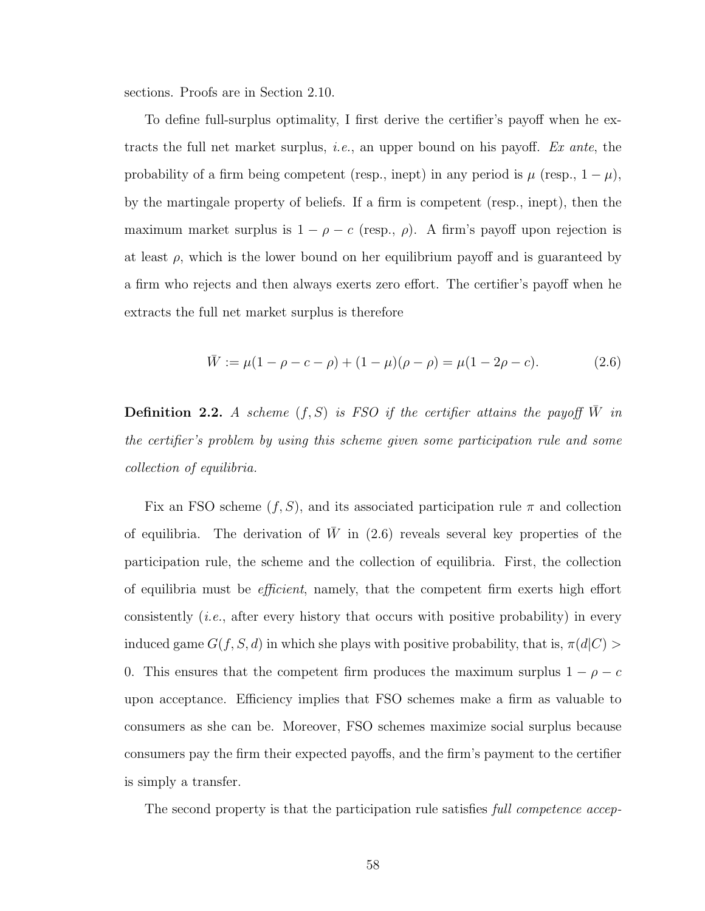sections. Proofs are in Section [2.10.](#page-101-0)

To define full-surplus optimality, I first derive the certifier's payoff when he extracts the full net market surplus, *i.e.*, an upper bound on his payoff. Ex ante, the probability of a firm being competent (resp., inept) in any period is  $\mu$  (resp.,  $1 - \mu$ ), by the martingale property of beliefs. If a firm is competent (resp., inept), then the maximum market surplus is  $1 - \rho - c$  (resp.,  $\rho$ ). A firm's payoff upon rejection is at least  $\rho$ , which is the lower bound on her equilibrium payoff and is guaranteed by a firm who rejects and then always exerts zero effort. The certifier's payoff when he extracts the full net market surplus is therefore

<span id="page-67-1"></span>
$$
\bar{W} := \mu(1 - \rho - c - \rho) + (1 - \mu)(\rho - \rho) = \mu(1 - 2\rho - c). \tag{2.6}
$$

<span id="page-67-0"></span>**Definition 2.2.** A scheme  $(f, S)$  is FSO if the certifier attains the payoff  $\overline{W}$  in the certifier's problem by using this scheme given some participation rule and some collection of equilibria.

Fix an FSO scheme  $(f, S)$ , and its associated participation rule  $\pi$  and collection of equilibria. The derivation of  $\overline{W}$  in [\(2.6\)](#page-67-1) reveals several key properties of the participation rule, the scheme and the collection of equilibria. First, the collection of equilibria must be efficient, namely, that the competent firm exerts high effort consistently (i.e., after every history that occurs with positive probability) in every induced game  $G(f, S, d)$  in which she plays with positive probability, that is,  $\pi(d|C)$ 0. This ensures that the competent firm produces the maximum surplus  $1 - \rho - c$ upon acceptance. Efficiency implies that FSO schemes make a firm as valuable to consumers as she can be. Moreover, FSO schemes maximize social surplus because consumers pay the firm their expected payoffs, and the firm's payment to the certifier is simply a transfer.

The second property is that the participation rule satisfies full competence accep-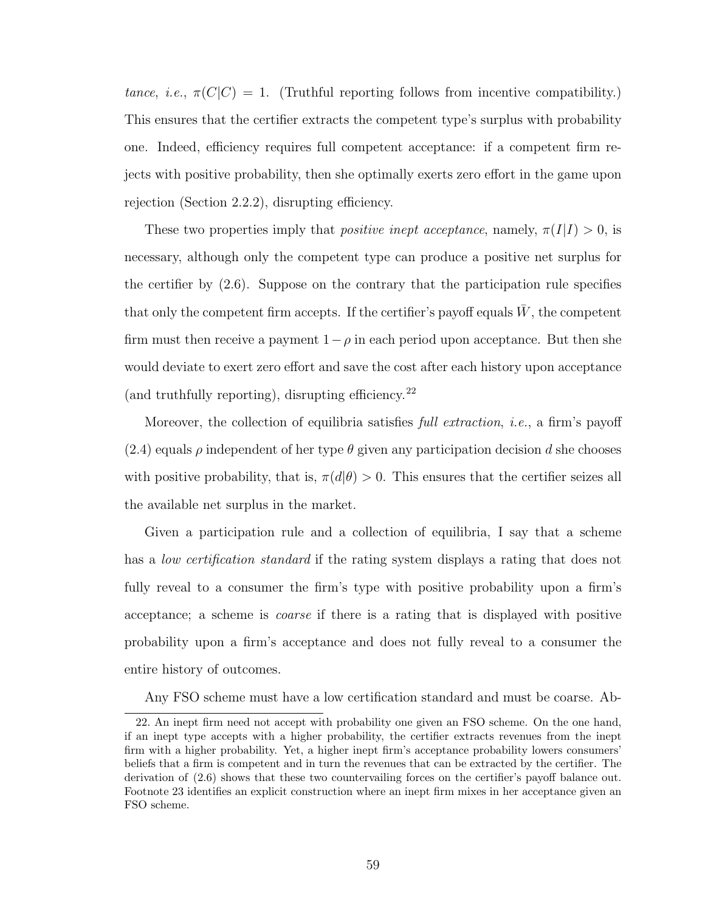tance, i.e.,  $\pi(C|C) = 1$ . (Truthful reporting follows from incentive compatibility.) This ensures that the certifier extracts the competent type's surplus with probability one. Indeed, efficiency requires full competent acceptance: if a competent firm rejects with positive probability, then she optimally exerts zero effort in the game upon rejection (Section [2.2.2\)](#page-62-0), disrupting efficiency.

These two properties imply that *positive inept acceptance*, namely,  $\pi(I|I) > 0$ , is necessary, although only the competent type can produce a positive net surplus for the certifier by [\(2.6\)](#page-67-1). Suppose on the contrary that the participation rule specifies that only the competent firm accepts. If the certifier's payoff equals  $W$ , the competent firm must then receive a payment  $1-\rho$  in each period upon acceptance. But then she would deviate to exert zero effort and save the cost after each history upon acceptance (and truthfully reporting), disrupting efficiency.<sup>[22](#page-68-0)</sup>

Moreover, the collection of equilibria satisfies *full extraction*, *i.e.*, a firm's payoff [\(2.4\)](#page-64-1) equals  $\rho$  independent of her type  $\theta$  given any participation decision d she chooses with positive probability, that is,  $\pi(d|\theta) > 0$ . This ensures that the certifier seizes all the available net surplus in the market.

Given a participation rule and a collection of equilibria, I say that a scheme has a *low certification standard* if the rating system displays a rating that does not fully reveal to a consumer the firm's type with positive probability upon a firm's acceptance; a scheme is coarse if there is a rating that is displayed with positive probability upon a firm's acceptance and does not fully reveal to a consumer the entire history of outcomes.

<span id="page-68-0"></span>Any FSO scheme must have a low certification standard and must be coarse. Ab-

<sup>22.</sup> An inept firm need not accept with probability one given an FSO scheme. On the one hand, if an inept type accepts with a higher probability, the certifier extracts revenues from the inept firm with a higher probability. Yet, a higher inept firm's acceptance probability lowers consumers' beliefs that a firm is competent and in turn the revenues that can be extracted by the certifier. The derivation of [\(2.6\)](#page-67-1) shows that these two countervailing forces on the certifier's payoff balance out. Footnote [23](#page-74-1) identifies an explicit construction where an inept firm mixes in her acceptance given an FSO scheme.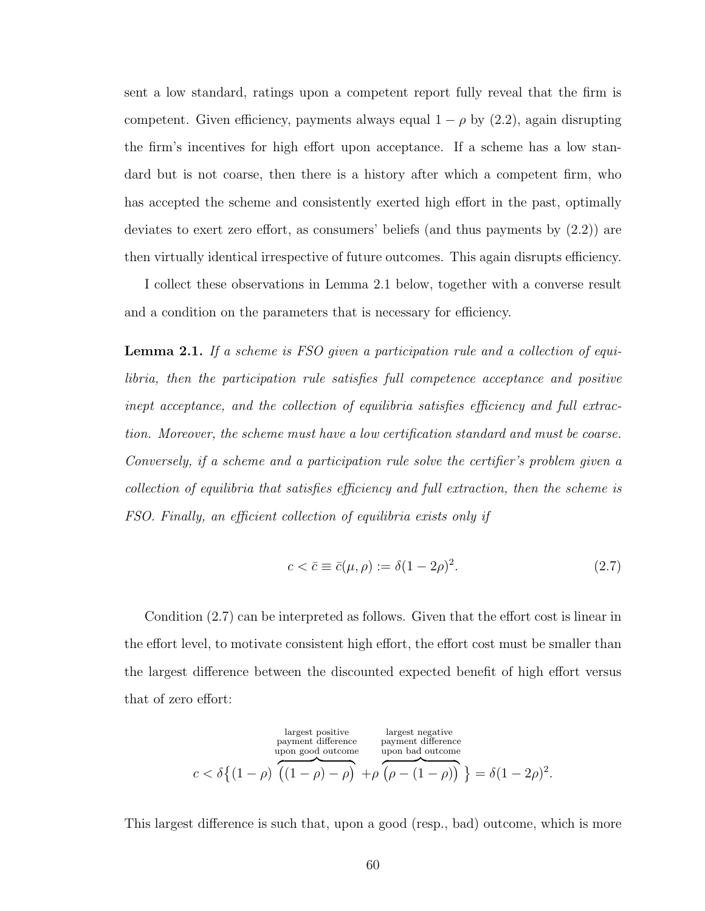sent a low standard, ratings upon a competent report fully reveal that the firm is competent. Given efficiency, payments always equal  $1 - \rho$  by [\(2.2\)](#page-63-1), again disrupting the firm's incentives for high effort upon acceptance. If a scheme has a low standard but is not coarse, then there is a history after which a competent firm, who has accepted the scheme and consistently exerted high effort in the past, optimally deviates to exert zero effort, as consumers' beliefs (and thus payments by [\(2.2\)](#page-63-1)) are then virtually identical irrespective of future outcomes. This again disrupts efficiency.

I collect these observations in Lemma [2.1](#page-69-0) below, together with a converse result and a condition on the parameters that is necessary for efficiency.

<span id="page-69-0"></span>Lemma 2.1. If a scheme is FSO given a participation rule and a collection of equilibria, then the participation rule satisfies full competence acceptance and positive inept acceptance, and the collection of equilibria satisfies efficiency and full extraction. Moreover, the scheme must have a low certification standard and must be coarse. Conversely, if a scheme and a participation rule solve the certifier's problem given a collection of equilibria that satisfies efficiency and full extraction, then the scheme is FSO. Finally, an efficient collection of equilibria exists only if

<span id="page-69-1"></span>
$$
c < \bar{c} \equiv \bar{c}(\mu, \rho) := \delta(1 - 2\rho)^2. \tag{2.7}
$$

Condition [\(2.7\)](#page-69-1) can be interpreted as follows. Given that the effort cost is linear in the effort level, to motivate consistent high effort, the effort cost must be smaller than the largest difference between the discounted expected benefit of high effort versus that of zero effort:

largest positive  
payment difference  
upon good outcome  

$$
c < \delta \left\{ (1 - \rho) \overbrace{((1 - \rho) - \rho)}^{\text{largest positive}} + \rho \overbrace{(\rho - (1 - \rho))}^{\text{largest negative}} \right\} = \delta (1 - 2\rho)^2.
$$

This largest difference is such that, upon a good (resp., bad) outcome, which is more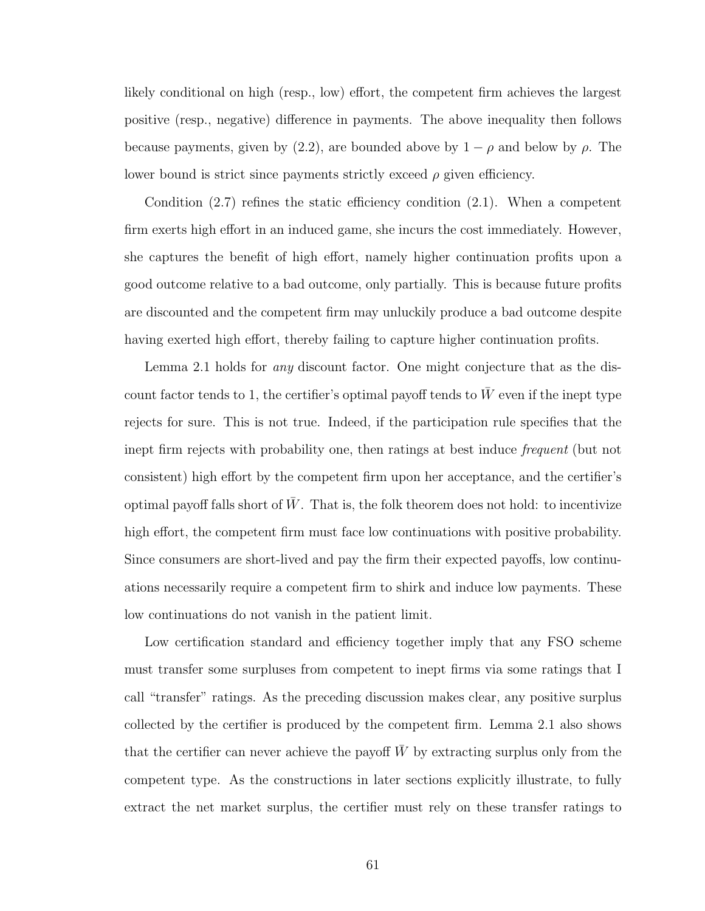likely conditional on high (resp., low) effort, the competent firm achieves the largest positive (resp., negative) difference in payments. The above inequality then follows because payments, given by [\(2.2\)](#page-63-1), are bounded above by  $1 - \rho$  and below by  $\rho$ . The lower bound is strict since payments strictly exceed  $\rho$  given efficiency.

Condition [\(2.7\)](#page-69-1) refines the static efficiency condition [\(2.1\)](#page-61-2). When a competent firm exerts high effort in an induced game, she incurs the cost immediately. However, she captures the benefit of high effort, namely higher continuation profits upon a good outcome relative to a bad outcome, only partially. This is because future profits are discounted and the competent firm may unluckily produce a bad outcome despite having exerted high effort, thereby failing to capture higher continuation profits.

Lemma [2.1](#page-69-0) holds for any discount factor. One might conjecture that as the discount factor tends to 1, the certifier's optimal payoff tends to  $\bar{W}$  even if the inept type rejects for sure. This is not true. Indeed, if the participation rule specifies that the inept firm rejects with probability one, then ratings at best induce frequent (but not consistent) high effort by the competent firm upon her acceptance, and the certifier's optimal payoff falls short of  $W$ . That is, the folk theorem does not hold: to incentivize high effort, the competent firm must face low continuations with positive probability. Since consumers are short-lived and pay the firm their expected payoffs, low continuations necessarily require a competent firm to shirk and induce low payments. These low continuations do not vanish in the patient limit.

Low certification standard and efficiency together imply that any FSO scheme must transfer some surpluses from competent to inept firms via some ratings that I call "transfer" ratings. As the preceding discussion makes clear, any positive surplus collected by the certifier is produced by the competent firm. Lemma [2.1](#page-69-0) also shows that the certifier can never achieve the payoff  $\bar{W}$  by extracting surplus only from the competent type. As the constructions in later sections explicitly illustrate, to fully extract the net market surplus, the certifier must rely on these transfer ratings to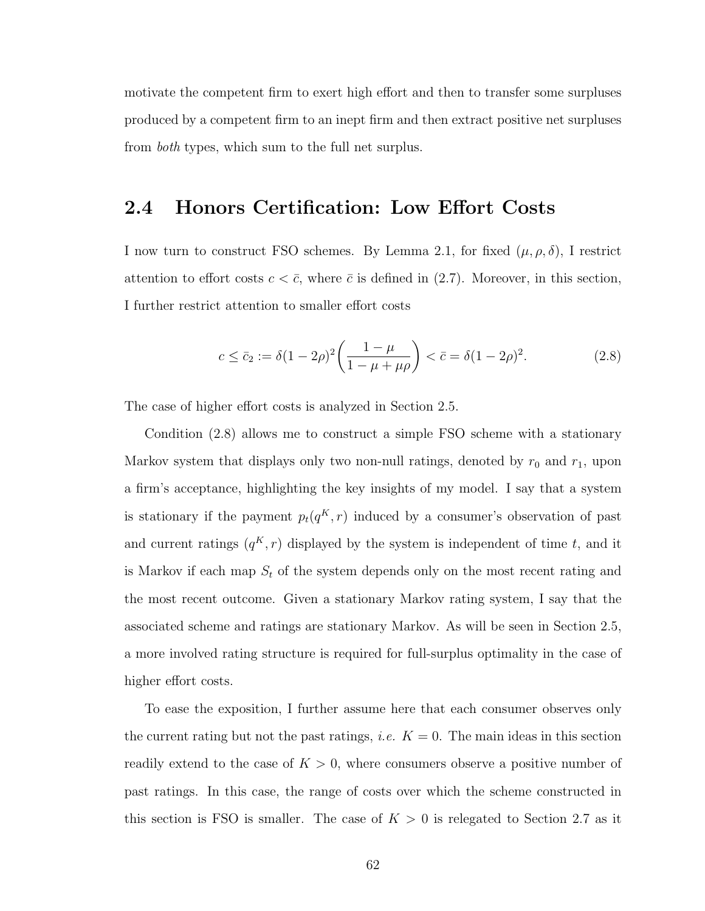motivate the competent firm to exert high effort and then to transfer some surpluses produced by a competent firm to an inept firm and then extract positive net surpluses from *both* types, which sum to the full net surplus.

# 2.4 Honors Certification: Low Effort Costs

I now turn to construct FSO schemes. By Lemma [2.1,](#page-69-0) for fixed  $(\mu, \rho, \delta)$ , I restrict attention to effort costs  $c < \bar{c}$ , where  $\bar{c}$  is defined in [\(2.7\)](#page-69-1). Moreover, in this section, I further restrict attention to smaller effort costs

<span id="page-71-0"></span>
$$
c \le \bar{c}_2 := \delta (1 - 2\rho)^2 \left( \frac{1 - \mu}{1 - \mu + \mu \rho} \right) < \bar{c} = \delta (1 - 2\rho)^2. \tag{2.8}
$$

The case of higher effort costs is analyzed in Section [2.5.](#page-74-0)

Condition [\(2.8\)](#page-71-0) allows me to construct a simple FSO scheme with a stationary Markov system that displays only two non-null ratings, denoted by  $r_0$  and  $r_1$ , upon a firm's acceptance, highlighting the key insights of my model. I say that a system is stationary if the payment  $p_t(q^K, r)$  induced by a consumer's observation of past and current ratings  $(q^K, r)$  displayed by the system is independent of time t, and it is Markov if each map  $S_t$  of the system depends only on the most recent rating and the most recent outcome. Given a stationary Markov rating system, I say that the associated scheme and ratings are stationary Markov. As will be seen in Section [2.5,](#page-74-0) a more involved rating structure is required for full-surplus optimality in the case of higher effort costs.

To ease the exposition, I further assume here that each consumer observes only the current rating but not the past ratings, *i.e.*  $K = 0$ . The main ideas in this section readily extend to the case of  $K > 0$ , where consumers observe a positive number of past ratings. In this case, the range of costs over which the scheme constructed in this section is FSO is smaller. The case of  $K > 0$  is relegated to Section [2.7](#page-84-0) as it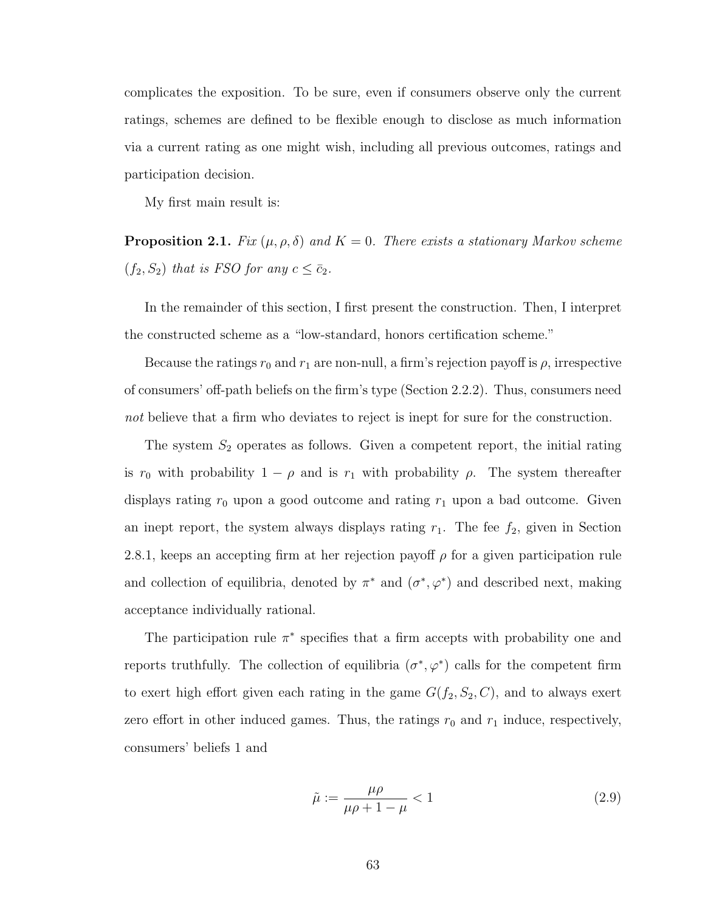complicates the exposition. To be sure, even if consumers observe only the current ratings, schemes are defined to be flexible enough to disclose as much information via a current rating as one might wish, including all previous outcomes, ratings and participation decision.

<span id="page-72-0"></span>My first main result is:

**Proposition 2.1.** Fix  $(\mu, \rho, \delta)$  and  $K = 0$ . There exists a stationary Markov scheme  $(f_2, S_2)$  that is FSO for any  $c \leq \bar{c}_2$ .

In the remainder of this section, I first present the construction. Then, I interpret the constructed scheme as a "low-standard, honors certification scheme."

Because the ratings  $r_0$  and  $r_1$  are non-null, a firm's rejection payoff is  $\rho$ , irrespective of consumers' off-path beliefs on the firm's type (Section [2.2.2\)](#page-62-0). Thus, consumers need not believe that a firm who deviates to reject is inept for sure for the construction.

The system  $S_2$  operates as follows. Given a competent report, the initial rating is  $r_0$  with probability  $1 - \rho$  and is  $r_1$  with probability  $\rho$ . The system thereafter displays rating  $r_0$  upon a good outcome and rating  $r_1$  upon a bad outcome. Given an inept report, the system always displays rating  $r_1$ . The fee  $f_2$ , given in Section [2.8.1,](#page-89-0) keeps an accepting firm at her rejection payoff  $\rho$  for a given participation rule and collection of equilibria, denoted by  $\pi^*$  and  $(\sigma^*, \varphi^*)$  and described next, making acceptance individually rational.

The participation rule  $\pi^*$  specifies that a firm accepts with probability one and reports truthfully. The collection of equilibria  $(\sigma^*, \varphi^*)$  calls for the competent firm to exert high effort given each rating in the game  $G(f_2, S_2, C)$ , and to always exert zero effort in other induced games. Thus, the ratings  $r_0$  and  $r_1$  induce, respectively, consumers' beliefs 1 and

$$
\tilde{\mu} := \frac{\mu \rho}{\mu \rho + 1 - \mu} < 1 \tag{2.9}
$$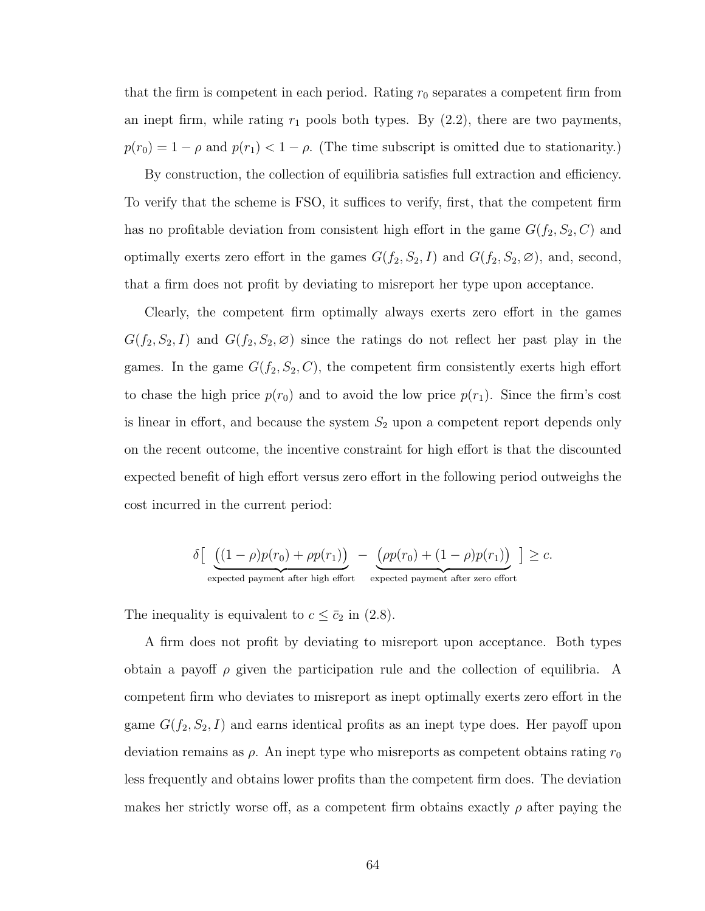that the firm is competent in each period. Rating  $r_0$  separates a competent firm from an inept firm, while rating  $r_1$  pools both types. By  $(2.2)$ , there are two payments,  $p(r_0) = 1 - \rho$  and  $p(r_1) < 1 - \rho$ . (The time subscript is omitted due to stationarity.)

By construction, the collection of equilibria satisfies full extraction and efficiency. To verify that the scheme is FSO, it suffices to verify, first, that the competent firm has no profitable deviation from consistent high effort in the game  $G(f_2, S_2, C)$  and optimally exerts zero effort in the games  $G(f_2, S_2, I)$  and  $G(f_2, S_2, \emptyset)$ , and, second, that a firm does not profit by deviating to misreport her type upon acceptance.

Clearly, the competent firm optimally always exerts zero effort in the games  $G(f_2, S_2, I)$  and  $G(f_2, S_2, \emptyset)$  since the ratings do not reflect her past play in the games. In the game  $G(f_2, S_2, C)$ , the competent firm consistently exerts high effort to chase the high price  $p(r_0)$  and to avoid the low price  $p(r_1)$ . Since the firm's cost is linear in effort, and because the system  $S_2$  upon a competent report depends only on the recent outcome, the incentive constraint for high effort is that the discounted expected benefit of high effort versus zero effort in the following period outweighs the cost incurred in the current period:

$$
\delta \left[ \underbrace{((1-\rho)p(r_0)+\rho p(r_1))}_{\text{expected payment after high effort}} - \underbrace{(\rho p(r_0)+(1-\rho)p(r_1))}_{\text{expected payment after zero effort}} \right] \geq c.
$$

The inequality is equivalent to  $c \leq \bar{c}_2$  in [\(2.8\)](#page-71-0).

A firm does not profit by deviating to misreport upon acceptance. Both types obtain a payoff  $\rho$  given the participation rule and the collection of equilibria. A competent firm who deviates to misreport as inept optimally exerts zero effort in the game  $G(f_2, S_2, I)$  and earns identical profits as an inept type does. Her payoff upon deviation remains as  $\rho$ . An inept type who misreports as competent obtains rating  $r_0$ less frequently and obtains lower profits than the competent firm does. The deviation makes her strictly worse off, as a competent firm obtains exactly  $\rho$  after paying the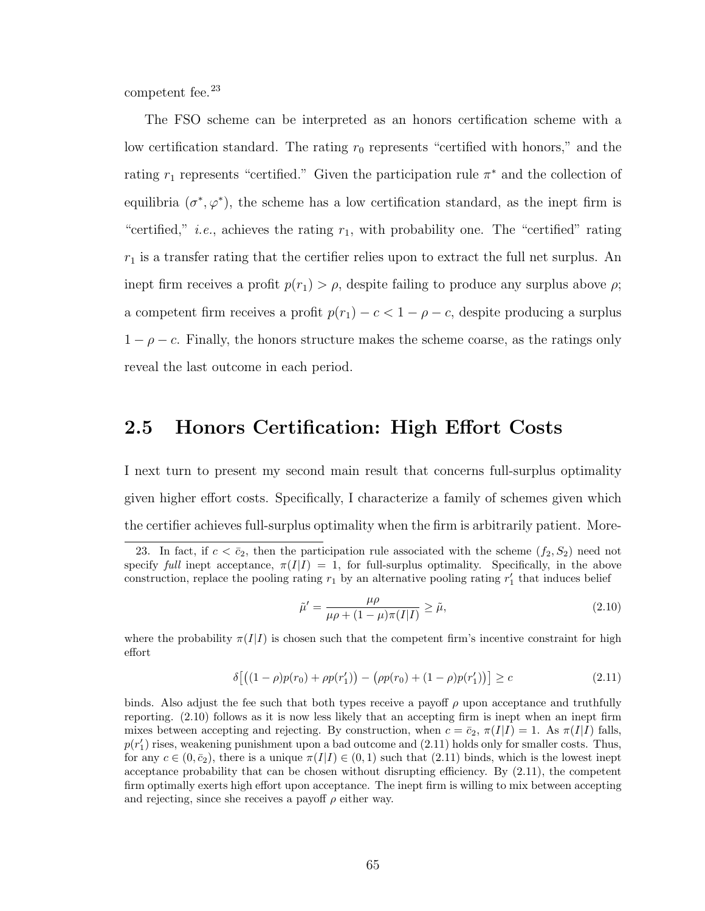competent fee.<sup>[23](#page-74-0)</sup>

The FSO scheme can be interpreted as an honors certification scheme with a low certification standard. The rating  $r_0$  represents "certified with honors," and the rating  $r_1$  represents "certified." Given the participation rule  $\pi^*$  and the collection of equilibria  $(\sigma^*, \varphi^*)$ , the scheme has a low certification standard, as the inept firm is "certified," *i.e.*, achieves the rating  $r_1$ , with probability one. The "certified" rating  $r_1$  is a transfer rating that the certifier relies upon to extract the full net surplus. An inept firm receives a profit  $p(r_1) > \rho$ , despite failing to produce any surplus above  $\rho$ ; a competent firm receives a profit  $p(r_1) - c < 1 - \rho - c$ , despite producing a surplus  $1 - \rho - c$ . Finally, the honors structure makes the scheme coarse, as the ratings only reveal the last outcome in each period.

### <span id="page-74-3"></span>2.5 Honors Certification: High Effort Costs

I next turn to present my second main result that concerns full-surplus optimality given higher effort costs. Specifically, I characterize a family of schemes given which the certifier achieves full-surplus optimality when the firm is arbitrarily patient. More-

<span id="page-74-2"></span><span id="page-74-1"></span>
$$
\tilde{\mu}' = \frac{\mu \rho}{\mu \rho + (1 - \mu)\pi(I|I)} \ge \tilde{\mu},\tag{2.10}
$$

where the probability  $\pi(I|I)$  is chosen such that the competent firm's incentive constraint for high effort

$$
\delta\left[\left((1-\rho)p(r_0)+\rho p(r'_1)\right)-\left(\rho p(r_0)+(1-\rho)p(r'_1)\right)\right]\geq c\tag{2.11}
$$

binds. Also adjust the fee such that both types receive a payoff  $\rho$  upon acceptance and truthfully reporting. [\(2.10\)](#page-74-1) follows as it is now less likely that an accepting firm is inept when an inept firm mixes between accepting and rejecting. By construction, when  $c = \bar{c}_2$ ,  $\pi(I|I) = 1$ . As  $\pi(I|I)$  falls,  $p(r'_1)$  rises, weakening punishment upon a bad outcome and  $(2.11)$  holds only for smaller costs. Thus, for any  $c \in (0, \bar{c}_2)$ , there is a unique  $\pi(I|I) \in (0, 1)$  such that  $(2.11)$  binds, which is the lowest inept acceptance probability that can be chosen without disrupting efficiency. By [\(2.11\)](#page-74-2), the competent firm optimally exerts high effort upon acceptance. The inept firm is willing to mix between accepting and rejecting, since she receives a payoff  $\rho$  either way.

<span id="page-74-0"></span><sup>23.</sup> In fact, if  $c < \bar{c}_2$ , then the participation rule associated with the scheme  $(f_2, S_2)$  need not specify full inept acceptance,  $\pi(I|I) = 1$ , for full-surplus optimality. Specifically, in the above construction, replace the pooling rating  $r_1$  by an alternative pooling rating  $r'_1$  that induces belief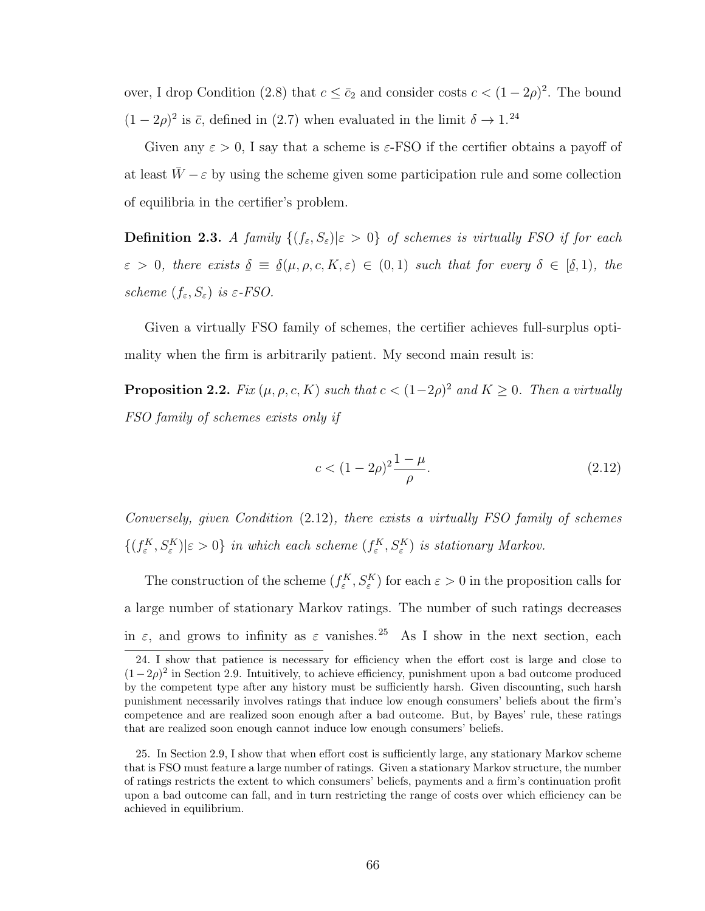over, I drop Condition [\(2.8\)](#page-71-0) that  $c \leq \bar{c}_2$  and consider costs  $c < (1 - 2\rho)^2$ . The bound  $(1-2\rho)^2$  is  $\bar{c}$ , defined in [\(2.7\)](#page-69-0) when evaluated in the limit  $\delta \to 1.^{24}$  $\delta \to 1.^{24}$  $\delta \to 1.^{24}$ 

Given any  $\varepsilon > 0$ , I say that a scheme is  $\varepsilon$ -FSO if the certifier obtains a payoff of at least  $W - \varepsilon$  by using the scheme given some participation rule and some collection of equilibria in the certifier's problem.

**Definition 2.3.** A family  $\{(f_{\varepsilon}, S_{\varepsilon}) | \varepsilon > 0\}$  of schemes is virtually FSO if for each  $\varepsilon > 0$ , there exists  $\leq$  $\delta \,\equiv\,$  $\frac{6}{1}$  $\underline{\delta}(\mu, \rho, c, K, \varepsilon) \in (0, 1)$  such that for every  $\delta \in [$ </sub>ے۔  $(\underline{\delta},1)$ , the scheme  $(f_{\varepsilon}, S_{\varepsilon})$  is  $\varepsilon$ -FSO.

Given a virtually FSO family of schemes, the certifier achieves full-surplus optimality when the firm is arbitrarily patient. My second main result is:

<span id="page-75-3"></span>**Proposition 2.2.** Fix  $(\mu, \rho, c, K)$  such that  $c < (1-2\rho)^2$  and  $K \geq 0$ . Then a virtually FSO family of schemes exists only if

<span id="page-75-1"></span>
$$
c < (1 - 2\rho)^2 \frac{1 - \mu}{\rho}.\tag{2.12}
$$

Conversely, given Condition [\(2.12\)](#page-75-1), there exists a virtually FSO family of schemes  $\{(f_{\varepsilon}^K, S_{\varepsilon}^K)|\varepsilon > 0\}$  in which each scheme  $(f_{\varepsilon}^K, S_{\varepsilon}^K)$  is stationary Markov.

The construction of the scheme  $(f_{\varepsilon}^K, S_{\varepsilon}^K)$  for each  $\varepsilon > 0$  in the proposition calls for a large number of stationary Markov ratings. The number of such ratings decreases in  $\varepsilon$ , and grows to infinity as  $\varepsilon$  vanishes.<sup>[25](#page-75-2)</sup> As I show in the next section, each

<span id="page-75-0"></span><sup>24.</sup> I show that patience is necessary for efficiency when the effort cost is large and close to  $(1-2\rho)^2$  in Section [2.9.](#page-90-0) Intuitively, to achieve efficiency, punishment upon a bad outcome produced by the competent type after any history must be sufficiently harsh. Given discounting, such harsh punishment necessarily involves ratings that induce low enough consumers' beliefs about the firm's competence and are realized soon enough after a bad outcome. But, by Bayes' rule, these ratings that are realized soon enough cannot induce low enough consumers' beliefs.

<span id="page-75-2"></span><sup>25.</sup> In Section [2.9,](#page-90-0) I show that when effort cost is sufficiently large, any stationary Markov scheme that is FSO must feature a large number of ratings. Given a stationary Markov structure, the number of ratings restricts the extent to which consumers' beliefs, payments and a firm's continuation profit upon a bad outcome can fall, and in turn restricting the range of costs over which efficiency can be achieved in equilibrium.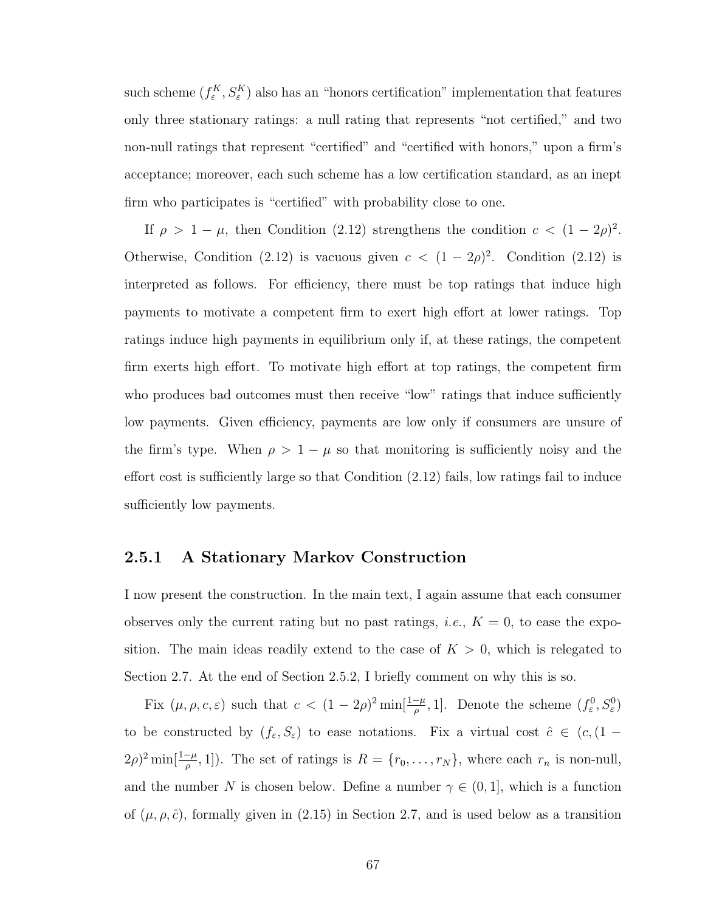such scheme  $(f_{\varepsilon}^K, S_{\varepsilon}^K)$  also has an "honors certification" implementation that features only three stationary ratings: a null rating that represents "not certified," and two non-null ratings that represent "certified" and "certified with honors," upon a firm's acceptance; moreover, each such scheme has a low certification standard, as an inept firm who participates is "certified" with probability close to one.

If  $\rho > 1 - \mu$ , then Condition [\(2.12\)](#page-75-1) strengthens the condition  $c < (1 - 2\rho)^2$ . Otherwise, Condition [\(2.12\)](#page-75-1) is vacuous given  $c < (1 - 2\rho)^2$ . Condition (2.12) is interpreted as follows. For efficiency, there must be top ratings that induce high payments to motivate a competent firm to exert high effort at lower ratings. Top ratings induce high payments in equilibrium only if, at these ratings, the competent firm exerts high effort. To motivate high effort at top ratings, the competent firm who produces bad outcomes must then receive "low" ratings that induce sufficiently low payments. Given efficiency, payments are low only if consumers are unsure of the firm's type. When  $\rho > 1 - \mu$  so that monitoring is sufficiently noisy and the effort cost is sufficiently large so that Condition [\(2.12\)](#page-75-1) fails, low ratings fail to induce sufficiently low payments.

#### 2.5.1 A Stationary Markov Construction

I now present the construction. In the main text, I again assume that each consumer observes only the current rating but no past ratings, *i.e.*,  $K = 0$ , to ease the exposition. The main ideas readily extend to the case of  $K > 0$ , which is relegated to Section [2.7.](#page-84-0) At the end of Section [2.5.2,](#page-79-0) I briefly comment on why this is so.

Fix  $(\mu, \rho, c, \varepsilon)$  such that  $c < (1 - 2\rho)^2 \min[\frac{1-\mu}{\rho}, 1]$ . Denote the scheme  $(f^0_{\varepsilon}, S^0_{\varepsilon})$ to be constructed by  $(f_{\varepsilon}, S_{\varepsilon})$  to ease notations. Fix a virtual cost  $\hat{c} \in (c, (1 (2\rho)^2 \min[\frac{1-\mu}{\rho},1]$ ). The set of ratings is  $R = \{r_0, \ldots, r_N\}$ , where each  $r_n$  is non-null, and the number N is chosen below. Define a number  $\gamma \in (0,1]$ , which is a function of  $(\mu, \rho, \hat{c})$ , formally given in  $(2.15)$  in Section [2.7,](#page-84-0) and is used below as a transition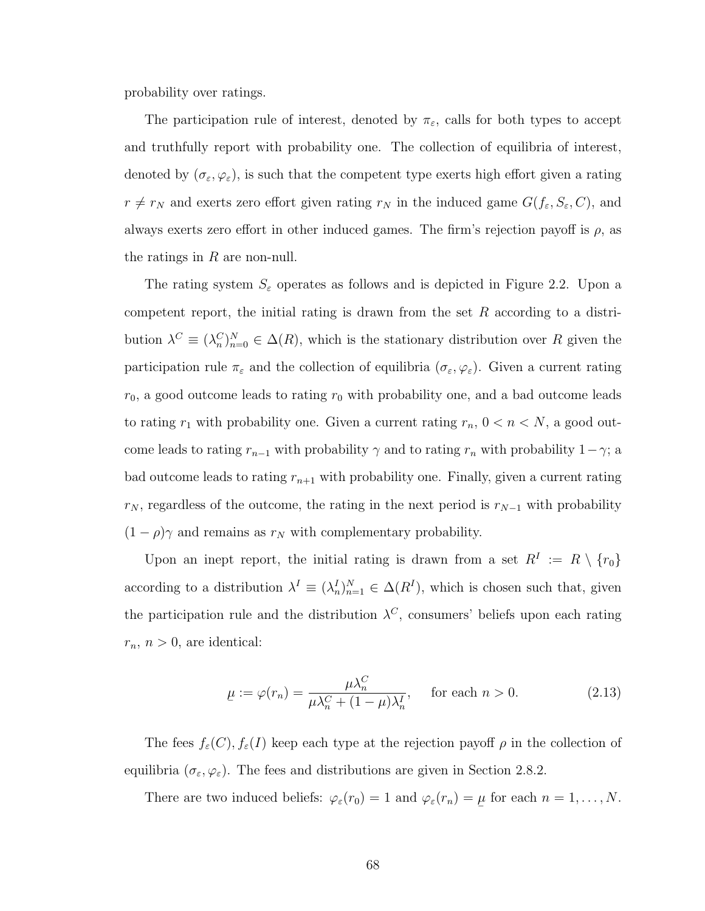probability over ratings.

The participation rule of interest, denoted by  $\pi_{\varepsilon}$ , calls for both types to accept and truthfully report with probability one. The collection of equilibria of interest, denoted by  $(\sigma_{\varepsilon}, \varphi_{\varepsilon})$ , is such that the competent type exerts high effort given a rating  $r \neq r_N$  and exerts zero effort given rating  $r_N$  in the induced game  $G(f_\varepsilon, S_\varepsilon, C)$ , and always exerts zero effort in other induced games. The firm's rejection payoff is  $\rho$ , as the ratings in  $R$  are non-null.

The rating system  $S_{\varepsilon}$  operates as follows and is depicted in Figure [2.2.](#page-78-0) Upon a competent report, the initial rating is drawn from the set  $R$  according to a distribution  $\lambda^C \equiv (\lambda_n^C)_{n=0}^N \in \Delta(R)$ , which is the stationary distribution over R given the participation rule  $\pi_{\varepsilon}$  and the collection of equilibria  $(\sigma_{\varepsilon}, \varphi_{\varepsilon})$ . Given a current rating  $r_0$ , a good outcome leads to rating  $r_0$  with probability one, and a bad outcome leads to rating  $r_1$  with probability one. Given a current rating  $r_n$ ,  $0 < n < N$ , a good outcome leads to rating  $r_{n-1}$  with probability  $\gamma$  and to rating  $r_n$  with probability  $1-\gamma$ ; a bad outcome leads to rating  $r_{n+1}$  with probability one. Finally, given a current rating  $r_N$ , regardless of the outcome, the rating in the next period is  $r_{N-1}$  with probability  $(1 - \rho)\gamma$  and remains as  $r_N$  with complementary probability.

Upon an inept report, the initial rating is drawn from a set  $R^I := R \setminus \{r_0\}$ according to a distribution  $\lambda^I \equiv (\lambda_n^I)_{n=1}^N \in \Delta(R^I)$ , which is chosen such that, given the participation rule and the distribution  $\lambda^C$ , consumers' beliefs upon each rating  $r_n$ ,  $n > 0$ , are identical:

$$
\mu := \varphi(r_n) = \frac{\mu \lambda_n^C}{\mu \lambda_n^C + (1 - \mu)\lambda_n^I}, \quad \text{for each } n > 0.
$$
 (2.13)

The fees  $f_{\varepsilon}(C)$ ,  $f_{\varepsilon}(I)$  keep each type at the rejection payoff  $\rho$  in the collection of equilibria  $(\sigma_{\varepsilon}, \varphi_{\varepsilon})$ . The fees and distributions are given in Section [2.8.2.](#page-90-1)

There are two induced beliefs:  $\varphi_{\varepsilon}(r_0) = 1$  and  $\varphi_{\varepsilon}(r_n) =$  $\overline{a}$  $\mu$  for each  $n = 1, \ldots, N$ .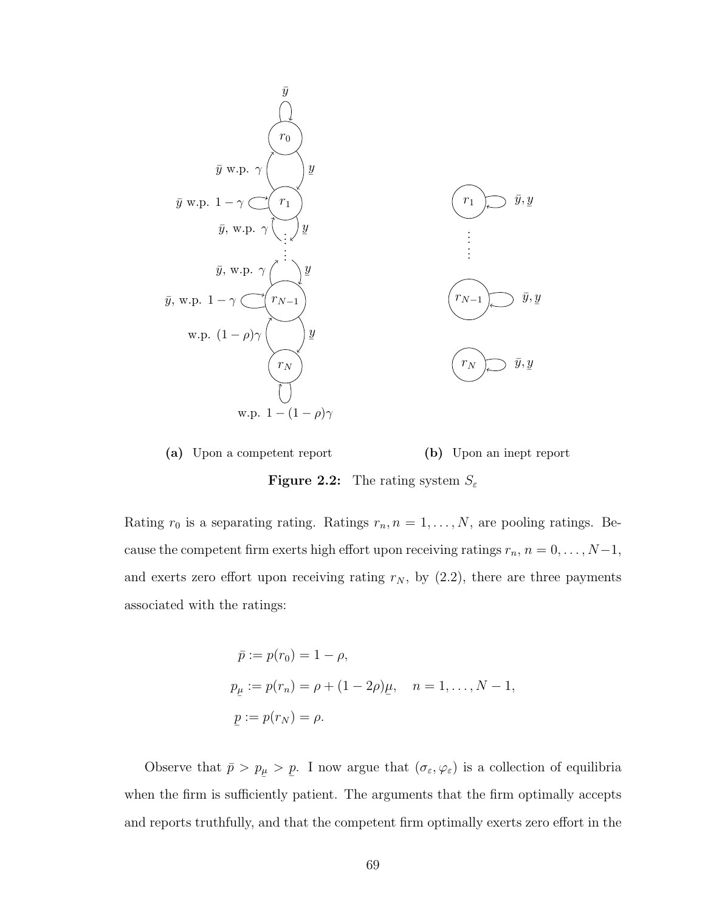<span id="page-78-0"></span>



Rating  $r_0$  is a separating rating. Ratings  $r_n$ ,  $n = 1, ..., N$ , are pooling ratings. Because the competent firm exerts high effort upon receiving ratings  $r_n$ ,  $n = 0, \ldots, N-1$ , and exerts zero effort upon receiving rating  $r_N$ , by  $(2.2)$ , there are three payments associated with the ratings:

$$
\bar{p} := p(r_0) = 1 - \rho,
$$
  
\n
$$
p_{\mu} := p(r_n) = \rho + (1 - 2\rho)\mu, \quad n = 1, ..., N - 1,
$$
  
\n
$$
\underline{p} := p(r_N) = \rho.
$$

Observe that  $\bar{p} > p$  $_{\mu}$  > ¯ p. I now argue that  $(\sigma_{\varepsilon}, \varphi_{\varepsilon})$  is a collection of equilibria when the firm is sufficiently patient. The arguments that the firm optimally accepts and reports truthfully, and that the competent firm optimally exerts zero effort in the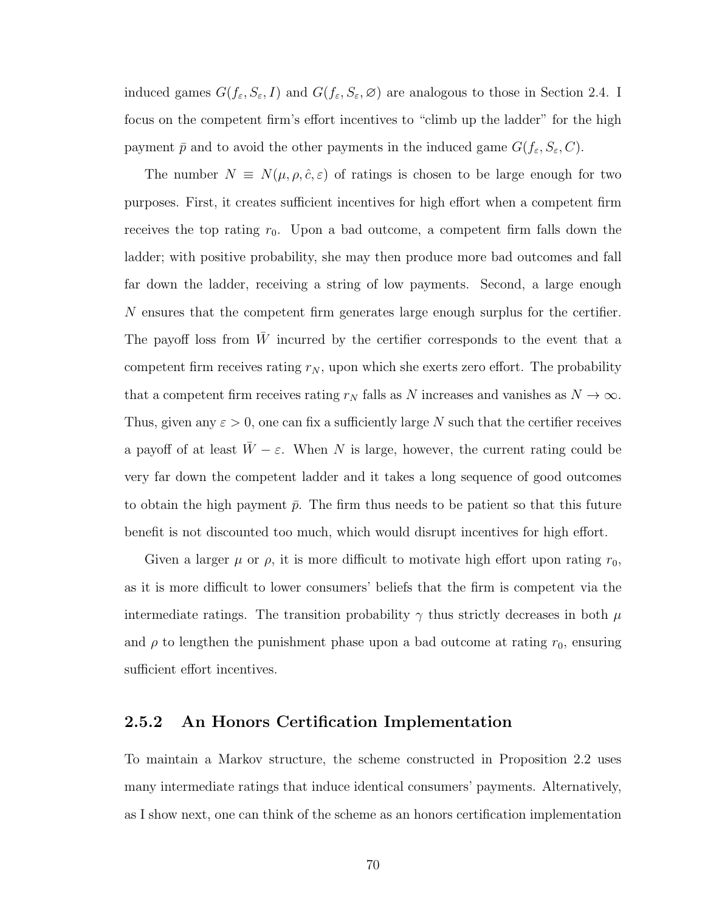induced games  $G(f_{\varepsilon}, S_{\varepsilon}, I)$  and  $G(f_{\varepsilon}, S_{\varepsilon}, \varnothing)$  are analogous to those in Section [2.4.](#page-71-1) I focus on the competent firm's effort incentives to "climb up the ladder" for the high payment  $\bar{p}$  and to avoid the other payments in the induced game  $G(f_{\varepsilon}, S_{\varepsilon}, C)$ .

The number  $N \equiv N(\mu, \rho, \hat{c}, \varepsilon)$  of ratings is chosen to be large enough for two purposes. First, it creates sufficient incentives for high effort when a competent firm receives the top rating  $r_0$ . Upon a bad outcome, a competent firm falls down the ladder; with positive probability, she may then produce more bad outcomes and fall far down the ladder, receiving a string of low payments. Second, a large enough N ensures that the competent firm generates large enough surplus for the certifier. The payoff loss from  $W$  incurred by the certifier corresponds to the event that a competent firm receives rating  $r_N$ , upon which she exerts zero effort. The probability that a competent firm receives rating  $r_N$  falls as N increases and vanishes as  $N \to \infty$ . Thus, given any  $\varepsilon > 0$ , one can fix a sufficiently large N such that the certifier receives a payoff of at least  $\overline{W} - \varepsilon$ . When N is large, however, the current rating could be very far down the competent ladder and it takes a long sequence of good outcomes to obtain the high payment  $\bar{p}$ . The firm thus needs to be patient so that this future benefit is not discounted too much, which would disrupt incentives for high effort.

Given a larger  $\mu$  or  $\rho$ , it is more difficult to motivate high effort upon rating  $r_0$ , as it is more difficult to lower consumers' beliefs that the firm is competent via the intermediate ratings. The transition probability  $\gamma$  thus strictly decreases in both  $\mu$ and  $\rho$  to lengthen the punishment phase upon a bad outcome at rating  $r_0$ , ensuring sufficient effort incentives.

#### <span id="page-79-0"></span>2.5.2 An Honors Certification Implementation

To maintain a Markov structure, the scheme constructed in Proposition [2.2](#page-75-3) uses many intermediate ratings that induce identical consumers' payments. Alternatively, as I show next, one can think of the scheme as an honors certification implementation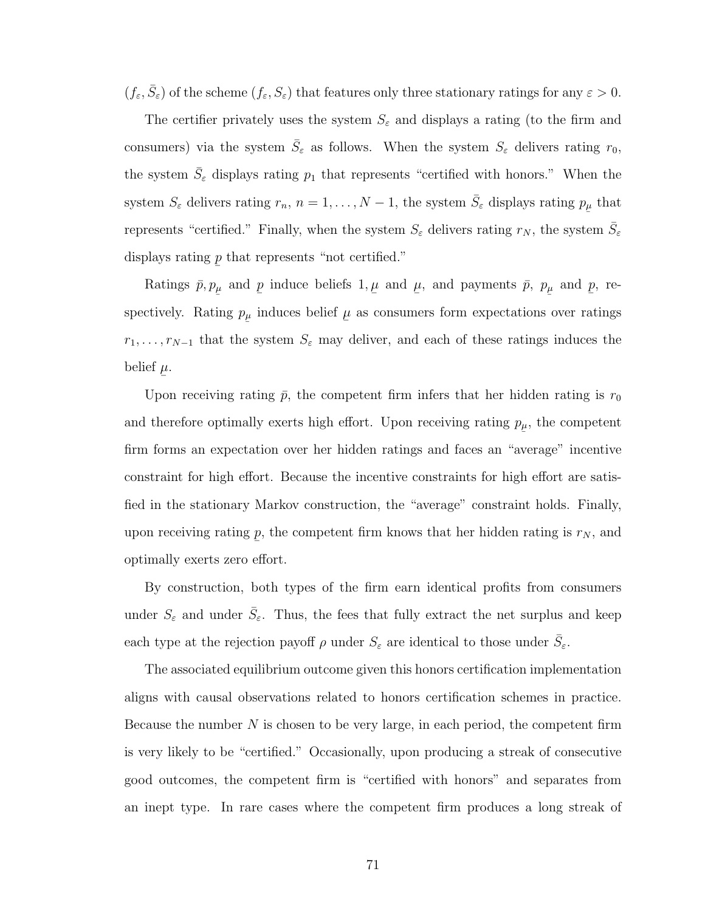$(f_{\varepsilon}, \bar{S}_{\varepsilon})$  of the scheme  $(f_{\varepsilon}, S_{\varepsilon})$  that features only three stationary ratings for any  $\varepsilon > 0$ .

The certifier privately uses the system  $S_{\varepsilon}$  and displays a rating (to the firm and consumers) via the system  $\bar{S}_{\varepsilon}$  as follows. When the system  $S_{\varepsilon}$  delivers rating  $r_0$ , the system  $\bar{S}_{\varepsilon}$  displays rating  $p_1$  that represents "certified with honors." When the system  $S_{\varepsilon}$  delivers rating  $r_n$ ,  $n = 1, ..., N - 1$ , the system  $\bar{S}_{\varepsilon}$  displays rating  $p_{\mu}$  that represents "certified." Finally, when the system  $S_{\varepsilon}$  delivers rating  $r_N$ , the system  $\bar{S}_{\varepsilon}$ displays rating ¯ p that represents "not certified."

Ratings  $\bar{p}, p$  $_{\mu}$  and ¯ p induce beliefs 1,  $\overline{a}$  $\mu$  and  $\overline{a}$  $\mu$ , and payments  $\bar{p}$ , p  $_{\mu}$  and ¯ p, respectively. Rating  $p$  $_{\mu}$  induces belief  $\overline{a}$  $\mu$  as consumers form expectations over ratings  $r_1, \ldots, r_{N-1}$  that the system  $S_{\varepsilon}$  may deliver, and each of these ratings induces the belief  $\mu$ .  $\overline{a}$ 

Upon receiving rating  $\bar{p}$ , the competent firm infers that her hidden rating is  $r_0$ and therefore optimally exerts high effort. Upon receiving rating  $p_{\mu}$ , the competent ¯ firm forms an expectation over her hidden ratings and faces an "average" incentive constraint for high effort. Because the incentive constraints for high effort are satisfied in the stationary Markov construction, the "average" constraint holds. Finally, upon receiving rating ¯ p, the competent firm knows that her hidden rating is  $r_N$ , and optimally exerts zero effort.

By construction, both types of the firm earn identical profits from consumers under  $S_{\varepsilon}$  and under  $\bar{S}_{\varepsilon}$ . Thus, the fees that fully extract the net surplus and keep each type at the rejection payoff  $\rho$  under  $S_{\varepsilon}$  are identical to those under  $\bar{S}_{\varepsilon}$ .

The associated equilibrium outcome given this honors certification implementation aligns with causal observations related to honors certification schemes in practice. Because the number  $N$  is chosen to be very large, in each period, the competent firm is very likely to be "certified." Occasionally, upon producing a streak of consecutive good outcomes, the competent firm is "certified with honors" and separates from an inept type. In rare cases where the competent firm produces a long streak of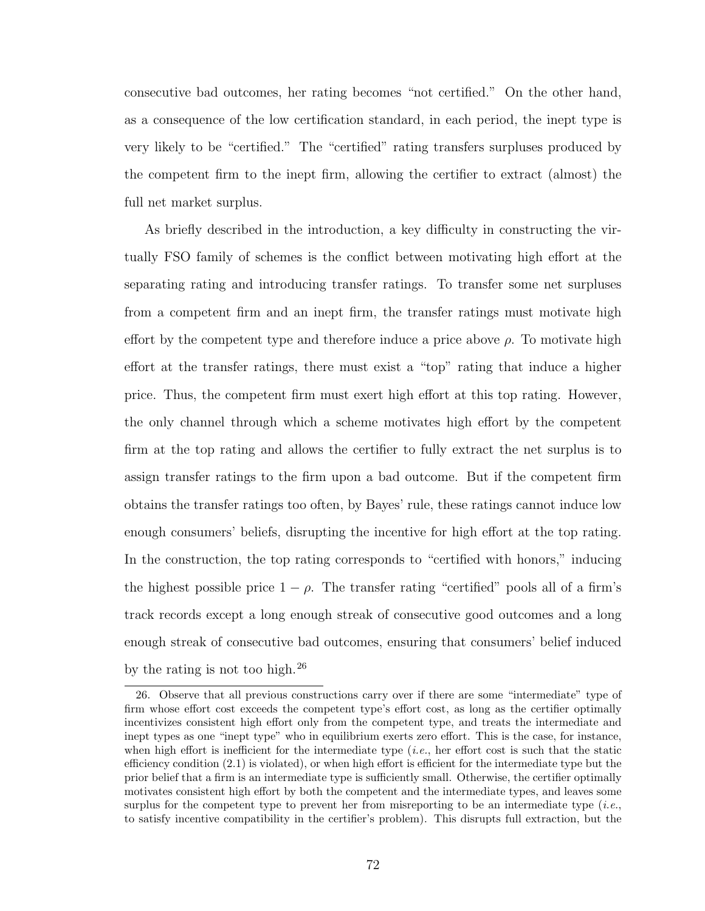consecutive bad outcomes, her rating becomes "not certified." On the other hand, as a consequence of the low certification standard, in each period, the inept type is very likely to be "certified." The "certified" rating transfers surpluses produced by the competent firm to the inept firm, allowing the certifier to extract (almost) the full net market surplus.

As briefly described in the introduction, a key difficulty in constructing the virtually FSO family of schemes is the conflict between motivating high effort at the separating rating and introducing transfer ratings. To transfer some net surpluses from a competent firm and an inept firm, the transfer ratings must motivate high effort by the competent type and therefore induce a price above  $\rho$ . To motivate high effort at the transfer ratings, there must exist a "top" rating that induce a higher price. Thus, the competent firm must exert high effort at this top rating. However, the only channel through which a scheme motivates high effort by the competent firm at the top rating and allows the certifier to fully extract the net surplus is to assign transfer ratings to the firm upon a bad outcome. But if the competent firm obtains the transfer ratings too often, by Bayes' rule, these ratings cannot induce low enough consumers' beliefs, disrupting the incentive for high effort at the top rating. In the construction, the top rating corresponds to "certified with honors," inducing the highest possible price  $1 - \rho$ . The transfer rating "certified" pools all of a firm's track records except a long enough streak of consecutive good outcomes and a long enough streak of consecutive bad outcomes, ensuring that consumers' belief induced by the rating is not too high.[26](#page-81-0)

<span id="page-81-0"></span><sup>26.</sup> Observe that all previous constructions carry over if there are some "intermediate" type of firm whose effort cost exceeds the competent type's effort cost, as long as the certifier optimally incentivizes consistent high effort only from the competent type, and treats the intermediate and inept types as one "inept type" who in equilibrium exerts zero effort. This is the case, for instance, when high effort is inefficient for the intermediate type (*i.e.*, her effort cost is such that the static efficiency condition [\(2.1\)](#page-61-0) is violated), or when high effort is efficient for the intermediate type but the prior belief that a firm is an intermediate type is sufficiently small. Otherwise, the certifier optimally motivates consistent high effort by both the competent and the intermediate types, and leaves some surplus for the competent type to prevent her from misreporting to be an intermediate type (*i.e.*, to satisfy incentive compatibility in the certifier's problem). This disrupts full extraction, but the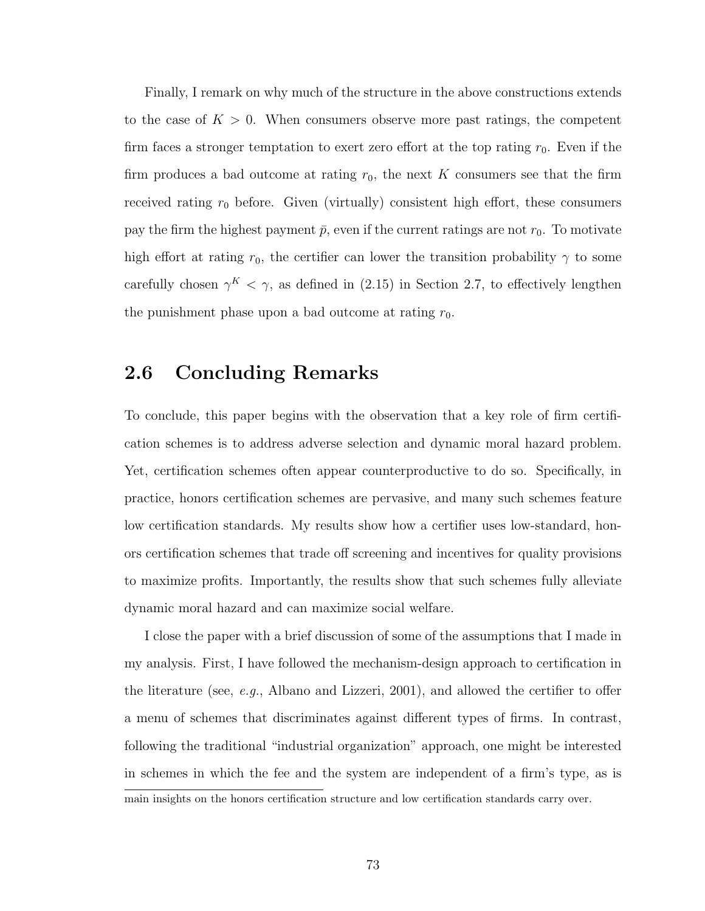Finally, I remark on why much of the structure in the above constructions extends to the case of  $K > 0$ . When consumers observe more past ratings, the competent firm faces a stronger temptation to exert zero effort at the top rating  $r_0$ . Even if the firm produces a bad outcome at rating  $r_0$ , the next K consumers see that the firm received rating  $r_0$  before. Given (virtually) consistent high effort, these consumers pay the firm the highest payment  $\bar{p}$ , even if the current ratings are not  $r_0$ . To motivate high effort at rating  $r_0$ , the certifier can lower the transition probability  $\gamma$  to some carefully chosen  $\gamma^K < \gamma$ , as defined in [\(2.15\)](#page-86-0) in Section [2.7,](#page-84-0) to effectively lengthen the punishment phase upon a bad outcome at rating  $r_0$ .

### 2.6 Concluding Remarks

To conclude, this paper begins with the observation that a key role of firm certification schemes is to address adverse selection and dynamic moral hazard problem. Yet, certification schemes often appear counterproductive to do so. Specifically, in practice, honors certification schemes are pervasive, and many such schemes feature low certification standards. My results show how a certifier uses low-standard, honors certification schemes that trade off screening and incentives for quality provisions to maximize profits. Importantly, the results show that such schemes fully alleviate dynamic moral hazard and can maximize social welfare.

I close the paper with a brief discussion of some of the assumptions that I made in my analysis. First, I have followed the mechanism-design approach to certification in the literature (see, e.g., [Albano and Lizzeri,](#page-132-0) [2001\)](#page-132-0), and allowed the certifier to offer a menu of schemes that discriminates against different types of firms. In contrast, following the traditional "industrial organization" approach, one might be interested in schemes in which the fee and the system are independent of a firm's type, as is

main insights on the honors certification structure and low certification standards carry over.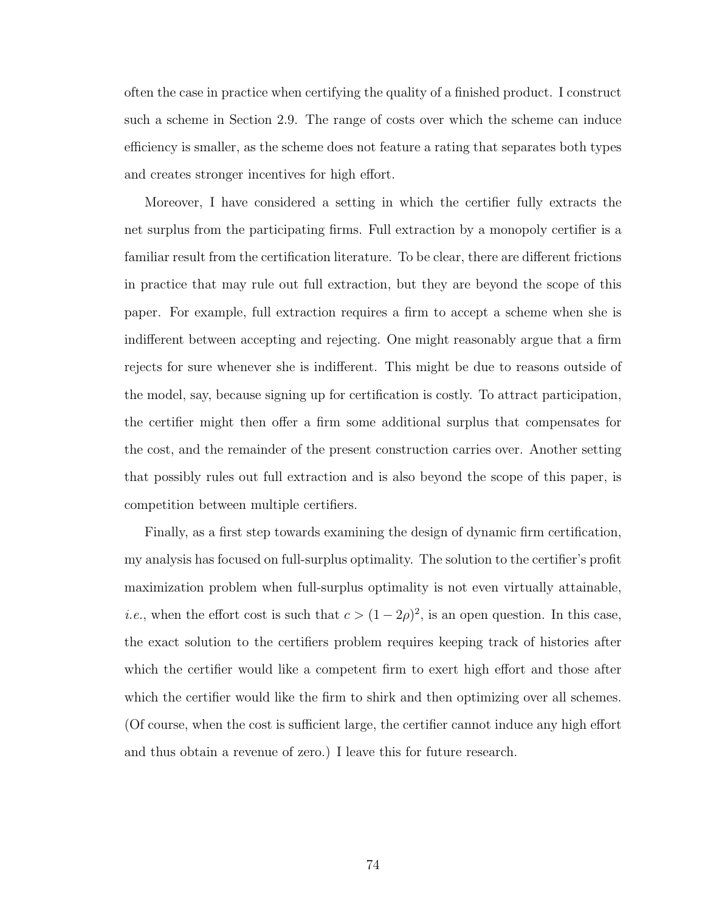often the case in practice when certifying the quality of a finished product. I construct such a scheme in Section [2.9.](#page-90-0) The range of costs over which the scheme can induce efficiency is smaller, as the scheme does not feature a rating that separates both types and creates stronger incentives for high effort.

Moreover, I have considered a setting in which the certifier fully extracts the net surplus from the participating firms. Full extraction by a monopoly certifier is a familiar result from the certification literature. To be clear, there are different frictions in practice that may rule out full extraction, but they are beyond the scope of this paper. For example, full extraction requires a firm to accept a scheme when she is indifferent between accepting and rejecting. One might reasonably argue that a firm rejects for sure whenever she is indifferent. This might be due to reasons outside of the model, say, because signing up for certification is costly. To attract participation, the certifier might then offer a firm some additional surplus that compensates for the cost, and the remainder of the present construction carries over. Another setting that possibly rules out full extraction and is also beyond the scope of this paper, is competition between multiple certifiers.

Finally, as a first step towards examining the design of dynamic firm certification, my analysis has focused on full-surplus optimality. The solution to the certifier's profit maximization problem when full-surplus optimality is not even virtually attainable, *i.e.*, when the effort cost is such that  $c > (1 - 2\rho)^2$ , is an open question. In this case, the exact solution to the certifiers problem requires keeping track of histories after which the certifier would like a competent firm to exert high effort and those after which the certifier would like the firm to shirk and then optimizing over all schemes. (Of course, when the cost is sufficient large, the certifier cannot induce any high effort and thus obtain a revenue of zero.) I leave this for future research.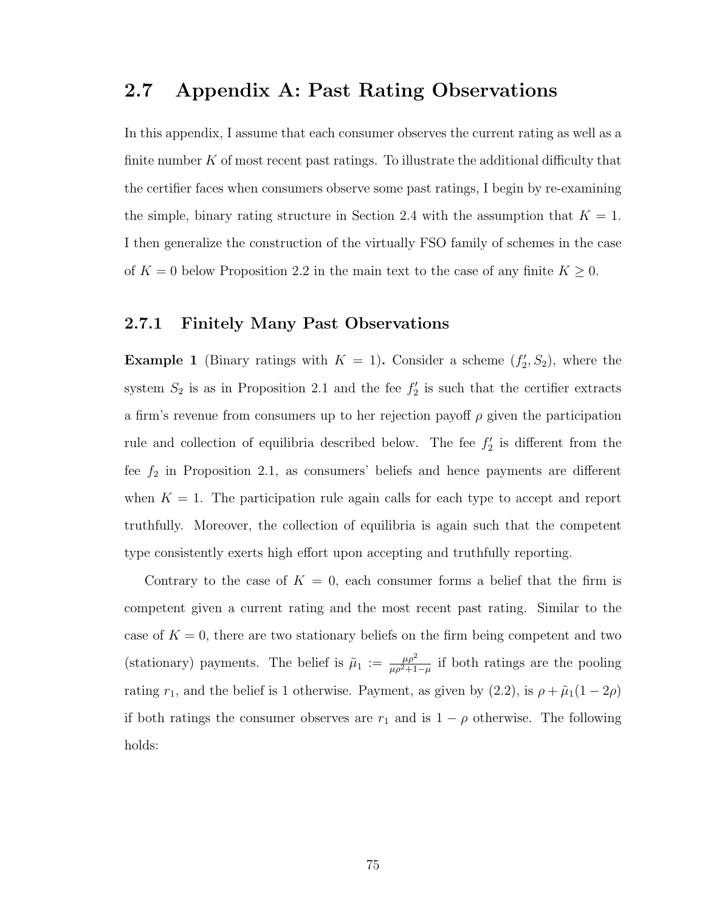### <span id="page-84-0"></span>2.7 Appendix A: Past Rating Observations

In this appendix, I assume that each consumer observes the current rating as well as a finite number  $K$  of most recent past ratings. To illustrate the additional difficulty that the certifier faces when consumers observe some past ratings, I begin by re-examining the simple, binary rating structure in Section [2.4](#page-71-1) with the assumption that  $K = 1$ . I then generalize the construction of the virtually FSO family of schemes in the case of  $K = 0$  below Proposition [2.2](#page-75-3) in the main text to the case of any finite  $K \geq 0$ .

#### 2.7.1 Finitely Many Past Observations

**Example 1** (Binary ratings with  $K = 1$ ). Consider a scheme  $(f'_2, S_2)$ , where the system  $S_2$  is as in Proposition [2.1](#page-72-0) and the fee  $f'_2$  is such that the certifier extracts a firm's revenue from consumers up to her rejection payoff  $\rho$  given the participation rule and collection of equilibria described below. The fee  $f_2'$  is different from the fee  $f_2$  in Proposition [2.1,](#page-72-0) as consumers' beliefs and hence payments are different when  $K = 1$ . The participation rule again calls for each type to accept and report truthfully. Moreover, the collection of equilibria is again such that the competent type consistently exerts high effort upon accepting and truthfully reporting.

Contrary to the case of  $K = 0$ , each consumer forms a belief that the firm is competent given a current rating and the most recent past rating. Similar to the case of  $K = 0$ , there are two stationary beliefs on the firm being competent and two (stationary) payments. The belief is  $\tilde{\mu}_1 := \frac{\mu \rho^2}{\mu \rho^2 + 1}$  $\frac{\mu \rho^2}{\mu \rho^2 + 1 - \mu}$  if both ratings are the pooling rating  $r_1$ , and the belief is 1 otherwise. Payment, as given by [\(2.2\)](#page-63-0), is  $\rho + \tilde{\mu}_1(1 - 2\rho)$ if both ratings the consumer observes are  $r_1$  and is  $1 - \rho$  otherwise. The following holds: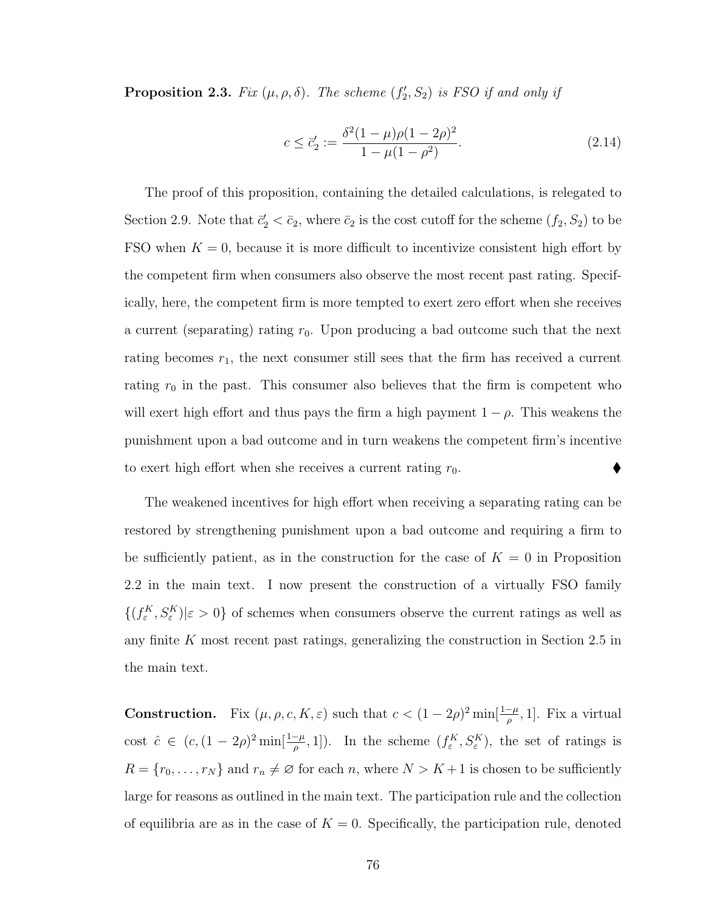**Proposition 2.3.** Fix  $(\mu, \rho, \delta)$ . The scheme  $(f'_2, S_2)$  is FSO if and only if

$$
c \le \vec{c}'_2 := \frac{\delta^2 (1 - \mu)\rho (1 - 2\rho)^2}{1 - \mu (1 - \rho^2)}.
$$
\n(2.14)

The proof of this proposition, containing the detailed calculations, is relegated to Section [2.9.](#page-90-0) Note that  $\bar{c}_2' < \bar{c}_2$ , where  $\bar{c}_2$  is the cost cutoff for the scheme  $(f_2, S_2)$  to be FSO when  $K = 0$ , because it is more difficult to incentivize consistent high effort by the competent firm when consumers also observe the most recent past rating. Specifically, here, the competent firm is more tempted to exert zero effort when she receives a current (separating) rating  $r_0$ . Upon producing a bad outcome such that the next rating becomes  $r_1$ , the next consumer still sees that the firm has received a current rating  $r_0$  in the past. This consumer also believes that the firm is competent who will exert high effort and thus pays the firm a high payment  $1 - \rho$ . This weakens the punishment upon a bad outcome and in turn weakens the competent firm's incentive to exert high effort when she receives a current rating  $r_0$ .

The weakened incentives for high effort when receiving a separating rating can be restored by strengthening punishment upon a bad outcome and requiring a firm to be sufficiently patient, as in the construction for the case of  $K = 0$  in Proposition [2.2](#page-75-3) in the main text. I now present the construction of a virtually FSO family  $\{(f_{\varepsilon}^K, S_{\varepsilon}^K)|\varepsilon > 0\}$  of schemes when consumers observe the current ratings as well as any finite  $K$  most recent past ratings, generalizing the construction in Section [2.5](#page-74-3) in the main text.

**Construction.** Fix  $(\mu, \rho, c, K, \varepsilon)$  such that  $c < (1 - 2\rho)^2 \min[\frac{1-\mu}{\rho}, 1]$ . Fix a virtual cost  $\hat{c} \in (c, (1-2\rho)^2 \min[\frac{1-\mu}{\rho}, 1])$ . In the scheme  $(f_{\varepsilon}^K, S_{\varepsilon}^K)$ , the set of ratings is  $R = \{r_0, \ldots, r_N\}$  and  $r_n \neq \emptyset$  for each n, where  $N > K + 1$  is chosen to be sufficiently large for reasons as outlined in the main text. The participation rule and the collection of equilibria are as in the case of  $K = 0$ . Specifically, the participation rule, denoted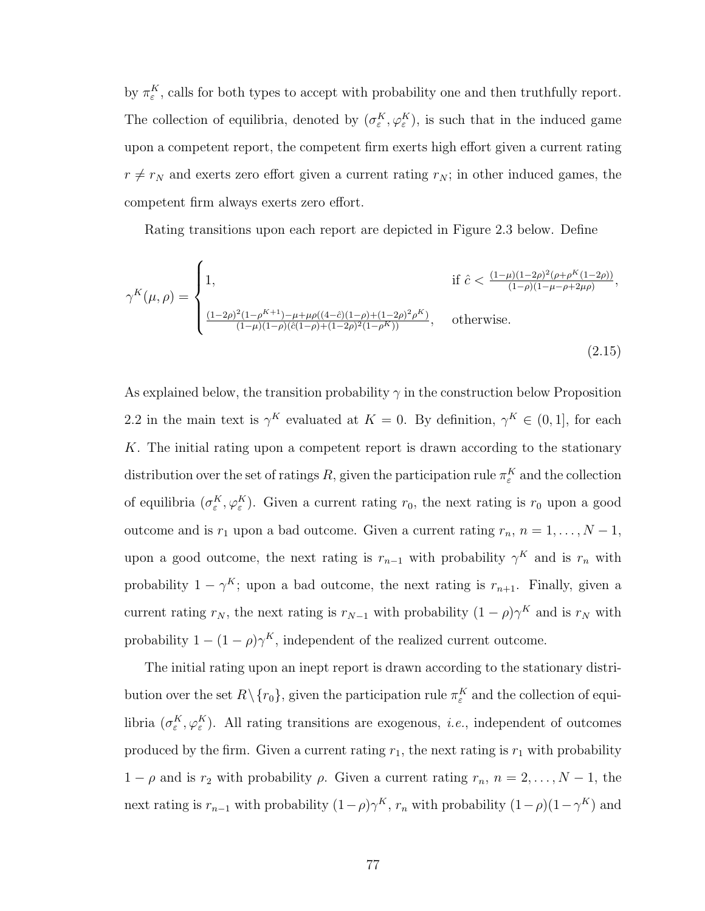by  $\pi_{\varepsilon}^{K}$ , calls for both types to accept with probability one and then truthfully report. The collection of equilibria, denoted by  $(\sigma_{\varepsilon}^K, \varphi_{\varepsilon}^K)$ , is such that in the induced game upon a competent report, the competent firm exerts high effort given a current rating  $r \neq r_N$  and exerts zero effort given a current rating  $r_N$ ; in other induced games, the competent firm always exerts zero effort.

<span id="page-86-0"></span>Rating transitions upon each report are depicted in Figure [2.3](#page-88-0) below. Define

$$
\gamma^{K}(\mu,\rho) = \begin{cases} 1, & \text{if } \hat{c} < \frac{(1-\mu)(1-2\rho)^{2}(\rho+\rho^{K}(1-2\rho))}{(1-\rho)(1-\mu-\rho+2\mu\rho)}, \\ & \\ \frac{(1-2\rho)^{2}(1-\rho^{K+1})-\mu+\mu\rho((4-\hat{c})(1-\rho)+(1-2\rho)^{2}\rho^{K})}{(1-\mu)(1-\rho)(\hat{c}(1-\rho)+(1-2\rho)^{2}(1-\rho^{K}))}, & \text{otherwise.} \end{cases}
$$
(2.15)

As explained below, the transition probability  $\gamma$  in the construction below Proposition [2.2](#page-75-3) in the main text is  $\gamma^K$  evaluated at  $K = 0$ . By definition,  $\gamma^K \in (0, 1]$ , for each K. The initial rating upon a competent report is drawn according to the stationary distribution over the set of ratings R, given the participation rule  $\pi_{\varepsilon}^{K}$  and the collection of equilibria  $(\sigma_{\varepsilon}^K, \varphi_{\varepsilon}^K)$ . Given a current rating  $r_0$ , the next rating is  $r_0$  upon a good outcome and is  $r_1$  upon a bad outcome. Given a current rating  $r_n$ ,  $n = 1, ..., N - 1$ , upon a good outcome, the next rating is  $r_{n-1}$  with probability  $\gamma^K$  and is  $r_n$  with probability  $1 - \gamma^{K}$ ; upon a bad outcome, the next rating is  $r_{n+1}$ . Finally, given a current rating  $r_N$ , the next rating is  $r_{N-1}$  with probability  $(1-\rho)\gamma^K$  and is  $r_N$  with probability  $1 - (1 - \rho)\gamma^K$ , independent of the realized current outcome.

The initial rating upon an inept report is drawn according to the stationary distribution over the set  $R \setminus \{r_0\}$ , given the participation rule  $\pi_{\varepsilon}^K$  and the collection of equilibria  $(\sigma_{\varepsilon}^K, \varphi_{\varepsilon}^K)$ . All rating transitions are exogenous, *i.e.*, independent of outcomes produced by the firm. Given a current rating  $r_1$ , the next rating is  $r_1$  with probability  $1 - \rho$  and is  $r_2$  with probability  $\rho$ . Given a current rating  $r_n$ ,  $n = 2, ..., N - 1$ , the next rating is  $r_{n-1}$  with probability  $(1-\rho)\gamma^K$ ,  $r_n$  with probability  $(1-\rho)(1-\gamma^K)$  and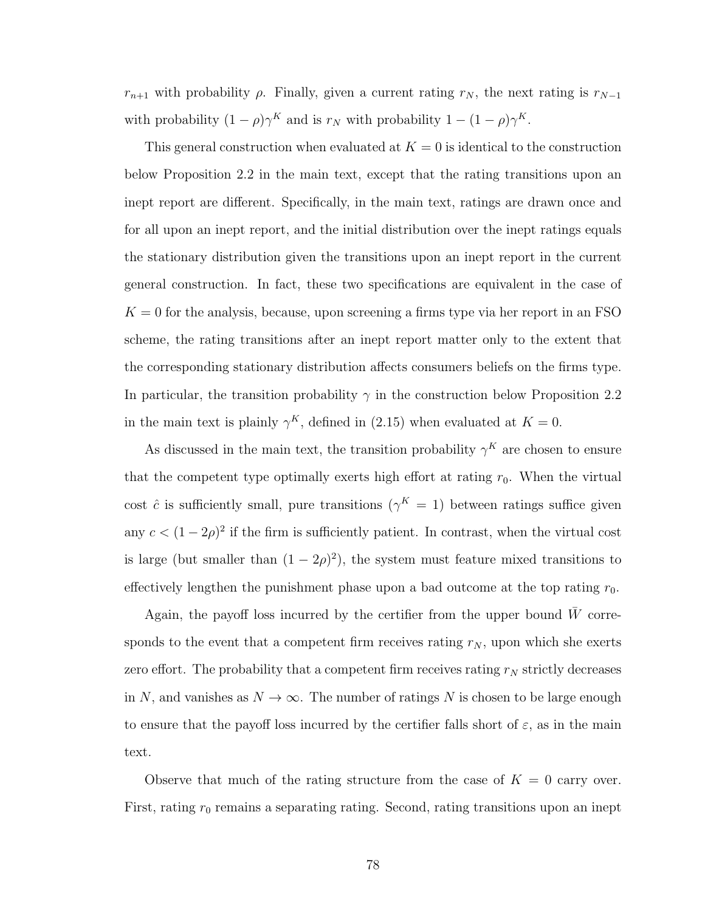$r_{n+1}$  with probability  $\rho$ . Finally, given a current rating  $r_N$ , the next rating is  $r_{N-1}$ with probability  $(1 - \rho)\gamma^K$  and is  $r_N$  with probability  $1 - (1 - \rho)\gamma^K$ .

This general construction when evaluated at  $K = 0$  is identical to the construction below Proposition [2.2](#page-75-3) in the main text, except that the rating transitions upon an inept report are different. Specifically, in the main text, ratings are drawn once and for all upon an inept report, and the initial distribution over the inept ratings equals the stationary distribution given the transitions upon an inept report in the current general construction. In fact, these two specifications are equivalent in the case of  $K = 0$  for the analysis, because, upon screening a firms type via her report in an FSO scheme, the rating transitions after an inept report matter only to the extent that the corresponding stationary distribution affects consumers beliefs on the firms type. In particular, the transition probability  $\gamma$  in the construction below Proposition [2.2](#page-75-3) in the main text is plainly  $\gamma^K$ , defined in [\(2.15\)](#page-86-0) when evaluated at  $K = 0$ .

As discussed in the main text, the transition probability  $\gamma^K$  are chosen to ensure that the competent type optimally exerts high effort at rating  $r_0$ . When the virtual cost  $\hat{c}$  is sufficiently small, pure transitions  $(\gamma^K = 1)$  between ratings suffice given any  $c < (1-2\rho)^2$  if the firm is sufficiently patient. In contrast, when the virtual cost is large (but smaller than  $(1 - 2\rho)^2$ ), the system must feature mixed transitions to effectively lengthen the punishment phase upon a bad outcome at the top rating  $r_0$ .

Again, the payoff loss incurred by the certifier from the upper bound  $\bar{W}$  corresponds to the event that a competent firm receives rating  $r_N$ , upon which she exerts zero effort. The probability that a competent firm receives rating  $r_N$  strictly decreases in N, and vanishes as  $N \to \infty$ . The number of ratings N is chosen to be large enough to ensure that the payoff loss incurred by the certifier falls short of  $\varepsilon$ , as in the main text.

Observe that much of the rating structure from the case of  $K = 0$  carry over. First, rating  $r_0$  remains a separating rating. Second, rating transitions upon an inept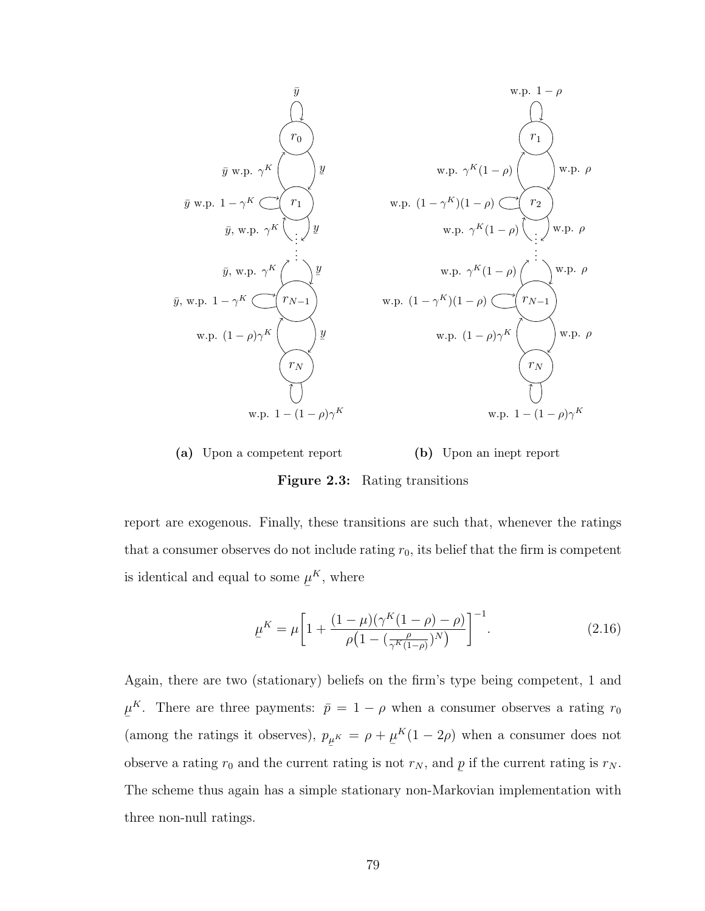<span id="page-88-0"></span>

(a) Upon a competent report

(b) Upon an inept report

Figure 2.3: Rating transitions

report are exogenous. Finally, these transitions are such that, whenever the ratings that a consumer observes do not include rating  $r_0$ , its belief that the firm is competent is identical and equal to some  $\overline{a}$  $\mu^K$ , where

$$
\underline{\mu}^{K} = \mu \left[ 1 + \frac{(1 - \mu)(\gamma^{K}(1 - \rho) - \rho)}{\rho \left( 1 - \left( \frac{\rho}{\gamma^{K}(1 - \rho)} \right)^{N} \right)} \right]^{-1}.
$$
\n(2.16)

Again, there are two (stationary) beliefs on the firm's type being competent, 1 and  $\overline{a}$  $\mu^{K}$ . There are three payments:  $\bar{p} = 1 - \rho$  when a consumer observes a rating  $r_0$ (among the ratings it observes),  $p$  $\mu^{K} = \rho +$  $\overline{a}$  $\mu^{K}(1-2\rho)$  when a consumer does not observe a rating  $r_0$  and the current rating is not  $r_N$ , and ¯ p if the current rating is  $r_N$ . The scheme thus again has a simple stationary non-Markovian implementation with three non-null ratings.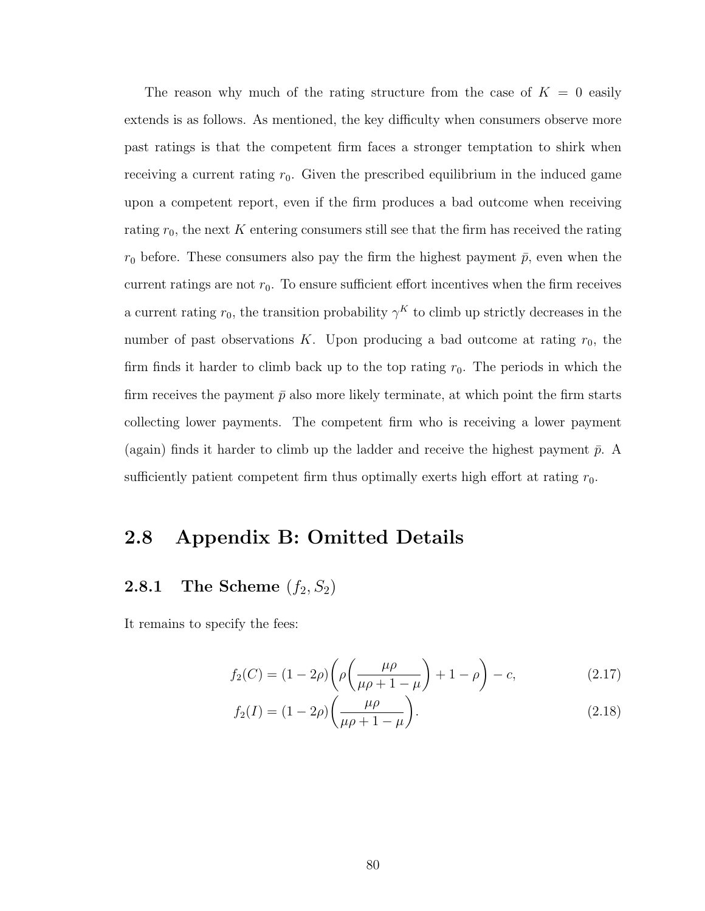The reason why much of the rating structure from the case of  $K = 0$  easily extends is as follows. As mentioned, the key difficulty when consumers observe more past ratings is that the competent firm faces a stronger temptation to shirk when receiving a current rating  $r_0$ . Given the prescribed equilibrium in the induced game upon a competent report, even if the firm produces a bad outcome when receiving rating  $r_0$ , the next K entering consumers still see that the firm has received the rating  $r_0$  before. These consumers also pay the firm the highest payment  $\bar{p}$ , even when the current ratings are not  $r_0$ . To ensure sufficient effort incentives when the firm receives a current rating  $r_0$ , the transition probability  $\gamma^K$  to climb up strictly decreases in the number of past observations K. Upon producing a bad outcome at rating  $r_0$ , the firm finds it harder to climb back up to the top rating  $r_0$ . The periods in which the firm receives the payment  $\bar{p}$  also more likely terminate, at which point the firm starts collecting lower payments. The competent firm who is receiving a lower payment (again) finds it harder to climb up the ladder and receive the highest payment  $\bar{p}$ . A sufficiently patient competent firm thus optimally exerts high effort at rating  $r_0$ .

### 2.8 Appendix B: Omitted Details

## <span id="page-89-0"></span>**2.8.1** The Scheme  $(f_2, S_2)$

It remains to specify the fees:

$$
f_2(C) = (1 - 2\rho) \left( \rho \left( \frac{\mu \rho}{\mu \rho + 1 - \mu} \right) + 1 - \rho \right) - c,\tag{2.17}
$$

$$
f_2(I) = (1 - 2\rho) \left( \frac{\mu \rho}{\mu \rho + 1 - \mu} \right).
$$
 (2.18)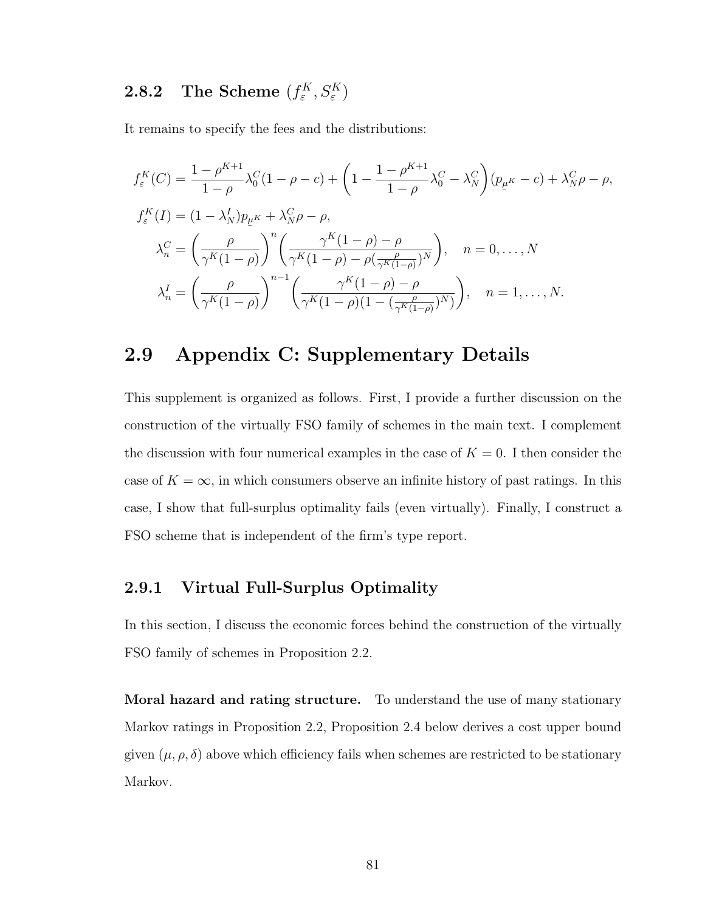#### <span id="page-90-1"></span>**2.8.2** The Scheme  $(f_{\varepsilon}^K)$  $E^K_\varepsilon, S^K_\varepsilon)$

It remains to specify the fees and the distributions:

$$
f_{\varepsilon}^{K}(C) = \frac{1 - \rho^{K+1}}{1 - \rho} \lambda_{0}^{C} (1 - \rho - c) + \left(1 - \frac{1 - \rho^{K+1}}{1 - \rho} \lambda_{0}^{C} - \lambda_{N}^{C}\right) (p_{\mu^{K}} - c) + \lambda_{N}^{C} \rho - \rho,
$$
  
\n
$$
f_{\varepsilon}^{K}(I) = (1 - \lambda_{N}^{I}) p_{\mu^{K}} + \lambda_{N}^{C} \rho - \rho,
$$
  
\n
$$
\lambda_{n}^{C} = \left(\frac{\rho}{\gamma^{K}(1 - \rho)}\right)^{n} \left(\frac{\gamma^{K}(1 - \rho) - \rho}{\gamma^{K}(1 - \rho) - \rho(\frac{\rho}{\gamma^{K}(1 - \rho)})^{N}}\right), \quad n = 0, \dots, N
$$
  
\n
$$
\lambda_{n}^{I} = \left(\frac{\rho}{\gamma^{K}(1 - \rho)}\right)^{n-1} \left(\frac{\gamma^{K}(1 - \rho) - \rho}{\gamma^{K}(1 - \rho)(1 - (\frac{\rho}{\gamma^{K}(1 - \rho)})^{N}}\right), \quad n = 1, \dots, N.
$$

### <span id="page-90-0"></span>2.9 Appendix C: Supplementary Details

This supplement is organized as follows. First, I provide a further discussion on the construction of the virtually FSO family of schemes in the main text. I complement the discussion with four numerical examples in the case of  $K = 0$ . I then consider the case of  $K = \infty$ , in which consumers observe an infinite history of past ratings. In this case, I show that full-surplus optimality fails (even virtually). Finally, I construct a FSO scheme that is independent of the firm's type report.

#### 2.9.1 Virtual Full-Surplus Optimality

In this section, I discuss the economic forces behind the construction of the virtually FSO family of schemes in Proposition [2.2.](#page-75-3)

<span id="page-90-2"></span>Moral hazard and rating structure. To understand the use of many stationary Markov ratings in Proposition [2.2,](#page-75-3) Proposition [2.4](#page-90-2) below derives a cost upper bound given  $(\mu, \rho, \delta)$  above which efficiency fails when schemes are restricted to be stationary Markov.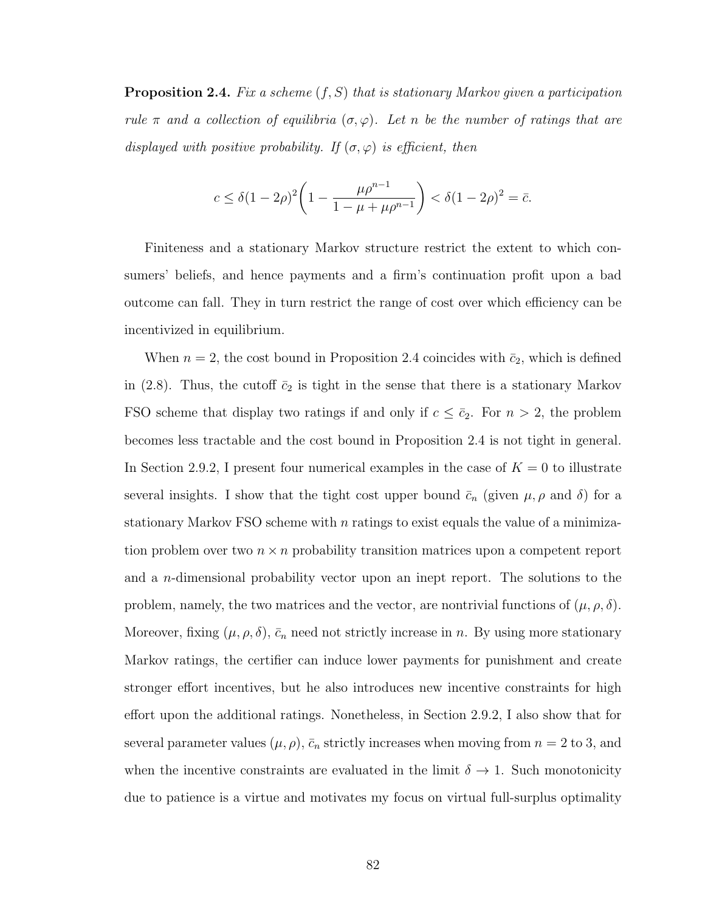**Proposition 2.4.** Fix a scheme  $(f, S)$  that is stationary Markov given a participation rule  $\pi$  and a collection of equilibria  $(\sigma, \varphi)$ . Let n be the number of ratings that are displayed with positive probability. If  $(\sigma, \varphi)$  is efficient, then

$$
c \le \delta (1 - 2\rho)^2 \left( 1 - \frac{\mu \rho^{n-1}}{1 - \mu + \mu \rho^{n-1}} \right) < \delta (1 - 2\rho)^2 = \bar{c}.
$$

Finiteness and a stationary Markov structure restrict the extent to which consumers' beliefs, and hence payments and a firm's continuation profit upon a bad outcome can fall. They in turn restrict the range of cost over which efficiency can be incentivized in equilibrium.

When  $n = 2$ , the cost bound in Proposition [2.4](#page-90-2) coincides with  $\bar{c}_2$ , which is defined in [\(2.8\)](#page-71-0). Thus, the cutoff  $\bar{c}_2$  is tight in the sense that there is a stationary Markov FSO scheme that display two ratings if and only if  $c \leq \bar{c}_2$ . For  $n > 2$ , the problem becomes less tractable and the cost bound in Proposition [2.4](#page-90-2) is not tight in general. In Section [2.9.2,](#page-92-0) I present four numerical examples in the case of  $K = 0$  to illustrate several insights. I show that the tight cost upper bound  $\bar{c}_n$  (given  $\mu, \rho$  and  $\delta$ ) for a stationary Markov FSO scheme with  $n$  ratings to exist equals the value of a minimization problem over two  $n \times n$  probability transition matrices upon a competent report and a n-dimensional probability vector upon an inept report. The solutions to the problem, namely, the two matrices and the vector, are nontrivial functions of  $(\mu, \rho, \delta)$ . Moreover, fixing  $(\mu, \rho, \delta)$ ,  $\bar{c}_n$  need not strictly increase in n. By using more stationary Markov ratings, the certifier can induce lower payments for punishment and create stronger effort incentives, but he also introduces new incentive constraints for high effort upon the additional ratings. Nonetheless, in Section [2.9.2,](#page-92-0) I also show that for several parameter values  $(\mu, \rho)$ ,  $\bar{c}_n$  strictly increases when moving from  $n = 2$  to 3, and when the incentive constraints are evaluated in the limit  $\delta \to 1$ . Such monotonicity due to patience is a virtue and motivates my focus on virtual full-surplus optimality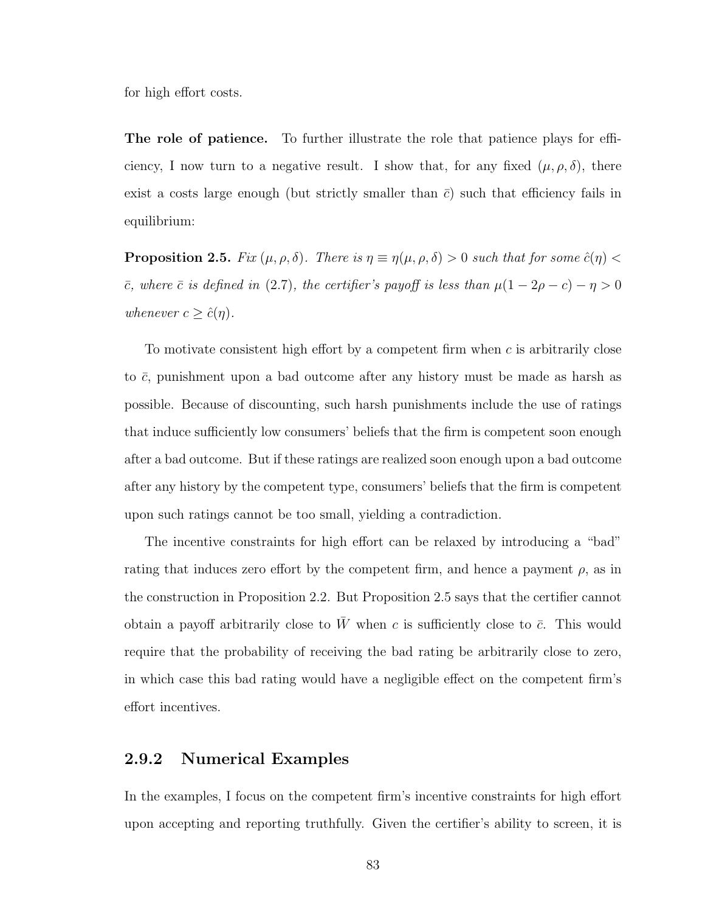for high effort costs.

The role of patience. To further illustrate the role that patience plays for efficiency, I now turn to a negative result. I show that, for any fixed  $(\mu, \rho, \delta)$ , there exist a costs large enough (but strictly smaller than  $\bar{c}$ ) such that efficiency fails in equilibrium:

<span id="page-92-1"></span>**Proposition 2.5.** Fix  $(\mu, \rho, \delta)$ . There is  $\eta \equiv \eta(\mu, \rho, \delta) > 0$  such that for some  $\hat{c}(\eta) <$  $\bar{c}$ , where  $\bar{c}$  is defined in [\(2.7\)](#page-69-0), the certifier's payoff is less than  $\mu(1 - 2\rho - c) - \eta > 0$ whenever  $c \geq \hat{c}(\eta)$ .

To motivate consistent high effort by a competent firm when c is arbitrarily close to  $\bar{c}$ , punishment upon a bad outcome after any history must be made as harsh as possible. Because of discounting, such harsh punishments include the use of ratings that induce sufficiently low consumers' beliefs that the firm is competent soon enough after a bad outcome. But if these ratings are realized soon enough upon a bad outcome after any history by the competent type, consumers' beliefs that the firm is competent upon such ratings cannot be too small, yielding a contradiction.

The incentive constraints for high effort can be relaxed by introducing a "bad" rating that induces zero effort by the competent firm, and hence a payment  $\rho$ , as in the construction in Proposition [2.2.](#page-75-3) But Proposition [2.5](#page-92-1) says that the certifier cannot obtain a payoff arbitrarily close to  $\bar{W}$  when c is sufficiently close to  $\bar{c}$ . This would require that the probability of receiving the bad rating be arbitrarily close to zero, in which case this bad rating would have a negligible effect on the competent firm's effort incentives.

#### <span id="page-92-0"></span>2.9.2 Numerical Examples

In the examples, I focus on the competent firm's incentive constraints for high effort upon accepting and reporting truthfully. Given the certifier's ability to screen, it is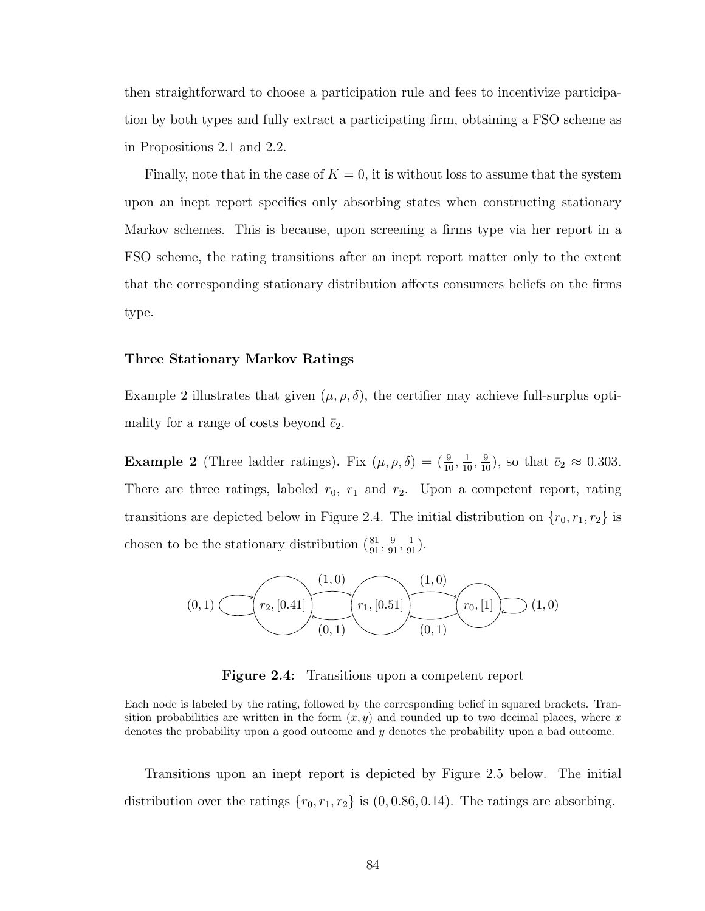then straightforward to choose a participation rule and fees to incentivize participation by both types and fully extract a participating firm, obtaining a FSO scheme as in Propositions [2.1](#page-72-0) and [2.2.](#page-75-3)

Finally, note that in the case of  $K = 0$ , it is without loss to assume that the system upon an inept report specifies only absorbing states when constructing stationary Markov schemes. This is because, upon screening a firms type via her report in a FSO scheme, the rating transitions after an inept report matter only to the extent that the corresponding stationary distribution affects consumers beliefs on the firms type.

#### Three Stationary Markov Ratings

Example [2](#page-93-0) illustrates that given  $(\mu, \rho, \delta)$ , the certifier may achieve full-surplus optimality for a range of costs beyond  $\bar{c}_2$ .

<span id="page-93-0"></span>**Example 2** (Three ladder ratings). Fix  $(\mu, \rho, \delta) = (\frac{9}{10}, \frac{1}{10}, \frac{9}{10})$ , so that  $\bar{c}_2 \approx 0.303$ . There are three ratings, labeled  $r_0$ ,  $r_1$  and  $r_2$ . Upon a competent report, rating transitions are depicted below in Figure [2.4.](#page-93-1) The initial distribution on  $\{r_0, r_1, r_2\}$  is chosen to be the stationary distribution  $(\frac{81}{91}, \frac{9}{91}, \frac{1}{91})$ .

<span id="page-93-1"></span>

Figure 2.4: Transitions upon a competent report

Each node is labeled by the rating, followed by the corresponding belief in squared brackets. Transition probabilities are written in the form  $(x, y)$  and rounded up to two decimal places, where x denotes the probability upon a good outcome and  $y$  denotes the probability upon a bad outcome.

Transitions upon an inept report is depicted by Figure [2.5](#page-94-0) below. The initial distribution over the ratings  $\{r_0, r_1, r_2\}$  is  $(0, 0.86, 0.14)$ . The ratings are absorbing.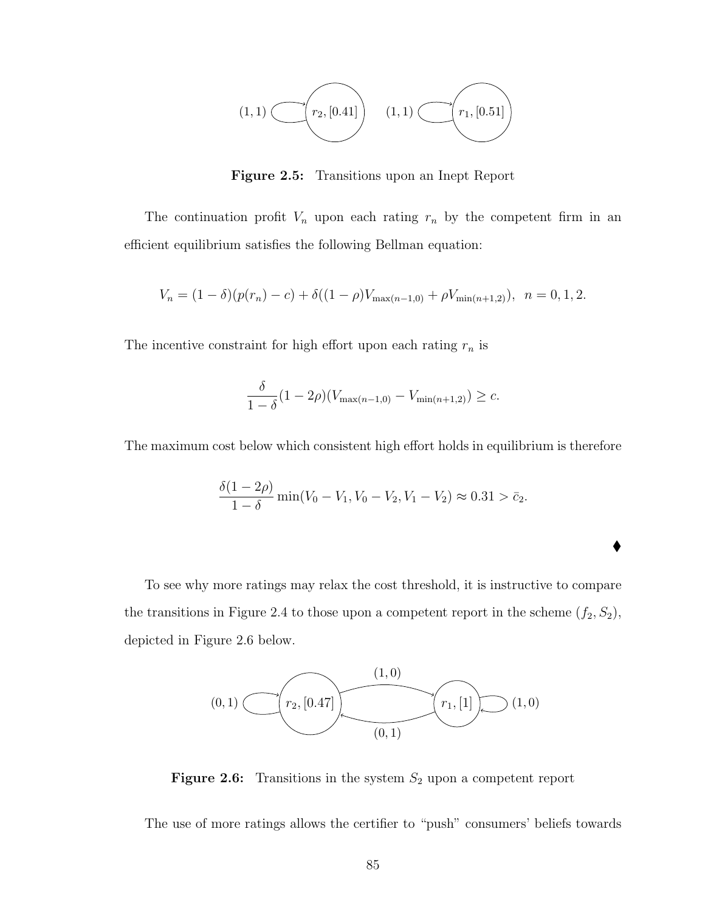<span id="page-94-0"></span>

Figure 2.5: Transitions upon an Inept Report

The continuation profit  $V_n$  upon each rating  $r_n$  by the competent firm in an efficient equilibrium satisfies the following Bellman equation:

$$
V_n = (1 - \delta)(p(r_n) - c) + \delta((1 - \rho)V_{\max(n-1,0)} + \rho V_{\min(n+1,2)}), \quad n = 0, 1, 2.
$$

The incentive constraint for high effort upon each rating  $r_n$  is

$$
\frac{\delta}{1-\delta}(1-2\rho)(V_{\max(n-1,0)} - V_{\min(n+1,2)}) \geq c.
$$

The maximum cost below which consistent high effort holds in equilibrium is therefore

$$
\frac{\delta(1-2\rho)}{1-\delta}\min(V_0-V_1,V_0-V_2,V_1-V_2)\approx 0.31 > \bar{c}_2.
$$

 $\blacklozenge$ 

To see why more ratings may relax the cost threshold, it is instructive to compare the transitions in Figure [2.4](#page-93-1) to those upon a competent report in the scheme  $(f_2, S_2)$ , depicted in Figure [2.6](#page-94-1) below.

<span id="page-94-1"></span>

**Figure 2.6:** Transitions in the system  $S_2$  upon a competent report

The use of more ratings allows the certifier to "push" consumers' beliefs towards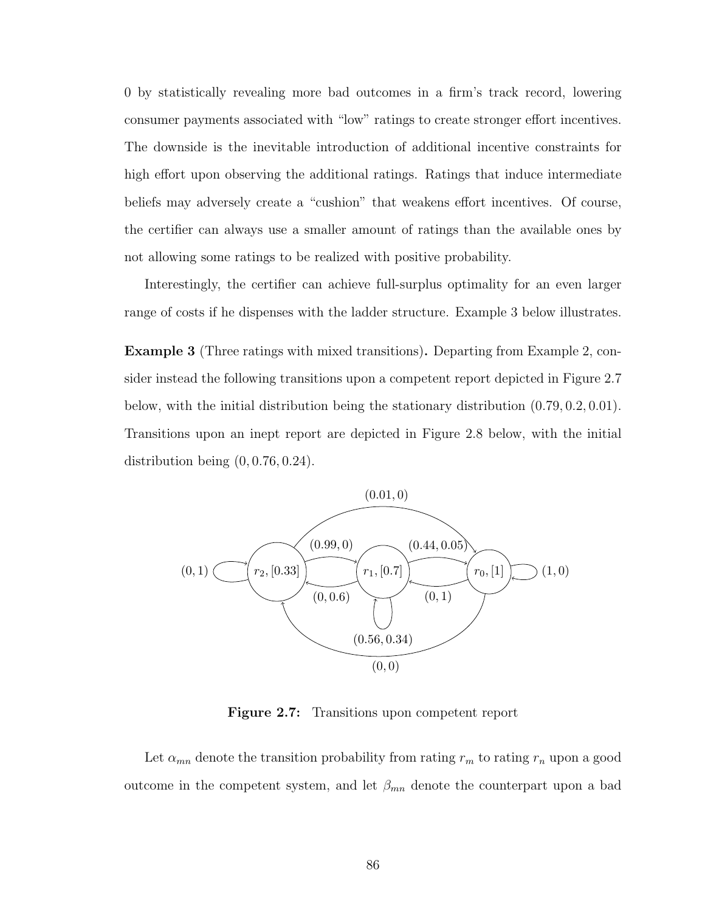0 by statistically revealing more bad outcomes in a firm's track record, lowering consumer payments associated with "low" ratings to create stronger effort incentives. The downside is the inevitable introduction of additional incentive constraints for high effort upon observing the additional ratings. Ratings that induce intermediate beliefs may adversely create a "cushion" that weakens effort incentives. Of course, the certifier can always use a smaller amount of ratings than the available ones by not allowing some ratings to be realized with positive probability.

Interestingly, the certifier can achieve full-surplus optimality for an even larger range of costs if he dispenses with the ladder structure. Example [3](#page-95-0) below illustrates.

<span id="page-95-0"></span>Example 3 (Three ratings with mixed transitions). Departing from Example [2,](#page-93-0) consider instead the following transitions upon a competent report depicted in Figure [2.7](#page-95-1) below, with the initial distribution being the stationary distribution (0.79, 0.2, 0.01). Transitions upon an inept report are depicted in Figure [2.8](#page-96-0) below, with the initial distribution being  $(0, 0.76, 0.24)$ .

<span id="page-95-1"></span>

Figure 2.7: Transitions upon competent report

Let  $\alpha_{mn}$  denote the transition probability from rating  $r_m$  to rating  $r_n$  upon a good outcome in the competent system, and let  $\beta_{mn}$  denote the counterpart upon a bad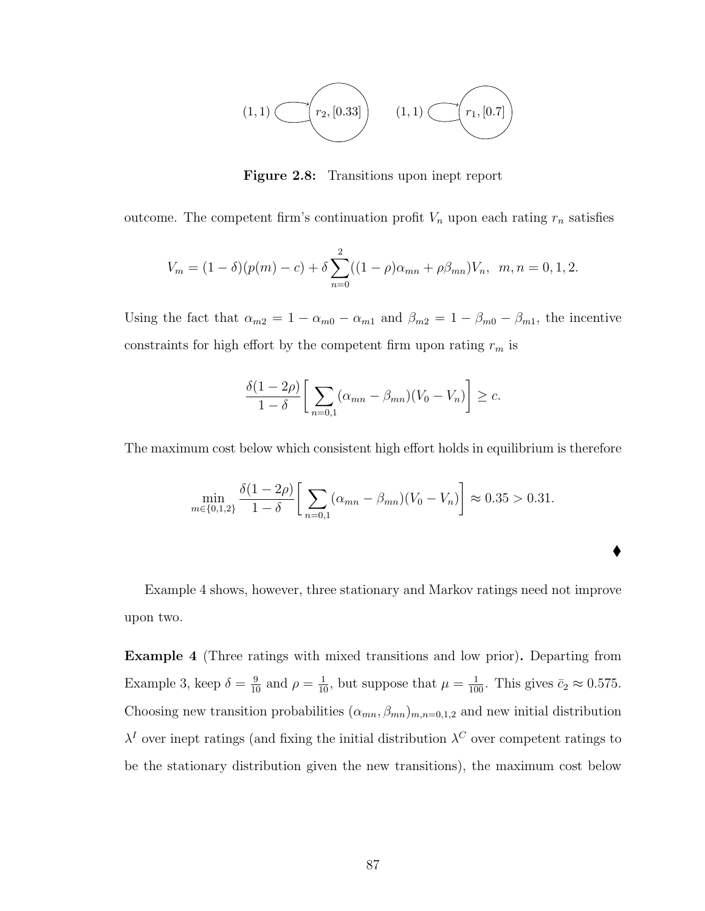<span id="page-96-0"></span>

Figure 2.8: Transitions upon inept report

outcome. The competent firm's continuation profit  $V_n$  upon each rating  $r_n$  satisfies

$$
V_m = (1 - \delta)(p(m) - c) + \delta \sum_{n=0}^{2} ((1 - \rho)\alpha_{mn} + \rho\beta_{mn})V_n, \quad m, n = 0, 1, 2.
$$

Using the fact that  $\alpha_{m2} = 1 - \alpha_{m0} - \alpha_{m1}$  and  $\beta_{m2} = 1 - \beta_{m0} - \beta_{m1}$ , the incentive constraints for high effort by the competent firm upon rating  $\mathfrak{r}_m$  is

$$
\frac{\delta(1-2\rho)}{1-\delta}\bigg[\sum_{n=0,1}(\alpha_{mn}-\beta_{mn})(V_0-V_n)\bigg]\geq c.
$$

The maximum cost below which consistent high effort holds in equilibrium is therefore

$$
\min_{m \in \{0,1,2\}} \frac{\delta(1-2\rho)}{1-\delta} \left[ \sum_{n=0,1} (\alpha_{mn} - \beta_{mn})(V_0 - V_n) \right] \approx 0.35 > 0.31.
$$

 $\blacklozenge$ 

Example [4](#page-96-1) shows, however, three stationary and Markov ratings need not improve upon two.

<span id="page-96-1"></span>Example 4 (Three ratings with mixed transitions and low prior). Departing from Example [3,](#page-95-0) keep  $\delta = \frac{9}{10}$  and  $\rho = \frac{1}{10}$ , but suppose that  $\mu = \frac{1}{100}$ . This gives  $\bar{c}_2 \approx 0.575$ . Choosing new transition probabilities  $(\alpha_{mn}, \beta_{mn})_{m,n=0,1,2}$  and new initial distribution  $\lambda^I$  over inept ratings (and fixing the initial distribution  $\lambda^C$  over competent ratings to be the stationary distribution given the new transitions), the maximum cost below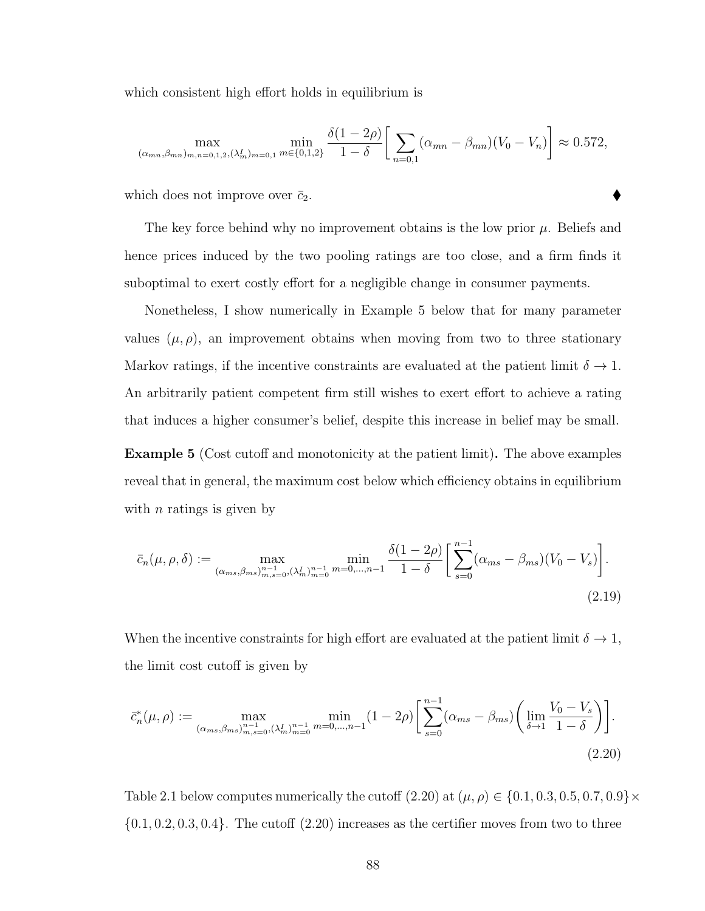which consistent high effort holds in equilibrium is

$$
\max_{(\alpha_{mn}, \beta_{mn})_{m,n=0,1,2}, (\lambda_m^I)_{m=0,1}} \min_{m \in \{0,1,2\}} \frac{\delta(1-2\rho)}{1-\delta} \left[ \sum_{n=0,1} (\alpha_{mn} - \beta_{mn})(V_0 - V_n) \right] \approx 0.572,
$$

which does not improve over  $\bar{c}_2$ .

The key force behind why no improvement obtains is the low prior  $\mu$ . Beliefs and hence prices induced by the two pooling ratings are too close, and a firm finds it suboptimal to exert costly effort for a negligible change in consumer payments.

Nonetheless, I show numerically in Example [5](#page-97-0) below that for many parameter values  $(\mu, \rho)$ , an improvement obtains when moving from two to three stationary Markov ratings, if the incentive constraints are evaluated at the patient limit  $\delta \to 1$ . An arbitrarily patient competent firm still wishes to exert effort to achieve a rating that induces a higher consumer's belief, despite this increase in belief may be small.

<span id="page-97-0"></span>Example 5 (Cost cutoff and monotonicity at the patient limit). The above examples reveal that in general, the maximum cost below which efficiency obtains in equilibrium with  $n$  ratings is given by

<span id="page-97-2"></span>
$$
\bar{c}_n(\mu,\rho,\delta) := \max_{(\alpha_{ms},\beta_{ms})_{m,s=0}^{n-1}, (\lambda_m^I)_{m=0}^{n-1} m=0,\dots,n-1} \frac{\delta(1-2\rho)}{1-\delta} \left[ \sum_{s=0}^{n-1} (\alpha_{ms} - \beta_{ms})(V_0 - V_s) \right].
$$
\n(2.19)

When the incentive constraints for high effort are evaluated at the patient limit  $\delta \to 1$ , the limit cost cutoff is given by

<span id="page-97-1"></span>
$$
\bar{c}_{n}^{*}(\mu,\rho) := \max_{(\alpha_{ms},\beta_{ms})_{m,s=0}^{n-1}, (\lambda_{m}^{I})_{m=0}^{n-1} m=0,\dots,n-1} \min(1-2\rho) \left[ \sum_{s=0}^{n-1} (\alpha_{ms} - \beta_{ms}) \left( \lim_{\delta \to 1} \frac{V_{0} - V_{s}}{1-\delta} \right) \right].
$$
\n(2.20)

Table [2.1](#page-98-0) below computes numerically the cutoff  $(2.20)$  at  $(\mu, \rho) \in \{0.1, 0.3, 0.5, 0.7, 0.9\} \times$  $\{0.1, 0.2, 0.3, 0.4\}$ . The cutoff  $(2.20)$  increases as the certifier moves from two to three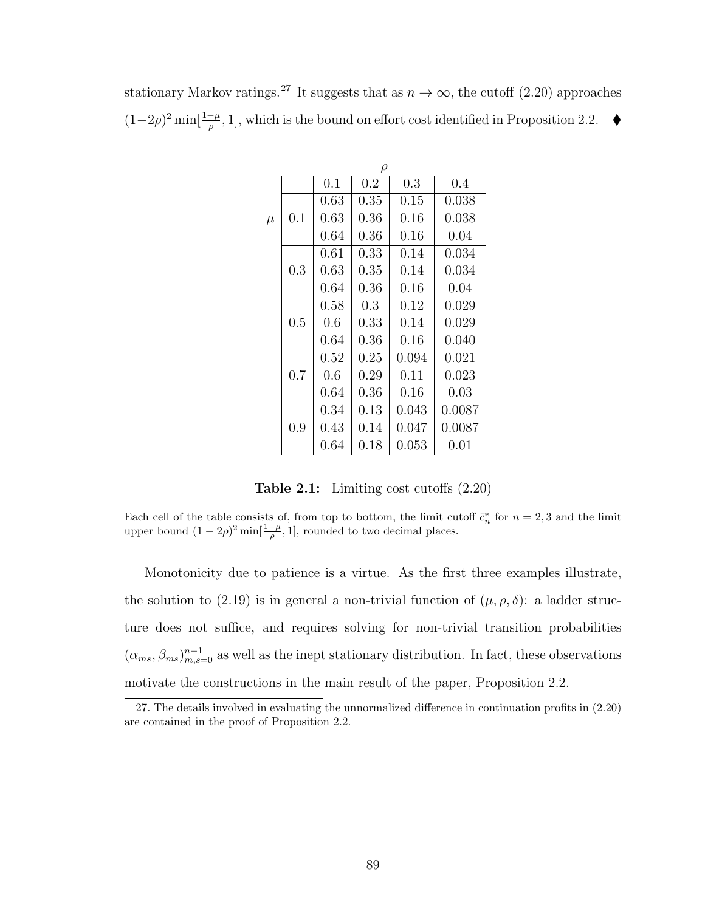|       | $\rho$ |          |         |       |        |  |
|-------|--------|----------|---------|-------|--------|--|
|       |        | 0.1      | $0.2\,$ | 0.3   | 0.4    |  |
| $\mu$ |        | 0.63     | 0.35    | 0.15  | 0.038  |  |
|       | 0.1    | 0.63     | 0.36    | 0.16  | 0.038  |  |
|       |        | 0.64     | 0.36    | 0.16  | 0.04   |  |
|       | 0.3    | 0.61     | 0.33    | 0.14  | 0.034  |  |
|       |        | 0.63     | 0.35    | 0.14  | 0.034  |  |
|       |        | 0.64     | 0.36    | 0.16  | 0.04   |  |
|       | 0.5    | 0.58     | 0.3     | 0.12  | 0.029  |  |
|       |        | 0.6      | 0.33    | 0.14  | 0.029  |  |
|       |        | 0.64     | 0.36    | 0.16  | 0.040  |  |
|       | 0.7    | 0.52     | 0.25    | 0.094 | 0.021  |  |
|       |        | 0.6      | 0.29    | 0.11  | 0.023  |  |
|       |        | 0.64     | 0.36    | 0.16  | 0.03   |  |
|       |        | 0.34     | 0.13    | 0.043 | 0.0087 |  |
|       | 0.9    | 0.43     | 0.14    | 0.047 | 0.0087 |  |
|       |        | $0.64\,$ | 0.18    | 0.053 | 0.01   |  |

<span id="page-98-0"></span>stationary Markov ratings.<sup>[27](#page-98-1)</sup> It suggests that as  $n \to \infty$ , the cutoff [\(2.20\)](#page-97-1) approaches  $(1-2\rho)^2$  min[ $\frac{1-\mu}{\rho}$ , 1], which is the bound on effort cost identified in Proposition [2.2.](#page-75-3) ♦

Table 2.1: Limiting cost cutoffs [\(2.20\)](#page-97-1)

Each cell of the table consists of, from top to bottom, the limit cutoff  $\bar{c}_n^*$  for  $n = 2, 3$  and the limit upper bound  $(1 - 2\rho)^2 \min[\frac{1-\mu}{\rho}, 1]$ , rounded to two decimal places.

Monotonicity due to patience is a virtue. As the first three examples illustrate, the solution to [\(2.19\)](#page-97-2) is in general a non-trivial function of  $(\mu, \rho, \delta)$ : a ladder structure does not suffice, and requires solving for non-trivial transition probabilities  $(\alpha_{ms}, \beta_{ms})_{m,s=0}^{n-1}$  as well as the inept stationary distribution. In fact, these observations motivate the constructions in the main result of the paper, Proposition [2.2.](#page-75-3)

<span id="page-98-1"></span><sup>27.</sup> The details involved in evaluating the unnormalized difference in continuation profits in [\(2.20\)](#page-97-1) are contained in the proof of Proposition [2.2.](#page-75-3)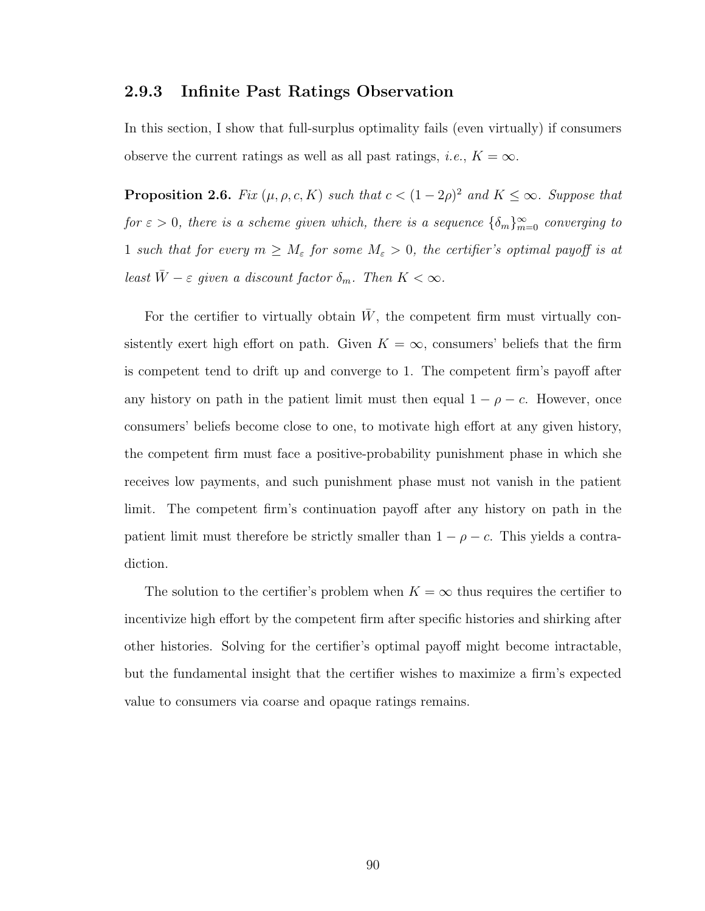#### 2.9.3 Infinite Past Ratings Observation

In this section, I show that full-surplus optimality fails (even virtually) if consumers observe the current ratings as well as all past ratings, *i.e.*,  $K = \infty$ .

**Proposition 2.6.** Fix  $(\mu, \rho, c, K)$  such that  $c < (1 - 2\rho)^2$  and  $K \leq \infty$ . Suppose that for  $\varepsilon > 0$ , there is a scheme given which, there is a sequence  $\{\delta_m\}_{m=0}^{\infty}$  converging to 1 such that for every  $m \geq M_{\varepsilon}$  for some  $M_{\varepsilon} > 0$ , the certifier's optimal payoff is at least  $\bar{W} - \varepsilon$  given a discount factor  $\delta_m$ . Then  $K < \infty$ .

For the certifier to virtually obtain  $\bar{W}$ , the competent firm must virtually consistently exert high effort on path. Given  $K = \infty$ , consumers' beliefs that the firm is competent tend to drift up and converge to 1. The competent firm's payoff after any history on path in the patient limit must then equal  $1 - \rho - c$ . However, once consumers' beliefs become close to one, to motivate high effort at any given history, the competent firm must face a positive-probability punishment phase in which she receives low payments, and such punishment phase must not vanish in the patient limit. The competent firm's continuation payoff after any history on path in the patient limit must therefore be strictly smaller than  $1 - \rho - c$ . This yields a contradiction.

The solution to the certifier's problem when  $K = \infty$  thus requires the certifier to incentivize high effort by the competent firm after specific histories and shirking after other histories. Solving for the certifier's optimal payoff might become intractable, but the fundamental insight that the certifier wishes to maximize a firm's expected value to consumers via coarse and opaque ratings remains.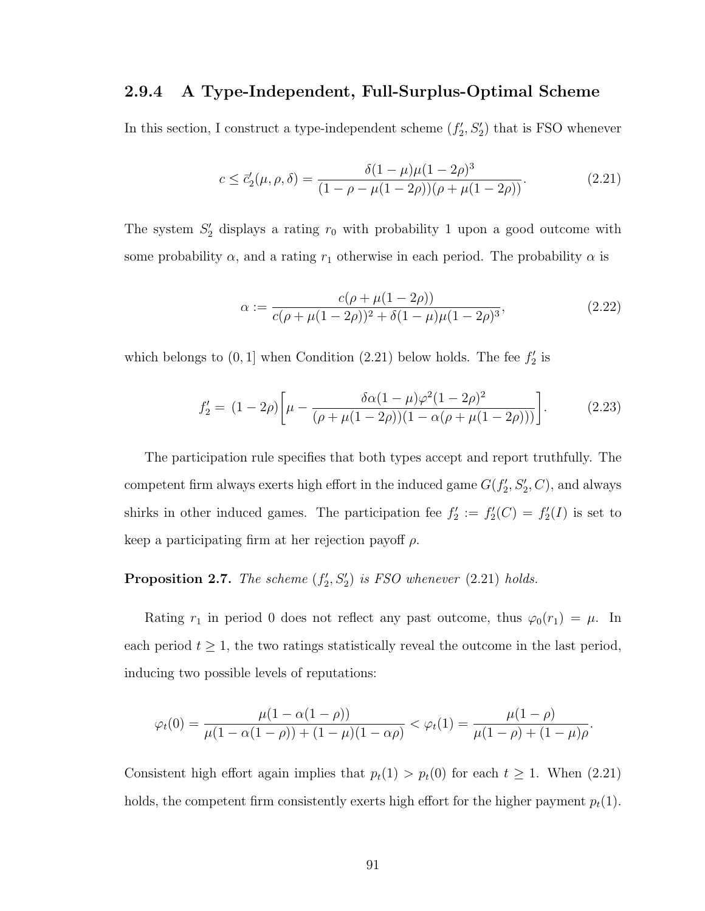#### 2.9.4 A Type-Independent, Full-Surplus-Optimal Scheme

In this section, I construct a type-independent scheme  $(f'_2, S'_2)$  that is FSO whenever

<span id="page-100-0"></span>
$$
c \le \bar{c}'_2(\mu, \rho, \delta) = \frac{\delta(1 - \mu)\mu(1 - 2\rho)^3}{(1 - \rho - \mu(1 - 2\rho))(\rho + \mu(1 - 2\rho))}.
$$
\n(2.21)

The system  $S'_2$  displays a rating  $r_0$  with probability 1 upon a good outcome with some probability  $\alpha$ , and a rating  $r_1$  otherwise in each period. The probability  $\alpha$  is

$$
\alpha := \frac{c(\rho + \mu(1 - 2\rho))}{c(\rho + \mu(1 - 2\rho))^2 + \delta(1 - \mu)\mu(1 - 2\rho)^3},
$$
\n(2.22)

which belongs to  $(0, 1]$  when Condition  $(2.21)$  below holds. The fee  $f'_2$  is

$$
f_2' = (1 - 2\rho) \left[ \mu - \frac{\delta \alpha (1 - \mu) \varphi^2 (1 - 2\rho)^2}{(\rho + \mu (1 - 2\rho))(1 - \alpha (\rho + \mu (1 - 2\rho)))} \right].
$$
 (2.23)

The participation rule specifies that both types accept and report truthfully. The competent firm always exerts high effort in the induced game  $G(f'_2, S'_2, C)$ , and always shirks in other induced games. The participation fee  $f_2' := f_2'(C) = f_2'(I)$  is set to keep a participating firm at her rejection payoff  $\rho$ .

### **Proposition 2.7.** The scheme  $(f'_2, S'_2)$  is FSO whenever  $(2.21)$  holds.

Rating  $r_1$  in period 0 does not reflect any past outcome, thus  $\varphi_0(r_1) = \mu$ . In each period  $t \geq 1$ , the two ratings statistically reveal the outcome in the last period, inducing two possible levels of reputations:

$$
\varphi_t(0) = \frac{\mu(1 - \alpha(1 - \rho))}{\mu(1 - \alpha(1 - \rho)) + (1 - \mu)(1 - \alpha\rho)} < \varphi_t(1) = \frac{\mu(1 - \rho)}{\mu(1 - \rho) + (1 - \mu)\rho}.
$$

Consistent high effort again implies that  $p_t(1) > p_t(0)$  for each  $t \geq 1$ . When [\(2.21\)](#page-100-0) holds, the competent firm consistently exerts high effort for the higher payment  $p_t(1)$ .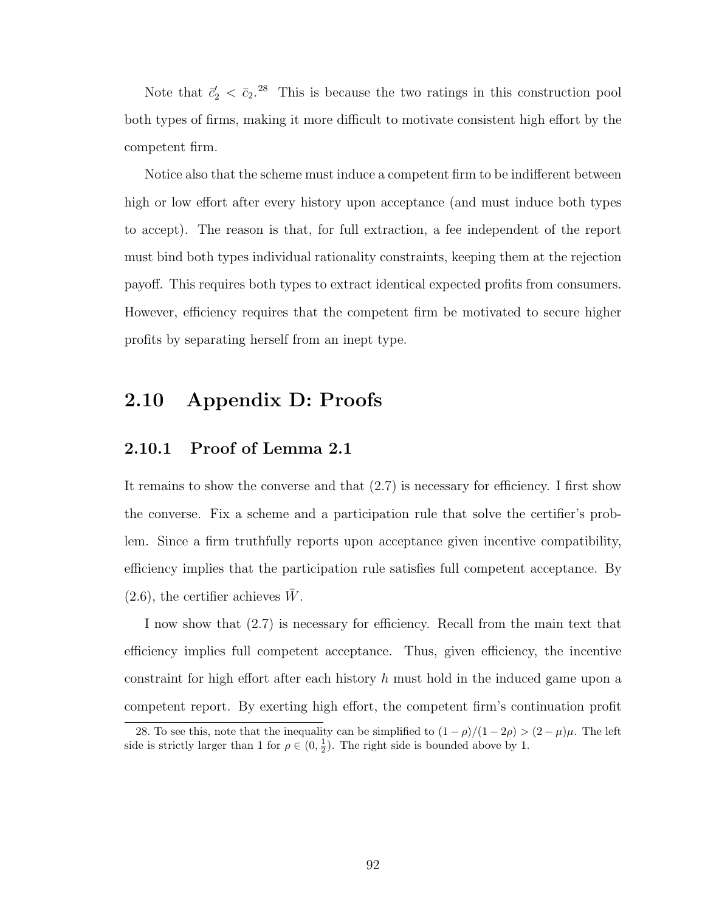Note that  $\bar{c}'_2 < \bar{c}_2$ .<sup>[28](#page-101-0)</sup> This is because the two ratings in this construction pool both types of firms, making it more difficult to motivate consistent high effort by the competent firm.

Notice also that the scheme must induce a competent firm to be indifferent between high or low effort after every history upon acceptance (and must induce both types to accept). The reason is that, for full extraction, a fee independent of the report must bind both types individual rationality constraints, keeping them at the rejection payoff. This requires both types to extract identical expected profits from consumers. However, efficiency requires that the competent firm be motivated to secure higher profits by separating herself from an inept type.

### 2.10 Appendix D: Proofs

#### 2.10.1 Proof of Lemma [2.1](#page-69-1)

It remains to show the converse and that [\(2.7\)](#page-69-0) is necessary for efficiency. I first show the converse. Fix a scheme and a participation rule that solve the certifier's problem. Since a firm truthfully reports upon acceptance given incentive compatibility, efficiency implies that the participation rule satisfies full competent acceptance. By  $(2.6)$ , the certifier achieves  $\overline{W}$ .

I now show that [\(2.7\)](#page-69-0) is necessary for efficiency. Recall from the main text that efficiency implies full competent acceptance. Thus, given efficiency, the incentive constraint for high effort after each history  $h$  must hold in the induced game upon a competent report. By exerting high effort, the competent firm's continuation profit

<span id="page-101-0"></span><sup>28.</sup> To see this, note that the inequality can be simplified to  $(1 - \rho)/(1 - 2\rho) > (2 - \mu)\mu$ . The left side is strictly larger than 1 for  $\rho \in (0, \frac{1}{2})$ . The right side is bounded above by 1.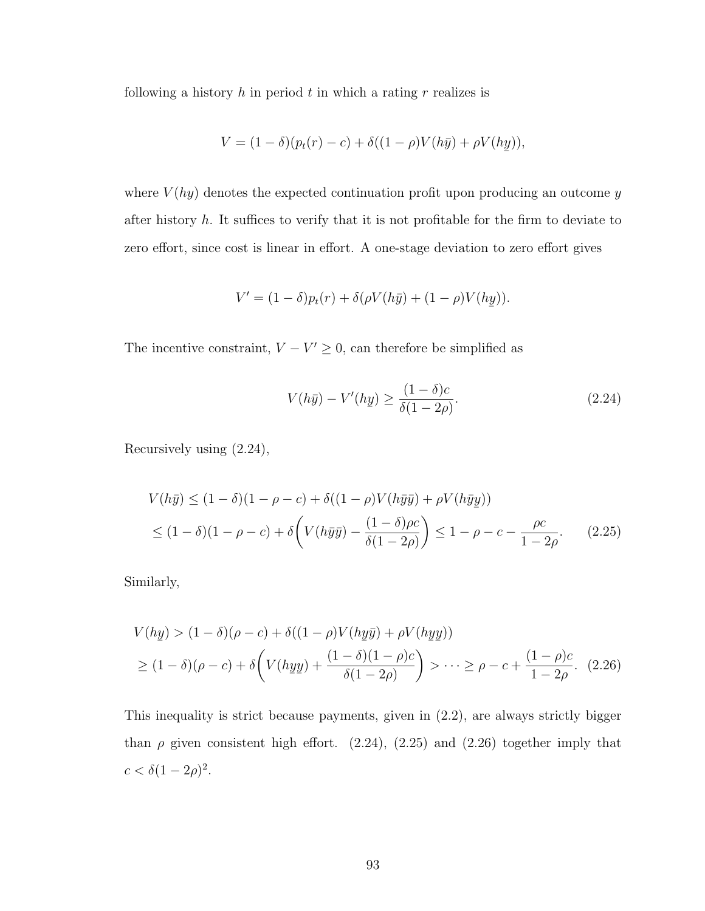following a history  $h$  in period  $t$  in which a rating  $r$  realizes is

$$
V = (1 - \delta)(p_t(r) - c) + \delta((1 - \rho)V(h\bar{y}) + \rho V(h\bar{y})),
$$

where  $V(hy)$  denotes the expected continuation profit upon producing an outcome y after history  $h$ . It suffices to verify that it is not profitable for the firm to deviate to zero effort, since cost is linear in effort. A one-stage deviation to zero effort gives

$$
V' = (1 - \delta)p_t(r) + \delta(\rho V(h\bar{y}) + (1 - \rho)V(h\underline{y})).
$$

The incentive constraint,  $V - V' \geq 0$ , can therefore be simplified as

<span id="page-102-2"></span><span id="page-102-1"></span><span id="page-102-0"></span>
$$
V(h\bar{y}) - V'(hy) \ge \frac{(1-\delta)c}{\delta(1-2\rho)}.\tag{2.24}
$$

Recursively using [\(2.24\)](#page-102-0),

$$
V(h\bar{y}) \le (1 - \delta)(1 - \rho - c) + \delta((1 - \rho)V(h\bar{y}\bar{y}) + \rho V(h\bar{y}y))
$$
  
 
$$
\le (1 - \delta)(1 - \rho - c) + \delta\left(V(h\bar{y}\bar{y}) - \frac{(1 - \delta)\rho c}{\delta(1 - 2\rho)}\right) \le 1 - \rho - c - \frac{\rho c}{1 - 2\rho}.
$$
 (2.25)

Similarly,

$$
V(hy) > (1 - \delta)(\rho - c) + \delta((1 - \rho)V(hy\bar{y}) + \rho V(hy\bar{y}))
$$
  
 
$$
\geq (1 - \delta)(\rho - c) + \delta\left(V(hy\bar{y}) + \frac{(1 - \delta)(1 - \rho)c}{\delta(1 - 2\rho)}\right) > \dots \geq \rho - c + \frac{(1 - \rho)c}{1 - 2\rho}.
$$
 (2.26)

This inequality is strict because payments, given in [\(2.2\)](#page-63-0), are always strictly bigger than  $\rho$  given consistent high effort. [\(2.24\)](#page-102-0), [\(2.25\)](#page-102-1) and [\(2.26\)](#page-102-2) together imply that  $c < \delta(1 - 2\rho)^2$ .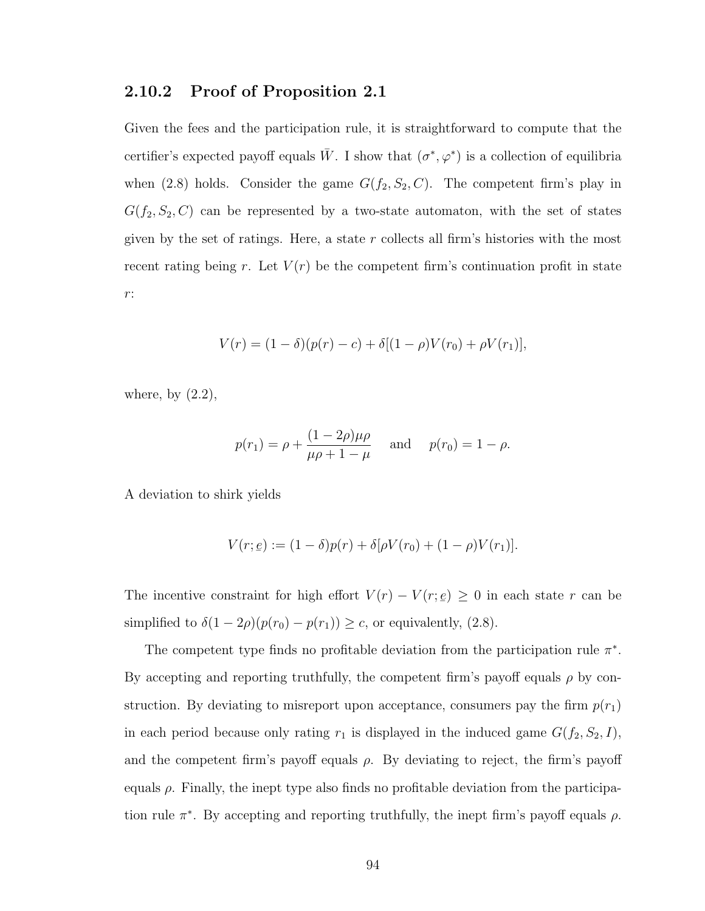#### 2.10.2 Proof of Proposition [2.1](#page-72-0)

Given the fees and the participation rule, it is straightforward to compute that the certifier's expected payoff equals  $\bar{W}$ . I show that  $(\sigma^*, \varphi^*)$  is a collection of equilibria when [\(2.8\)](#page-71-0) holds. Consider the game  $G(f_2, S_2, C)$ . The competent firm's play in  $G(f_2, S_2, C)$  can be represented by a two-state automaton, with the set of states given by the set of ratings. Here, a state  $r$  collects all firm's histories with the most recent rating being r. Let  $V(r)$  be the competent firm's continuation profit in state r:

$$
V(r) = (1 - \delta)(p(r) - c) + \delta[(1 - \rho)V(r_0) + \rho V(r_1)],
$$

where, by  $(2.2)$ ,

$$
p(r_1) = \rho + \frac{(1 - 2\rho)\mu\rho}{\mu\rho + 1 - \mu}
$$
 and  $p(r_0) = 1 - \rho$ .

A deviation to shirk yields

$$
V(r; \underline{e}) := (1 - \delta)p(r) + \delta[\rho V(r_0) + (1 - \rho)V(r_1)].
$$

The incentive constraint for high effort  $V(r) - V(r;$  $\leq$  $\epsilon$ )  $\geq$  0 in each state r can be simplified to  $\delta(1 - 2\rho)(p(r_0) - p(r_1)) \geq c$ , or equivalently, [\(2.8\)](#page-71-0).

The competent type finds no profitable deviation from the participation rule  $\pi^*$ . By accepting and reporting truthfully, the competent firm's payoff equals  $\rho$  by construction. By deviating to misreport upon acceptance, consumers pay the firm  $p(r_1)$ in each period because only rating  $r_1$  is displayed in the induced game  $G(f_2, S_2, I)$ , and the competent firm's payoff equals  $\rho$ . By deviating to reject, the firm's payoff equals  $\rho$ . Finally, the inept type also finds no profitable deviation from the participation rule  $\pi^*$ . By accepting and reporting truthfully, the inept firm's payoff equals  $\rho$ .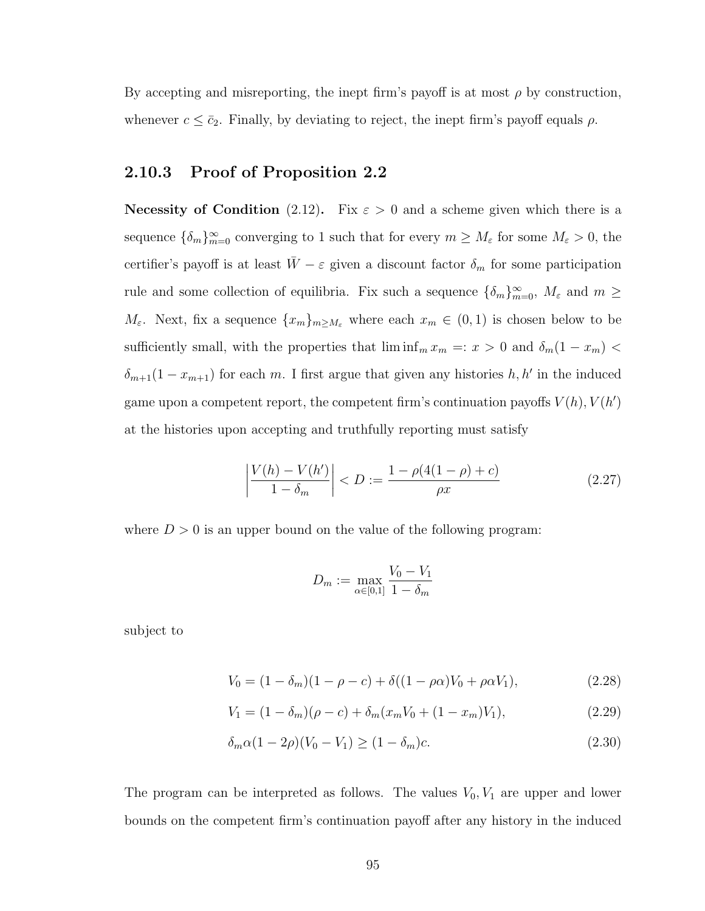By accepting and misreporting, the inept firm's payoff is at most  $\rho$  by construction, whenever  $c \leq \bar{c}_2$ . Finally, by deviating to reject, the inept firm's payoff equals  $\rho$ .

### 2.10.3 Proof of Proposition [2.2](#page-75-3)

Necessity of Condition [\(2.12\)](#page-75-1). Fix  $\varepsilon > 0$  and a scheme given which there is a sequence  $\{\delta_m\}_{m=0}^{\infty}$  converging to 1 such that for every  $m \geq M_{\varepsilon}$  for some  $M_{\varepsilon} > 0$ , the certifier's payoff is at least  $\bar{W} - \varepsilon$  given a discount factor  $\delta_m$  for some participation rule and some collection of equilibria. Fix such a sequence  $\{\delta_m\}_{m=0}^{\infty}$ ,  $M_{\varepsilon}$  and  $m \geq$  $M_{\varepsilon}$ . Next, fix a sequence  $\{x_m\}_{m\geq M_{\varepsilon}}$  where each  $x_m \in (0,1)$  is chosen below to be sufficiently small, with the properties that  $\liminf_m x_m =: x > 0$  and  $\delta_m(1 - x_m)$  $\delta_{m+1}(1-x_{m+1})$  for each m. I first argue that given any histories  $h, h'$  in the induced game upon a competent report, the competent firm's continuation payoffs  $V(h)$ ,  $V(h')$ at the histories upon accepting and truthfully reporting must satisfy

$$
\left| \frac{V(h) - V(h')}{1 - \delta_m} \right| < D := \frac{1 - \rho(4(1 - \rho) + c)}{\rho x} \tag{2.27}
$$

where  $D > 0$  is an upper bound on the value of the following program:

<span id="page-104-3"></span><span id="page-104-2"></span><span id="page-104-1"></span><span id="page-104-0"></span>
$$
D_m:=\max_{\alpha\in[0,1]}\frac{V_0-V_1}{1-\delta_m}
$$

subject to

$$
V_0 = (1 - \delta_m)(1 - \rho - c) + \delta((1 - \rho \alpha)V_0 + \rho \alpha V_1),
$$
\n(2.28)

$$
V_1 = (1 - \delta_m)(\rho - c) + \delta_m(x_m V_0 + (1 - x_m)V_1),
$$
\n(2.29)

$$
\delta_m \alpha (1 - 2\rho)(V_0 - V_1) \ge (1 - \delta_m)c. \tag{2.30}
$$

The program can be interpreted as follows. The values  $V_0, V_1$  are upper and lower bounds on the competent firm's continuation payoff after any history in the induced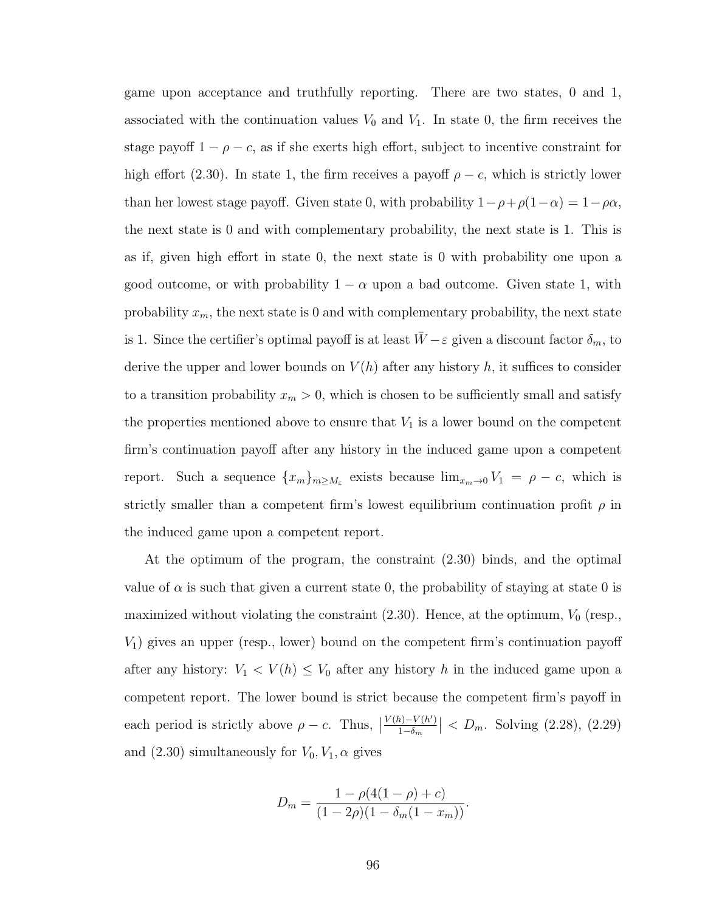game upon acceptance and truthfully reporting. There are two states, 0 and 1, associated with the continuation values  $V_0$  and  $V_1$ . In state 0, the firm receives the stage payoff  $1 - \rho - c$ , as if she exerts high effort, subject to incentive constraint for high effort [\(2.30\)](#page-104-0). In state 1, the firm receives a payoff  $\rho - c$ , which is strictly lower than her lowest stage payoff. Given state 0, with probability  $1 - \rho + \rho(1 - \alpha) = 1 - \rho \alpha$ , the next state is 0 and with complementary probability, the next state is 1. This is as if, given high effort in state 0, the next state is 0 with probability one upon a good outcome, or with probability  $1 - \alpha$  upon a bad outcome. Given state 1, with probability  $x_m$ , the next state is 0 and with complementary probability, the next state is 1. Since the certifier's optimal payoff is at least  $\bar{W} - \varepsilon$  given a discount factor  $\delta_m$ , to derive the upper and lower bounds on  $V(h)$  after any history h, it suffices to consider to a transition probability  $x_m > 0$ , which is chosen to be sufficiently small and satisfy the properties mentioned above to ensure that  $V_1$  is a lower bound on the competent firm's continuation payoff after any history in the induced game upon a competent report. Such a sequence  ${x_m}_{m \geq M_{\varepsilon}}$  exists because  $\lim_{x_m \to 0} V_1 = \rho - c$ , which is strictly smaller than a competent firm's lowest equilibrium continuation profit  $\rho$  in the induced game upon a competent report.

At the optimum of the program, the constraint [\(2.30\)](#page-104-0) binds, and the optimal value of  $\alpha$  is such that given a current state 0, the probability of staying at state 0 is maximized without violating the constraint  $(2.30)$ . Hence, at the optimum,  $V_0$  (resp.,  $V_1$ ) gives an upper (resp., lower) bound on the competent firm's continuation payoff after any history:  $V_1 < V(h) \leq V_0$  after any history h in the induced game upon a competent report. The lower bound is strict because the competent firm's payoff in each period is strictly above  $\rho - c$ . Thus,  $V(h) - V(h')$  $\frac{\partial h - V(h')}{1 - \delta_m}$  <  $D_m$ . Solving [\(2.28\)](#page-104-1), [\(2.29\)](#page-104-2) and  $(2.30)$  simultaneously for  $V_0, V_1, \alpha$  gives

$$
D_m = \frac{1 - \rho(4(1 - \rho) + c)}{(1 - 2\rho)(1 - \delta_m(1 - x_m))}.
$$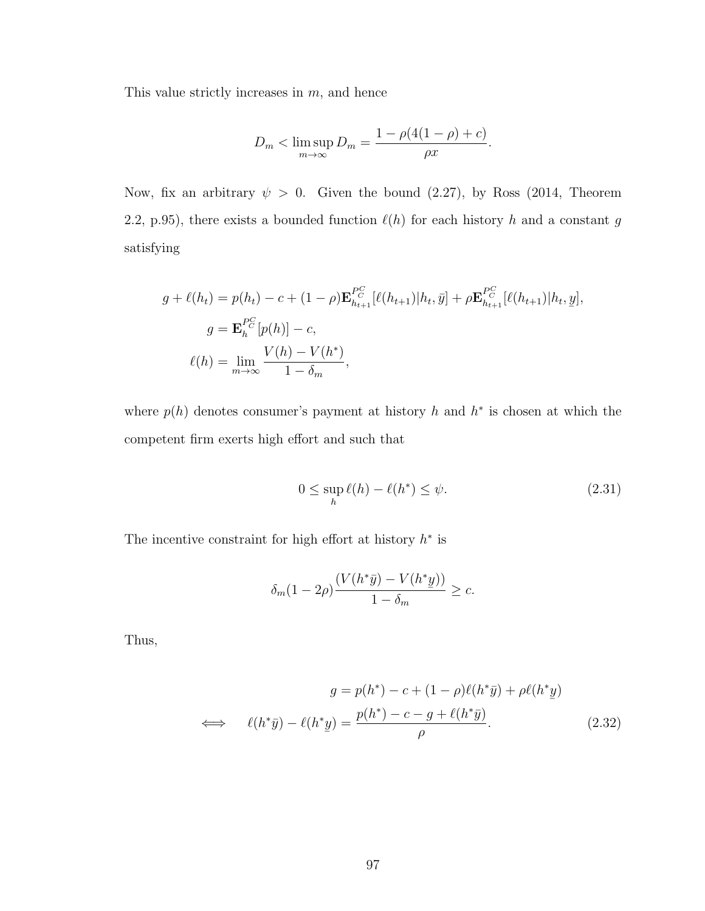This value strictly increases in  $m$ , and hence

$$
D_m < \limsup_{m \to \infty} D_m = \frac{1 - \rho(4(1 - \rho) + c)}{\rho x}.
$$

Now, fix an arbitrary  $\psi > 0$ . Given the bound [\(2.27\)](#page-104-3), by [Ross](#page-139-0) [\(2014,](#page-139-0) Theorem 2.2, p.95), there exists a bounded function  $\ell(h)$  for each history h and a constant g satisfying

$$
g + \ell(h_t) = p(h_t) - c + (1 - \rho) \mathbf{E}_{h_{t+1}}^{PG} [\ell(h_{t+1}) | h_t, \bar{y}] + \rho \mathbf{E}_{h_{t+1}}^{PG} [\ell(h_{t+1}) | h_t, \bar{y}],
$$
  
\n
$$
g = \mathbf{E}_h^{PG} [p(h)] - c,
$$
  
\n
$$
\ell(h) = \lim_{m \to \infty} \frac{V(h) - V(h^*)}{1 - \delta_m},
$$

where  $p(h)$  denotes consumer's payment at history h and  $h^*$  is chosen at which the competent firm exerts high effort and such that

$$
0 \le \sup_{h} \ell(h) - \ell(h^*) \le \psi. \tag{2.31}
$$

The incentive constraint for high effort at history  $h^*$  is

$$
\delta_m(1-2\rho)\frac{(V(h^*\bar{y}) - V(h^*y))}{1-\delta_m} \geq c.
$$

Thus,

$$
g = p(h^*) - c + (1 - \rho)\ell(h^*\bar{y}) + \rho\ell(h^*y)
$$
  

$$
\iff \ell(h^*\bar{y}) - \ell(h^*\underline{y}) = \frac{p(h^*) - c - g + \ell(h^*\bar{y})}{\rho}.
$$
 (2.32)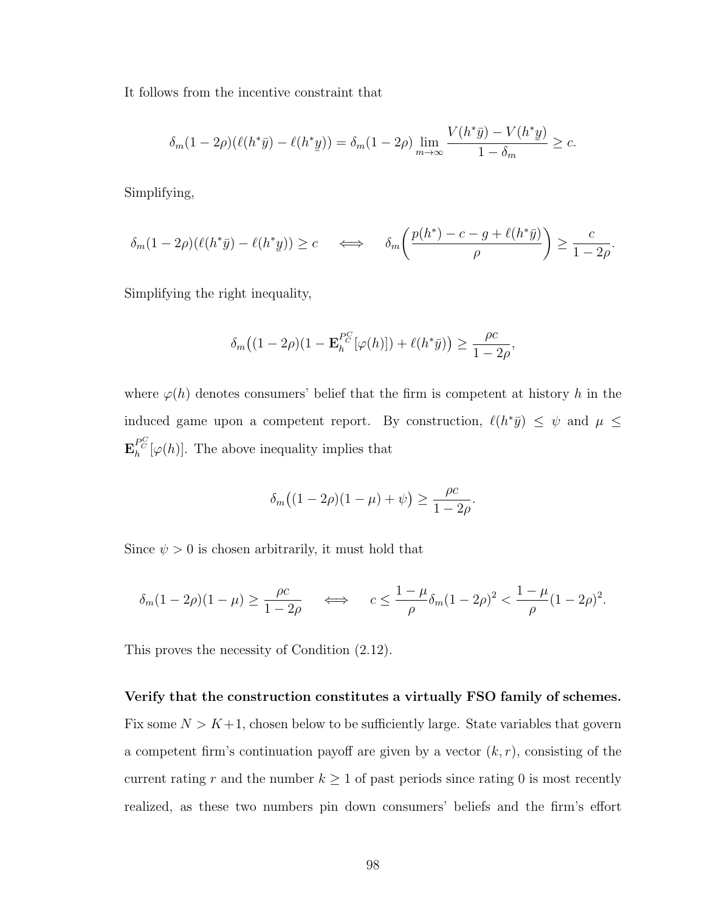It follows from the incentive constraint that

$$
\delta_m(1-2\rho)(\ell(h^*\bar{y})-\ell(h^*\underline{y})) = \delta_m(1-2\rho)\lim_{m\to\infty}\frac{V(h^*\bar{y})-V(h^*\underline{y})}{1-\delta_m} \geq c.
$$

Simplifying,

$$
\delta_m(1-2\rho)(\ell(h^*\bar{y})-\ell(h^*\underline{y}))\geq c \quad \Longleftrightarrow \quad \delta_m\bigg(\frac{p(h^*)-c-g+\ell(h^*\bar{y})}{\rho}\bigg)\geq \frac{c}{1-2\rho}.
$$

Simplifying the right inequality,

$$
\delta_m\big((1-2\rho)(1-\mathbf{E}_h^{P_C^C}[\varphi(h)])+\ell(h^*\bar{y})\big)\geq \frac{\rho c}{1-2\rho},
$$

where  $\varphi(h)$  denotes consumers' belief that the firm is competent at history h in the induced game upon a competent report. By construction,  $\ell(h^*\bar{y}) \leq \psi$  and  $\mu \leq$  $\mathbf{E}_{h}^{PC}[\varphi(h)]$ . The above inequality implies that

$$
\delta_m\big((1-2\rho)(1-\mu)+\psi\big)\geq \frac{\rho c}{1-2\rho}.
$$

Since  $\psi > 0$  is chosen arbitrarily, it must hold that

$$
\delta_m(1-2\rho)(1-\mu) \ge \frac{\rho c}{1-2\rho} \quad \iff \quad c \le \frac{1-\mu}{\rho} \delta_m(1-2\rho)^2 < \frac{1-\mu}{\rho} (1-2\rho)^2.
$$

This proves the necessity of Condition [\(2.12\)](#page-75-1).

# Verify that the construction constitutes a virtually FSO family of schemes. Fix some  $N > K+1$ , chosen below to be sufficiently large. State variables that govern a competent firm's continuation payoff are given by a vector  $(k, r)$ , consisting of the current rating r and the number  $k \geq 1$  of past periods since rating 0 is most recently realized, as these two numbers pin down consumers' beliefs and the firm's effort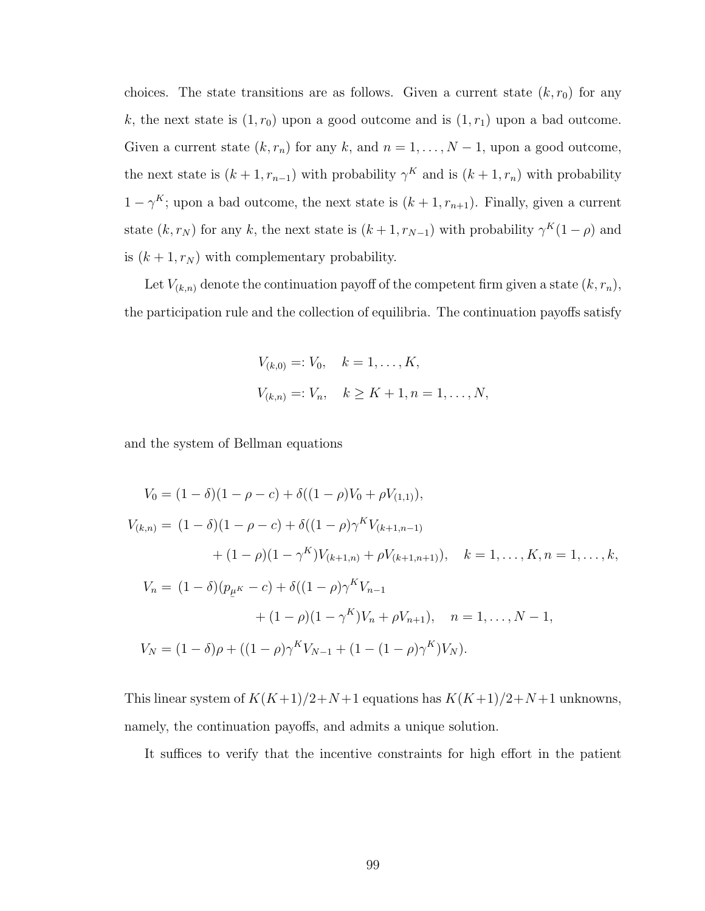choices. The state transitions are as follows. Given a current state  $(k, r_0)$  for any k, the next state is  $(1, r_0)$  upon a good outcome and is  $(1, r_1)$  upon a bad outcome. Given a current state  $(k, r_n)$  for any k, and  $n = 1, ..., N - 1$ , upon a good outcome, the next state is  $(k+1, r_{n-1})$  with probability  $\gamma^K$  and is  $(k+1, r_n)$  with probability  $1 - \gamma^{K}$ ; upon a bad outcome, the next state is  $(k + 1, r_{n+1})$ . Finally, given a current state  $(k, r_N)$  for any k, the next state is  $(k+1, r_{N-1})$  with probability  $\gamma^K(1-\rho)$  and is  $(k + 1, r_N)$  with complementary probability.

Let  $V_{(k,n)}$  denote the continuation payoff of the competent firm given a state  $(k, r_n)$ , the participation rule and the collection of equilibria. The continuation payoffs satisfy

$$
V_{(k,0)} =: V_0, \quad k = 1, \dots, K,
$$
  

$$
V_{(k,n)} =: V_n, \quad k \ge K + 1, n = 1, \dots, N,
$$

and the system of Bellman equations

$$
V_0 = (1 - \delta)(1 - \rho - c) + \delta((1 - \rho)V_0 + \rho V_{(1,1)}),
$$
  
\n
$$
V_{(k,n)} = (1 - \delta)(1 - \rho - c) + \delta((1 - \rho)\gamma^K V_{(k+1,n-1)} + (1 - \rho)(1 - \gamma^K) V_{(k+1,n)} + \rho V_{(k+1,n+1)}), \quad k = 1, ..., K, n = 1, ..., k,
$$
  
\n
$$
V_n = (1 - \delta)(p_{\mu^K} - c) + \delta((1 - \rho)\gamma^K V_{n-1} + (1 - \rho)(1 - \gamma^K) V_n + \rho V_{n+1}), \quad n = 1, ..., N - 1,
$$
  
\n
$$
V_N = (1 - \delta)\rho + ((1 - \rho)\gamma^K V_{N-1} + (1 - (1 - \rho)\gamma^K) V_N).
$$

This linear system of  $K(K+1)/2+N+1$  equations has  $K(K+1)/2+N+1$  unknowns, namely, the continuation payoffs, and admits a unique solution.

It suffices to verify that the incentive constraints for high effort in the patient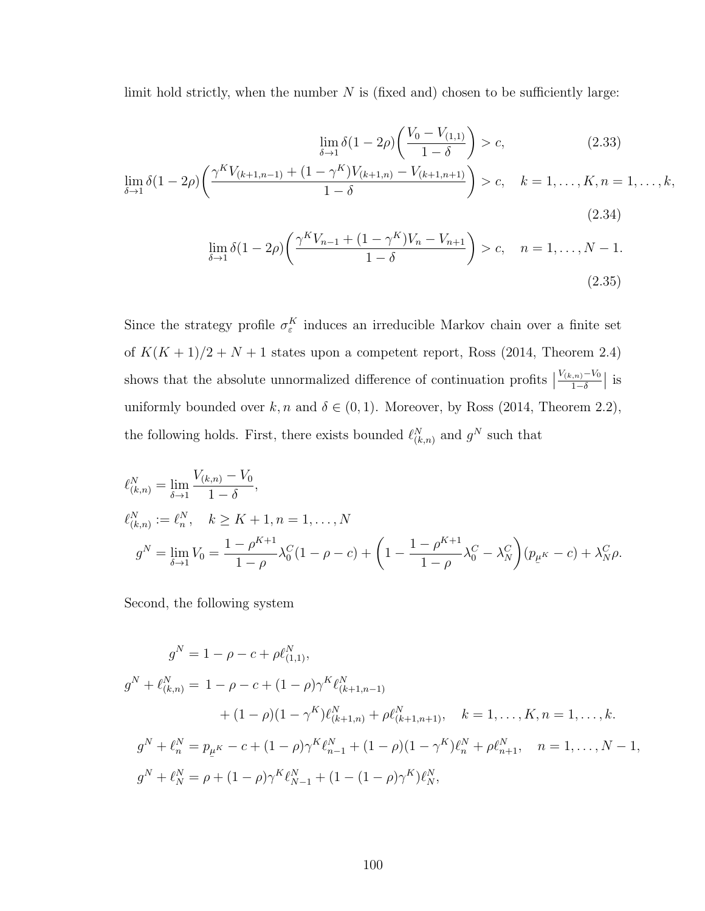limit hold strictly, when the number  $N$  is (fixed and) chosen to be sufficiently large:

$$
\lim_{\delta \to 1} \delta(1 - 2\rho) \left( \frac{V_0 - V_{(1,1)}}{1 - \delta} \right) > c,\tag{2.33}
$$
\n
$$
\lim_{\delta \to 1} \delta(1 - 2\rho) \left( \frac{\gamma^K V_{(k+1, n-1)} + (1 - \gamma^K) V_{(k+1, n)} - V_{(k+1, n+1)}}{1 - \delta} \right) > c, \quad k = 1, \dots, K, n = 1, \dots, k,
$$
\n
$$
(2.34)
$$

<span id="page-109-1"></span><span id="page-109-0"></span>
$$
\lim_{\delta \to 1} \delta(1 - 2\rho) \left( \frac{\gamma^K V_{n-1} + (1 - \gamma^K) V_n - V_{n+1}}{1 - \delta} \right) > c, \quad n = 1, \dots, N - 1. \tag{2.35}
$$

Since the strategy profile  $\sigma_{\varepsilon}^K$  induces an irreducible Markov chain over a finite set of  $K(K + 1)/2 + N + 1$  states upon a competent report, [Ross](#page-139-0) [\(2014,](#page-139-0) Theorem 2.4) shows that the absolute unnormalized difference of continuation profits  $\big\vert$  $V_{(k,n)} - V_0$  $\frac{1}{1-\delta}$  is uniformly bounded over  $k, n$  and  $\delta \in (0, 1)$ . Moreover, by [Ross](#page-139-0) [\(2014,](#page-139-0) Theorem 2.2), the following holds. First, there exists bounded  $\ell_{(k,n)}^N$  and  $g^N$  such that

$$
\ell_{(k,n)}^N = \lim_{\delta \to 1} \frac{V_{(k,n)} - V_0}{1 - \delta},
$$
  
\n
$$
\ell_{(k,n)}^N := \ell_n^N, \quad k \ge K + 1, n = 1, ..., N
$$
  
\n
$$
g^N = \lim_{\delta \to 1} V_0 = \frac{1 - \rho^{K+1}}{1 - \rho} \lambda_0^C (1 - \rho - c) + \left(1 - \frac{1 - \rho^{K+1}}{1 - \rho} \lambda_0^C - \lambda_N^C\right) (p_{\mu^K} - c) + \lambda_N^C \rho.
$$

Second, the following system

$$
g^N = 1 - \rho - c + \rho \ell_{(1,1)}^N,
$$
  
\n
$$
g^N + \ell_{(k,n)}^N = 1 - \rho - c + (1 - \rho)\gamma^K \ell_{(k+1,n-1)}^N
$$
  
\n
$$
+ (1 - \rho)(1 - \gamma^K) \ell_{(k+1,n)}^N + \rho \ell_{(k+1,n+1)}^N, \quad k = 1, ..., K, n = 1, ..., k.
$$
  
\n
$$
g^N + \ell_n^N = p_{\mu^K} - c + (1 - \rho)\gamma^K \ell_{n-1}^N + (1 - \rho)(1 - \gamma^K) \ell_n^N + \rho \ell_{n+1}^N, \quad n = 1, ..., N - 1,
$$
  
\n
$$
g^N + \ell_n^N = \rho + (1 - \rho)\gamma^K \ell_{N-1}^N + (1 - (1 - \rho)\gamma^K) \ell_N^N,
$$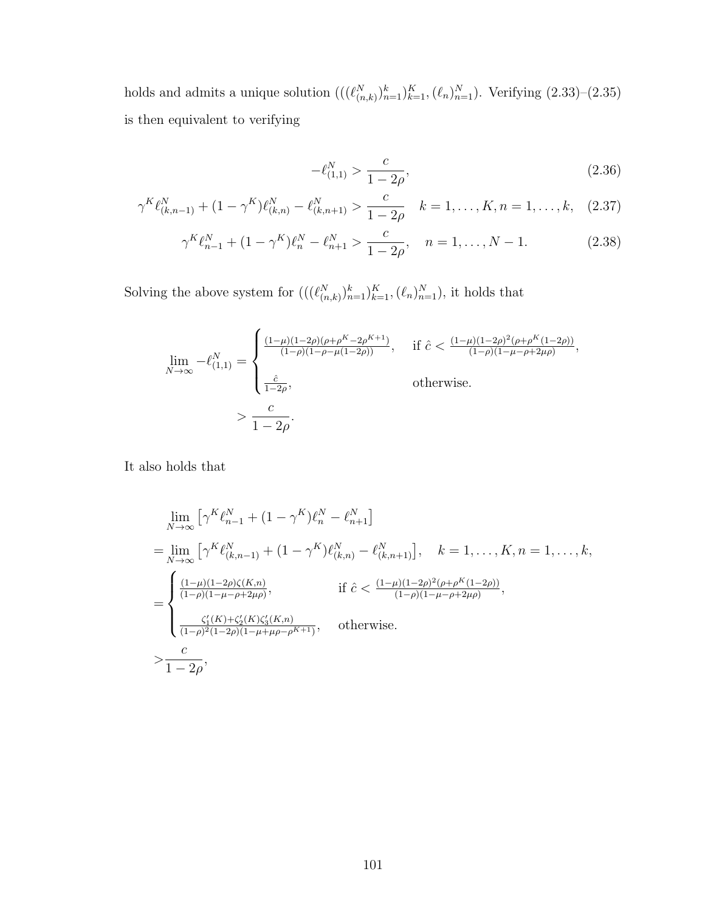holds and admits a unique solution  $(((\ell_{(n,k)}^N)_{n=1}^k)_{k=1}^K, (\ell_n)_{n=1}^N)$ . Verifying  $(2.33)$ – $(2.35)$ is then equivalent to verifying

<span id="page-110-1"></span><span id="page-110-0"></span>
$$
-\ell_{(1,1)}^N > \frac{c}{1 - 2\rho},\tag{2.36}
$$

$$
\gamma^K \ell_{(k,n-1)}^N + (1 - \gamma^K) \ell_{(k,n)}^N - \ell_{(k,n+1)}^N > \frac{c}{1 - 2\rho} \quad k = 1, \dots, K, n = 1, \dots, k, \quad (2.37)
$$

$$
\gamma^K \ell_{n-1}^N + (1 - \gamma^K) \ell_n^N - \ell_{n+1}^N > \frac{c}{1 - 2\rho}, \quad n = 1, \dots, N - 1.
$$
 (2.38)

Solving the above system for  $(((\ell_{(n,k)}^N)_{n=1}^k)_{k=1}^K, (\ell_n)_{n=1}^N)$ , it holds that

$$
\lim_{N \to \infty} -\ell_{(1,1)}^N = \begin{cases} \frac{(1-\mu)(1-2\rho)(\rho + \rho^K - 2\rho^{K+1})}{(1-\rho)(1-\rho - \mu(1-2\rho))}, & \text{if } \hat{c} < \frac{(1-\mu)(1-2\rho)^2(\rho + \rho^K(1-2\rho))}{(1-\rho)(1-\mu - \rho + 2\mu\rho)}, \\ \frac{\hat{c}}{1-2\rho}, & \text{otherwise.} \end{cases}
$$
\n
$$
> \frac{c}{1-2\rho}.
$$

It also holds that

$$
\lim_{N \to \infty} \left[ \gamma^{K} \ell_{n-1}^{N} + (1 - \gamma^{K}) \ell_{n}^{N} - \ell_{n+1}^{N} \right]
$$
\n
$$
= \lim_{N \to \infty} \left[ \gamma^{K} \ell_{(k,n-1)}^{N} + (1 - \gamma^{K}) \ell_{(k,n)}^{N} - \ell_{(k,n+1)}^{N} \right], \quad k = 1, ..., K, n = 1, ..., k,
$$
\n
$$
= \begin{cases}\n\frac{(1 - \mu)(1 - 2\rho)\zeta(K, n)}{(1 - \rho)(1 - \mu - \rho + 2\mu\rho)}, & \text{if } \hat{c} < \frac{(1 - \mu)(1 - 2\rho)^{2}(\rho + \rho^{K}(1 - 2\rho))}{(1 - \rho)(1 - \mu - \rho + 2\mu\rho)},\\
\frac{\zeta_{1}'(K) + \zeta_{2}'(K)\zeta_{3}'(K, n)}{(1 - \rho)^{2}(1 - 2\rho)(1 - \mu + \mu\rho - \rho^{K+1})}, & \text{otherwise.} \\
> \frac{c}{1 - 2\rho}, &\n\end{cases}
$$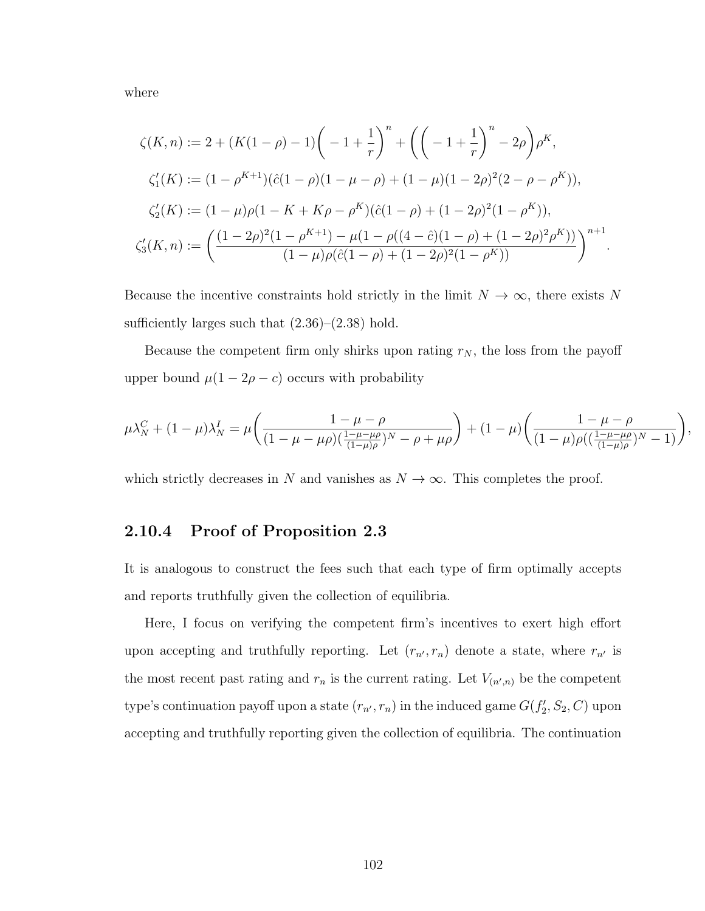where

$$
\zeta(K,n) := 2 + (K(1-\rho) - 1) \left( -1 + \frac{1}{r} \right)^n + \left( \left( -1 + \frac{1}{r} \right)^n - 2\rho \right) \rho^K,
$$
  

$$
\zeta'_1(K) := (1 - \rho^{K+1})(\hat{c}(1-\rho)(1-\mu-\rho) + (1-\mu)(1-2\rho)^2(2-\rho-\rho^K)),
$$
  

$$
\zeta'_2(K) := (1-\mu)\rho(1 - K + K\rho - \rho^K)(\hat{c}(1-\rho) + (1-2\rho)^2(1-\rho^K)),
$$
  

$$
\zeta'_3(K,n) := \left( \frac{(1-2\rho)^2(1-\rho^{K+1}) - \mu(1-\rho((4-\hat{c})(1-\rho) + (1-2\rho)^2\rho^K))}{(1-\mu)\rho(\hat{c}(1-\rho) + (1-2\rho)^2(1-\rho^K))} \right)^{n+1}.
$$

Because the incentive constraints hold strictly in the limit  $N \to \infty$ , there exists N sufficiently larges such that  $(2.36)$ – $(2.38)$  hold.

Because the competent firm only shirks upon rating  $r_N$ , the loss from the payoff upper bound  $\mu(1 - 2\rho - c)$  occurs with probability

$$
\mu \lambda_N^C + (1 - \mu) \lambda_N^I = \mu \left( \frac{1 - \mu - \rho}{(1 - \mu - \mu \rho)(\frac{1 - \mu - \mu \rho}{(1 - \mu) \rho})^N - \rho + \mu \rho} \right) + (1 - \mu) \left( \frac{1 - \mu - \rho}{(1 - \mu) \rho((\frac{1 - \mu - \mu \rho}{(1 - \mu) \rho})^N - 1)} \right)
$$

,

which strictly decreases in N and vanishes as  $N \to \infty$ . This completes the proof.

#### 2.10.4 Proof of Proposition [2.3](#page-84-0)

It is analogous to construct the fees such that each type of firm optimally accepts and reports truthfully given the collection of equilibria.

Here, I focus on verifying the competent firm's incentives to exert high effort upon accepting and truthfully reporting. Let  $(r_{n'}, r_n)$  denote a state, where  $r_{n'}$  is the most recent past rating and  $r_n$  is the current rating. Let  $V_{(n',n)}$  be the competent type's continuation payoff upon a state  $(r_{n'}, r_n)$  in the induced game  $G(f'_2, S_2, C)$  upon accepting and truthfully reporting given the collection of equilibria. The continuation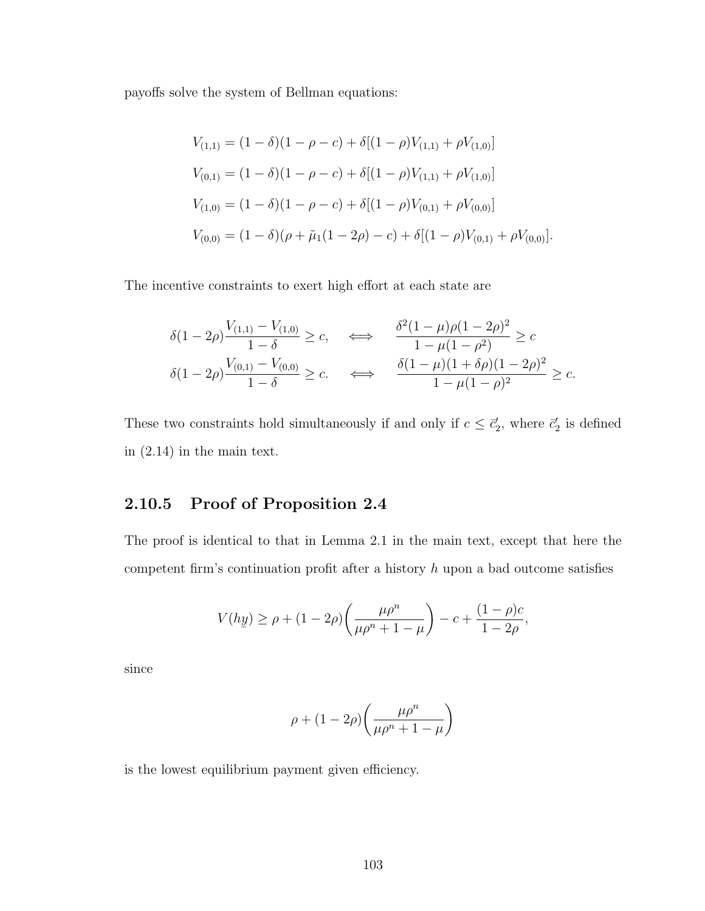payoffs solve the system of Bellman equations:

$$
V_{(1,1)} = (1 - \delta)(1 - \rho - c) + \delta[(1 - \rho)V_{(1,1)} + \rho V_{(1,0)}]
$$
  
\n
$$
V_{(0,1)} = (1 - \delta)(1 - \rho - c) + \delta[(1 - \rho)V_{(1,1)} + \rho V_{(1,0)}]
$$
  
\n
$$
V_{(1,0)} = (1 - \delta)(1 - \rho - c) + \delta[(1 - \rho)V_{(0,1)} + \rho V_{(0,0)}]
$$
  
\n
$$
V_{(0,0)} = (1 - \delta)(\rho + \tilde{\mu}_1(1 - 2\rho) - c) + \delta[(1 - \rho)V_{(0,1)} + \rho V_{(0,0)}].
$$

The incentive constraints to exert high effort at each state are

$$
\begin{aligned}\n\delta(1-2\rho) \frac{V_{(1,1)} - V_{(1,0)}}{1-\delta} &\geq c, & \iff & \frac{\delta^2(1-\mu)\rho(1-2\rho)^2}{1-\mu(1-\rho^2)} &\geq c \\
\delta(1-2\rho) \frac{V_{(0,1)} - V_{(0,0)}}{1-\delta} &\geq c. & \iff & \frac{\delta(1-\mu)(1+\delta\rho)(1-2\rho)^2}{1-\mu(1-\rho)^2} &\geq c.\n\end{aligned}
$$

These two constraints hold simultaneously if and only if  $c \leq \bar{c}'_2$ , where  $\bar{c}'_2$  is defined in [\(2.14\)](#page-85-0) in the main text.

## 2.10.5 Proof of Proposition [2.4](#page-90-0)

The proof is identical to that in Lemma [2.1](#page-69-0) in the main text, except that here the competent firm's continuation profit after a history  $h$  upon a bad outcome satisfies

$$
V(h\underline{y}) \ge \rho + (1 - 2\rho) \left( \frac{\mu \rho^n}{\mu \rho^n + 1 - \mu} \right) - c + \frac{(1 - \rho)c}{1 - 2\rho},
$$

since

$$
\rho+(1-2\rho)\bigg(\frac{\mu\rho^n}{\mu\rho^n+1-\mu}\bigg)
$$

is the lowest equilibrium payment given efficiency.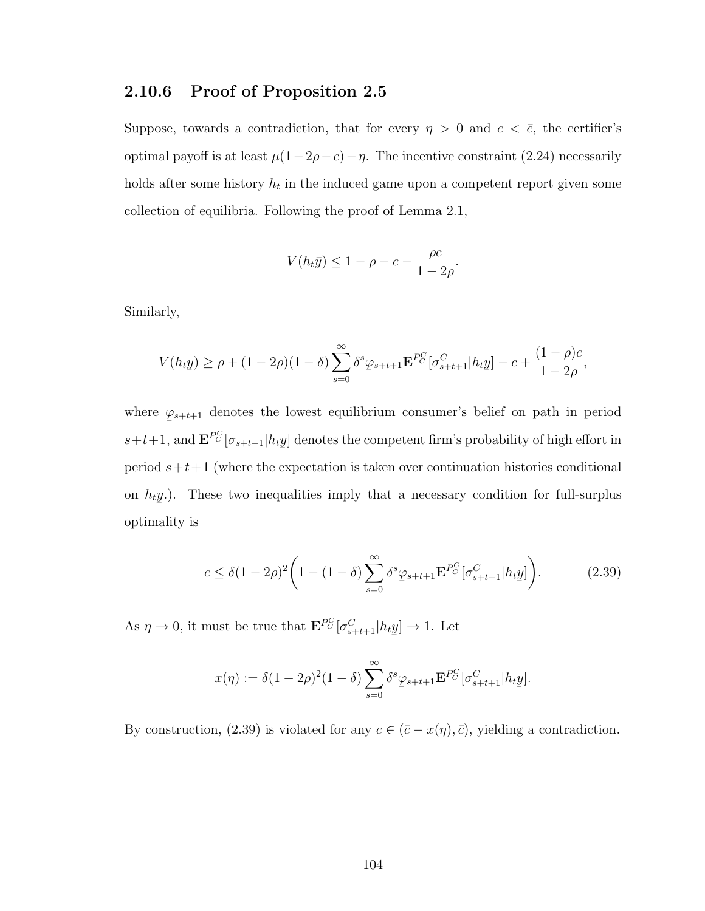#### 2.10.6 Proof of Proposition [2.5](#page-92-0)

Suppose, towards a contradiction, that for every  $\eta > 0$  and  $c < \bar{c}$ , the certifier's optimal payoff is at least  $\mu(1-2\rho-c)-\eta$ . The incentive constraint [\(2.24\)](#page-102-0) necessarily holds after some history  $h_t$  in the induced game upon a competent report given some collection of equilibria. Following the proof of Lemma [2.1,](#page-69-0)

$$
V(h_t \bar{y}) \le 1 - \rho - c - \frac{\rho c}{1 - 2\rho}.
$$

Similarly,

$$
V(h_t \underline{y}) \ge \rho + (1 - 2\rho)(1 - \delta) \sum_{s=0}^{\infty} \delta^s \varphi_{s+t+1} \mathbf{E}^{PC} [\sigma_{s+t+1}^C | h_t \underline{y}] - c + \frac{(1 - \rho)c}{1 - 2\rho},
$$

where  $\varphi_{s+t+1}$  denotes the lowest equilibrium consumer's belief on path in period  $\overline{a}$  $s+t+1$ , and  $\mathbf{E}^{PC}[\sigma_{s+t+1}|h_t]$  $\leq$ y] denotes the competent firm's probability of high effort in period  $s+t+1$  (where the expectation is taken over continuation histories conditional on  $h_t$  $\frac{1}{2}$ y.). These two inequalities imply that a necessary condition for full-surplus optimality is

<span id="page-113-0"></span>
$$
c \le \delta (1 - 2\rho)^2 \left( 1 - (1 - \delta) \sum_{s=0}^{\infty} \delta^s \varphi_{s+t+1} \mathbf{E}^{P_C^C} [\sigma_{s+t+1}^C | h_t \underline{y}] \right). \tag{2.39}
$$

As  $\eta \to 0$ , it must be true that  $\mathbf{E}^{PC}[\sigma_{s+t+1}^C|h_t]$  $\leq$  $y \rightarrow 1$ . Let

$$
x(\eta) := \delta (1 - 2\rho)^2 (1 - \delta) \sum_{s=0}^{\infty} \delta^s \varphi_{s+t+1} \mathbf{E}^{PG} [\sigma_{s+t+1}^C | h_t \underline{y}].
$$

By construction, [\(2.39\)](#page-113-0) is violated for any  $c \in (\bar{c} - x(\eta), \bar{c})$ , yielding a contradiction.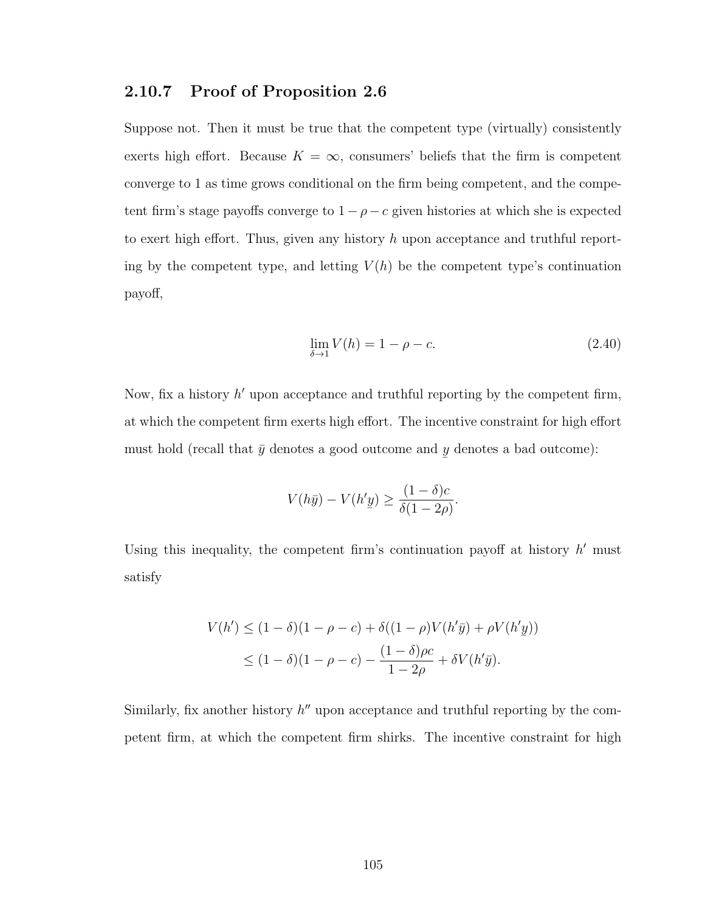#### 2.10.7 Proof of Proposition [2.6](#page-99-0)

Suppose not. Then it must be true that the competent type (virtually) consistently exerts high effort. Because  $K = \infty$ , consumers' beliefs that the firm is competent converge to 1 as time grows conditional on the firm being competent, and the competent firm's stage payoffs converge to  $1 - \rho - c$  given histories at which she is expected to exert high effort. Thus, given any history h upon acceptance and truthful reporting by the competent type, and letting  $V(h)$  be the competent type's continuation payoff,

<span id="page-114-0"></span>
$$
\lim_{\delta \to 1} V(h) = 1 - \rho - c. \tag{2.40}
$$

Now, fix a history  $h'$  upon acceptance and truthful reporting by the competent firm, at which the competent firm exerts high effort. The incentive constraint for high effort must hold (recall that  $\bar{y}$  denotes a good outcome and  $y$  denotes a bad outcome):  $\leq$ 

$$
V(h\bar{y}) - V(h'y) \ge \frac{(1-\delta)c}{\delta(1-2\rho)}.
$$

Using this inequality, the competent firm's continuation payoff at history  $h'$  must satisfy

$$
V(h') \le (1 - \delta)(1 - \rho - c) + \delta((1 - \rho)V(h'\bar{y}) + \rho V(h'\underline{y}))
$$
  
 
$$
\le (1 - \delta)(1 - \rho - c) - \frac{(1 - \delta)\rho c}{1 - 2\rho} + \delta V(h'\bar{y}).
$$

Similarly, fix another history  $h''$  upon acceptance and truthful reporting by the competent firm, at which the competent firm shirks. The incentive constraint for high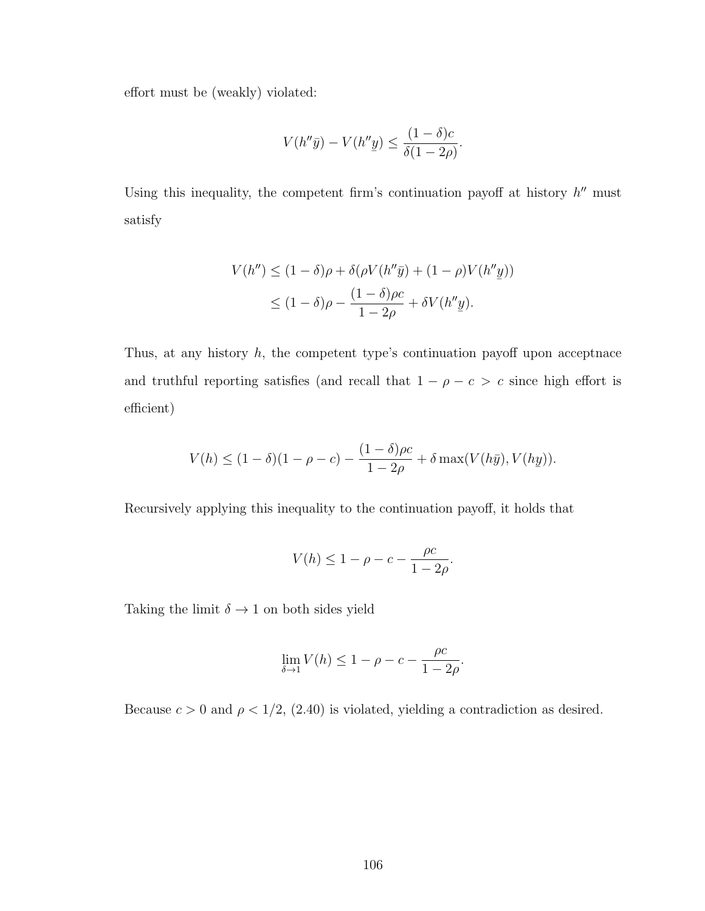effort must be (weakly) violated:

$$
V(h''\bar{y}) - V(h''\underline{y}) \le \frac{(1-\delta)c}{\delta(1-2\rho)}.
$$

Using this inequality, the competent firm's continuation payoff at history  $h''$  must satisfy

$$
V(h'') \le (1 - \delta)\rho + \delta(\rho V(h''\bar{y}) + (1 - \rho)V(h''\underline{y}))
$$
  

$$
\le (1 - \delta)\rho - \frac{(1 - \delta)\rho c}{1 - 2\rho} + \delta V(h''\underline{y}).
$$

Thus, at any history  $h$ , the competent type's continuation payoff upon acceptnace and truthful reporting satisfies (and recall that  $1 - \rho - c > c$  since high effort is efficient)

$$
V(h) \le (1 - \delta)(1 - \rho - c) - \frac{(1 - \delta)\rho c}{1 - 2\rho} + \delta \max(V(h\bar{y}), V(h\bar{y})).
$$

Recursively applying this inequality to the continuation payoff, it holds that

$$
V(h) \le 1 - \rho - c - \frac{\rho c}{1 - 2\rho}.
$$

Taking the limit  $\delta \to 1$  on both sides yield

$$
\lim_{\delta \to 1} V(h) \le 1 - \rho - c - \frac{\rho c}{1 - 2\rho}.
$$

Because  $c > 0$  and  $\rho < 1/2$ , [\(2.40\)](#page-114-0) is violated, yielding a contradiction as desired.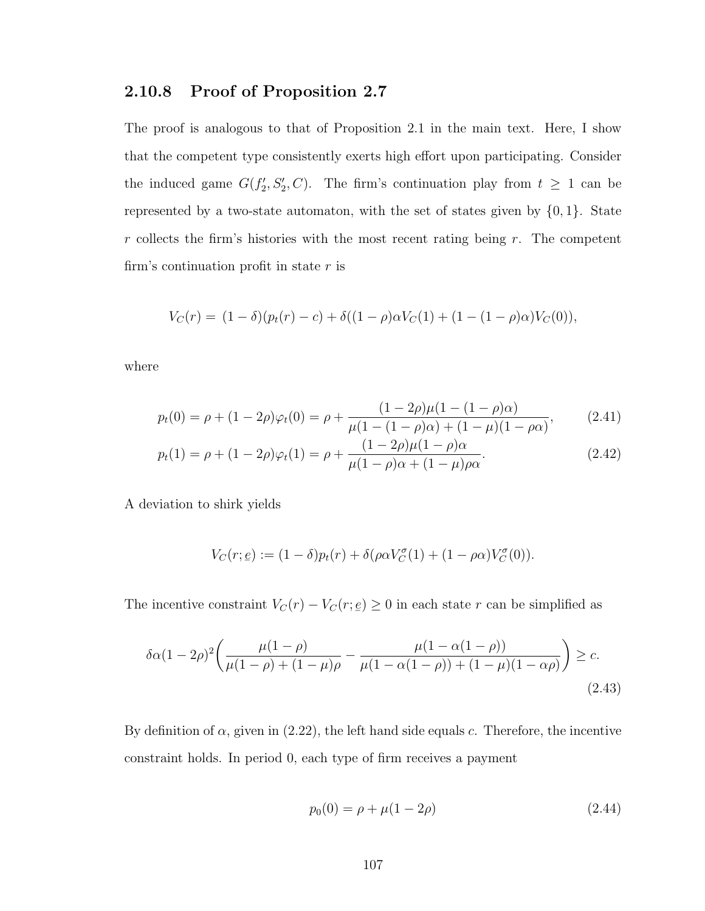#### 2.10.8 Proof of Proposition [2.7](#page-100-0)

The proof is analogous to that of Proposition [2.1](#page-72-0) in the main text. Here, I show that the competent type consistently exerts high effort upon participating. Consider the induced game  $G(f'_2, S'_2, C)$ . The firm's continuation play from  $t \geq 1$  can be represented by a two-state automaton, with the set of states given by  $\{0, 1\}$ . State  $r$  collects the firm's histories with the most recent rating being  $r$ . The competent firm's continuation profit in state  $r$  is

$$
V_C(r) = (1 - \delta)(p_t(r) - c) + \delta((1 - \rho)\alpha V_C(1) + (1 - (1 - \rho)\alpha)V_C(0)),
$$

where

$$
p_t(0) = \rho + (1 - 2\rho)\varphi_t(0) = \rho + \frac{(1 - 2\rho)\mu(1 - (1 - \rho)\alpha)}{\mu(1 - (1 - \rho)\alpha) + (1 - \mu)(1 - \rho\alpha)},
$$
(2.41)

$$
p_t(1) = \rho + (1 - 2\rho)\varphi_t(1) = \rho + \frac{(1 - 2\rho)\mu(1 - \rho)\alpha}{\mu(1 - \rho)\alpha + (1 - \mu)\rho\alpha}.
$$
\n(2.42)

A deviation to shirk yields

$$
V_C(r; \underline{e}) := (1 - \delta)p_t(r) + \delta(\rho \alpha V_C^{\sigma}(1) + (1 - \rho \alpha)V_C^{\sigma}(0)).
$$

The incentive constraint  $V_C(r) - V_C(r; \underline{e})$  $(e) \geq 0$  in each state r can be simplified as

$$
\delta \alpha (1 - 2\rho)^2 \left( \frac{\mu (1 - \rho)}{\mu (1 - \rho) + (1 - \mu)\rho} - \frac{\mu (1 - \alpha (1 - \rho))}{\mu (1 - \alpha (1 - \rho)) + (1 - \mu)(1 - \alpha \rho)} \right) \ge c.
$$
\n(2.43)

By definition of  $\alpha$ , given in [\(2.22\)](#page-100-1), the left hand side equals c. Therefore, the incentive constraint holds. In period 0, each type of firm receives a payment

<span id="page-116-0"></span>
$$
p_0(0) = \rho + \mu(1 - 2\rho) \tag{2.44}
$$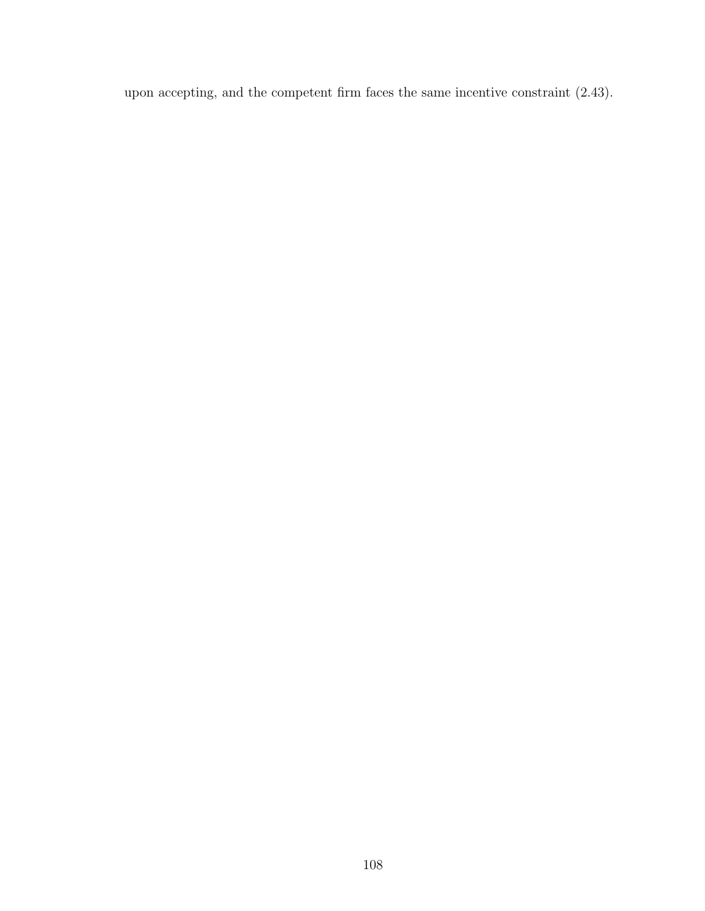upon accepting, and the competent firm faces the same incentive constraint [\(2.43\)](#page-116-0).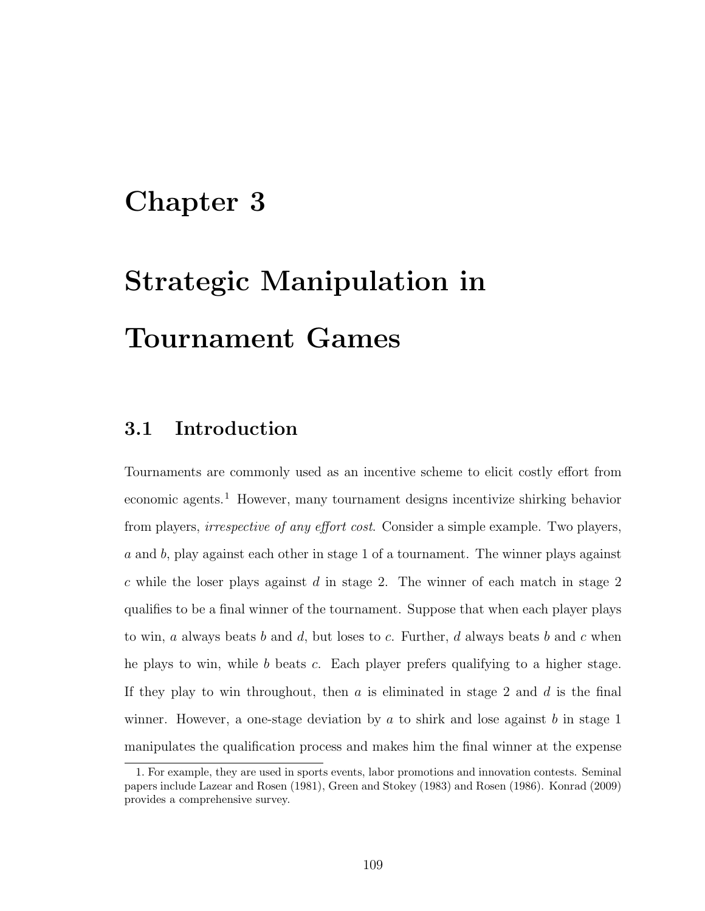# Chapter 3

# Strategic Manipulation in Tournament Games

# 3.1 Introduction

Tournaments are commonly used as an incentive scheme to elicit costly effort from economic agents.<sup>[1](#page-118-0)</sup> However, many tournament designs incentivize shirking behavior from players, *irrespective of any effort cost*. Consider a simple example. Two players, a and b, play against each other in stage 1 of a tournament. The winner plays against  $c$  while the loser plays against  $d$  in stage 2. The winner of each match in stage 2 qualifies to be a final winner of the tournament. Suppose that when each player plays to win, a always beats b and d, but loses to c. Further, d always beats b and c when he plays to win, while  $b$  beats  $c$ . Each player prefers qualifying to a higher stage. If they play to win throughout, then  $a$  is eliminated in stage 2 and  $d$  is the final winner. However, a one-stage deviation by a to shirk and lose against b in stage 1 manipulates the qualification process and makes him the final winner at the expense

<span id="page-118-0"></span><sup>1.</sup> For example, they are used in sports events, labor promotions and innovation contests. Seminal papers include [Lazear and Rosen](#page-136-0) [\(1981\)](#page-136-0), [Green and Stokey](#page-135-0) [\(1983\)](#page-135-0) and [Rosen](#page-139-1) [\(1986\)](#page-139-1). [Konrad](#page-136-1) [\(2009\)](#page-136-1) provides a comprehensive survey.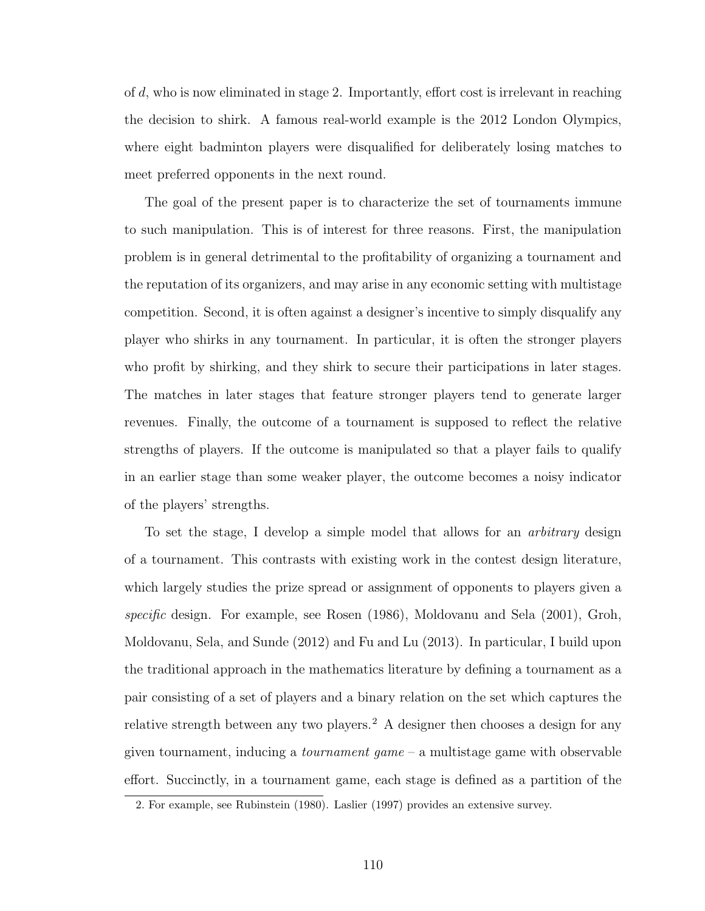of d, who is now eliminated in stage 2. Importantly, effort cost is irrelevant in reaching the decision to shirk. A famous real-world example is the 2012 London Olympics, where eight badminton players were disqualified for deliberately losing matches to meet preferred opponents in the next round.

The goal of the present paper is to characterize the set of tournaments immune to such manipulation. This is of interest for three reasons. First, the manipulation problem is in general detrimental to the profitability of organizing a tournament and the reputation of its organizers, and may arise in any economic setting with multistage competition. Second, it is often against a designer's incentive to simply disqualify any player who shirks in any tournament. In particular, it is often the stronger players who profit by shirking, and they shirk to secure their participations in later stages. The matches in later stages that feature stronger players tend to generate larger revenues. Finally, the outcome of a tournament is supposed to reflect the relative strengths of players. If the outcome is manipulated so that a player fails to qualify in an earlier stage than some weaker player, the outcome becomes a noisy indicator of the players' strengths.

To set the stage, I develop a simple model that allows for an arbitrary design of a tournament. This contrasts with existing work in the contest design literature, which largely studies the prize spread or assignment of opponents to players given a specific design. For example, see [Rosen](#page-139-1) [\(1986\)](#page-139-1), [Moldovanu and Sela](#page-138-0) [\(2001\)](#page-138-0), [Groh,](#page-135-1) [Moldovanu, Sela, and Sunde](#page-135-1) [\(2012\)](#page-135-1) and [Fu and Lu](#page-135-2) [\(2013\)](#page-135-2). In particular, I build upon the traditional approach in the mathematics literature by defining a tournament as a pair consisting of a set of players and a binary relation on the set which captures the relative strength between any two players.<sup>[2](#page-119-0)</sup> A designer then chooses a design for any given tournament, inducing a *tournament game* – a multistage game with observable effort. Succinctly, in a tournament game, each stage is defined as a partition of the

<span id="page-119-0"></span><sup>2.</sup> For example, see [Rubinstein](#page-139-2) [\(1980\)](#page-139-2). [Laslier](#page-136-2) [\(1997\)](#page-136-2) provides an extensive survey.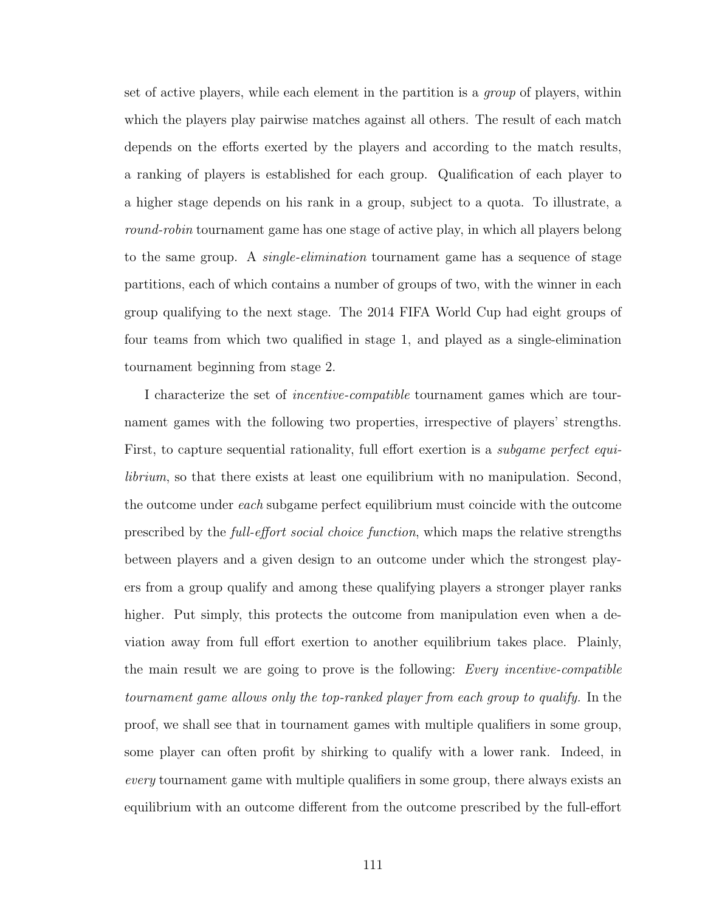set of active players, while each element in the partition is a group of players, within which the players play pairwise matches against all others. The result of each match depends on the efforts exerted by the players and according to the match results, a ranking of players is established for each group. Qualification of each player to a higher stage depends on his rank in a group, subject to a quota. To illustrate, a round-robin tournament game has one stage of active play, in which all players belong to the same group. A *single-elimination* tournament game has a sequence of stage partitions, each of which contains a number of groups of two, with the winner in each group qualifying to the next stage. The 2014 FIFA World Cup had eight groups of four teams from which two qualified in stage 1, and played as a single-elimination tournament beginning from stage 2.

I characterize the set of incentive-compatible tournament games which are tournament games with the following two properties, irrespective of players' strengths. First, to capture sequential rationality, full effort exertion is a *subgame perfect equi*librium, so that there exists at least one equilibrium with no manipulation. Second, the outcome under each subgame perfect equilibrium must coincide with the outcome prescribed by the full-effort social choice function, which maps the relative strengths between players and a given design to an outcome under which the strongest players from a group qualify and among these qualifying players a stronger player ranks higher. Put simply, this protects the outcome from manipulation even when a deviation away from full effort exertion to another equilibrium takes place. Plainly, the main result we are going to prove is the following: Every incentive-compatible tournament game allows only the top-ranked player from each group to qualify. In the proof, we shall see that in tournament games with multiple qualifiers in some group, some player can often profit by shirking to qualify with a lower rank. Indeed, in every tournament game with multiple qualifiers in some group, there always exists an equilibrium with an outcome different from the outcome prescribed by the full-effort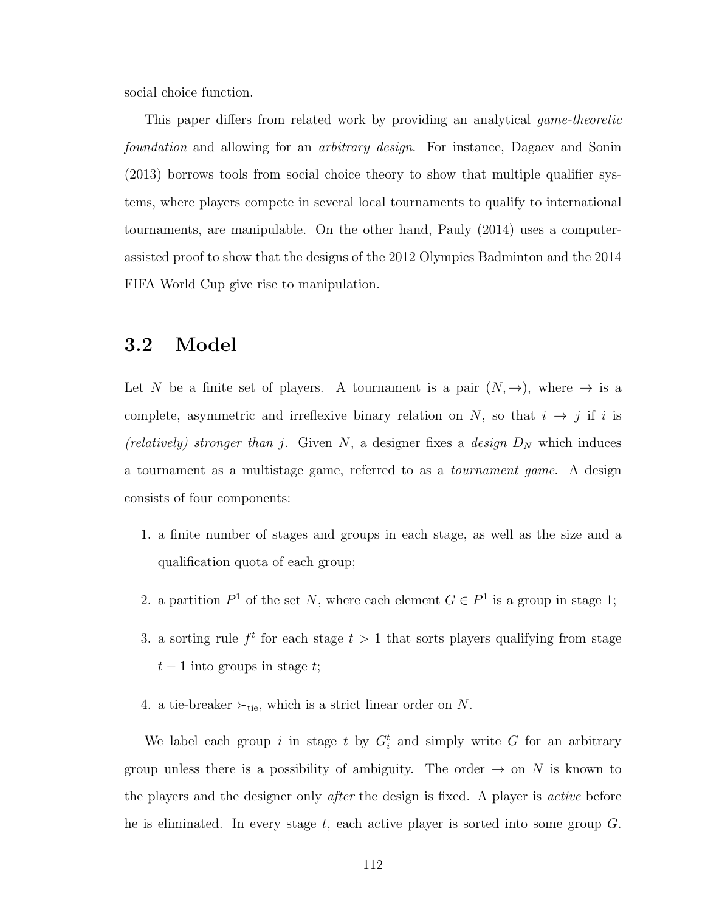social choice function.

This paper differs from related work by providing an analytical game-theoretic foundation and allowing for an arbitrary design. For instance, [Dagaev and Sonin](#page-133-0) [\(2013\)](#page-133-0) borrows tools from social choice theory to show that multiple qualifier systems, where players compete in several local tournaments to qualify to international tournaments, are manipulable. On the other hand, [Pauly](#page-139-3) [\(2014\)](#page-139-3) uses a computerassisted proof to show that the designs of the 2012 Olympics Badminton and the 2014 FIFA World Cup give rise to manipulation.

### 3.2 Model

Let N be a finite set of players. A tournament is a pair  $(N, \rightarrow)$ , where  $\rightarrow$  is a complete, asymmetric and irreflexive binary relation on N, so that  $i \rightarrow j$  if i is (relatively) stronger than j. Given N, a designer fixes a design  $D<sub>N</sub>$  which induces a tournament as a multistage game, referred to as a tournament game. A design consists of four components:

- 1. a finite number of stages and groups in each stage, as well as the size and a qualification quota of each group;
- 2. a partition  $P^1$  of the set N, where each element  $G \in P^1$  is a group in stage 1;
- 3. a sorting rule  $f^t$  for each stage  $t > 1$  that sorts players qualifying from stage  $t-1$  into groups in stage t;
- 4. a tie-breaker  $\succ_{\text{tie}}$ , which is a strict linear order on N.

We label each group i in stage t by  $G_i^t$  and simply write G for an arbitrary group unless there is a possibility of ambiguity. The order  $\rightarrow$  on N is known to the players and the designer only *after* the design is fixed. A player is *active* before he is eliminated. In every stage  $t$ , each active player is sorted into some group  $G$ .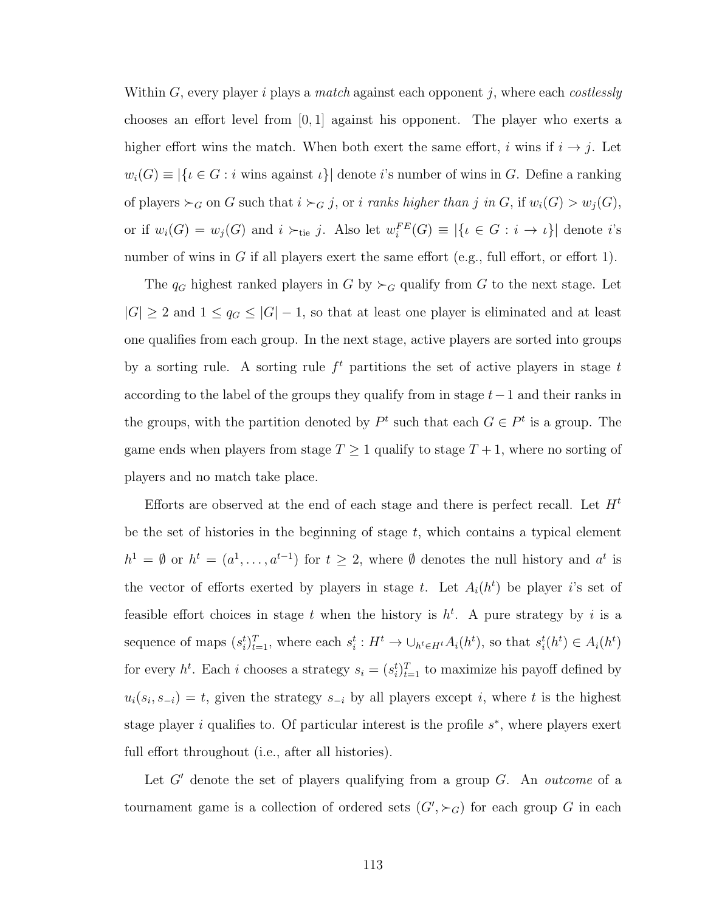Within  $G$ , every player i plays a *match* against each opponent j, where each *costlessly* chooses an effort level from  $[0, 1]$  against his opponent. The player who exerts a higher effort wins the match. When both exert the same effort, i wins if  $i \rightarrow j$ . Let  $w_i(G) \equiv |\{i \in G : i \text{ wins against } i\}|$  denote i's number of wins in G. Define a ranking of players  $\succ_G$  on G such that  $i \succ_G j$ , or i ranks higher than j in G, if  $w_i(G) > w_j(G)$ , or if  $w_i(G) = w_j(G)$  and  $i \succ_{\text{tie}} j$ . Also let  $w_i^{FE}(G) \equiv |\{i \in G : i \to i\}|$  denote i's number of wins in G if all players exert the same effort (e.g., full effort, or effort 1).

The  $q_G$  highest ranked players in G by  $\succ_G$  qualify from G to the next stage. Let  $|G| \geq 2$  and  $1 \leq q_G \leq |G| - 1$ , so that at least one player is eliminated and at least one qualifies from each group. In the next stage, active players are sorted into groups by a sorting rule. A sorting rule  $f<sup>t</sup>$  partitions the set of active players in stage t according to the label of the groups they qualify from in stage  $t-1$  and their ranks in the groups, with the partition denoted by  $P^t$  such that each  $G \in P^t$  is a group. The game ends when players from stage  $T \geq 1$  qualify to stage  $T + 1$ , where no sorting of players and no match take place.

Efforts are observed at the end of each stage and there is perfect recall. Let  $H<sup>t</sup>$ be the set of histories in the beginning of stage  $t$ , which contains a typical element  $h^1 = \emptyset$  or  $h^t = (a^1, \ldots, a^{t-1})$  for  $t \geq 2$ , where  $\emptyset$  denotes the null history and  $a^t$  is the vector of efforts exerted by players in stage t. Let  $A_i(h^t)$  be player is set of feasible effort choices in stage t when the history is  $h<sup>t</sup>$ . A pure strategy by i is a sequence of maps  $(s_i^t)_{t=1}^T$ , where each  $s_i^t : H^t \to \bigcup_{h^t \in H^t} A_i(h^t)$ , so that  $s_i^t(h^t) \in A_i(h^t)$ for every  $h^t$ . Each *i* chooses a strategy  $s_i = (s_i^t)_{t=1}^T$  to maximize his payoff defined by  $u_i(s_i, s_{-i}) = t$ , given the strategy  $s_{-i}$  by all players except i, where t is the highest stage player i qualifies to. Of particular interest is the profile  $s^*$ , where players exert full effort throughout (i.e., after all histories).

Let  $G'$  denote the set of players qualifying from a group  $G$ . An *outcome* of a tournament game is a collection of ordered sets  $(G', \succ_G)$  for each group G in each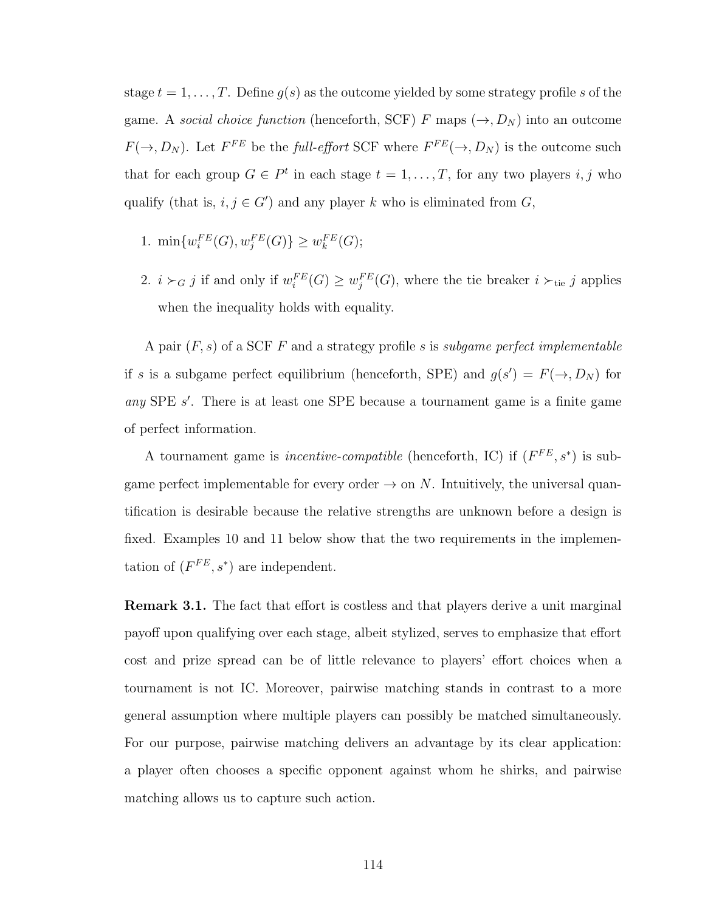stage  $t = 1, \ldots, T$ . Define  $g(s)$  as the outcome yielded by some strategy profile s of the game. A social choice function (henceforth, SCF) F maps  $(\rightarrow, D_N)$  into an outcome  $F(\rightarrow, D_N)$ . Let  $F^{FE}$  be the full-effort SCF where  $F^{FE}(\rightarrow, D_N)$  is the outcome such that for each group  $G \in P^t$  in each stage  $t = 1, \ldots, T$ , for any two players i, j who qualify (that is,  $i, j \in G'$ ) and any player k who is eliminated from G,

- 1.  $\min\{w_i^{FE}(G), w_j^{FE}(G)\} \geq w_k^{FE}(G);$
- 2.  $i \succ_G j$  if and only if  $w_i^{FE}(G) \geq w_j^{FE}(G)$ , where the tie breaker  $i \succ_{\text{tie}} j$  applies when the inequality holds with equality.

A pair  $(F, s)$  of a SCF F and a strategy profile s is subgame perfect implementable if s is a subgame perfect equilibrium (henceforth, SPE) and  $g(s') = F(\rightarrow, D_N)$  for any SPE  $s'$ . There is at least one SPE because a tournament game is a finite game of perfect information.

A tournament game is *incentive-compatible* (henceforth, IC) if  $(F^{FE}, s^*)$  is subgame perfect implementable for every order  $\rightarrow$  on N. Intuitively, the universal quantification is desirable because the relative strengths are unknown before a design is fixed. Examples [10](#page-127-0) and [11](#page-127-1) below show that the two requirements in the implementation of  $(F^{FE}, s^*)$  are independent.

Remark 3.1. The fact that effort is costless and that players derive a unit marginal payoff upon qualifying over each stage, albeit stylized, serves to emphasize that effort cost and prize spread can be of little relevance to players' effort choices when a tournament is not IC. Moreover, pairwise matching stands in contrast to a more general assumption where multiple players can possibly be matched simultaneously. For our purpose, pairwise matching delivers an advantage by its clear application: a player often chooses a specific opponent against whom he shirks, and pairwise matching allows us to capture such action.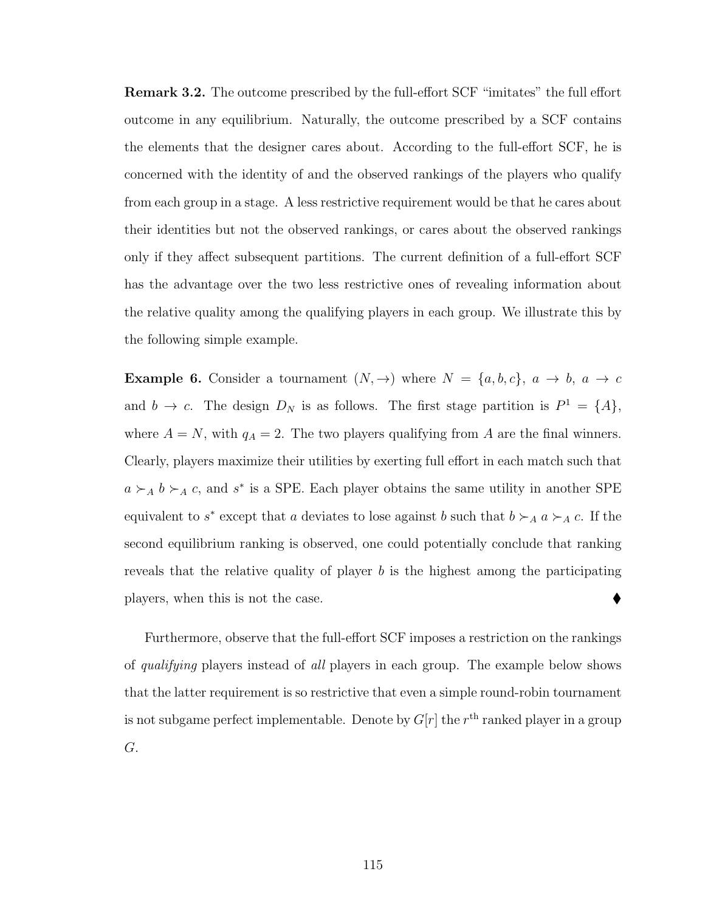**Remark 3.2.** The outcome prescribed by the full-effort SCF "imitates" the full effort outcome in any equilibrium. Naturally, the outcome prescribed by a SCF contains the elements that the designer cares about. According to the full-effort SCF, he is concerned with the identity of and the observed rankings of the players who qualify from each group in a stage. A less restrictive requirement would be that he cares about their identities but not the observed rankings, or cares about the observed rankings only if they affect subsequent partitions. The current definition of a full-effort SCF has the advantage over the two less restrictive ones of revealing information about the relative quality among the qualifying players in each group. We illustrate this by the following simple example.

**Example 6.** Consider a tournament  $(N, \rightarrow)$  where  $N = \{a, b, c\}$ ,  $a \rightarrow b$ ,  $a \rightarrow c$ and  $b \to c$ . The design  $D_N$  is as follows. The first stage partition is  $P^1 = \{A\}$ , where  $A = N$ , with  $q_A = 2$ . The two players qualifying from A are the final winners. Clearly, players maximize their utilities by exerting full effort in each match such that  $a \succ_A b \succ_A c$ , and s<sup>\*</sup> is a SPE. Each player obtains the same utility in another SPE equivalent to  $s^*$  except that a deviates to lose against b such that  $b \succ_A a \succ_A c$ . If the second equilibrium ranking is observed, one could potentially conclude that ranking reveals that the relative quality of player  $b$  is the highest among the participating players, when this is not the case.

Furthermore, observe that the full-effort SCF imposes a restriction on the rankings of qualifying players instead of all players in each group. The example below shows that the latter requirement is so restrictive that even a simple round-robin tournament is not subgame perfect implementable. Denote by  $G[r]$  the  $r<sup>th</sup>$  ranked player in a group G.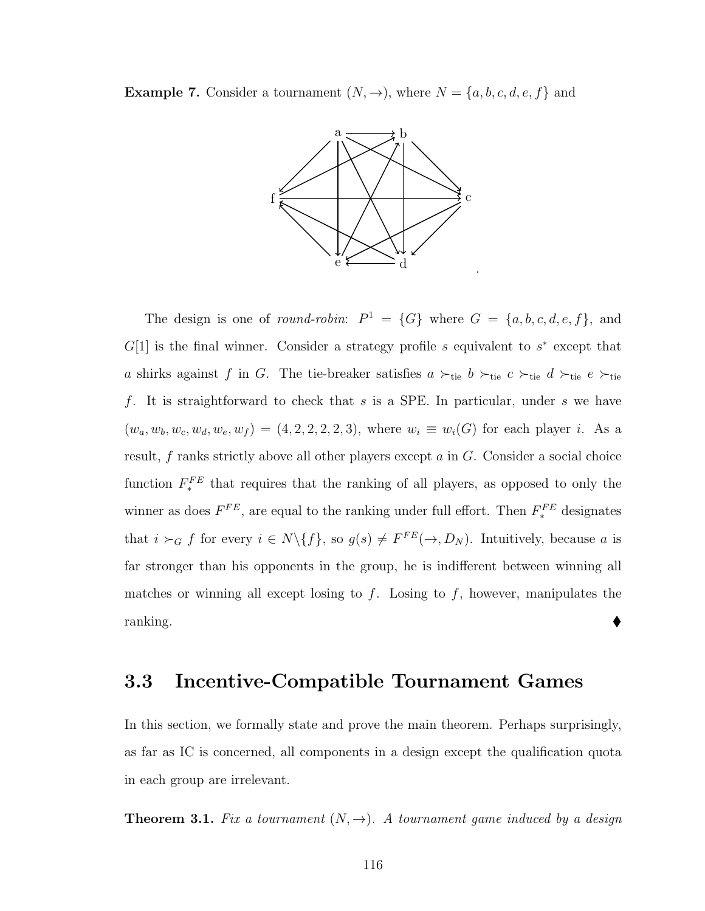**Example 7.** Consider a tournament  $(N, \rightarrow)$ , where  $N = \{a, b, c, d, e, f\}$  and



The design is one of *round-robin*:  $P^1 = \{G\}$  where  $G = \{a, b, c, d, e, f\}$ , and  $G[1]$  is the final winner. Consider a strategy profile s equivalent to  $s^*$  except that a shirks against f in G. The tie-breaker satisfies  $a \succ_{\text{tie}} b \succ_{\text{tie}} c \succ_{\text{tie}} d \succ_{\text{tie}} e \succ_{\text{tie}}$ f. It is straightforward to check that  $s$  is a SPE. In particular, under  $s$  we have  $(w_a, w_b, w_c, w_d, w_e, w_f) = (4, 2, 2, 2, 2, 3)$ , where  $w_i \equiv w_i(G)$  for each player *i*. As a result,  $f$  ranks strictly above all other players except  $a$  in  $G$ . Consider a social choice function  $F_*^{FE}$  that requires that the ranking of all players, as opposed to only the winner as does  $F^{FE}$ , are equal to the ranking under full effort. Then  $F_{*}^{FE}$  designates that  $i \succ_G f$  for every  $i \in N \setminus \{f\}$ , so  $g(s) \neq F^{FE}(\rightarrow, D_N)$ . Intuitively, because a is far stronger than his opponents in the group, he is indifferent between winning all matches or winning all except losing to  $f$ . Losing to  $f$ , however, manipulates the  $\mathsf{ranking}.$ 

## 3.3 Incentive-Compatible Tournament Games

In this section, we formally state and prove the main theorem. Perhaps surprisingly, as far as IC is concerned, all components in a design except the qualification quota in each group are irrelevant.

<span id="page-125-0"></span>**Theorem 3.1.** Fix a tournament  $(N, \rightarrow)$ . A tournament game induced by a design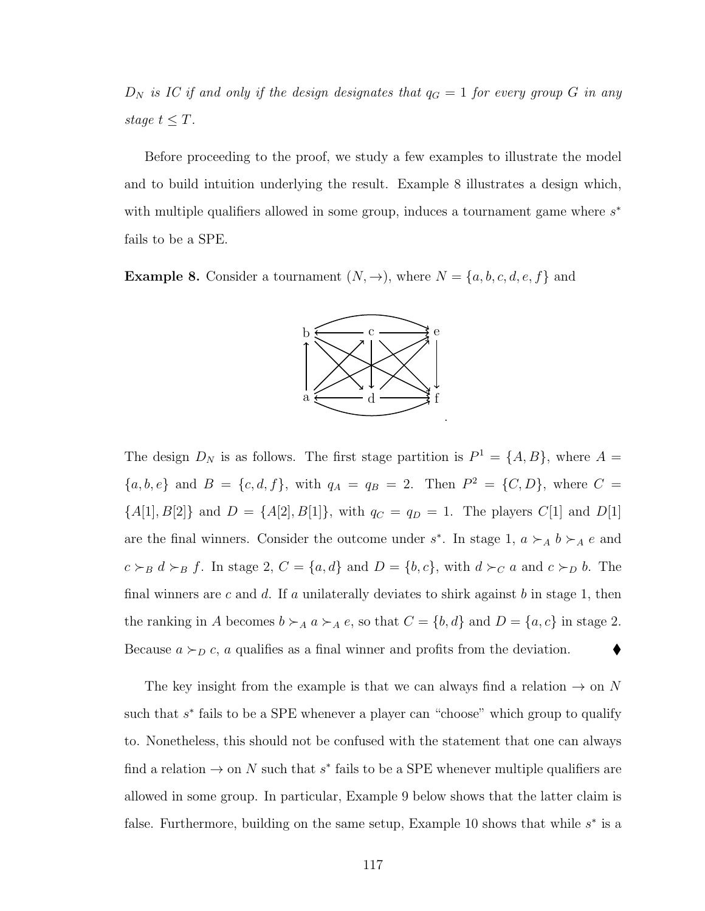$D_N$  is IC if and only if the design designates that  $q_G = 1$  for every group G in any stage  $t \leq T$ .

Before proceeding to the proof, we study a few examples to illustrate the model and to build intuition underlying the result. Example [8](#page-126-0) illustrates a design which, with multiple qualifiers allowed in some group, induces a tournament game where  $s^*$ fails to be a SPE.

<span id="page-126-0"></span>**Example 8.** Consider a tournament  $(N, \rightarrow)$ , where  $N = \{a, b, c, d, e, f\}$  and



The design  $D_N$  is as follows. The first stage partition is  $P^1 = \{A, B\}$ , where  $A =$  ${a, b, e}$  and  $B = {c, d, f}$ , with  $q_A = q_B = 2$ . Then  $P^2 = {C, D}$ , where  $C =$  ${A[1], B[2]}$  and  $D = {A[2], B[1]}$ , with  $q_C = q_D = 1$ . The players  $C[1]$  and  $D[1]$ are the final winners. Consider the outcome under  $s^*$ . In stage 1,  $a \succ_A b \succ_A e$  and  $c \succ_B d \succ_B f$ . In stage 2,  $C = \{a, d\}$  and  $D = \{b, c\}$ , with  $d \succ_C a$  and  $c \succ_D b$ . The final winners are c and d. If a unilaterally deviates to shirk against b in stage 1, then the ranking in A becomes  $b \succ_A a \succ_A e$ , so that  $C = \{b, d\}$  and  $D = \{a, c\}$  in stage 2. Because  $a \succ_D c$ , a qualifies as a final winner and profits from the deviation.

The key insight from the example is that we can always find a relation  $\rightarrow$  on N such that  $s^*$  fails to be a SPE whenever a player can "choose" which group to qualify to. Nonetheless, this should not be confused with the statement that one can always find a relation  $\rightarrow$  on N such that  $s^*$  fails to be a SPE whenever multiple qualifiers are allowed in some group. In particular, Example [9](#page-127-2) below shows that the latter claim is false. Furthermore, building on the same setup, Example [10](#page-127-0) shows that while  $s^*$  is a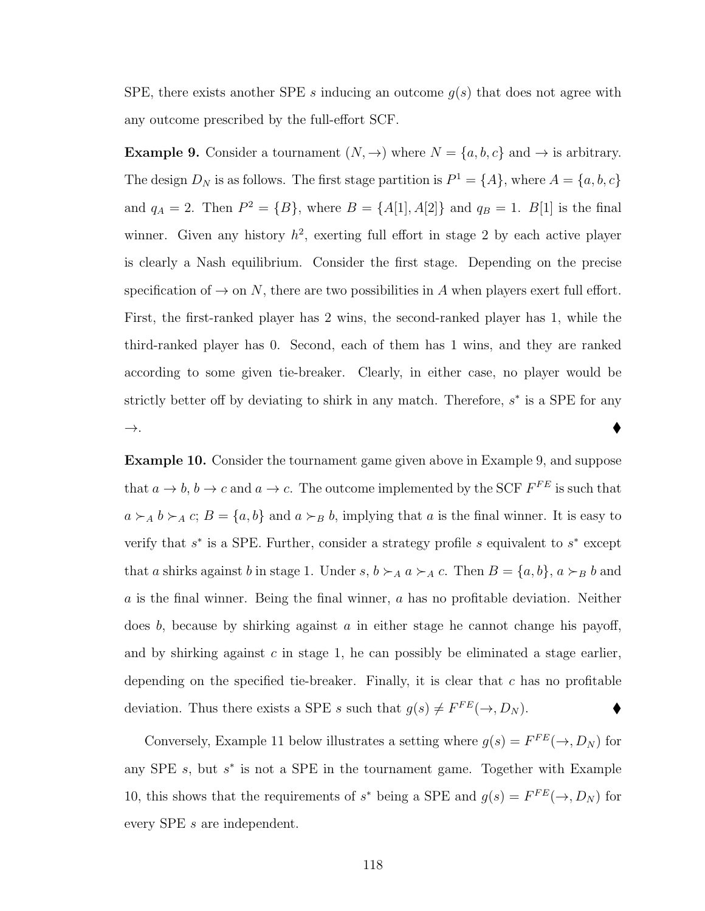SPE, there exists another SPE s inducing an outcome  $g(s)$  that does not agree with any outcome prescribed by the full-effort SCF.

<span id="page-127-2"></span>**Example 9.** Consider a tournament  $(N, \rightarrow)$  where  $N = \{a, b, c\}$  and  $\rightarrow$  is arbitrary. The design  $D_N$  is as follows. The first stage partition is  $P^1 = \{A\}$ , where  $A = \{a, b, c\}$ and  $q_A = 2$ . Then  $P^2 = \{B\}$ , where  $B = \{A[1], A[2]\}$  and  $q_B = 1$ .  $B[1]$  is the final winner. Given any history  $h^2$ , exerting full effort in stage 2 by each active player is clearly a Nash equilibrium. Consider the first stage. Depending on the precise specification of  $\rightarrow$  on N, there are two possibilities in A when players exert full effort. First, the first-ranked player has 2 wins, the second-ranked player has 1, while the third-ranked player has 0. Second, each of them has 1 wins, and they are ranked according to some given tie-breaker. Clearly, in either case, no player would be strictly better off by deviating to shirk in any match. Therefore,  $s^*$  is a SPE for any  $\rightarrow$ .

<span id="page-127-0"></span>Example 10. Consider the tournament game given above in Example [9,](#page-127-2) and suppose that  $a \to b$ ,  $b \to c$  and  $a \to c$ . The outcome implemented by the SCF  $F^{FE}$  is such that  $a \succ_A b \succ_A c$ ;  $B = \{a, b\}$  and  $a \succ_B b$ , implying that a is the final winner. It is easy to verify that  $s^*$  is a SPE. Further, consider a strategy profile  $s$  equivalent to  $s^*$  except that a shirks against b in stage 1. Under s,  $b \succ_A a \succ_A c$ . Then  $B = \{a, b\}$ ,  $a \succ_B b$  and a is the final winner. Being the final winner, a has no profitable deviation. Neither does  $b$ , because by shirking against  $a$  in either stage he cannot change his payoff, and by shirking against  $c$  in stage 1, he can possibly be eliminated a stage earlier, depending on the specified tie-breaker. Finally, it is clear that  $c$  has no profitable deviation. Thus there exists a SPE s such that  $g(s) \neq F^{FE}(\rightarrow, D_N)$ .

<span id="page-127-1"></span>Conversely, Example [11](#page-127-1) below illustrates a setting where  $g(s) = F^{FE}(\rightarrow, D_N)$  for any SPE  $s$ , but  $s^*$  is not a SPE in the tournament game. Together with Example [10,](#page-127-0) this shows that the requirements of  $s^*$  being a SPE and  $g(s) = F^{FE}(\rightarrow, D_N)$  for every SPE s are independent.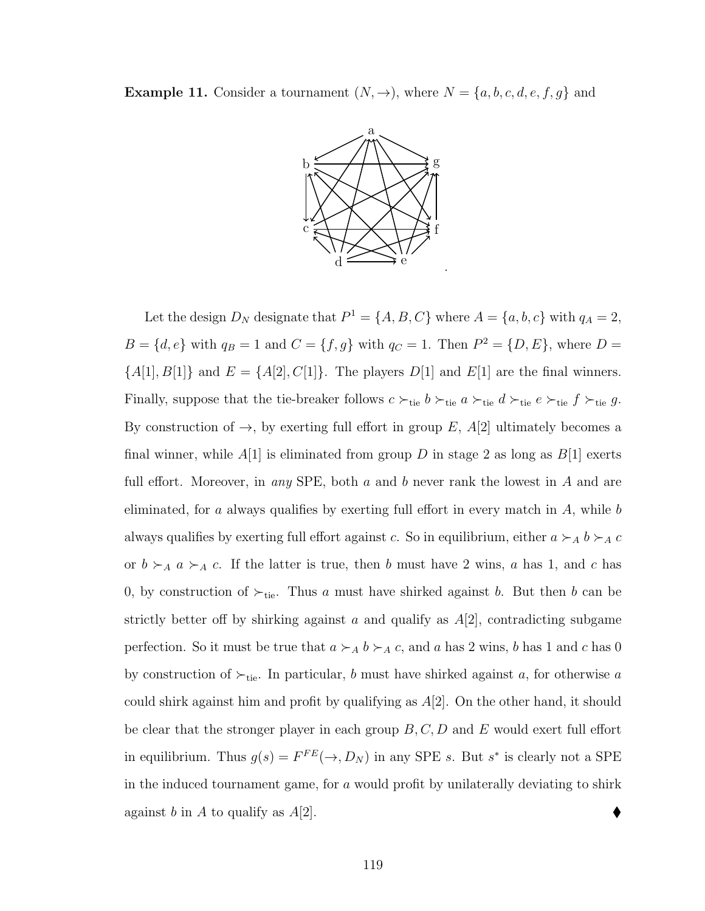**Example 11.** Consider a tournament  $(N, \rightarrow)$ , where  $N = \{a, b, c, d, e, f, g\}$  and



Let the design  $D_N$  designate that  $P^1 = \{A, B, C\}$  where  $A = \{a, b, c\}$  with  $q_A = 2$ ,  $B = \{d, e\}$  with  $q_B = 1$  and  $C = \{f, g\}$  with  $q_C = 1$ . Then  $P^2 = \{D, E\}$ , where  $D =$  ${A[1], B[1]}$  and  $E = {A[2], C[1]}$ . The players  $D[1]$  and  $E[1]$  are the final winners. Finally, suppose that the tie-breaker follows  $c \succ_{\text{tie}} b \succ_{\text{tie}} a \succ_{\text{tie}} d \succ_{\text{tie}} e \succ_{\text{tie}} f \succ_{\text{tie}} g$ . By construction of  $\rightarrow$ , by exerting full effort in group E, A[2] ultimately becomes a final winner, while  $A[1]$  is eliminated from group D in stage 2 as long as  $B[1]$  exerts full effort. Moreover, in any SPE, both a and b never rank the lowest in A and are eliminated, for a always qualifies by exerting full effort in every match in  $A$ , while b always qualifies by exerting full effort against c. So in equilibrium, either  $a \succ_A b \succ_A c$ or  $b \succ_A a \succ_A c$ . If the latter is true, then b must have 2 wins, a has 1, and c has 0, by construction of  $\succ_{\text{tie}}$ . Thus a must have shirked against b. But then b can be strictly better off by shirking against a and qualify as  $A[2]$ , contradicting subgame perfection. So it must be true that  $a \succ_A b \succ_A c$ , and a has 2 wins, b has 1 and c has 0 by construction of  $\succ_{\text{tie}}$ . In particular, b must have shirked against a, for otherwise a could shirk against him and profit by qualifying as  $A[2]$ . On the other hand, it should be clear that the stronger player in each group  $B, C, D$  and E would exert full effort in equilibrium. Thus  $g(s) = F^{FE}(\rightarrow, D_N)$  in any SPE s. But s<sup>\*</sup> is clearly not a SPE in the induced tournament game, for a would profit by unilaterally deviating to shirk against b in A to qualify as  $A[2]$ .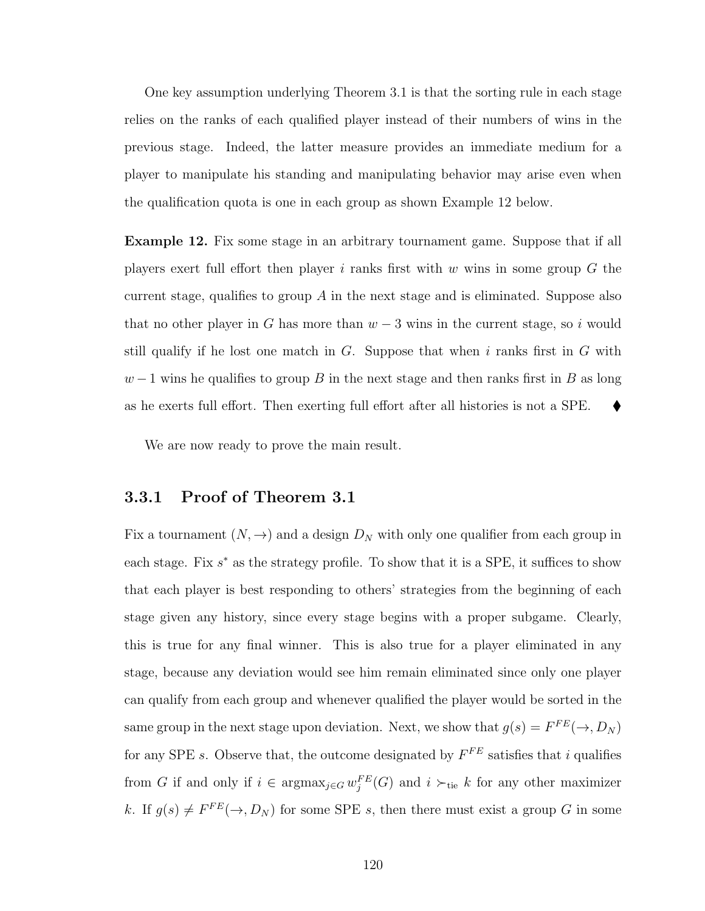One key assumption underlying Theorem [3.1](#page-125-0) is that the sorting rule in each stage relies on the ranks of each qualified player instead of their numbers of wins in the previous stage. Indeed, the latter measure provides an immediate medium for a player to manipulate his standing and manipulating behavior may arise even when the qualification quota is one in each group as shown Example [12](#page-129-0) below.

<span id="page-129-0"></span>Example 12. Fix some stage in an arbitrary tournament game. Suppose that if all players exert full effort then player i ranks first with  $w$  wins in some group  $G$  the current stage, qualifies to group  $\tilde{A}$  in the next stage and is eliminated. Suppose also that no other player in G has more than  $w-3$  wins in the current stage, so i would still qualify if he lost one match in  $G$ . Suppose that when i ranks first in  $G$  with  $w-1$  wins he qualifies to group B in the next stage and then ranks first in B as long as he exerts full effort. Then exerting full effort after all histories is not a SPE.  $\blacklozenge$ 

We are now ready to prove the main result.

#### 3.3.1 Proof of Theorem [3.1](#page-125-0)

Fix a tournament  $(N, \rightarrow)$  and a design  $D<sub>N</sub>$  with only one qualifier from each group in each stage. Fix  $s^*$  as the strategy profile. To show that it is a SPE, it suffices to show that each player is best responding to others' strategies from the beginning of each stage given any history, since every stage begins with a proper subgame. Clearly, this is true for any final winner. This is also true for a player eliminated in any stage, because any deviation would see him remain eliminated since only one player can qualify from each group and whenever qualified the player would be sorted in the same group in the next stage upon deviation. Next, we show that  $g(s) = F^{FE}(\rightarrow, D_N)$ for any SPE s. Observe that, the outcome designated by  $F^{FE}$  satisfies that i qualifies from G if and only if  $i \in \text{argmax}_{j \in G} w_j^{FE}(G)$  and  $i \succ_{\text{tie}} k$  for any other maximizer k. If  $g(s) \neq F^{FE}(\rightarrow, D_N)$  for some SPE s, then there must exist a group G in some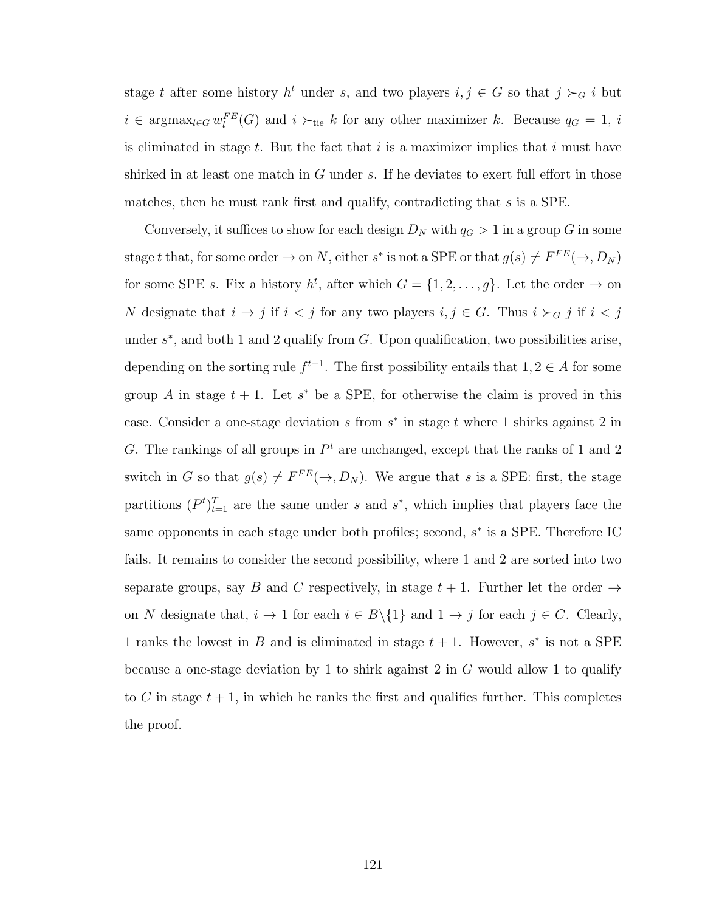stage t after some history  $h^t$  under s, and two players  $i, j \in G$  so that  $j \succ_G i$  but  $i \in \text{argmax}_{l \in G} w_l^{FE}(G)$  and  $i \succ_{\text{tie}} k$  for any other maximizer k. Because  $q_G = 1$ , i is eliminated in stage  $t$ . But the fact that  $i$  is a maximizer implies that  $i$  must have shirked in at least one match in  $G$  under  $s$ . If he deviates to exert full effort in those matches, then he must rank first and qualify, contradicting that s is a SPE.

Conversely, it suffices to show for each design  $D<sub>N</sub>$  with  $q<sub>G</sub> > 1$  in a group G in some stage t that, for some order  $\to$  on N, either s<sup>\*</sup> is not a SPE or that  $g(s) \neq F^{FE}(\to, D_N)$ for some SPE s. Fix a history  $h^t$ , after which  $G = \{1, 2, ..., g\}$ . Let the order  $\rightarrow$  on N designate that  $i \to j$  if  $i < j$  for any two players  $i, j \in G$ . Thus  $i \succ_G j$  if  $i < j$ under  $s^*$ , and both 1 and 2 qualify from  $G$ . Upon qualification, two possibilities arise, depending on the sorting rule  $f^{t+1}$ . The first possibility entails that  $1, 2 \in A$  for some group A in stage  $t + 1$ . Let  $s^*$  be a SPE, for otherwise the claim is proved in this case. Consider a one-stage deviation  $s$  from  $s^*$  in stage  $t$  where 1 shirks against 2 in G. The rankings of all groups in  $P<sup>t</sup>$  are unchanged, except that the ranks of 1 and 2 switch in G so that  $g(s) \neq F^{FE}(\rightarrow, D_N)$ . We argue that s is a SPE: first, the stage partitions  $(P^t)_{t=1}^T$  are the same under s and s<sup>\*</sup>, which implies that players face the same opponents in each stage under both profiles; second,  $s^*$  is a SPE. Therefore IC fails. It remains to consider the second possibility, where 1 and 2 are sorted into two separate groups, say B and C respectively, in stage  $t + 1$ . Further let the order  $\rightarrow$ on N designate that,  $i \to 1$  for each  $i \in B \setminus \{1\}$  and  $1 \to j$  for each  $j \in C$ . Clearly, 1 ranks the lowest in B and is eliminated in stage  $t + 1$ . However,  $s^*$  is not a SPE because a one-stage deviation by 1 to shirk against 2 in  $G$  would allow 1 to qualify to C in stage  $t + 1$ , in which he ranks the first and qualifies further. This completes the proof.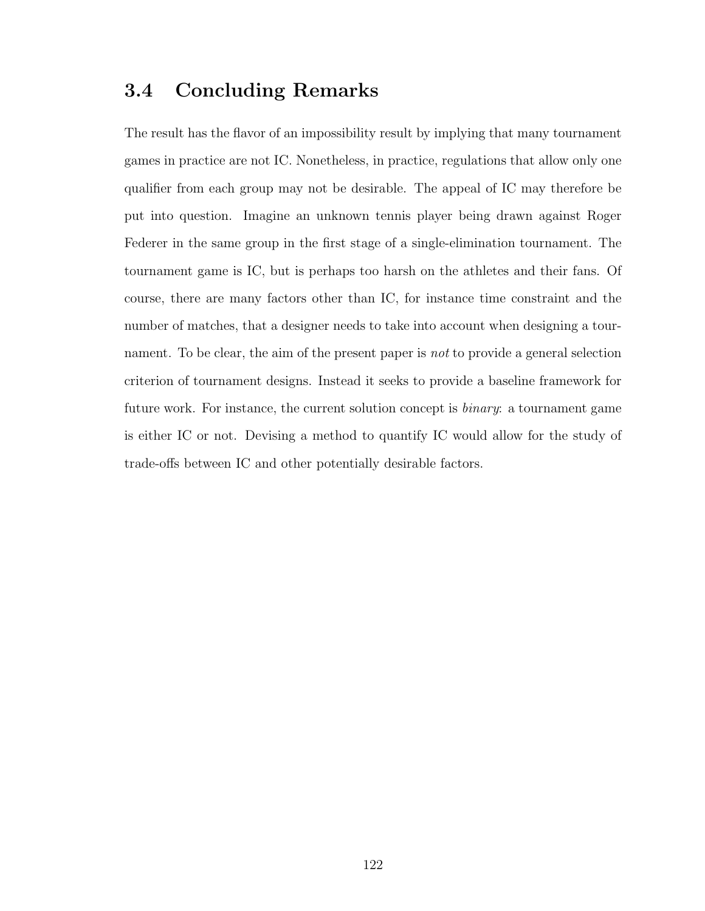# 3.4 Concluding Remarks

The result has the flavor of an impossibility result by implying that many tournament games in practice are not IC. Nonetheless, in practice, regulations that allow only one qualifier from each group may not be desirable. The appeal of IC may therefore be put into question. Imagine an unknown tennis player being drawn against Roger Federer in the same group in the first stage of a single-elimination tournament. The tournament game is IC, but is perhaps too harsh on the athletes and their fans. Of course, there are many factors other than IC, for instance time constraint and the number of matches, that a designer needs to take into account when designing a tournament. To be clear, the aim of the present paper is *not* to provide a general selection criterion of tournament designs. Instead it seeks to provide a baseline framework for future work. For instance, the current solution concept is binary: a tournament game is either IC or not. Devising a method to quantify IC would allow for the study of trade-offs between IC and other potentially desirable factors.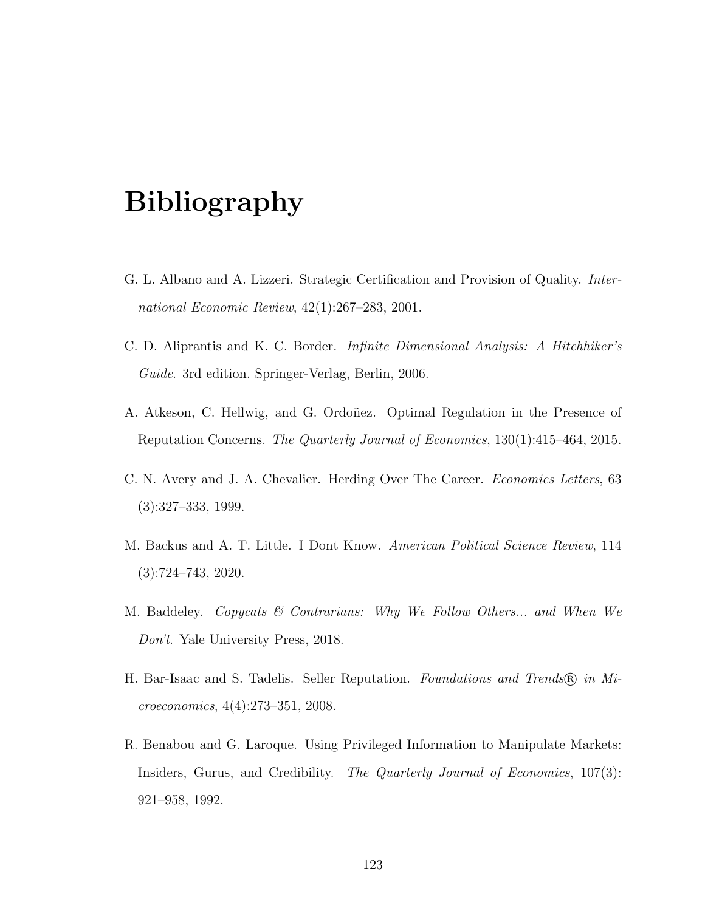# Bibliography

- G. L. Albano and A. Lizzeri. Strategic Certification and Provision of Quality. International Economic Review, 42(1):267–283, 2001.
- C. D. Aliprantis and K. C. Border. Infinite Dimensional Analysis: A Hitchhiker's Guide. 3rd edition. Springer-Verlag, Berlin, 2006.
- A. Atkeson, C. Hellwig, and G. Ordoñez. Optimal Regulation in the Presence of Reputation Concerns. The Quarterly Journal of Economics, 130(1):415–464, 2015.
- C. N. Avery and J. A. Chevalier. Herding Over The Career. Economics Letters, 63 (3):327–333, 1999.
- M. Backus and A. T. Little. I Dont Know. American Political Science Review, 114 (3):724–743, 2020.
- M. Baddeley. Copycats & Contrarians: Why We Follow Others... and When We Don't. Yale University Press, 2018.
- H. Bar-Isaac and S. Tadelis. Seller Reputation. Foundations and Trends (R) in Microeconomics, 4(4):273–351, 2008.
- R. Benabou and G. Laroque. Using Privileged Information to Manipulate Markets: Insiders, Gurus, and Credibility. The Quarterly Journal of Economics, 107(3): 921–958, 1992.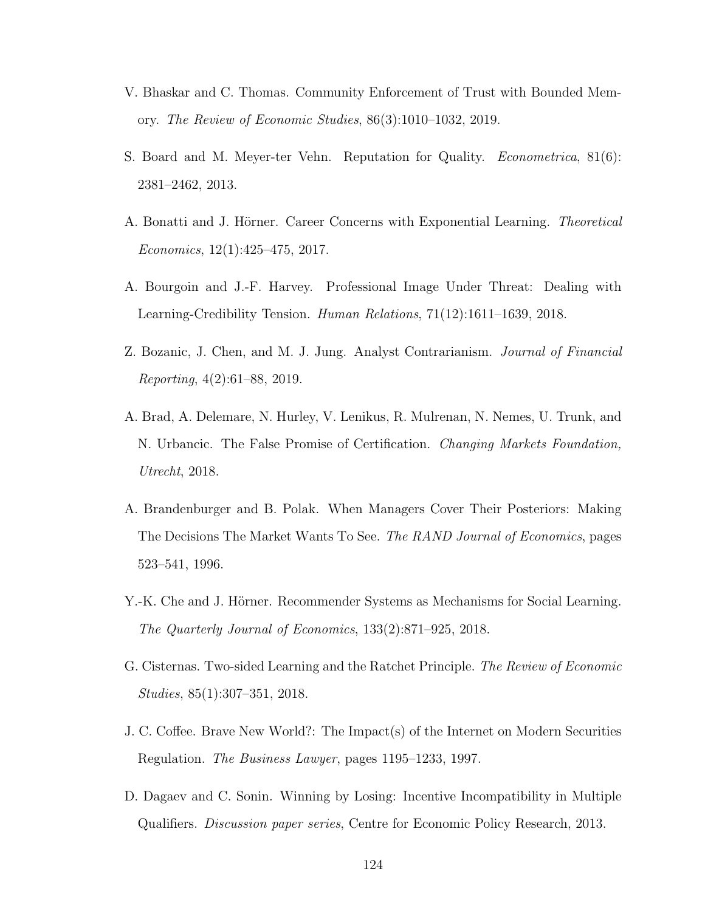- V. Bhaskar and C. Thomas. Community Enforcement of Trust with Bounded Memory. The Review of Economic Studies, 86(3):1010–1032, 2019.
- S. Board and M. Meyer-ter Vehn. Reputation for Quality. Econometrica, 81(6): 2381–2462, 2013.
- A. Bonatti and J. Hörner. Career Concerns with Exponential Learning. Theoretical Economics, 12(1):425–475, 2017.
- A. Bourgoin and J.-F. Harvey. Professional Image Under Threat: Dealing with Learning-Credibility Tension. Human Relations, 71(12):1611–1639, 2018.
- Z. Bozanic, J. Chen, and M. J. Jung. Analyst Contrarianism. Journal of Financial Reporting, 4(2):61–88, 2019.
- A. Brad, A. Delemare, N. Hurley, V. Lenikus, R. Mulrenan, N. Nemes, U. Trunk, and N. Urbancic. The False Promise of Certification. Changing Markets Foundation, Utrecht, 2018.
- A. Brandenburger and B. Polak. When Managers Cover Their Posteriors: Making The Decisions The Market Wants To See. The RAND Journal of Economics, pages 523–541, 1996.
- Y.-K. Che and J. Hörner. Recommender Systems as Mechanisms for Social Learning. The Quarterly Journal of Economics, 133(2):871–925, 2018.
- G. Cisternas. Two-sided Learning and the Ratchet Principle. The Review of Economic Studies, 85(1):307–351, 2018.
- J. C. Coffee. Brave New World?: The Impact(s) of the Internet on Modern Securities Regulation. The Business Lawyer, pages 1195–1233, 1997.
- <span id="page-133-0"></span>D. Dagaev and C. Sonin. Winning by Losing: Incentive Incompatibility in Multiple Qualifiers. Discussion paper series, Centre for Economic Policy Research, 2013.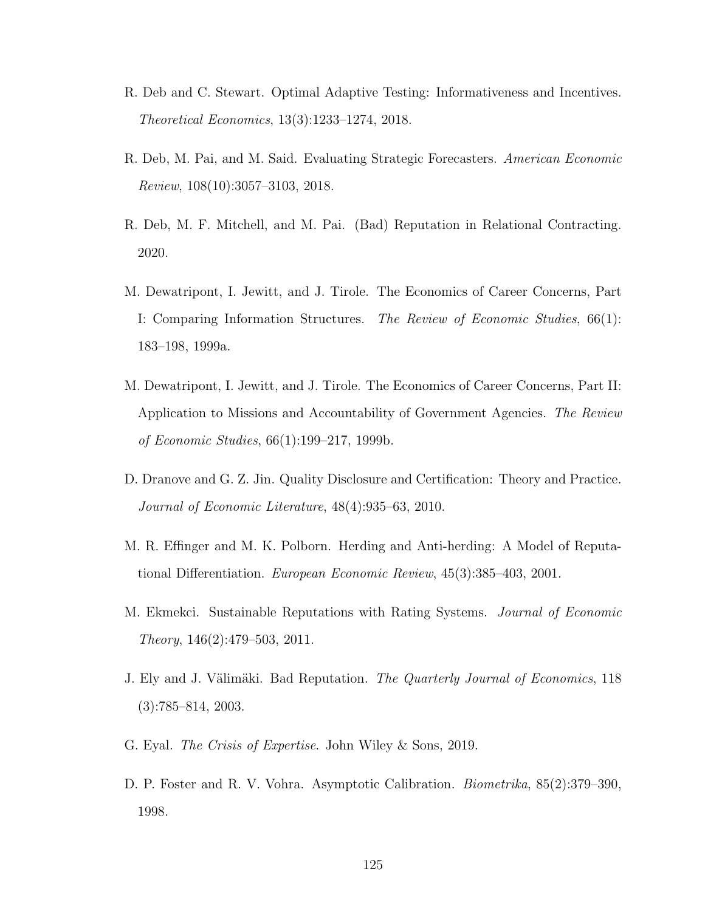- R. Deb and C. Stewart. Optimal Adaptive Testing: Informativeness and Incentives. Theoretical Economics, 13(3):1233–1274, 2018.
- R. Deb, M. Pai, and M. Said. Evaluating Strategic Forecasters. American Economic Review, 108(10):3057–3103, 2018.
- R. Deb, M. F. Mitchell, and M. Pai. (Bad) Reputation in Relational Contracting. 2020.
- M. Dewatripont, I. Jewitt, and J. Tirole. The Economics of Career Concerns, Part I: Comparing Information Structures. The Review of Economic Studies, 66(1): 183–198, 1999a.
- M. Dewatripont, I. Jewitt, and J. Tirole. The Economics of Career Concerns, Part II: Application to Missions and Accountability of Government Agencies. The Review of Economic Studies, 66(1):199–217, 1999b.
- D. Dranove and G. Z. Jin. Quality Disclosure and Certification: Theory and Practice. Journal of Economic Literature, 48(4):935–63, 2010.
- M. R. Effinger and M. K. Polborn. Herding and Anti-herding: A Model of Reputational Differentiation. European Economic Review, 45(3):385–403, 2001.
- M. Ekmekci. Sustainable Reputations with Rating Systems. Journal of Economic Theory, 146(2):479–503, 2011.
- J. Ely and J. Välimäki. Bad Reputation. The Quarterly Journal of Economics, 118 (3):785–814, 2003.
- G. Eyal. The Crisis of Expertise. John Wiley & Sons, 2019.
- D. P. Foster and R. V. Vohra. Asymptotic Calibration. Biometrika, 85(2):379–390, 1998.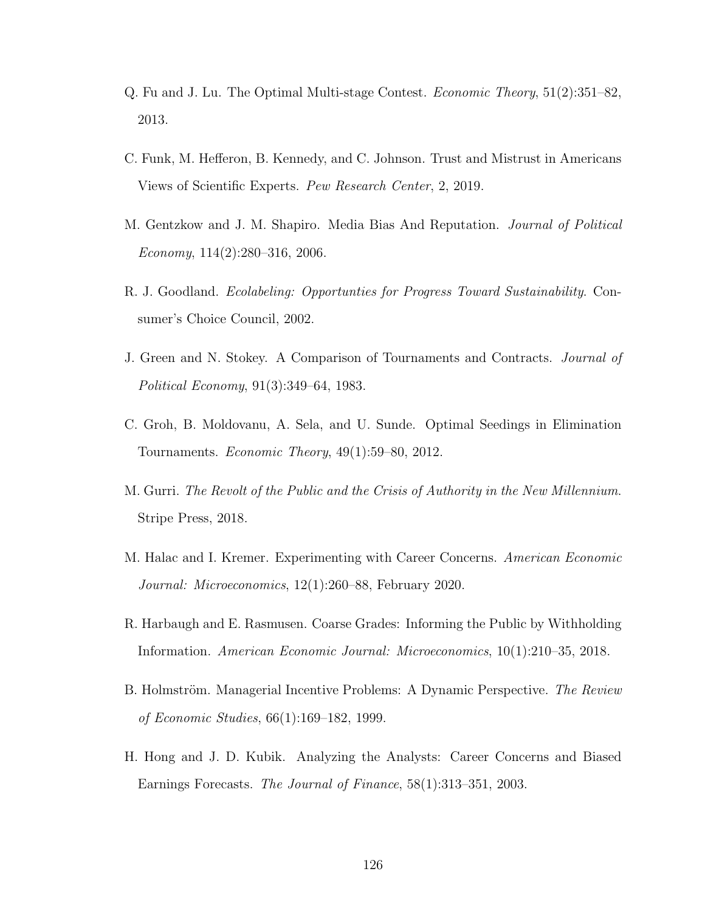- <span id="page-135-2"></span>Q. Fu and J. Lu. The Optimal Multi-stage Contest. Economic Theory, 51(2):351–82, 2013.
- C. Funk, M. Hefferon, B. Kennedy, and C. Johnson. Trust and Mistrust in Americans Views of Scientific Experts. Pew Research Center, 2, 2019.
- M. Gentzkow and J. M. Shapiro. Media Bias And Reputation. Journal of Political Economy,  $114(2):280-316$ , 2006.
- R. J. Goodland. Ecolabeling: Opportunties for Progress Toward Sustainability. Consumer's Choice Council, 2002.
- <span id="page-135-0"></span>J. Green and N. Stokey. A Comparison of Tournaments and Contracts. Journal of Political Economy, 91(3):349–64, 1983.
- <span id="page-135-1"></span>C. Groh, B. Moldovanu, A. Sela, and U. Sunde. Optimal Seedings in Elimination Tournaments. Economic Theory, 49(1):59–80, 2012.
- M. Gurri. The Revolt of the Public and the Crisis of Authority in the New Millennium. Stripe Press, 2018.
- M. Halac and I. Kremer. Experimenting with Career Concerns. American Economic Journal: Microeconomics, 12(1):260–88, February 2020.
- R. Harbaugh and E. Rasmusen. Coarse Grades: Informing the Public by Withholding Information. American Economic Journal: Microeconomics, 10(1):210–35, 2018.
- B. Holmström. Managerial Incentive Problems: A Dynamic Perspective. The Review of Economic Studies, 66(1):169–182, 1999.
- H. Hong and J. D. Kubik. Analyzing the Analysts: Career Concerns and Biased Earnings Forecasts. The Journal of Finance, 58(1):313–351, 2003.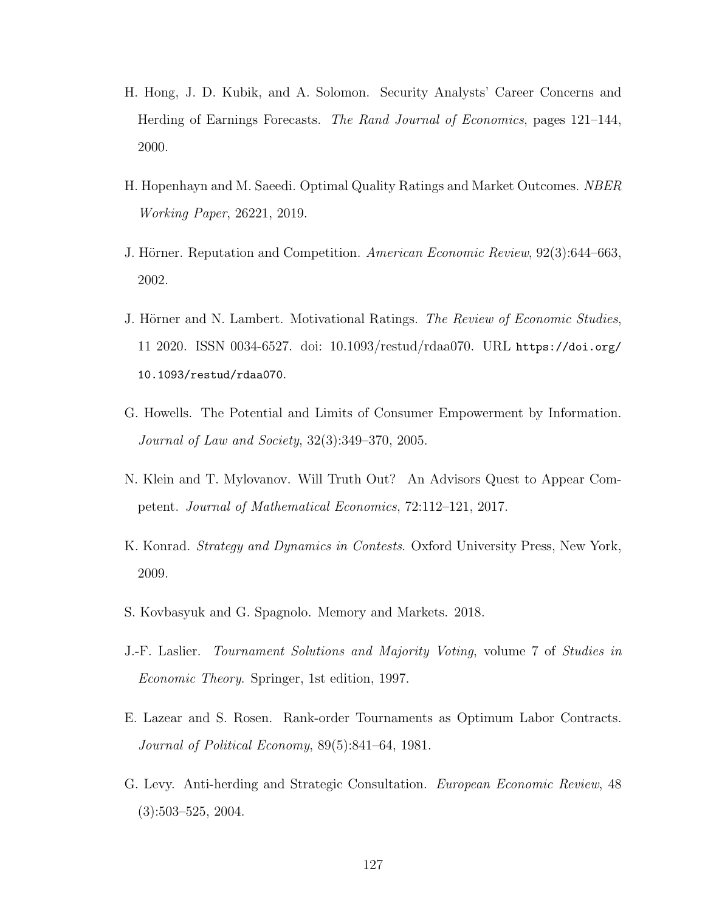- H. Hong, J. D. Kubik, and A. Solomon. Security Analysts' Career Concerns and Herding of Earnings Forecasts. The Rand Journal of Economics, pages 121–144, 2000.
- H. Hopenhayn and M. Saeedi. Optimal Quality Ratings and Market Outcomes. NBER Working Paper, 26221, 2019.
- J. Hörner. Reputation and Competition. American Economic Review, 92(3):644–663, 2002.
- J. Hörner and N. Lambert. Motivational Ratings. The Review of Economic Studies, 11 2020. ISSN 0034-6527. doi: 10.1093/restud/rdaa070. URL [https://doi.org/](https://doi.org/10.1093/restud/rdaa070) [10.1093/restud/rdaa070](https://doi.org/10.1093/restud/rdaa070).
- G. Howells. The Potential and Limits of Consumer Empowerment by Information. Journal of Law and Society, 32(3):349–370, 2005.
- N. Klein and T. Mylovanov. Will Truth Out? An Advisors Quest to Appear Competent. Journal of Mathematical Economics, 72:112–121, 2017.
- <span id="page-136-1"></span>K. Konrad. *Strategy and Dynamics in Contests*. Oxford University Press, New York, 2009.
- S. Kovbasyuk and G. Spagnolo. Memory and Markets. 2018.
- <span id="page-136-2"></span>J.-F. Laslier. Tournament Solutions and Majority Voting, volume 7 of Studies in Economic Theory. Springer, 1st edition, 1997.
- <span id="page-136-0"></span>E. Lazear and S. Rosen. Rank-order Tournaments as Optimum Labor Contracts. Journal of Political Economy, 89(5):841–64, 1981.
- G. Levy. Anti-herding and Strategic Consultation. European Economic Review, 48 (3):503–525, 2004.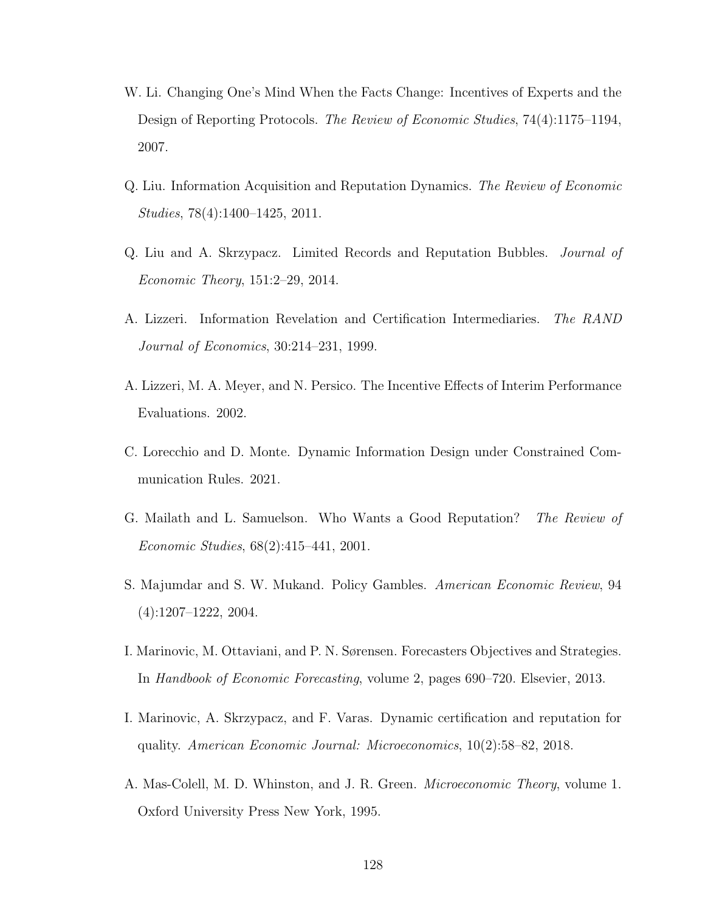- W. Li. Changing One's Mind When the Facts Change: Incentives of Experts and the Design of Reporting Protocols. The Review of Economic Studies, 74(4):1175–1194, 2007.
- Q. Liu. Information Acquisition and Reputation Dynamics. The Review of Economic Studies, 78(4):1400–1425, 2011.
- Q. Liu and A. Skrzypacz. Limited Records and Reputation Bubbles. Journal of Economic Theory, 151:2–29, 2014.
- A. Lizzeri. Information Revelation and Certification Intermediaries. The RAND Journal of Economics, 30:214–231, 1999.
- A. Lizzeri, M. A. Meyer, and N. Persico. The Incentive Effects of Interim Performance Evaluations. 2002.
- C. Lorecchio and D. Monte. Dynamic Information Design under Constrained Communication Rules. 2021.
- G. Mailath and L. Samuelson. Who Wants a Good Reputation? The Review of Economic Studies, 68(2):415–441, 2001.
- S. Majumdar and S. W. Mukand. Policy Gambles. American Economic Review, 94 (4):1207–1222, 2004.
- I. Marinovic, M. Ottaviani, and P. N. Sørensen. Forecasters Objectives and Strategies. In Handbook of Economic Forecasting, volume 2, pages 690–720. Elsevier, 2013.
- I. Marinovic, A. Skrzypacz, and F. Varas. Dynamic certification and reputation for quality. American Economic Journal: Microeconomics, 10(2):58–82, 2018.
- A. Mas-Colell, M. D. Whinston, and J. R. Green. Microeconomic Theory, volume 1. Oxford University Press New York, 1995.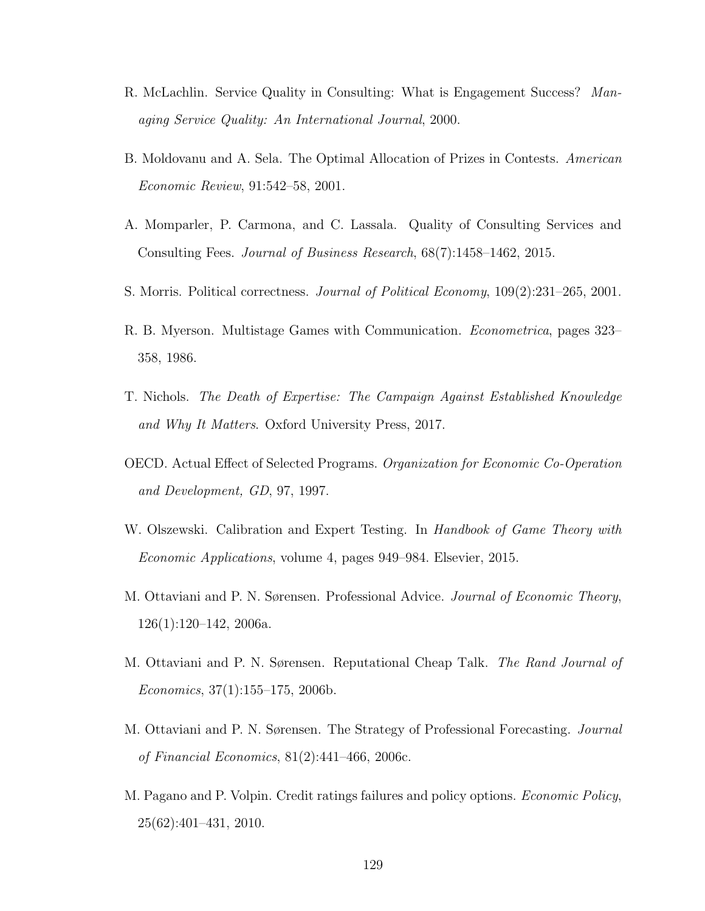- R. McLachlin. Service Quality in Consulting: What is Engagement Success? Managing Service Quality: An International Journal, 2000.
- <span id="page-138-0"></span>B. Moldovanu and A. Sela. The Optimal Allocation of Prizes in Contests. American Economic Review, 91:542–58, 2001.
- A. Momparler, P. Carmona, and C. Lassala. Quality of Consulting Services and Consulting Fees. Journal of Business Research, 68(7):1458–1462, 2015.
- S. Morris. Political correctness. Journal of Political Economy, 109(2):231–265, 2001.
- R. B. Myerson. Multistage Games with Communication. Econometrica, pages 323– 358, 1986.
- T. Nichols. The Death of Expertise: The Campaign Against Established Knowledge and Why It Matters. Oxford University Press, 2017.
- OECD. Actual Effect of Selected Programs. Organization for Economic Co-Operation and Development, GD, 97, 1997.
- W. Olszewski. Calibration and Expert Testing. In Handbook of Game Theory with Economic Applications, volume 4, pages 949–984. Elsevier, 2015.
- M. Ottaviani and P. N. Sørensen. Professional Advice. Journal of Economic Theory, 126(1):120–142, 2006a.
- M. Ottaviani and P. N. Sørensen. Reputational Cheap Talk. The Rand Journal of  $Economics, 37(1):155-175, 2006b.$
- M. Ottaviani and P. N. Sørensen. The Strategy of Professional Forecasting. Journal of Financial Economics, 81(2):441–466, 2006c.
- M. Pagano and P. Volpin. Credit ratings failures and policy options. Economic Policy, 25(62):401–431, 2010.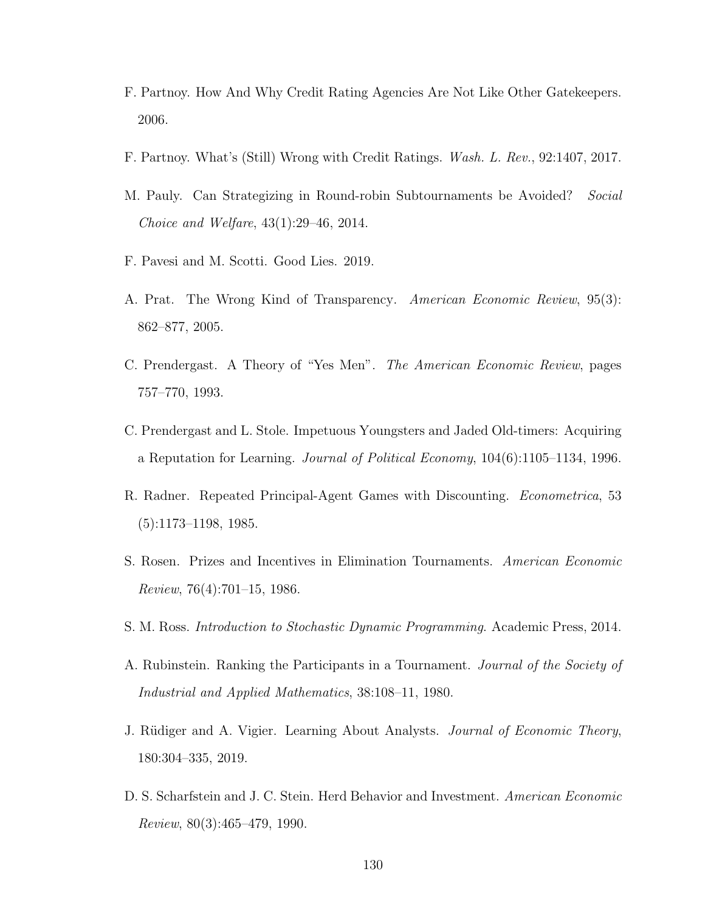- F. Partnoy. How And Why Credit Rating Agencies Are Not Like Other Gatekeepers. 2006.
- F. Partnoy. What's (Still) Wrong with Credit Ratings. Wash. L. Rev., 92:1407, 2017.
- <span id="page-139-3"></span>M. Pauly. Can Strategizing in Round-robin Subtournaments be Avoided? Social Choice and Welfare, 43(1):29–46, 2014.
- F. Pavesi and M. Scotti. Good Lies. 2019.
- A. Prat. The Wrong Kind of Transparency. American Economic Review, 95(3): 862–877, 2005.
- C. Prendergast. A Theory of "Yes Men". The American Economic Review, pages 757–770, 1993.
- C. Prendergast and L. Stole. Impetuous Youngsters and Jaded Old-timers: Acquiring a Reputation for Learning. Journal of Political Economy, 104(6):1105–1134, 1996.
- R. Radner. Repeated Principal-Agent Games with Discounting. Econometrica, 53 (5):1173–1198, 1985.
- <span id="page-139-1"></span>S. Rosen. Prizes and Incentives in Elimination Tournaments. American Economic *Review*,  $76(4):701-15$ , 1986.
- <span id="page-139-0"></span>S. M. Ross. Introduction to Stochastic Dynamic Programming. Academic Press, 2014.
- <span id="page-139-2"></span>A. Rubinstein. Ranking the Participants in a Tournament. Journal of the Society of Industrial and Applied Mathematics, 38:108–11, 1980.
- J. Rüdiger and A. Vigier. Learning About Analysts. Journal of Economic Theory, 180:304–335, 2019.
- D. S. Scharfstein and J. C. Stein. Herd Behavior and Investment. American Economic Review, 80(3):465–479, 1990.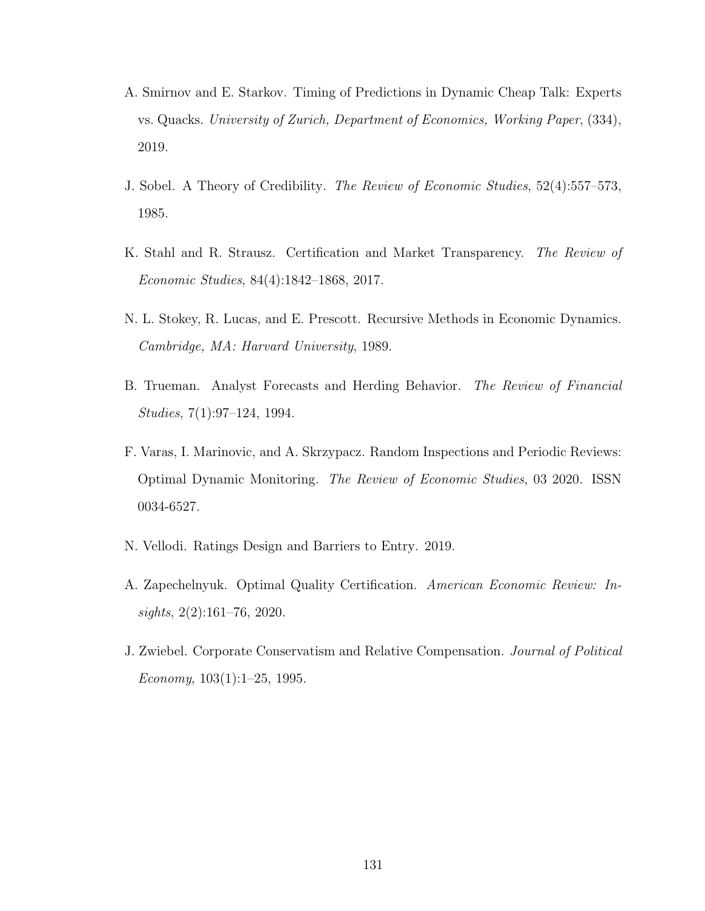- A. Smirnov and E. Starkov. Timing of Predictions in Dynamic Cheap Talk: Experts vs. Quacks. University of Zurich, Department of Economics, Working Paper, (334), 2019.
- J. Sobel. A Theory of Credibility. The Review of Economic Studies, 52(4):557–573, 1985.
- K. Stahl and R. Strausz. Certification and Market Transparency. The Review of Economic Studies, 84(4):1842–1868, 2017.
- N. L. Stokey, R. Lucas, and E. Prescott. Recursive Methods in Economic Dynamics. Cambridge, MA: Harvard University, 1989.
- B. Trueman. Analyst Forecasts and Herding Behavior. The Review of Financial Studies, 7(1):97–124, 1994.
- F. Varas, I. Marinovic, and A. Skrzypacz. Random Inspections and Periodic Reviews: Optimal Dynamic Monitoring. The Review of Economic Studies, 03 2020. ISSN 0034-6527.
- N. Vellodi. Ratings Design and Barriers to Entry. 2019.
- A. Zapechelnyuk. Optimal Quality Certification. American Economic Review: In $sights, 2(2):161-76, 2020.$
- J. Zwiebel. Corporate Conservatism and Relative Compensation. Journal of Political Economy,  $103(1):1-25$ , 1995.